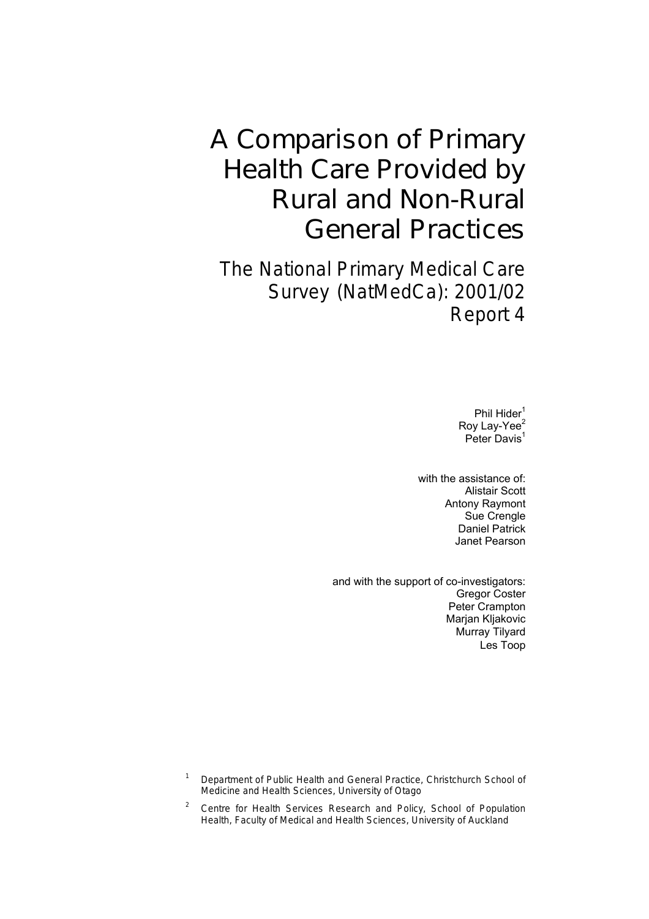# A Comparison of Primary Health Care Provided by Rural and Non-Rural General Practices

The National Primary Medical Care Survey (NatMedCa): 2001/02 Report 4

> Phil Hider<sup>1</sup> Roy Lay-Yee<sup>2</sup> Peter Davis<sup>1</sup>

with the assistance of: Alistair Scott Antony Raymont Sue Crengle Daniel Patrick Janet Pearson

and with the support of co-investigators: Gregor Coster Peter Crampton Marjan Kljakovic Murray Tilyard Les Toop

1 Department of Public Health and General Practice, Christchurch School of Medicine and Health Sciences, University of Otago

2 Centre for Health Services Research and Policy, School of Population Health, Faculty of Medical and Health Sciences, University of Auckland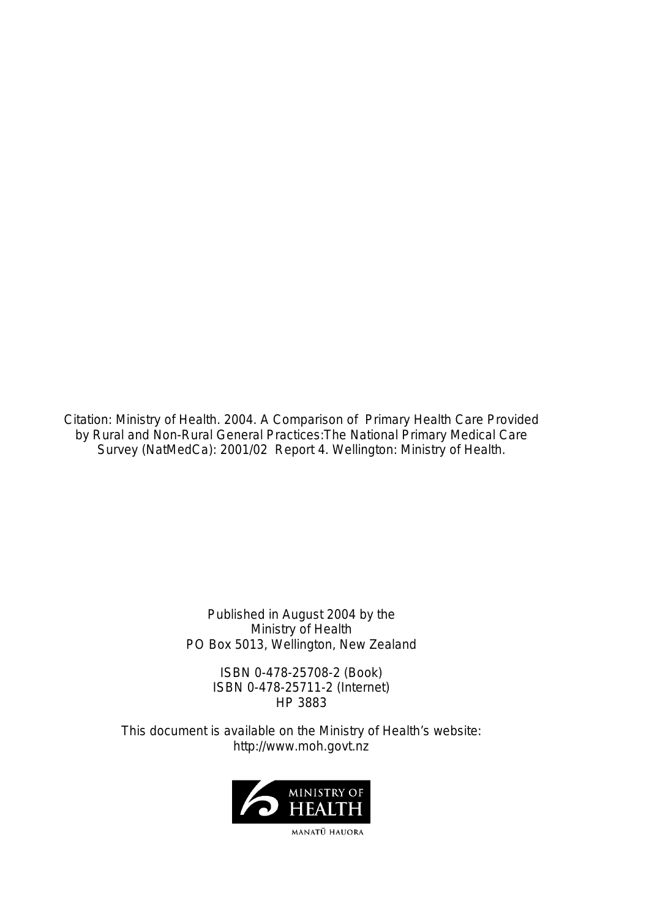Citation: Ministry of Health. 2004. *A Comparison of Primary Health Care Provided by Rural and Non-Rural General Practices:The National Primary Medical Care Survey (NatMedCa): 2001/02 Report 4*. Wellington: Ministry of Health.

> Published in August 2004 by the Ministry of Health PO Box 5013, Wellington, New Zealand

ISBN 0-478-25708-2 (Book) ISBN 0-478-25711-2 (Internet) HP 3883

This document is available on the Ministry of Health's website: <http://www.moh.govt.nz>

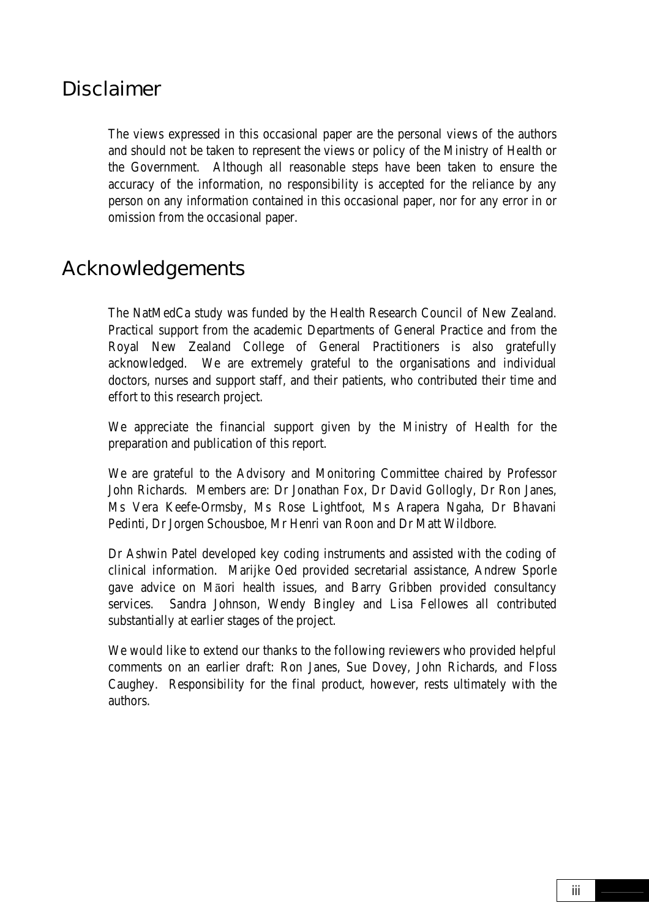### Disclaimer

The views expressed in this occasional paper are the personal views of the authors and should not be taken to represent the views or policy of the Ministry of Health or the Government. Although all reasonable steps have been taken to ensure the accuracy of the information, no responsibility is accepted for the reliance by any person on any information contained in this occasional paper, nor for any error in or omission from the occasional paper.

### Acknowledgements

The NatMedCa study was funded by the Health Research Council of New Zealand. Practical support from the academic Departments of General Practice and from the Royal New Zealand College of General Practitioners is also gratefully acknowledged. We are extremely grateful to the organisations and individual doctors, nurses and support staff, and their patients, who contributed their time and effort to this research project.

We appreciate the financial support given by the Ministry of Health for the preparation and publication of this report.

We are grateful to the Advisory and Monitoring Committee chaired by Professor John Richards. Members are: Dr Jonathan Fox, Dr David Gollogly, Dr Ron Janes, Ms Vera Keefe-Ormsby, Ms Rose Lightfoot, Ms Arapera Ngaha, Dr Bhavani Pedinti, Dr Jorgen Schousboe, Mr Henri van Roon and Dr Matt Wildbore.

Dr Ashwin Patel developed key coding instruments and assisted with the coding of clinical information. Marijke Oed provided secretarial assistance, Andrew Sporle gave advice on Māori health issues, and Barry Gribben provided consultancy services. Sandra Johnson, Wendy Bingley and Lisa Fellowes all contributed substantially at earlier stages of the project.

We would like to extend our thanks to the following reviewers who provided helpful comments on an earlier draft: Ron Janes, Sue Dovey, John Richards, and Floss Caughey. Responsibility for the final product, however, rests ultimately with the authors.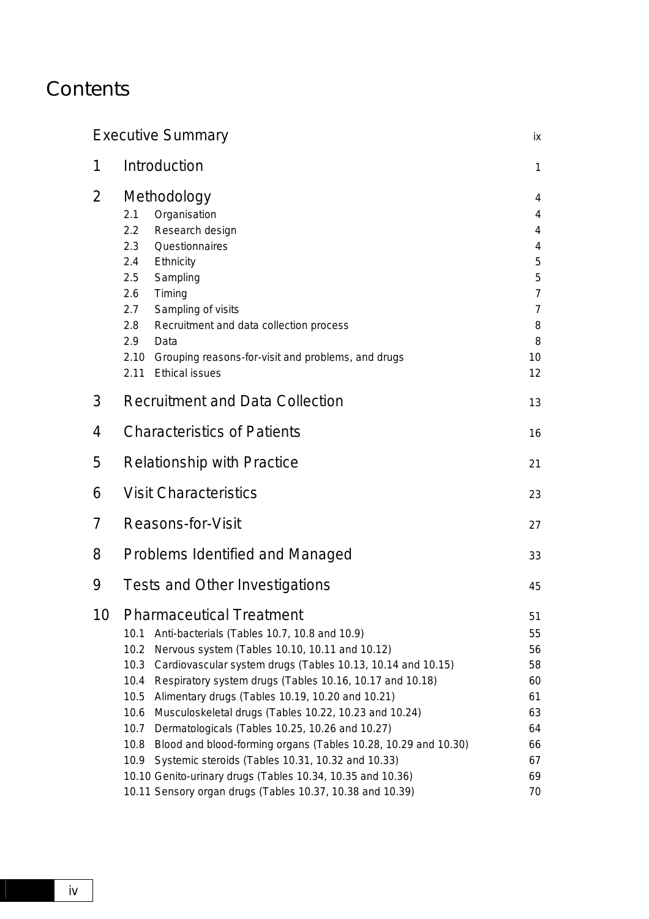## **Contents**

| <b>Executive Summary</b>                                                                                                                                                                                                                                                                                                                                                                                                                                                                                                                                                                                                                                                                                                                               | iх                                                                      |  |  |
|--------------------------------------------------------------------------------------------------------------------------------------------------------------------------------------------------------------------------------------------------------------------------------------------------------------------------------------------------------------------------------------------------------------------------------------------------------------------------------------------------------------------------------------------------------------------------------------------------------------------------------------------------------------------------------------------------------------------------------------------------------|-------------------------------------------------------------------------|--|--|
| Introduction                                                                                                                                                                                                                                                                                                                                                                                                                                                                                                                                                                                                                                                                                                                                           | $\mathbf{1}$                                                            |  |  |
| Methodology<br>Organisation<br>2.1<br>Research design<br>2.2<br>Questionnaires<br>2.3<br>Ethnicity<br>2.4<br>2.5<br>Sampling<br>Timing<br>2.6<br>Sampling of visits<br>2.7<br>Recruitment and data collection process<br>2.8<br>2.9<br>Data<br>2.10<br>Grouping reasons-for-visit and problems, and drugs<br>2.11<br><b>Ethical issues</b>                                                                                                                                                                                                                                                                                                                                                                                                             | 4<br>4<br>4<br>4<br>5<br>5<br>7<br>$\overline{7}$<br>8<br>8<br>10<br>12 |  |  |
| <b>Recruitment and Data Collection</b>                                                                                                                                                                                                                                                                                                                                                                                                                                                                                                                                                                                                                                                                                                                 | 13                                                                      |  |  |
| <b>Characteristics of Patients</b>                                                                                                                                                                                                                                                                                                                                                                                                                                                                                                                                                                                                                                                                                                                     |                                                                         |  |  |
| <b>Relationship with Practice</b>                                                                                                                                                                                                                                                                                                                                                                                                                                                                                                                                                                                                                                                                                                                      |                                                                         |  |  |
| <b>Visit Characteristics</b>                                                                                                                                                                                                                                                                                                                                                                                                                                                                                                                                                                                                                                                                                                                           |                                                                         |  |  |
| <b>Reasons-for-Visit</b>                                                                                                                                                                                                                                                                                                                                                                                                                                                                                                                                                                                                                                                                                                                               | 27                                                                      |  |  |
| <b>Problems Identified and Managed</b>                                                                                                                                                                                                                                                                                                                                                                                                                                                                                                                                                                                                                                                                                                                 | 33                                                                      |  |  |
| Tests and Other Investigations                                                                                                                                                                                                                                                                                                                                                                                                                                                                                                                                                                                                                                                                                                                         | 45                                                                      |  |  |
| <b>Pharmaceutical Treatment</b><br>Anti-bacterials (Tables 10.7, 10.8 and 10.9)<br>10.1<br>10.2<br>Nervous system (Tables 10.10, 10.11 and 10.12)<br>10.3<br>Cardiovascular system drugs (Tables 10.13, 10.14 and 10.15)<br>10.4<br>Respiratory system drugs (Tables 10.16, 10.17 and 10.18)<br>10.5<br>Alimentary drugs (Tables 10.19, 10.20 and 10.21)<br>10.6<br>Musculoskeletal drugs (Tables 10.22, 10.23 and 10.24)<br>10.7<br>Dermatologicals (Tables 10.25, 10.26 and 10.27)<br>10.8<br>Blood and blood-forming organs (Tables 10.28, 10.29 and 10.30)<br>Systemic steroids (Tables 10.31, 10.32 and 10.33)<br>10.9<br>10.10 Genito-urinary drugs (Tables 10.34, 10.35 and 10.36)<br>10.11 Sensory organ drugs (Tables 10.37, 10.38 and 10.39) | 51<br>55<br>56<br>58<br>60<br>61<br>63<br>64<br>66<br>67<br>69<br>70    |  |  |
|                                                                                                                                                                                                                                                                                                                                                                                                                                                                                                                                                                                                                                                                                                                                                        |                                                                         |  |  |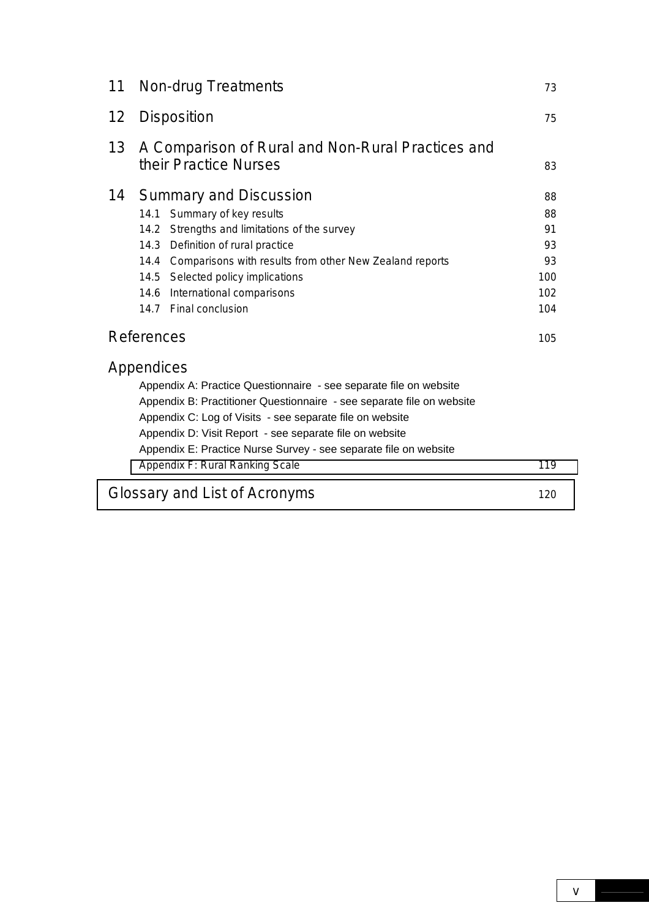| 11                | <b>Non-drug Treatments</b>                                                                                                                                                                                                                                                                                                                                                             |                                                 |  |  |
|-------------------|----------------------------------------------------------------------------------------------------------------------------------------------------------------------------------------------------------------------------------------------------------------------------------------------------------------------------------------------------------------------------------------|-------------------------------------------------|--|--|
| $12 \overline{ }$ | Disposition                                                                                                                                                                                                                                                                                                                                                                            |                                                 |  |  |
| 13                | A Comparison of Rural and Non-Rural Practices and<br>their Practice Nurses                                                                                                                                                                                                                                                                                                             | 83                                              |  |  |
| 14                | <b>Summary and Discussion</b><br>14.1<br>Summary of key results<br>14.2 Strengths and limitations of the survey<br>14.3 Definition of rural practice<br>Comparisons with results from other New Zealand reports<br>14.4<br>14.5 Selected policy implications<br>14.6<br>International comparisons<br>14.7 Final conclusion                                                             | 88<br>88<br>91<br>93<br>93<br>100<br>102<br>104 |  |  |
|                   | <b>References</b>                                                                                                                                                                                                                                                                                                                                                                      | 105                                             |  |  |
|                   | Appendices<br>Appendix A: Practice Questionnaire - see separate file on website<br>Appendix B: Practitioner Questionnaire - see separate file on website<br>Appendix C: Log of Visits - see separate file on website<br>Appendix D: Visit Report - see separate file on website<br>Appendix E: Practice Nurse Survey - see separate file on website<br>Appendix F: Rural Ranking Scale | 119                                             |  |  |
|                   | Glossary and List of Acronyms                                                                                                                                                                                                                                                                                                                                                          | 120                                             |  |  |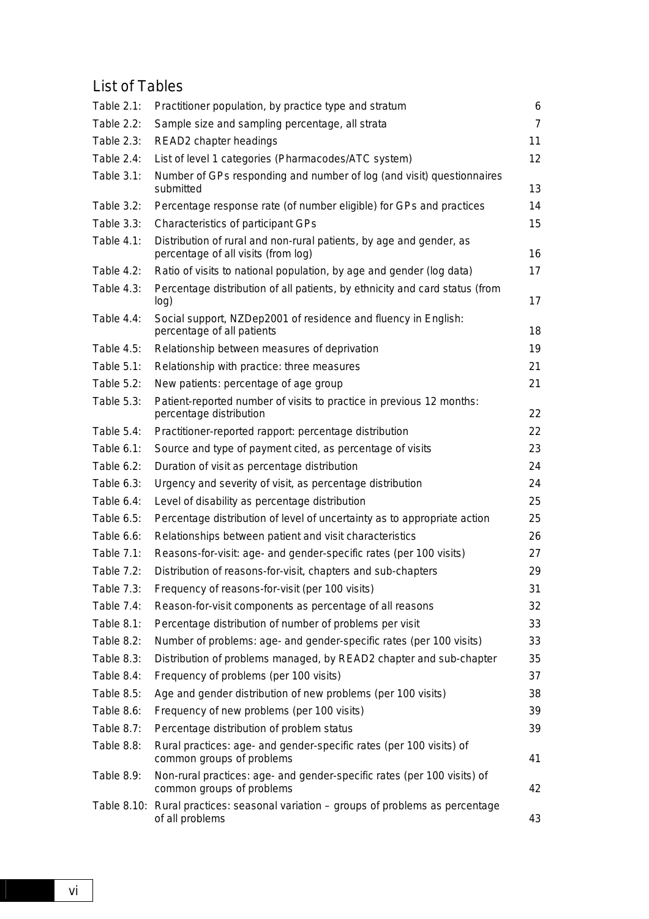### List of Tables

| Table $2.1$ : | Practitioner population, by practice type and stratum                                                      | 6              |
|---------------|------------------------------------------------------------------------------------------------------------|----------------|
| Table 2.2:    | Sample size and sampling percentage, all strata                                                            | $\overline{7}$ |
| Table 2.3:    | READ2 chapter headings                                                                                     | 11             |
| Table 2.4:    | List of level 1 categories (Pharmacodes/ATC system)                                                        | 12             |
| Table 3.1:    | Number of GPs responding and number of log (and visit) questionnaires<br>submitted                         | 13             |
| Table 3.2:    | Percentage response rate (of number eligible) for GPs and practices                                        | 14             |
| Table 3.3:    | Characteristics of participant GPs                                                                         | 15             |
| Table 4.1:    | Distribution of rural and non-rural patients, by age and gender, as<br>percentage of all visits (from log) | 16             |
| Table $4.2$ : | Ratio of visits to national population, by age and gender (log data)                                       | 17             |
| Table $4.3$ : | Percentage distribution of all patients, by ethnicity and card status (from<br>log)                        | 17             |
| Table $4.4$ : | Social support, NZDep2001 of residence and fluency in English:<br>percentage of all patients               | 18             |
| Table 4.5:    | Relationship between measures of deprivation                                                               | 19             |
| Table $5.1$ : | Relationship with practice: three measures                                                                 | 21             |
| Table 5.2:    | New patients: percentage of age group                                                                      | 21             |
| Table 5.3:    | Patient-reported number of visits to practice in previous 12 months:<br>percentage distribution            | 22             |
| Table $5.4$ : | Practitioner-reported rapport: percentage distribution                                                     | 22             |
| Table $6.1$ : | Source and type of payment cited, as percentage of visits                                                  | 23             |
| Table 6.2:    | Duration of visit as percentage distribution                                                               | 24             |
| Table $6.3$ : | Urgency and severity of visit, as percentage distribution                                                  | 24             |
| Table 6.4:    | Level of disability as percentage distribution                                                             | 25             |
| Table 6.5:    | Percentage distribution of level of uncertainty as to appropriate action                                   | 25             |
| Table 6.6:    | Relationships between patient and visit characteristics                                                    | 26             |
| Table 7.1:    | Reasons-for-visit: age- and gender-specific rates (per 100 visits)                                         | 27             |
| Table 7.2:    | Distribution of reasons-for-visit, chapters and sub-chapters                                               | 29             |
| Table 7.3:    | Frequency of reasons-for-visit (per 100 visits)                                                            | 31             |
| Table 7.4:    | Reason-for-visit components as percentage of all reasons                                                   | 32             |
| Table 8.1:    | Percentage distribution of number of problems per visit                                                    | 33             |
| Table 8.2:    | Number of problems: age- and gender-specific rates (per 100 visits)                                        | 33             |
| Table 8.3:    | Distribution of problems managed, by READ2 chapter and sub-chapter                                         | 35             |
| Table 8.4:    | Frequency of problems (per 100 visits)                                                                     | 37             |
| Table 8.5:    | Age and gender distribution of new problems (per 100 visits)                                               | 38             |
| Table 8.6:    | Frequency of new problems (per 100 visits)                                                                 | 39             |
| Table 8.7:    | Percentage distribution of problem status                                                                  | 39             |
| Table 8.8:    | Rural practices: age- and gender-specific rates (per 100 visits) of<br>common groups of problems           | 41             |
| Table 8.9:    | Non-rural practices: age- and gender-specific rates (per 100 visits) of<br>common groups of problems       | 42             |
|               | Table 8.10: Rural practices: seasonal variation – groups of problems as percentage<br>of all problems      | 43             |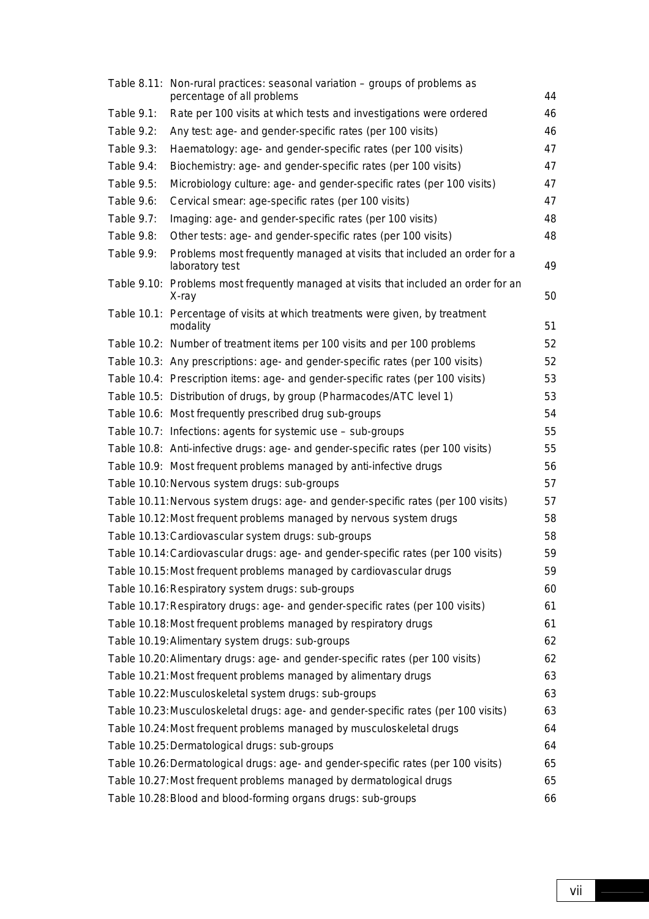|            | Table 8.11: Non-rural practices: seasonal variation – groups of problems as<br>percentage of all problems | 44 |
|------------|-----------------------------------------------------------------------------------------------------------|----|
| Table 9.1: | Rate per 100 visits at which tests and investigations were ordered                                        | 46 |
| Table 9.2: | Any test: age- and gender-specific rates (per 100 visits)                                                 | 46 |
| Table 9.3: | Haematology: age- and gender-specific rates (per 100 visits)                                              | 47 |
| Table 9.4: | Biochemistry: age- and gender-specific rates (per 100 visits)                                             | 47 |
| Table 9.5: | Microbiology culture: age- and gender-specific rates (per 100 visits)                                     | 47 |
| Table 9.6: | Cervical smear: age-specific rates (per 100 visits)                                                       | 47 |
| Table 9.7: | Imaging: age- and gender-specific rates (per 100 visits)                                                  | 48 |
| Table 9.8: | Other tests: age- and gender-specific rates (per 100 visits)                                              | 48 |
| Table 9.9: | Problems most frequently managed at visits that included an order for a<br>laboratory test                | 49 |
|            | Table 9.10: Problems most frequently managed at visits that included an order for an<br>X-ray             | 50 |
|            | Table 10.1: Percentage of visits at which treatments were given, by treatment<br>modality                 | 51 |
|            | Table 10.2: Number of treatment items per 100 visits and per 100 problems                                 | 52 |
|            | Table 10.3: Any prescriptions: age- and gender-specific rates (per 100 visits)                            | 52 |
|            | Table 10.4: Prescription items: age- and gender-specific rates (per 100 visits)                           | 53 |
|            | Table 10.5: Distribution of drugs, by group (Pharmacodes/ATC level 1)                                     | 53 |
|            | Table 10.6: Most frequently prescribed drug sub-groups                                                    | 54 |
|            | Table 10.7: Infections: agents for systemic use - sub-groups                                              | 55 |
|            | Table 10.8: Anti-infective drugs: age- and gender-specific rates (per 100 visits)                         | 55 |
|            | Table 10.9: Most frequent problems managed by anti-infective drugs                                        | 56 |
|            | Table 10.10: Nervous system drugs: sub-groups                                                             | 57 |
|            | Table 10.11: Nervous system drugs: age- and gender-specific rates (per 100 visits)                        | 57 |
|            | Table 10.12: Most frequent problems managed by nervous system drugs                                       | 58 |
|            | Table 10.13: Cardiovascular system drugs: sub-groups                                                      | 58 |
|            | Table 10.14: Cardiovascular drugs: age- and gender-specific rates (per 100 visits)                        | 59 |
|            | Table 10.15: Most frequent problems managed by cardiovascular drugs                                       | 59 |
|            | Table 10.16: Respiratory system drugs: sub-groups                                                         | 60 |
|            | Table 10.17: Respiratory drugs: age- and gender-specific rates (per 100 visits)                           | 61 |
|            | Table 10.18: Most frequent problems managed by respiratory drugs                                          | 61 |
|            | Table 10.19: Alimentary system drugs: sub-groups                                                          | 62 |
|            | Table 10.20: Alimentary drugs: age- and gender-specific rates (per 100 visits)                            | 62 |
|            | Table 10.21: Most frequent problems managed by alimentary drugs                                           | 63 |
|            | Table 10.22: Musculoskeletal system drugs: sub-groups                                                     | 63 |
|            | Table 10.23: Musculoskeletal drugs: age- and gender-specific rates (per 100 visits)                       | 63 |
|            | Table 10.24: Most frequent problems managed by musculoskeletal drugs                                      | 64 |
|            | Table 10.25: Dermatological drugs: sub-groups                                                             | 64 |
|            | Table 10.26: Dermatological drugs: age- and gender-specific rates (per 100 visits)                        | 65 |
|            | Table 10.27: Most frequent problems managed by dermatological drugs                                       | 65 |
|            | Table 10.28: Blood and blood-forming organs drugs: sub-groups                                             | 66 |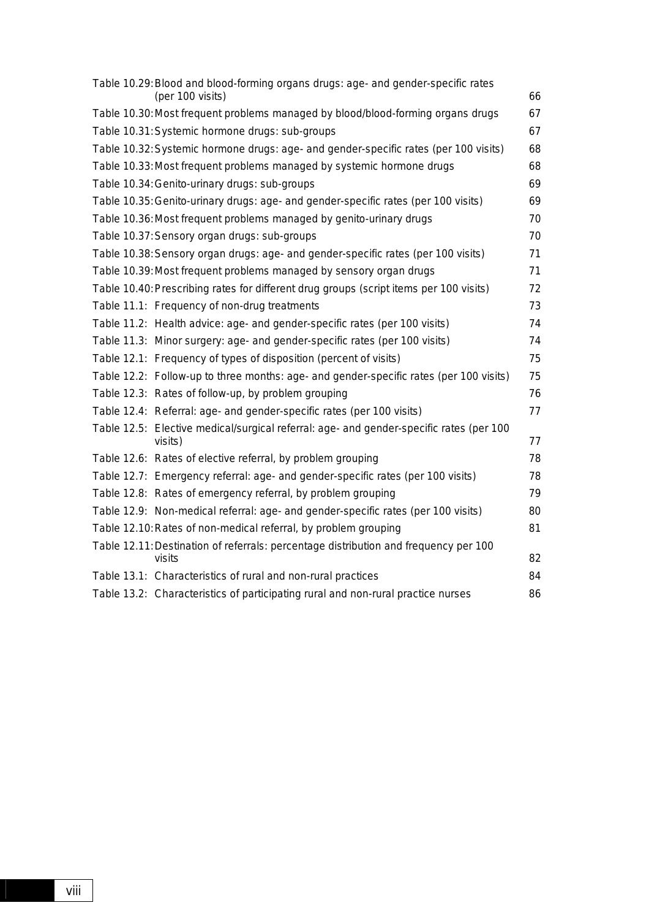|  | Table 10.29: Blood and blood-forming organs drugs: age- and gender-specific rates                  |    |
|--|----------------------------------------------------------------------------------------------------|----|
|  | (per 100 visits)                                                                                   | 66 |
|  | Table 10.30: Most frequent problems managed by blood/blood-forming organs drugs                    | 67 |
|  | Table 10.31: Systemic hormone drugs: sub-groups                                                    | 67 |
|  | Table 10.32: Systemic hormone drugs: age- and gender-specific rates (per 100 visits)               | 68 |
|  | Table 10.33: Most frequent problems managed by systemic hormone drugs                              | 68 |
|  | Table 10.34: Genito-urinary drugs: sub-groups                                                      | 69 |
|  | Table 10.35: Genito-urinary drugs: age- and gender-specific rates (per 100 visits)                 | 69 |
|  | Table 10.36: Most frequent problems managed by genito-urinary drugs                                | 70 |
|  | Table 10.37: Sensory organ drugs: sub-groups                                                       | 70 |
|  | Table 10.38: Sensory organ drugs: age- and gender-specific rates (per 100 visits)                  | 71 |
|  | Table 10.39: Most frequent problems managed by sensory organ drugs                                 | 71 |
|  | Table 10.40: Prescribing rates for different drug groups (script items per 100 visits)             | 72 |
|  | Table 11.1: Frequency of non-drug treatments                                                       | 73 |
|  | Table 11.2: Health advice: age- and gender-specific rates (per 100 visits)                         | 74 |
|  | Table 11.3: Minor surgery: age- and gender-specific rates (per 100 visits)                         | 74 |
|  | Table 12.1: Frequency of types of disposition (percent of visits)                                  | 75 |
|  | Table 12.2: Follow-up to three months: age- and gender-specific rates (per 100 visits)             | 75 |
|  | Table 12.3: Rates of follow-up, by problem grouping                                                | 76 |
|  | Table 12.4: Referral: age- and gender-specific rates (per 100 visits)                              | 77 |
|  | Table 12.5: Elective medical/surgical referral: age- and gender-specific rates (per 100<br>visits) | 77 |
|  | Table 12.6: Rates of elective referral, by problem grouping                                        | 78 |
|  | Table 12.7: Emergency referral: age- and gender-specific rates (per 100 visits)                    | 78 |
|  | Table 12.8: Rates of emergency referral, by problem grouping                                       | 79 |
|  | Table 12.9: Non-medical referral: age- and gender-specific rates (per 100 visits)                  | 80 |
|  | Table 12.10: Rates of non-medical referral, by problem grouping                                    | 81 |
|  | Table 12.11: Destination of referrals: percentage distribution and frequency per 100               |    |
|  | visits                                                                                             | 82 |
|  | Table 13.1: Characteristics of rural and non-rural practices                                       | 84 |
|  | Table 13.2: Characteristics of participating rural and non-rural practice nurses                   | 86 |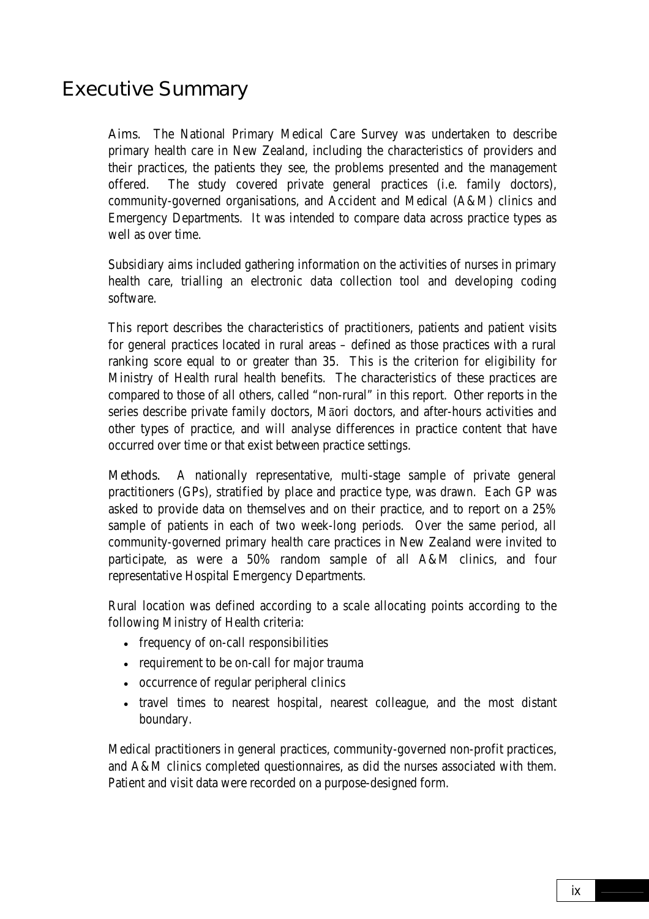### <span id="page-8-0"></span>Executive Summary

Aims. The National Primary Medical Care Survey was undertaken to describe primary health care in New Zealand, including the characteristics of providers and their practices, the patients they see, the problems presented and the management offered. The study covered private general practices (i.e. family doctors), community-governed organisations, and Accident and Medical (A&M) clinics and Emergency Departments. It was intended to compare data across practice types as well as over time.

Subsidiary aims included gathering information on the activities of nurses in primary health care, trialling an electronic data collection tool and developing coding software.

This report describes the characteristics of practitioners, patients and patient visits for general practices located in rural areas – defined as those practices with a rural ranking score equal to or greater than 35. This is the criterion for eligibility for Ministry of Health rural health benefits. The characteristics of these practices are compared to those of all others, called "non-rural" in this report. Other reports in the series describe private family doctors, Māori doctors, and after-hours activities and other types of practice, and will analyse differences in practice content that have occurred over time or that exist between practice settings.

Methods. A nationally representative, multi-stage sample of private general practitioners (GPs), stratified by place and practice type, was drawn. Each GP was asked to provide data on themselves and on their practice, and to report on a 25% sample of patients in each of two week-long periods. Over the same period, all community-governed primary health care practices in New Zealand were invited to participate, as were a 50% random sample of all A&M clinics, and four representative Hospital Emergency Departments.

Rural location was defined according to a scale allocating points according to the following Ministry of Health criteria:

- frequency of on-call responsibilities
- requirement to be on-call for major trauma
- occurrence of regular peripheral clinics
- travel times to nearest hospital, nearest colleague, and the most distant boundary.

Medical practitioners in general practices, community-governed non-profit practices, and A&M clinics completed questionnaires, as did the nurses associated with them. Patient and visit data were recorded on a purpose-designed form.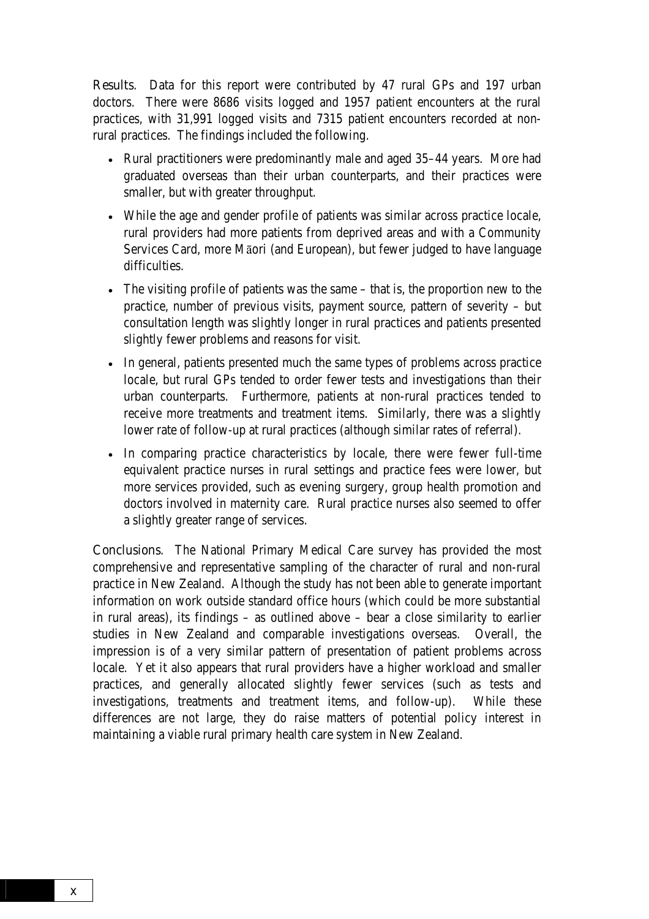Results. Data for this report were contributed by 47 rural GPs and 197 urban doctors. There were 8686 visits logged and 1957 patient encounters at the rural practices, with 31,991 logged visits and 7315 patient encounters recorded at nonrural practices. The findings included the following.

- Rural practitioners were predominantly male and aged 35–44 years. More had graduated overseas than their urban counterparts, and their practices were smaller, but with greater throughput.
- While the age and gender profile of patients was similar across practice locale, rural providers had more patients from deprived areas and with a Community Services Card, more Māori (and European), but fewer judged to have language difficulties.
- The visiting profile of patients was the same that is, the proportion new to the practice, number of previous visits, payment source, pattern of severity – but consultation length was slightly longer in rural practices and patients presented slightly fewer problems and reasons for visit.
- In general, patients presented much the same types of problems across practice locale, but rural GPs tended to order fewer tests and investigations than their urban counterparts. Furthermore, patients at non-rural practices tended to receive more treatments and treatment items. Similarly, there was a slightly lower rate of follow-up at rural practices (although similar rates of referral).
- In comparing practice characteristics by locale, there were fewer full-time equivalent practice nurses in rural settings and practice fees were lower, but more services provided, such as evening surgery, group health promotion and doctors involved in maternity care. Rural practice nurses also seemed to offer a slightly greater range of services.

**Conclusions.** The National Primary Medical Care survey has provided the most comprehensive and representative sampling of the character of rural and non-rural practice in New Zealand. Although the study has not been able to generate important information on work outside standard office hours (which could be more substantial in rural areas), its findings – as outlined above – bear a close similarity to earlier studies in New Zealand and comparable investigations overseas. Overall, the impression is of a very similar pattern of presentation of patient problems across locale. Yet it also appears that rural providers have a higher workload and smaller practices, and generally allocated slightly fewer services (such as tests and investigations, treatments and treatment items, and follow-up). While these differences are not large, they do raise matters of potential policy interest in maintaining a viable rural primary health care system in New Zealand.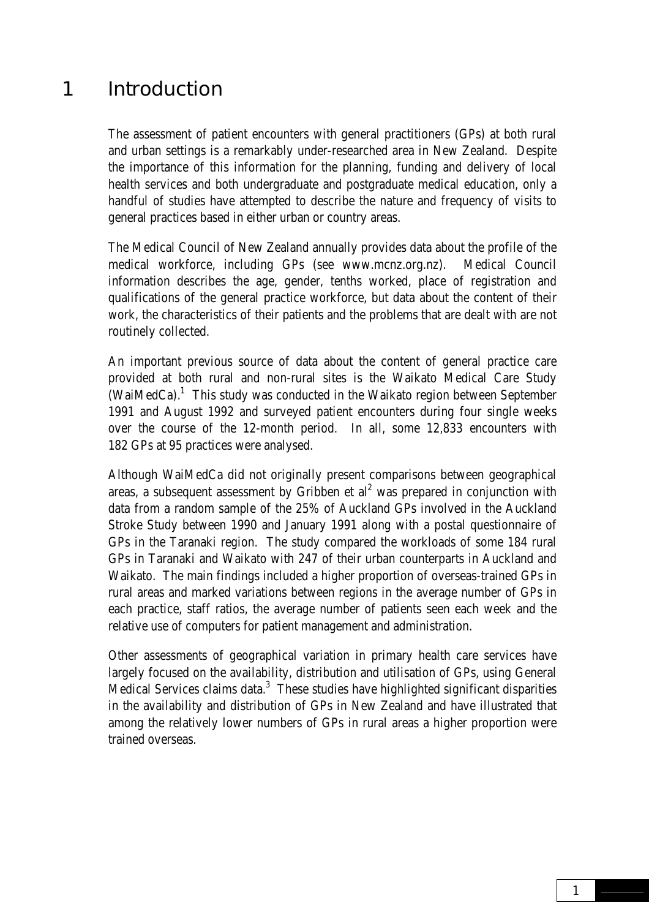### <span id="page-10-0"></span>1 Introduction

The assessment of patient encounters with general practitioners (GPs) at both rural and urban settings is a remarkably under-researched area in New Zealand. Despite the importance of this information for the planning, funding and delivery of local health services and both undergraduate and postgraduate medical education, only a handful of studies have attempted to describe the nature and frequency of visits to general practices based in either urban or country areas.

The Medical Council of New Zealand annually provides data about the profile of the medical workforce, including GPs (see www.mcnz.org.nz). Medical Council information describes the age, gender, tenths worked, place of registration and qualifications of the general practice workforce, but data about the content of their work, the characteristics of their patients and the problems that are dealt with are not routinely collected.

An important previous source of data about the content of general practice care provided at both rural and non-rural sites is the Waikato Medical Care Study (WaiMedCa). $<sup>1</sup>$  This study was conducted in the Waikato region between September</sup> 1991 and August 1992 and surveyed patient encounters during four single weeks over the course of the 12-month period. In all, some 12,833 encounters with 182 GPs at 95 practices were analysed.

Although WaiMedCa did not originally present comparisons between geographical areas, a subsequent assessment by Gribben et al<sup>2</sup> was prepared in conjunction with data from a random sample of the 25% of Auckland GPs involved in the Auckland Stroke Study between 1990 and January 1991 along with a postal questionnaire of GPs in the Taranaki region. The study compared the workloads of some 184 rural GPs in Taranaki and Waikato with 247 of their urban counterparts in Auckland and Waikato. The main findings included a higher proportion of overseas-trained GPs in rural areas and marked variations between regions in the average number of GPs in each practice, staff ratios, the average number of patients seen each week and the relative use of computers for patient management and administration.

Other assessments of geographical variation in primary health care services have largely focused on the availability, distribution and utilisation of GPs, using General Medical Services claims data. $3\,$  These studies have highlighted significant disparities in the availability and distribution of GPs in New Zealand and have illustrated that among the relatively lower numbers of GPs in rural areas a higher proportion were trained overseas.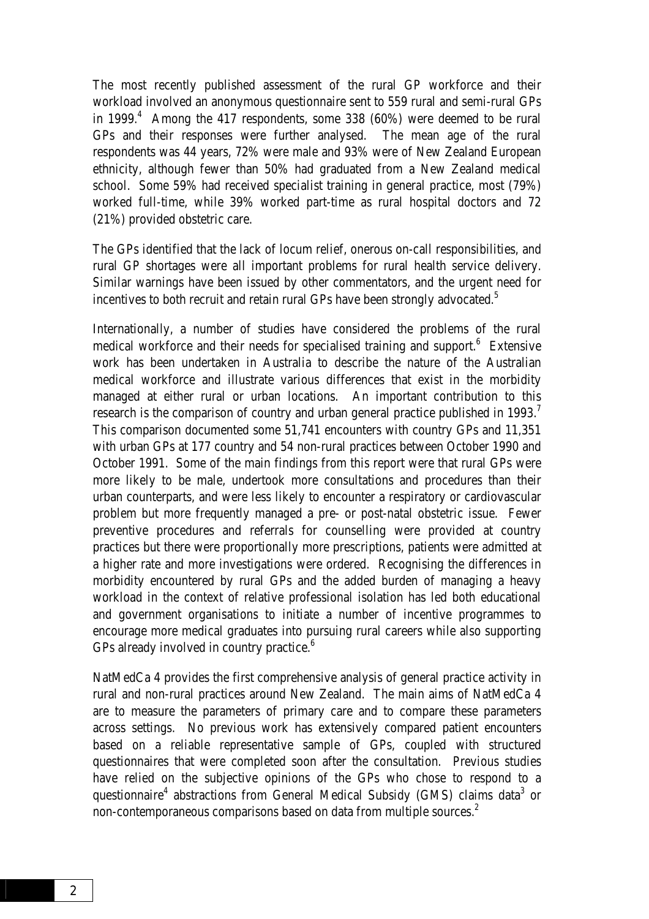The most recently published assessment of the rural GP workforce and their workload involved an anonymous questionnaire sent to 559 rural and semi-rural GPs in 1999. $<sup>4</sup>$  Among the 417 respondents, some 338 (60%) were deemed to be rural</sup> GPs and their responses were further analysed. The mean age of the rural respondents was 44 years, 72% were male and 93% were of New Zealand European ethnicity, although fewer than 50% had graduated from a New Zealand medical school. Some 59% had received specialist training in general practice, most (79%) worked full-time, while 39% worked part-time as rural hospital doctors and 72 (21%) provided obstetric care.

The GPs identified that the lack of locum relief, onerous on-call responsibilities, and rural GP shortages were all important problems for rural health service delivery. Similar warnings have been issued by other commentators, and the urgent need for incentives to both recruit and retain rural GPs have been strongly advocated.<sup>5</sup>

Internationally, a number of studies have considered the problems of the rural medical workforce and their needs for specialised training and support.<sup>6</sup> Extensive work has been undertaken in Australia to describe the nature of the Australian medical workforce and illustrate various differences that exist in the morbidity managed at either rural or urban locations. An important contribution to this research is the comparison of country and urban general practice published in 1993.<sup>7</sup> This comparison documented some 51,741 encounters with country GPs and 11,351 with urban GPs at 177 country and 54 non-rural practices between October 1990 and October 1991. Some of the main findings from this report were that rural GPs were more likely to be male, undertook more consultations and procedures than their urban counterparts, and were less likely to encounter a respiratory or cardiovascular problem but more frequently managed a pre- or post-natal obstetric issue. Fewer preventive procedures and referrals for counselling were provided at country practices but there were proportionally more prescriptions, patients were admitted at a higher rate and more investigations were ordered. Recognising the differences in morbidity encountered by rural GPs and the added burden of managing a heavy workload in the context of relative professional isolation has led both educational and government organisations to initiate a number of incentive programmes to encourage more medical graduates into pursuing rural careers while also supporting GPs already involved in country practice.<sup>6</sup>

NatMedCa 4 provides the first comprehensive analysis of general practice activity in rural and non-rural practices around New Zealand. The main aims of NatMedCa 4 are to measure the parameters of primary care and to compare these parameters across settings. No previous work has extensively compared patient encounters based on a reliable representative sample of GPs, coupled with structured questionnaires that were completed soon after the consultation. Previous studies have relied on the subjective opinions of the GPs who chose to respond to a questionnaire<sup>4</sup> abstractions from General Medical Subsidy (GMS) claims data<sup>3</sup> or non-contemporaneous comparisons based on data from multiple sources.<sup>2</sup>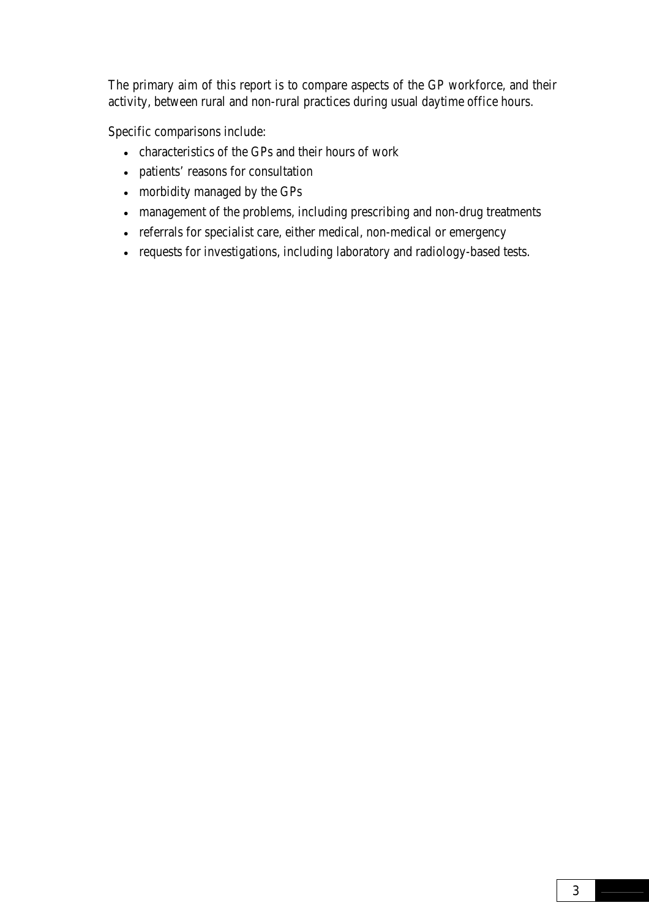The primary aim of this report is to compare aspects of the GP workforce, and their activity, between rural and non-rural practices during usual daytime office hours.

Specific comparisons include:

- characteristics of the GPs and their hours of work
- patients' reasons for consultation
- morbidity managed by the GPs
- management of the problems, including prescribing and non-drug treatments
- referrals for specialist care, either medical, non-medical or emergency
- requests for investigations, including laboratory and radiology-based tests.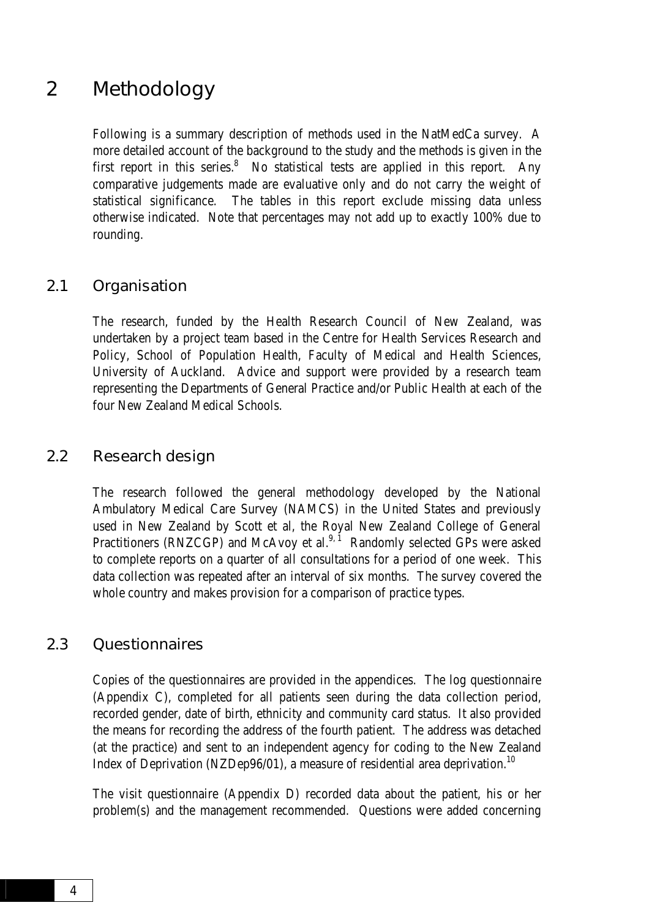### <span id="page-13-0"></span>2 Methodology

Following is a summary description of methods used in the NatMedCa survey. A more detailed account of the background to the study and the methods is given in the first report in this series. $8\degree$  No statistical tests are applied in this report. Any comparative judgements made are evaluative only and do not carry the weight of statistical significance. The tables in this report exclude missing data unless otherwise indicated. Note that percentages may not add up to exactly 100% due to rounding.

#### 2.1 Organisation

The research, funded by the Health Research Council of New Zealand, was undertaken by a project team based in the Centre for Health Services Research and Policy, School of Population Health, Faculty of Medical and Health Sciences, University of Auckland. Advice and support were provided by a research team representing the Departments of General Practice and/or Public Health at each of the four New Zealand Medical Schools.

#### 2.2 Research design

The research followed the general methodology developed by the National Ambulatory Medical Care Survey (NAMCS) in the United States and previously used in New Zealand by Scott et al, the Royal New Zealand College of General Practitioners (RNZCGP) and McAvoy et al.<sup>9, 1</sup> Randomly selected GPs were asked to complete reports on a quarter of all consultations for a period of one week. This data collection was repeated after an interval of six months. The survey covered the whole country and makes provision for a comparison of practice types.

#### 2.3 Questionnaires

Copies of the questionnaires are provided in the appendices. The log questionnaire (Appendix C), completed for all patients seen during the data collection period, recorded gender, date of birth, ethnicity and community card status. It also provided the means for recording the address of the fourth patient. The address was detached (at the practice) and sent to an independent agency for coding to the New Zealand Index of Deprivation (NZDep96/01), a measure of residential area deprivation.<sup>10</sup>

The visit questionnaire (Appendix D) recorded data about the patient, his or her problem(s) and the management recommended. Questions were added concerning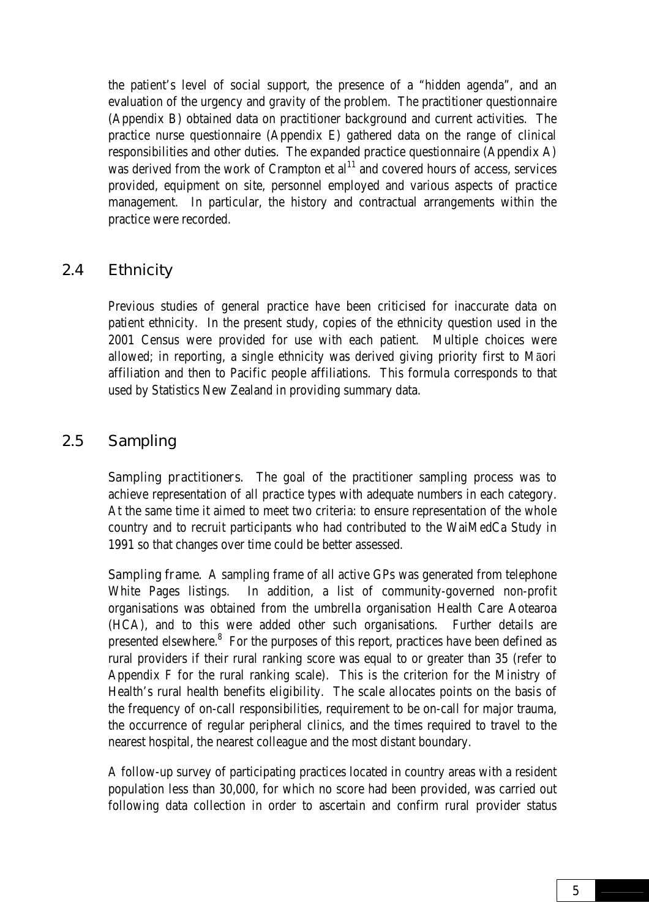<span id="page-14-0"></span>the patient's level of social support, the presence of a "hidden agenda", and an evaluation of the urgency and gravity of the problem. The practitioner questionnaire (Appendix B) obtained data on practitioner background and current activities. The practice nurse questionnaire (Appendix E) gathered data on the range of clinical responsibilities and other duties. The expanded practice questionnaire (Appendix A) was derived from the work of Crampton et  $al<sup>11</sup>$  and covered hours of access, services provided, equipment on site, personnel employed and various aspects of practice management. In particular, the history and contractual arrangements within the practice were recorded.

#### 2.4 Ethnicity

Previous studies of general practice have been criticised for inaccurate data on patient ethnicity. In the present study, copies of the ethnicity question used in the 2001 Census were provided for use with each patient. Multiple choices were allowed; in reporting, a single ethnicity was derived giving priority first to Māori affiliation and then to Pacific people affiliations. This formula corresponds to that used by Statistics New Zealand in providing summary data.

#### 2.5 Sampling

**Sampling practitioners.** The goal of the practitioner sampling process was to achieve representation of all practice types with adequate numbers in each category. At the same time it aimed to meet two criteria: to ensure representation of the whole country and to recruit participants who had contributed to the WaiMedCa Study in 1991 so that changes over time could be better assessed.

Sampling frame. A sampling frame of all active GPs was generated from telephone White Pages listings. In addition, a list of community-governed non-profit organisations was obtained from the umbrella organisation Health Care Aotearoa (HCA), and to this were added other such organisations. Further details are presented elsewhere.<sup>8</sup> For the purposes of this report, practices have been defined as rural providers if their rural ranking score was equal to or greater than 35 (refer to Appendix F for the rural ranking scale). This is the criterion for the Ministry of Health's rural health benefits eligibility. The scale allocates points on the basis of the frequency of on-call responsibilities, requirement to be on-call for major trauma, the occurrence of regular peripheral clinics, and the times required to travel to the nearest hospital, the nearest colleague and the most distant boundary.

A follow-up survey of participating practices located in country areas with a resident population less than 30,000, for which no score had been provided, was carried out following data collection in order to ascertain and confirm rural provider status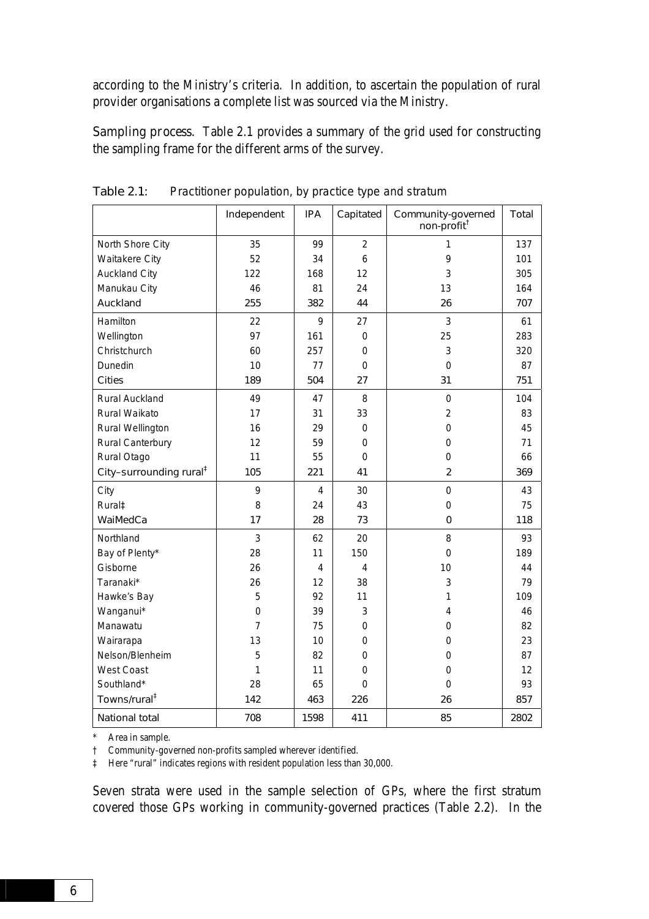according to the Ministry's criteria. In addition, to ascertain the population of rural provider organisations a complete list was sourced via the Ministry.

Sampling process. Table 2.1 provides a summary of the grid used for constructing the sampling frame for the different arms of the survey.

|                                     | Independent    | <b>IPA</b> | Capitated      | Community-governed<br>non-profit <sup>†</sup> | Total |
|-------------------------------------|----------------|------------|----------------|-----------------------------------------------|-------|
| North Shore City                    | 35             | 99         | $\overline{2}$ | 1                                             | 137   |
| Waitakere City                      | 52             | 34         | 6              | 9                                             | 101   |
| <b>Auckland City</b>                | 122            | 168        | 12             | 3                                             | 305   |
| Manukau City                        | 46             | 81         | 24             | 13                                            | 164   |
| Auckland                            | 255            | 382        | 44             | 26                                            | 707   |
| Hamilton                            | 22             | 9          | 27             | 3                                             | 61    |
| Wellington                          | 97             | 161        | $\mathbf 0$    | 25                                            | 283   |
| Christchurch                        | 60             | 257        | $\mathbf 0$    | 3                                             | 320   |
| Dunedin                             | 10             | 77         | 0              | $\mathbf 0$                                   | 87    |
| <b>Cities</b>                       | 189            | 504        | 27             | 31                                            | 751   |
| Rural Auckland                      | 49             | 47         | 8              | $\mathbf 0$                                   | 104   |
| Rural Waikato                       | 17             | 31         | 33             | $\overline{2}$                                | 83    |
| Rural Wellington                    | 16             | 29         | 0              | 0                                             | 45    |
| Rural Canterbury                    | 12             | 59         | 0              | 0                                             | 71    |
| Rural Otago                         | 11             | 55         | $\Omega$       | 0                                             | 66    |
| City-surrounding rural <sup>#</sup> | 105            | 221        | 41             | $\overline{2}$                                | 369   |
| City                                | 9              | 4          | 30             | $\mathbf 0$                                   | 43    |
| Rural‡                              | 8              | 24         | 43             | 0                                             | 75    |
| WaiMedCa                            | 17             | 28         | 73             | 0                                             | 118   |
| Northland                           | 3              | 62         | 20             | 8                                             | 93    |
| Bay of Plenty*                      | 28             | 11         | 150            | 0                                             | 189   |
| Gisborne                            | 26             | 4          | 4              | 10                                            | 44    |
| Taranaki*                           | 26             | 12         | 38             | 3                                             | 79    |
| Hawke's Bay                         | 5              | 92         | 11             | 1                                             | 109   |
| Wanganui*                           | 0              | 39         | 3              | 4                                             | 46    |
| Manawatu                            | $\overline{7}$ | 75         | 0              | 0                                             | 82    |
| Wairarapa                           | 13             | 10         | $\Omega$       | 0                                             | 23    |
| Nelson/Blenheim                     | 5              | 82         | 0              | 0                                             | 87    |
| <b>West Coast</b>                   | 1              | 11         | $\mathbf 0$    | 0                                             | 12    |
| Southland*                          | 28             | 65         | $\Omega$       | 0                                             | 93    |
| Towns/rural <sup>‡</sup>            | 142            | 463        | 226            | 26                                            | 857   |
| <b>National total</b>               | 708            | 1598       | 411            | 85                                            | 2802  |

Table 2.1: Practitioner population, by practice type and stratum

\* Area in sample.

† Community-governed non-profits sampled wherever identified.

‡ Here "rural" indicates regions with resident population less than 30,000.

Seven strata were used in the sample selection of GPs, where the first stratum covered those GPs working in community-governed practices (Table 2.2). In the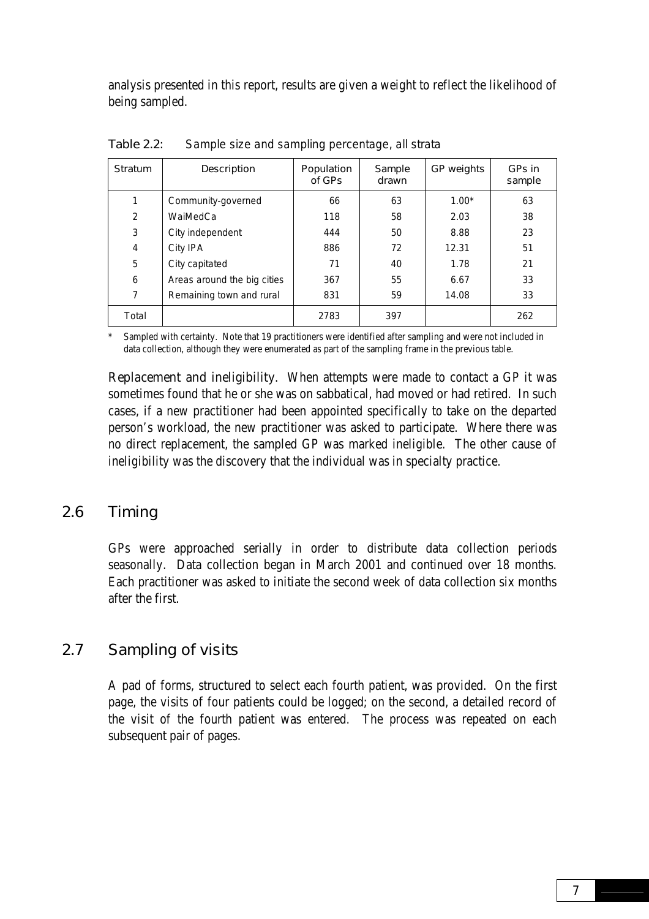<span id="page-16-0"></span>analysis presented in this report, results are given a weight to reflect the likelihood of being sampled.

| <b>Stratum</b> | <b>Description</b>          | Population<br>of GPs | Sample<br>drawn | GP weights | GPs in<br>sample |
|----------------|-----------------------------|----------------------|-----------------|------------|------------------|
| 1              | Community-governed          | 66                   | 63              | $1.00*$    | 63               |
| 2              | WaiMedCa                    | 118                  | 58              | 2.03       | 38               |
| 3              | City independent            | 444                  | 50              | 8.88       | 23               |
| $\overline{4}$ | City IPA                    | 886                  | 72              | 12.31      | 51               |
| 5              | City capitated              | 71                   | 40              | 1.78       | 21               |
| 6              | Areas around the big cities | 367                  | 55              | 6.67       | 33               |
| 7              | Remaining town and rural    | 831                  | 59              | 14.08      | 33               |
| Total          |                             | 2783                 | 397             |            | 262              |

Table 2.2: Sample size and sampling percentage, all strata

Sampled with certainty. Note that 19 practitioners were identified after sampling and were not included in data collection, although they were enumerated as part of the sampling frame in the previous table.

**Replacement and ineligibility.** When attempts were made to contact a GP it was sometimes found that he or she was on sabbatical, had moved or had retired. In such cases, if a new practitioner had been appointed specifically to take on the departed person's workload, the new practitioner was asked to participate. Where there was no direct replacement, the sampled GP was marked ineligible. The other cause of ineligibility was the discovery that the individual was in specialty practice.

#### 2.6 Timing

GPs were approached serially in order to distribute data collection periods seasonally. Data collection began in March 2001 and continued over 18 months. Each practitioner was asked to initiate the second week of data collection six months after the first.

#### 2.7 Sampling of visits

A pad of forms, structured to select each fourth patient, was provided. On the first page, the visits of four patients could be logged; on the second, a detailed record of the visit of the fourth patient was entered. The process was repeated on each subsequent pair of pages.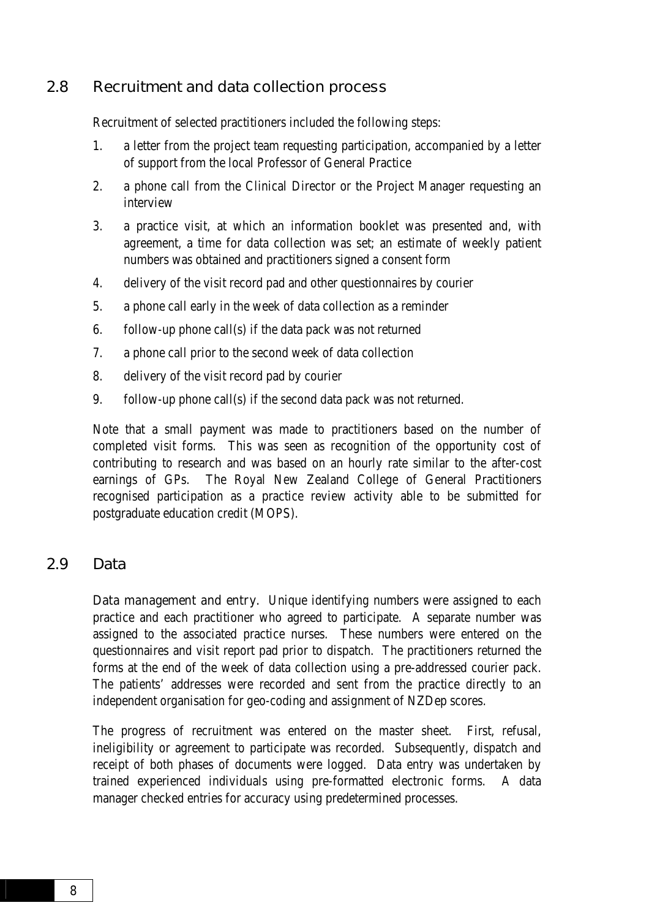#### <span id="page-17-0"></span>2.8 Recruitment and data collection process

Recruitment of selected practitioners included the following steps:

- 1. a letter from the project team requesting participation, accompanied by a letter of support from the local Professor of General Practice
- 2. a phone call from the Clinical Director or the Project Manager requesting an interview
- 3. a practice visit, at which an information booklet was presented and, with agreement, a time for data collection was set; an estimate of weekly patient numbers was obtained and practitioners signed a consent form
- 4. delivery of the visit record pad and other questionnaires by courier
- 5. a phone call early in the week of data collection as a reminder
- 6. follow-up phone call(s) if the data pack was not returned
- 7. a phone call prior to the second week of data collection
- 8. delivery of the visit record pad by courier
- 9. follow-up phone call(s) if the second data pack was not returned.

Note that a small payment was made to practitioners based on the number of completed visit forms. This was seen as recognition of the opportunity cost of contributing to research and was based on an hourly rate similar to the after-cost earnings of GPs. The Royal New Zealand College of General Practitioners recognised participation as a practice review activity able to be submitted for postgraduate education credit (MOPS).

#### 2.9 Data

**Data management and entry.** Unique identifying numbers were assigned to each practice and each practitioner who agreed to participate. A separate number was assigned to the associated practice nurses. These numbers were entered on the questionnaires and visit report pad prior to dispatch. The practitioners returned the forms at the end of the week of data collection using a pre-addressed courier pack. The patients' addresses were recorded and sent from the practice directly to an independent organisation for geo-coding and assignment of NZDep scores.

The progress of recruitment was entered on the master sheet. First, refusal, ineligibility or agreement to participate was recorded. Subsequently, dispatch and receipt of both phases of documents were logged. Data entry was undertaken by trained experienced individuals using pre-formatted electronic forms. A data manager checked entries for accuracy using predetermined processes.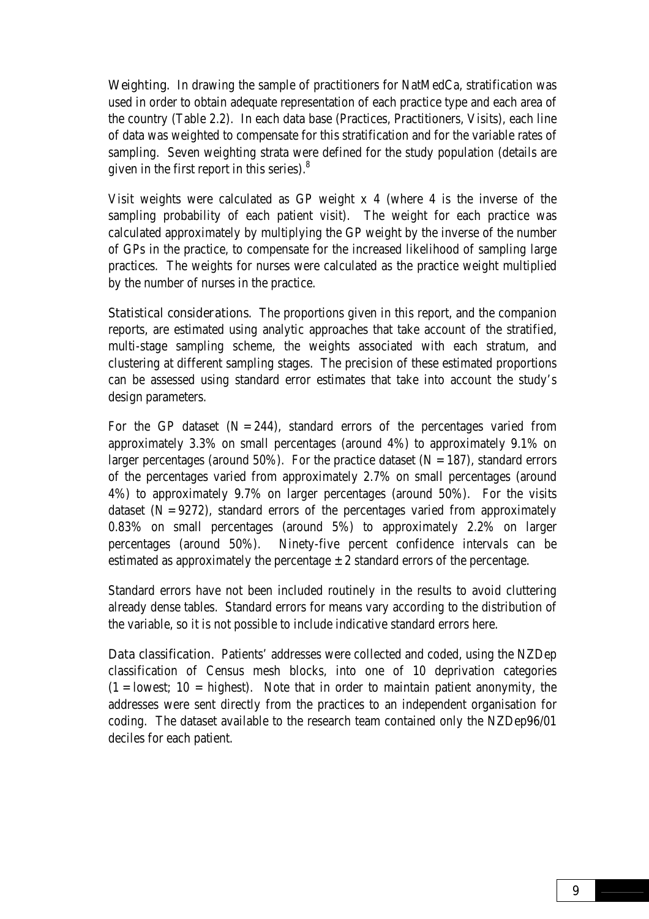Weighting. In drawing the sample of practitioners for NatMedCa, stratification was used in order to obtain adequate representation of each practice type and each area of the country (Table 2.2). In each data base (Practices, Practitioners, Visits), each line of data was weighted to compensate for this stratification and for the variable rates of sampling. Seven weighting strata were defined for the study population (details are given in the first report in this series).8

Visit weights were calculated as GP weight x 4 (where 4 is the inverse of the sampling probability of each patient visit). The weight for each practice was calculated approximately by multiplying the GP weight by the inverse of the number of GPs in the practice, to compensate for the increased likelihood of sampling large practices. The weights for nurses were calculated as the practice weight multiplied by the number of nurses in the practice.

**Statistical considerations.** The proportions given in this report, and the companion reports, are estimated using analytic approaches that take account of the stratified, multi-stage sampling scheme, the weights associated with each stratum, and clustering at different sampling stages. The precision of these estimated proportions can be assessed using standard error estimates that take into account the study's design parameters.

For the GP dataset  $(N = 244)$ , standard errors of the percentages varied from approximately 3.3% on small percentages (around 4%) to approximately 9.1% on larger percentages (around 50%). For the practice dataset  $(N = 187)$ , standard errors of the percentages varied from approximately 2.7% on small percentages (around 4%) to approximately 9.7% on larger percentages (around 50%). For the visits dataset  $(N = 9272)$ , standard errors of the percentages varied from approximately 0.83% on small percentages (around 5%) to approximately 2.2% on larger percentages (around 50%). Ninety-five percent confidence intervals can be estimated as approximately the percentage  $\pm 2$  standard errors of the percentage.

Standard errors have not been included routinely in the results to avoid cluttering already dense tables. Standard errors for means vary according to the distribution of the variable, so it is not possible to include indicative standard errors here.

Data classification. Patients' addresses were collected and coded, using the NZDep classification of Census mesh blocks, into one of 10 deprivation categories  $(1 =$  lowest;  $10 =$  highest). Note that in order to maintain patient anonymity, the addresses were sent directly from the practices to an independent organisation for coding. The dataset available to the research team contained only the NZDep96/01 deciles for each patient.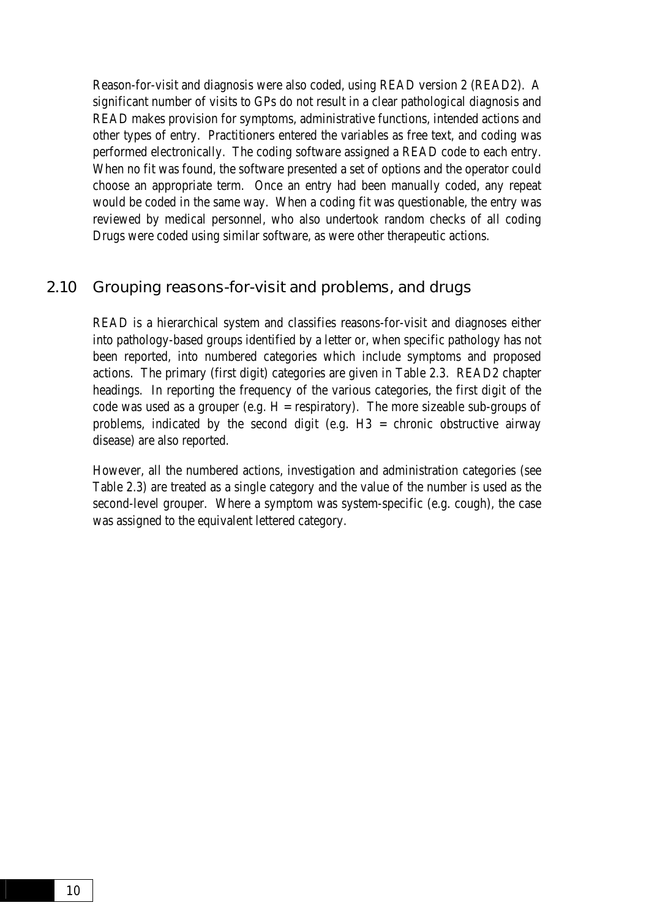<span id="page-19-0"></span>Reason-for-visit and diagnosis were also coded, using READ version 2 (READ2). A significant number of visits to GPs do not result in a clear pathological diagnosis and READ makes provision for symptoms, administrative functions, intended actions and other types of entry. Practitioners entered the variables as free text, and coding was performed electronically. The coding software assigned a READ code to each entry. When no fit was found, the software presented a set of options and the operator could choose an appropriate term. Once an entry had been manually coded, any repeat would be coded in the same way. When a coding fit was questionable, the entry was reviewed by medical personnel, who also undertook random checks of all coding Drugs were coded using similar software, as were other therapeutic actions.

#### 2.10 Grouping reasons-for-visit and problems, and drugs

READ is a hierarchical system and classifies reasons-for-visit and diagnoses either into pathology-based groups identified by a letter or, when specific pathology has not been reported, into numbered categories which include symptoms and proposed actions. The primary (first digit) categories are given in Table 2.3. READ2 chapter headings. In reporting the frequency of the various categories, the first digit of the code was used as a grouper (e.g.  $H =$  respiratory). The more sizeable sub-groups of problems, indicated by the second digit (e.g. H3 = chronic obstructive airway disease) are also reported.

However, all the numbered actions, investigation and administration categories (see Table 2.3) are treated as a single category and the value of the number is used as the second-level grouper. Where a symptom was system-specific (e.g. cough), the case was assigned to the equivalent lettered category.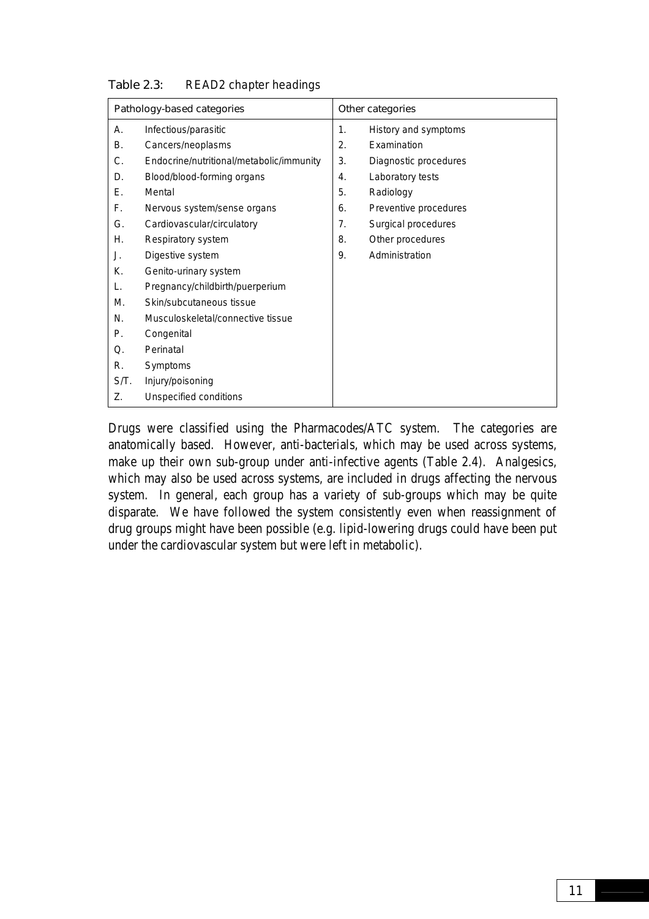|      | Pathology-based categories               |    | Other categories      |
|------|------------------------------------------|----|-----------------------|
| А.   | Infectious/parasitic                     | 1. | History and symptoms  |
| В.   | Cancers/neoplasms                        | 2. | Examination           |
| С.   | Endocrine/nutritional/metabolic/immunity | 3. | Diagnostic procedures |
| D.   | Blood/blood-forming organs               | 4. | Laboratory tests      |
| Е.   | Mental                                   | 5. | Radiology             |
| F.   | Nervous system/sense organs              | 6. | Preventive procedures |
| G.   | Cardiovascular/circulatory               | 7. | Surgical procedures   |
| Η.   | Respiratory system                       | 8. | Other procedures      |
| J.   | Digestive system                         | 9. | Administration        |
| К.   | Genito-urinary system                    |    |                       |
| L.   | Pregnancy/childbirth/puerperium          |    |                       |
| М.   | Skin/subcutaneous tissue                 |    |                       |
| N.   | Musculoskeletal/connective tissue        |    |                       |
| Р.   | Congenital                               |    |                       |
| Q.   | Perinatal                                |    |                       |
| R.   | Symptoms                                 |    |                       |
| S/T. | Injury/poisoning                         |    |                       |
| Z.   | Unspecified conditions                   |    |                       |

#### Table 2.3: READ2 chapter headings

Drugs were classified using the Pharmacodes/ATC system. The categories are anatomically based. However, anti-bacterials, which may be used across systems, make up their own sub-group under anti-infective agents (Table 2.4). Analgesics, which may also be used across systems, are included in drugs affecting the nervous system. In general, each group has a variety of sub-groups which may be quite disparate. We have followed the system consistently even when reassignment of drug groups might have been possible (e.g. lipid-lowering drugs could have been put under the cardiovascular system but were left in metabolic).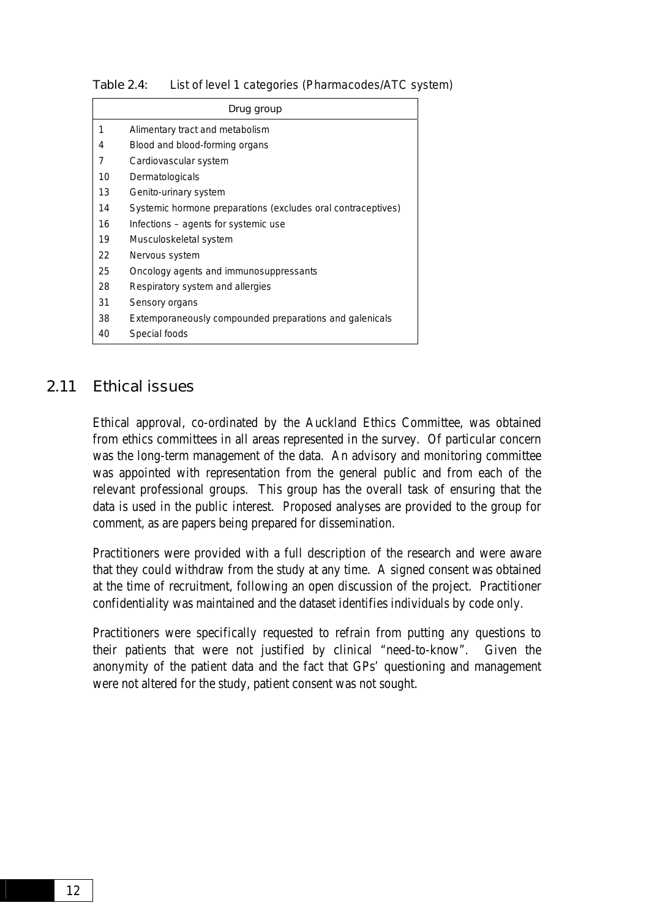|    | Drug group                                                   |
|----|--------------------------------------------------------------|
| 1  | Alimentary tract and metabolism                              |
| 4  | Blood and blood-forming organs                               |
| 7  | Cardiovascular system                                        |
| 10 | Dermatologicals                                              |
| 13 | Genito-urinary system                                        |
| 14 | Systemic hormone preparations (excludes oral contraceptives) |
| 16 | Infections – agents for systemic use                         |
| 19 | Musculoskeletal system                                       |
| 22 | Nervous system                                               |
| 25 | Oncology agents and immunosuppressants                       |
| 28 | Respiratory system and allergies                             |
| 31 | Sensory organs                                               |
| 38 | Extemporaneously compounded preparations and galenicals      |
| 40 | Special foods                                                |

<span id="page-21-0"></span>Table 2.4: List of level 1 categories (Pharmacodes/ATC system)

#### 2.11 Ethical issues

Ethical approval, co-ordinated by the Auckland Ethics Committee, was obtained from ethics committees in all areas represented in the survey. Of particular concern was the long-term management of the data. An advisory and monitoring committee was appointed with representation from the general public and from each of the relevant professional groups. This group has the overall task of ensuring that the data is used in the public interest. Proposed analyses are provided to the group for comment, as are papers being prepared for dissemination.

Practitioners were provided with a full description of the research and were aware that they could withdraw from the study at any time. A signed consent was obtained at the time of recruitment, following an open discussion of the project. Practitioner confidentiality was maintained and the dataset identifies individuals by code only.

Practitioners were specifically requested to refrain from putting any questions to their patients that were not justified by clinical "need-to-know". Given the anonymity of the patient data and the fact that GPs' questioning and management were not altered for the study, patient consent was not sought.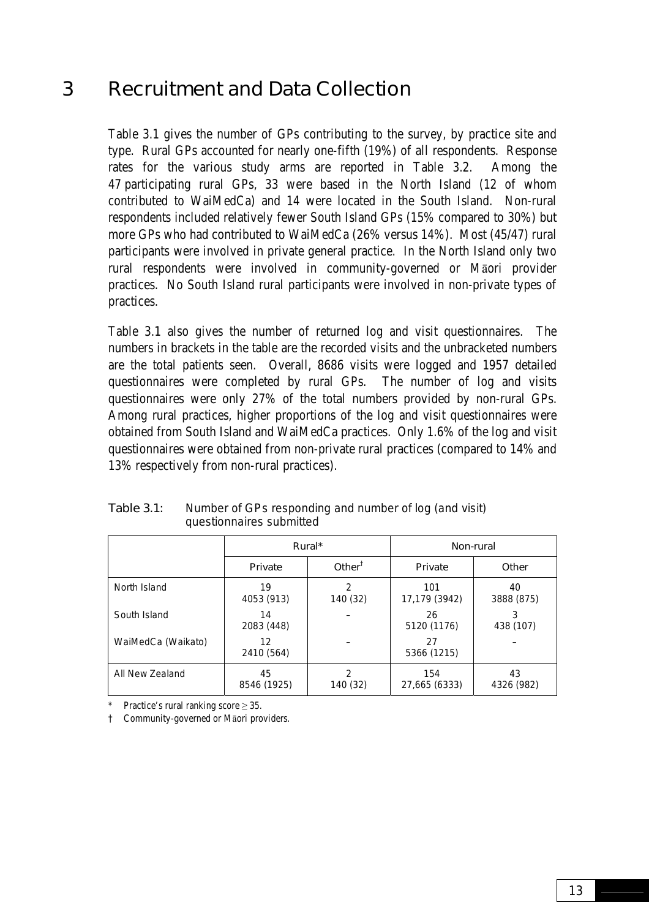### <span id="page-22-0"></span>3 Recruitment and Data Collection

Table 3.1 gives the number of GPs contributing to the survey, by practice site and type. Rural GPs accounted for nearly one-fifth (19%) of all respondents. Response rates for the various study arms are reported in Table 3.2. Among the 47 participating rural GPs, 33 were based in the North Island (12 of whom contributed to WaiMedCa) and 14 were located in the South Island. Non-rural respondents included relatively fewer South Island GPs (15% compared to 30%) but more GPs who had contributed to WaiMedCa (26% versus 14%). Most (45/47) rural participants were involved in private general practice. In the North Island only two rural respondents were involved in community-governed or Māori provider practices. No South Island rural participants were involved in non-private types of practices.

Table 3.1 also gives the number of returned log and visit questionnaires. The numbers in brackets in the table are the recorded visits and the unbracketed numbers are the total patients seen. Overall, 8686 visits were logged and 1957 detailed questionnaires were completed by rural GPs. The number of log and visits questionnaires were only 27% of the total numbers provided by non-rural GPs. Among rural practices, higher proportions of the log and visit questionnaires were obtained from South Island and WaiMedCa practices. Only 1.6% of the log and visit questionnaires were obtained from non-private rural practices (compared to 14% and 13% respectively from non-rural practices).

|                    | Rural*<br>Other <sup><math>†</math></sup><br>Private |               | Non-rural            |                  |  |
|--------------------|------------------------------------------------------|---------------|----------------------|------------------|--|
|                    |                                                      |               | Private              | Other            |  |
| North Island       | 19<br>4053 (913)                                     | 2<br>140 (32) | 101<br>17,179 (3942) | 40<br>3888 (875) |  |
| South Island       | 14<br>2083 (448)                                     |               | 26<br>5120 (1176)    | 3<br>438 (107)   |  |
| WaiMedCa (Waikato) | 12<br>2410 (564)                                     |               | 27<br>5366 (1215)    |                  |  |
| All New Zealand    | 45<br>8546 (1925)                                    | 2<br>140 (32) | 154<br>27,665 (6333) | 43<br>4326 (982) |  |

Table 3.1: Number of GPs responding and number of log (and visit) questionnaires submitted

Practice's rural ranking score  $\geq 35$ .

† Community-governed or Māori providers.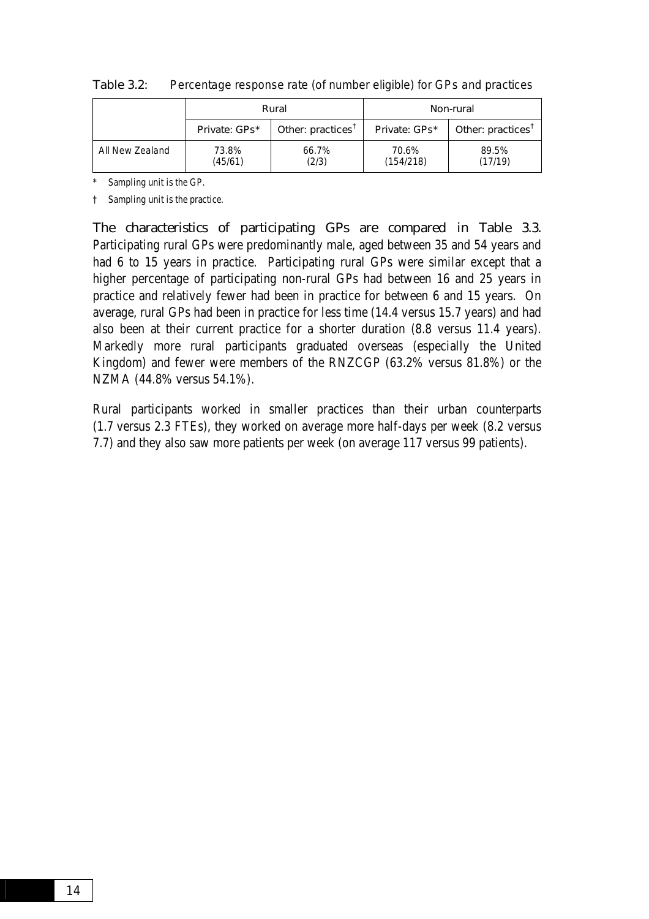|                 | Rural            |                               |                    | Non-rural         |
|-----------------|------------------|-------------------------------|--------------------|-------------------|
|                 | Private: GPs*    | Other: practices <sup>T</sup> | Private: GPs*      | Other: practices' |
| All New Zealand | 73.8%<br>(45/61) | 66.7%<br>(2/3)                | 70.6%<br>(154/218) | 89.5%<br>(17/19)  |

Table 3.2: Percentage response rate (of number eligible) for GPs and practices

\* Sampling unit is the GP.

† Sampling unit is the practice.

The characteristics of participating GPs are compared in Table 3.3. Participating rural GPs were predominantly male, aged between 35 and 54 years and had 6 to 15 years in practice. Participating rural GPs were similar except that a higher percentage of participating non-rural GPs had between 16 and 25 years in practice and relatively fewer had been in practice for between 6 and 15 years. On average, rural GPs had been in practice for less time (14.4 versus 15.7 years) and had also been at their current practice for a shorter duration (8.8 versus 11.4 years). Markedly more rural participants graduated overseas (especially the United Kingdom) and fewer were members of the RNZCGP (63.2% versus 81.8%) or the NZMA (44.8% versus 54.1%).

Rural participants worked in smaller practices than their urban counterparts (1.7 versus 2.3 FTEs), they worked on average more half-days per week (8.2 versus 7.7) and they also saw more patients per week (on average 117 versus 99 patients).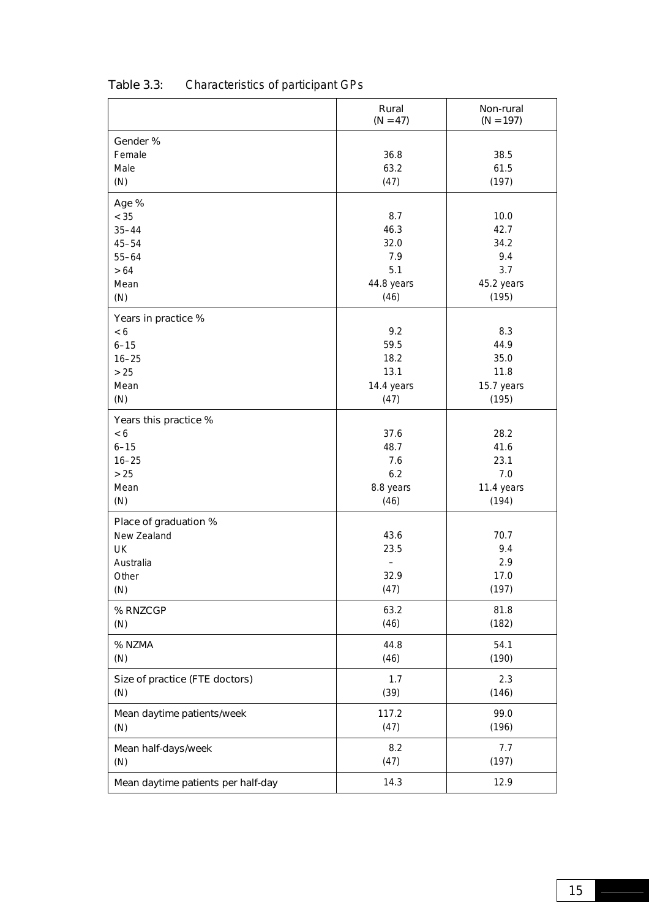|                                    | Rural<br>$(N = 47)$ | Non-rural<br>$(N = 197)$ |
|------------------------------------|---------------------|--------------------------|
| Gender %                           |                     |                          |
| Female                             | 36.8                | 38.5                     |
| Male                               | 63.2                | 61.5                     |
| (N)                                | (47)                | (197)                    |
| Age %                              |                     |                          |
| $< 35$                             | 8.7                 | 10.0                     |
| $35 - 44$                          | 46.3                | 42.7                     |
| $45 - 54$                          | 32.0                | 34.2                     |
| $55 - 64$                          | 7.9                 | 9.4                      |
| $>64$                              | 5.1                 | 3.7                      |
| Mean                               | 44.8 years          | 45.2 years               |
| (N)                                | (46)                | (195)                    |
| Years in practice %                |                     |                          |
| < 6                                | 9.2                 | 8.3                      |
| $6 - 15$                           | 59.5                | 44.9                     |
| $16 - 25$                          | 18.2                | 35.0                     |
| $>25$                              | 13.1                | 11.8                     |
| Mean                               | 14.4 years          | 15.7 years               |
| (N)                                | (47)                | (195)                    |
| Years this practice %              |                     |                          |
| < 6                                | 37.6                | 28.2                     |
| $6 - 15$                           | 48.7                | 41.6                     |
| $16 - 25$                          | 7.6                 | 23.1                     |
| $>25$                              | 6.2                 | 7.0                      |
| Mean                               | 8.8 years           | 11.4 years               |
| (N)                                | (46)                | (194)                    |
| Place of graduation %              |                     |                          |
| New Zealand                        | 43.6                | 70.7                     |
| UK                                 | 23.5                | 9.4                      |
| Australia                          |                     | 2.9                      |
| Other                              | 32.9                | 17.0                     |
| (N)                                | (47)                | (197)                    |
| % RNZCGP                           | 63.2                | 81.8                     |
| (N)                                | (46)                | (182)                    |
| % NZMA                             | 44.8                | 54.1                     |
| (N)                                | (46)                | (190)                    |
| Size of practice (FTE doctors)     | 1.7                 | 2.3                      |
| (N)                                | (39)                | (146)                    |
| Mean daytime patients/week         | 117.2               | 99.0                     |
| (N)                                | (47)                | (196)                    |
| Mean half-days/week                | 8.2                 | 7.7                      |
| (N)                                | (47)                | (197)                    |
| Mean daytime patients per half-day | 14.3                | 12.9                     |
|                                    |                     |                          |

### Table 3.3: Characteristics of participant GPs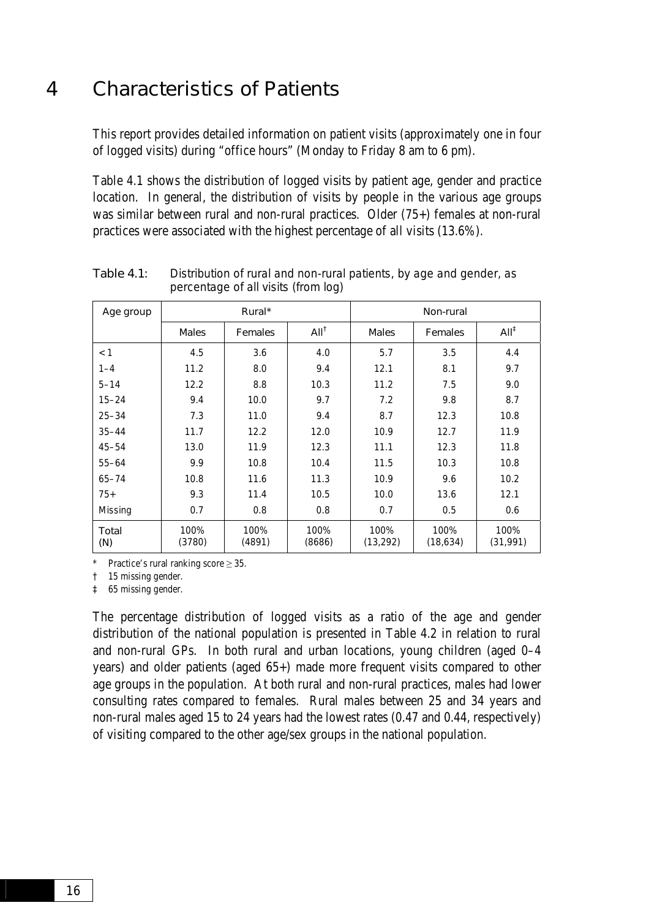### <span id="page-25-0"></span>4 Characteristics of Patients

This report provides detailed information on patient visits (approximately one in four of logged visits) during "office hours" (Monday to Friday 8 am to 6 pm).

Table 4.1 shows the distribution of logged visits by patient age, gender and practice location. In general, the distribution of visits by people in the various age groups was similar between rural and non-rural practices. Older (75+) females at non-rural practices were associated with the highest percentage of all visits (13.6%).

| Age group    | Rural*         |                |                  | Non-rural         |                   |                   |
|--------------|----------------|----------------|------------------|-------------------|-------------------|-------------------|
|              | <b>Males</b>   | <b>Females</b> | All <sup>†</sup> | <b>Males</b>      | <b>Females</b>    | All <sup>†</sup>  |
| < 1          | 4.5            | 3.6            | 4.0              | 5.7               | 3.5               | 4.4               |
| $1 - 4$      | 11.2           | 8.0            | 9.4              | 12.1              | 8.1               | 9.7               |
| $5 - 14$     | 12.2           | 8.8            | 10.3             | 11.2              | 7.5               | 9.0               |
| $15 - 24$    | 9.4            | 10.0           | 9.7              | 7.2               | 9.8               | 8.7               |
| $25 - 34$    | 7.3            | 11.0           | 9.4              | 8.7               | 12.3              | 10.8              |
| $35 - 44$    | 11.7           | 12.2           | 12.0             | 10.9              | 12.7              | 11.9              |
| $45 - 54$    | 13.0           | 11.9           | 12.3             | 11.1              | 12.3              | 11.8              |
| $55 - 64$    | 9.9            | 10.8           | 10.4             | 11.5              | 10.3              | 10.8              |
| $65 - 74$    | 10.8           | 11.6           | 11.3             | 10.9              | 9.6               | 10.2              |
| $75+$        | 9.3            | 11.4           | 10.5             | 10.0              | 13.6              | 12.1              |
| Missing      | 0.7            | 0.8            | 0.8              | 0.7               | 0.5               | 0.6               |
| Total<br>(N) | 100%<br>(3780) | 100%<br>(4891) | 100%<br>(8686)   | 100%<br>(13, 292) | 100%<br>(18, 634) | 100%<br>(31, 991) |

Table 4.1: Distribution of rural and non-rural patients, by age and gender, as percentage of all visits (from log)

\* Practice's rural ranking score  $\geq$  35.

† 15 missing gender.

‡ 65 missing gender.

The percentage distribution of logged visits as a ratio of the age and gender distribution of the national population is presented in Table 4.2 in relation to rural and non-rural GPs. In both rural and urban locations, young children (aged 0–4 years) and older patients (aged 65+) made more frequent visits compared to other age groups in the population. At both rural and non-rural practices, males had lower consulting rates compared to females. Rural males between 25 and 34 years and non-rural males aged 15 to 24 years had the lowest rates (0.47 and 0.44, respectively) of visiting compared to the other age/sex groups in the national population.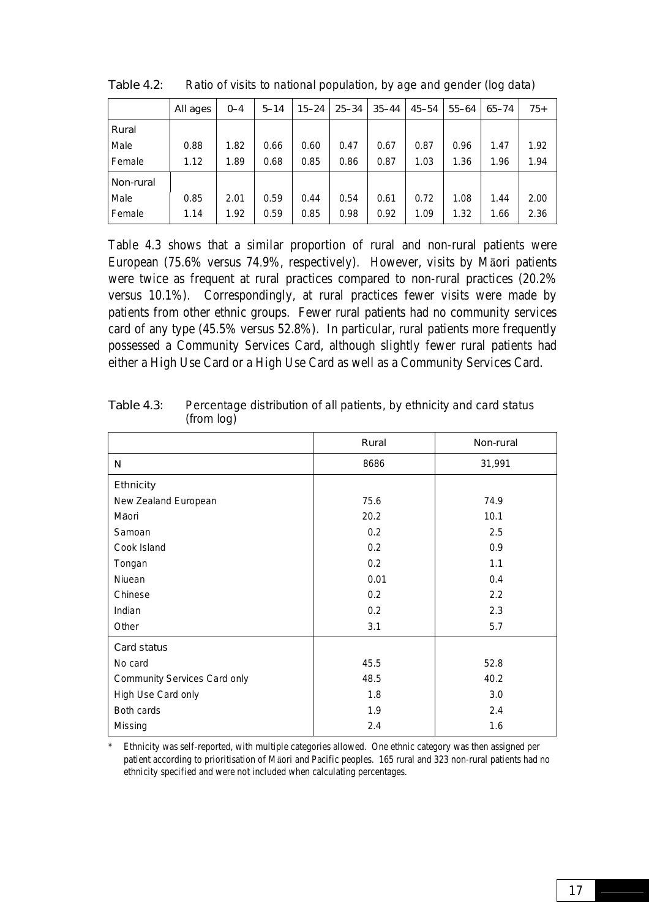|           | All ages | $0 - 4$ | $5 - 14$ | $15 - 24$ | $25 - 34$ | $35 - 44$ | 45–54 | $55 - 64$ | $65 - 74$ | $75+$ |
|-----------|----------|---------|----------|-----------|-----------|-----------|-------|-----------|-----------|-------|
| Rural     |          |         |          |           |           |           |       |           |           |       |
| Male      | 0.88     | 1.82    | 0.66     | 0.60      | 0.47      | 0.67      | 0.87  | 0.96      | 1.47      | 1.92  |
| Female    | 1.12     | 1.89    | 0.68     | 0.85      | 0.86      | 0.87      | 1.03  | 1.36      | 1.96      | 1.94  |
| Non-rural |          |         |          |           |           |           |       |           |           |       |
| Male      | 0.85     | 2.01    | 0.59     | 0.44      | 0.54      | 0.61      | 0.72  | 1.08      | 1.44      | 2.00  |
| Female    | 1.14     | 1.92    | 0.59     | 0.85      | 0.98      | 0.92      | 1.09  | 1.32      | 1.66      | 2.36  |

Table 4.2: Ratio of visits to national population, by age and gender (log data)

Table 4.3 shows that a similar proportion of rural and non-rural patients were European (75.6% versus 74.9%, respectively). However, visits by Māori patients were twice as frequent at rural practices compared to non-rural practices (20.2% versus 10.1%). Correspondingly, at rural practices fewer visits were made by patients from other ethnic groups. Fewer rural patients had no community services card of any type (45.5% versus 52.8%). In particular, rural patients more frequently possessed a Community Services Card, although slightly fewer rural patients had either a High Use Card or a High Use Card as well as a Community Services Card.

|                              | Rural | Non-rural |
|------------------------------|-------|-----------|
| N                            | 8686  | 31,991    |
| <b>Ethnicity</b>             |       |           |
| New Zealand European         | 75.6  | 74.9      |
| Māori                        | 20.2  | 10.1      |
| Samoan                       | 0.2   | 2.5       |
| Cook Island                  | 0.2   | 0.9       |
| Tongan                       | 0.2   | 1.1       |
| Niuean                       | 0.01  | 0.4       |
| Chinese                      | 0.2   | 2.2       |
| Indian                       | 0.2   | 2.3       |
| Other                        | 3.1   | 5.7       |
| Card status                  |       |           |
| No card                      | 45.5  | 52.8      |
| Community Services Card only | 48.5  | 40.2      |
| High Use Card only           | 1.8   | 3.0       |
| Both cards                   | 1.9   | 2.4       |
| Missing                      | 2.4   | 1.6       |

Table 4.3: Percentage distribution of all patients, by ethnicity and card status (from log)

\* Ethnicity was self-reported, with multiple categories allowed. One ethnic category was then assigned per patient according to prioritisation of Māori and Pacific peoples. 165 rural and 323 non-rural patients had no ethnicity specified and were not included when calculating percentages.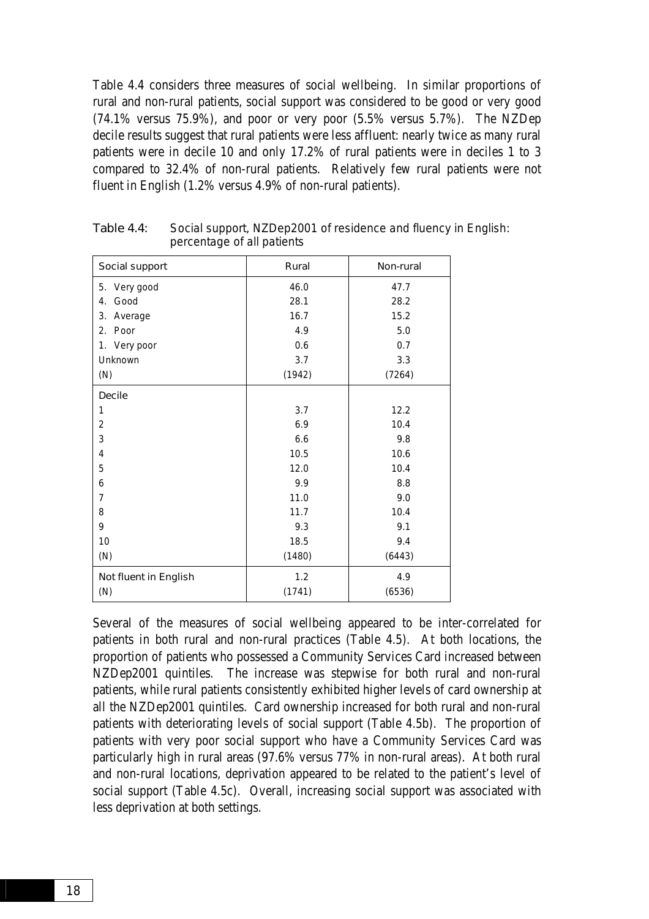Table 4.4 considers three measures of social wellbeing. In similar proportions of rural and non-rural patients, social support was considered to be good or very good (74.1% versus 75.9%), and poor or very poor (5.5% versus 5.7%). The NZDep decile results suggest that rural patients were less affluent: nearly twice as many rural patients were in decile 10 and only 17.2% of rural patients were in deciles 1 to 3 compared to 32.4% of non-rural patients. Relatively few rural patients were not fluent in English (1.2% versus 4.9% of non-rural patients).

| Social support        | Rural  | Non-rural |
|-----------------------|--------|-----------|
| 5. Very good          | 46.0   | 47.7      |
| Good<br>4.            | 28.1   | 28.2      |
| 3.<br>Average         | 16.7   | 15.2      |
| 2.<br>Poor            | 4.9    | 5.0       |
| 1. Very poor          | 0.6    | 0.7       |
| Unknown               | 3.7    | 3.3       |
| (N)                   | (1942) | (7264)    |
| <b>Decile</b>         |        |           |
| 1                     | 3.7    | 12.2      |
| $\overline{2}$        | 6.9    | 10.4      |
| 3                     | 6.6    | 9.8       |
| 4                     | 10.5   | 10.6      |
| 5                     | 12.0   | 10.4      |
| 6                     | 9.9    | 8.8       |
| $\overline{7}$        | 11.0   | 9.0       |
| 8                     | 11.7   | 10.4      |
| 9                     | 9.3    | 9.1       |
| 10                    | 18.5   | 9.4       |
| (N)                   | (1480) | (6443)    |
| Not fluent in English | 1.2    | 4.9       |
| (N)                   | (1741) | (6536)    |

Table 4.4: Social support, NZDep2001 of residence and fluency in English: percentage of all patients

Several of the measures of social wellbeing appeared to be inter-correlated for patients in both rural and non-rural practices (Table 4.5). At both locations, the proportion of patients who possessed a Community Services Card increased between NZDep2001 quintiles. The increase was stepwise for both rural and non-rural patients, while rural patients consistently exhibited higher levels of card ownership at all the NZDep2001 quintiles. Card ownership increased for both rural and non-rural patients with deteriorating levels of social support (Table 4.5b). The proportion of patients with very poor social support who have a Community Services Card was particularly high in rural areas (97.6% versus 77% in non-rural areas). At both rural and non-rural locations, deprivation appeared to be related to the patient's level of social support (Table 4.5c). Overall, increasing social support was associated with less deprivation at both settings.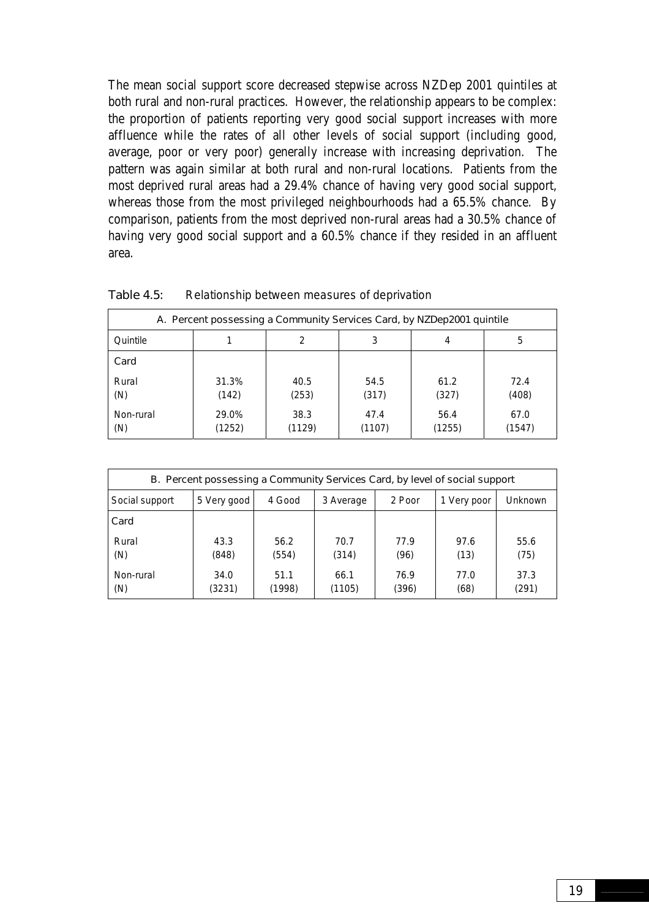The mean social support score decreased stepwise across NZDep 2001 quintiles at both rural and non-rural practices. However, the relationship appears to be complex: the proportion of patients reporting very good social support increases with more affluence while the rates of all other levels of social support (including good, average, poor or very poor) generally increase with increasing deprivation. The pattern was again similar at both rural and non-rural locations. Patients from the most deprived rural areas had a 29.4% chance of having very good social support, whereas those from the most privileged neighbourhoods had a 65.5% chance. By comparison, patients from the most deprived non-rural areas had a 30.5% chance of having very good social support and a 60.5% chance if they resided in an affluent area.

| A. Percent possessing a Community Services Card, by NZDep2001 quintile |                 |                |                |                |                |
|------------------------------------------------------------------------|-----------------|----------------|----------------|----------------|----------------|
| Quintile                                                               |                 | 2              | 3              | 4              | 5              |
| Card                                                                   |                 |                |                |                |                |
| Rural<br>(N)                                                           | 31.3%<br>(142)  | 40.5<br>(253)  | 54.5<br>(317)  | 61.2<br>(327)  | 72.4<br>(408)  |
| Non-rural<br>(N)                                                       | 29.0%<br>(1252) | 38.3<br>(1129) | 47.4<br>(1107) | 56.4<br>(1255) | 67.0<br>(1547) |

Table 4.5: Relationship between measures of deprivation

| B. Percent possessing a Community Services Card, by level of social support |                |                |                |               |              |                |
|-----------------------------------------------------------------------------|----------------|----------------|----------------|---------------|--------------|----------------|
| Social support                                                              | 5 Very good    | 4 Good         | 3 Average      | 2 Poor        | 1 Very poor  | <b>Unknown</b> |
| Card                                                                        |                |                |                |               |              |                |
| Rural<br>(N)                                                                | 43.3<br>(848)  | 56.2<br>(554)  | 70.7<br>(314)  | 77.9<br>(96)  | 97.6<br>(13) | 55.6<br>(75)   |
| Non-rural<br>(N)                                                            | 34.0<br>(3231) | 51.1<br>(1998) | 66.1<br>(1105) | 76.9<br>(396) | 77.0<br>(68) | 37.3<br>(291)  |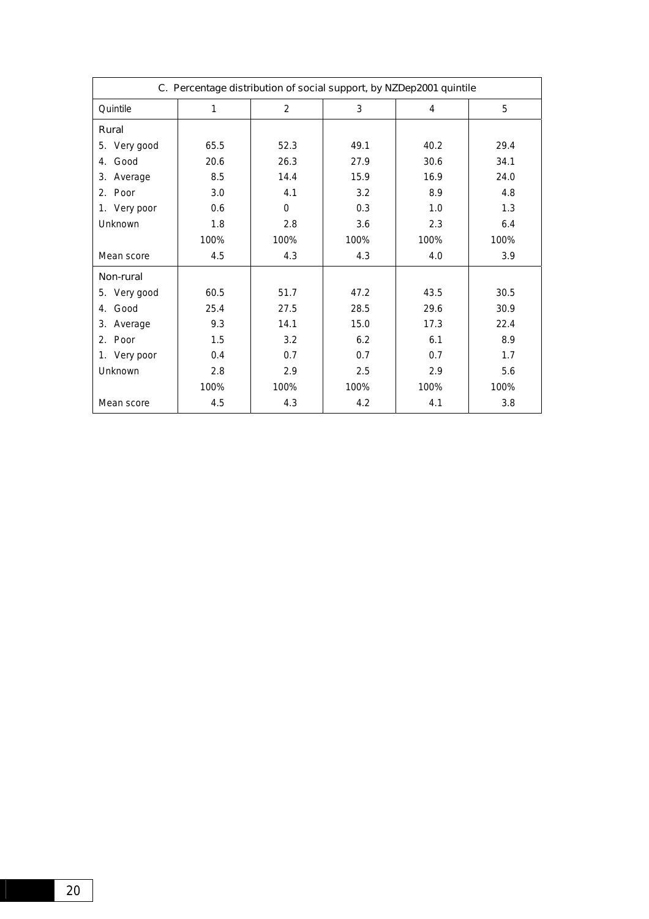| C. Percentage distribution of social support, by NZDep2001 quintile |      |                |      |      |      |
|---------------------------------------------------------------------|------|----------------|------|------|------|
| Quintile                                                            | 1    | $\overline{2}$ | 3    | 4    | 5    |
| Rural                                                               |      |                |      |      |      |
| 5. Very good                                                        | 65.5 | 52.3           | 49.1 | 40.2 | 29.4 |
| Good<br>4.                                                          | 20.6 | 26.3           | 27.9 | 30.6 | 34.1 |
| Average<br>3.                                                       | 8.5  | 14.4           | 15.9 | 16.9 | 24.0 |
| 2. Poor                                                             | 3.0  | 4.1            | 3.2  | 8.9  | 4.8  |
| 1. Very poor                                                        | 0.6  | $\Omega$       | 0.3  | 1.0  | 1.3  |
| Unknown                                                             | 1.8  | 2.8            | 3.6  | 2.3  | 6.4  |
|                                                                     | 100% | 100%           | 100% | 100% | 100% |
| Mean score                                                          | 4.5  | 4.3            | 4.3  | 4.0  | 3.9  |
| Non-rural                                                           |      |                |      |      |      |
| 5. Very good                                                        | 60.5 | 51.7           | 47.2 | 43.5 | 30.5 |
| Good<br>4.                                                          | 25.4 | 27.5           | 28.5 | 29.6 | 30.9 |
| 3.<br>Average                                                       | 9.3  | 14.1           | 15.0 | 17.3 | 22.4 |
| 2. Poor                                                             | 1.5  | 3.2            | 6.2  | 6.1  | 8.9  |
| 1. Very poor                                                        | 0.4  | 0.7            | 0.7  | 0.7  | 1.7  |
| Unknown                                                             | 2.8  | 2.9            | 2.5  | 2.9  | 5.6  |
|                                                                     | 100% | 100%           | 100% | 100% | 100% |
| Mean score                                                          | 4.5  | 4.3            | 4.2  | 4.1  | 3.8  |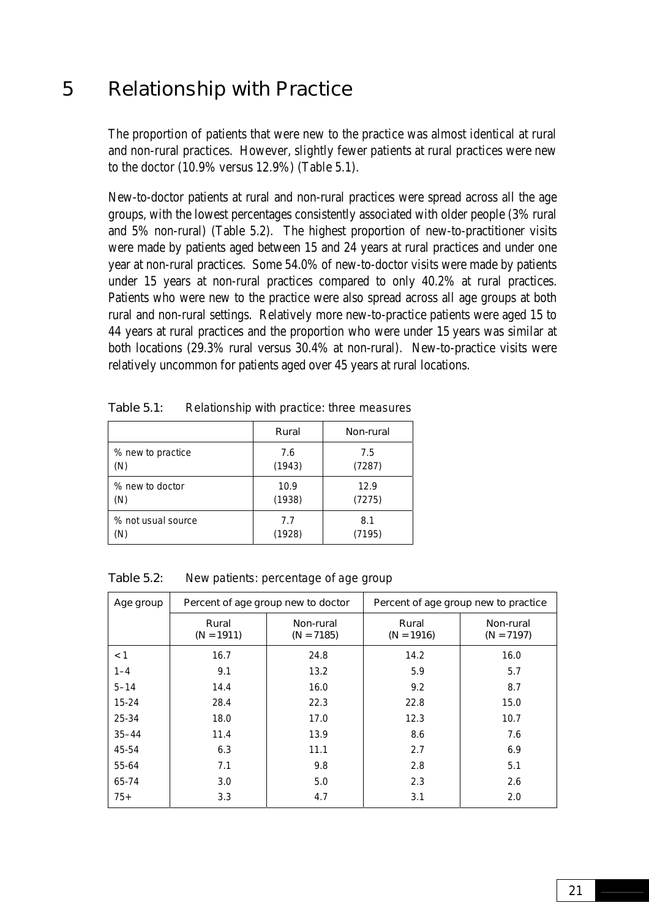### <span id="page-30-0"></span>5 Relationship with Practice

The proportion of patients that were new to the practice was almost identical at rural and non-rural practices. However, slightly fewer patients at rural practices were new to the doctor (10.9% versus 12.9%) (Table 5.1).

New-to-doctor patients at rural and non-rural practices were spread across all the age groups, with the lowest percentages consistently associated with older people (3% rural and 5% non-rural) (Table 5.2). The highest proportion of new-to-practitioner visits were made by patients aged between 15 and 24 years at rural practices and under one year at non-rural practices. Some 54.0% of new-to-doctor visits were made by patients under 15 years at non-rural practices compared to only 40.2% at rural practices. Patients who were new to the practice were also spread across all age groups at both rural and non-rural settings. Relatively more new-to-practice patients were aged 15 to 44 years at rural practices and the proportion who were under 15 years was similar at both locations (29.3% rural versus 30.4% at non-rural). New-to-practice visits were relatively uncommon for patients aged over 45 years at rural locations.

|                    | Rural  | Non-rural |
|--------------------|--------|-----------|
| % new to practice  | 7.6    | 7.5       |
| (N)                | (1943) | (7287)    |
| % new to doctor    | 10.9   | 12.9      |
| (N)                | (1938) | (7275)    |
| % not usual source | 7.7    | 8.1       |
| (N)                | (1928) | (7195)    |

Table 5.1: Relationship with practice: three measures

| <b>Table 5.2:</b> |  | New patients: percentage of age group |
|-------------------|--|---------------------------------------|
|                   |  |                                       |

| Age group | Percent of age group new to doctor |                           | Percent of age group new to practice |                           |  |
|-----------|------------------------------------|---------------------------|--------------------------------------|---------------------------|--|
|           | Rural<br>$(N = 1911)$              | Non-rural<br>$(N = 7185)$ | Rural<br>$(N = 1916)$                | Non-rural<br>$(N = 7197)$ |  |
| < 1       | 16.7                               | 24.8                      | 14.2                                 | 16.0                      |  |
| $1 - 4$   | 9.1                                | 13.2                      | 5.9                                  | 5.7                       |  |
| $5 - 14$  | 14.4                               | 16.0                      | 9.2                                  | 8.7                       |  |
| $15 - 24$ | 28.4                               | 22.3                      | 22.8                                 | 15.0                      |  |
| 25-34     | 18.0                               | 17.0                      | 12.3                                 | 10.7                      |  |
| $35 - 44$ | 11.4                               | 13.9                      | 8.6                                  | 7.6                       |  |
| 45-54     | 6.3                                | 11.1                      | 2.7                                  | 6.9                       |  |
| 55-64     | 7.1                                | 9.8                       | 2.8                                  | 5.1                       |  |
| 65-74     | 3.0                                | 5.0                       | 2.3                                  | 2.6                       |  |
| $75+$     | 3.3                                | 4.7                       | 3.1                                  | 2.0                       |  |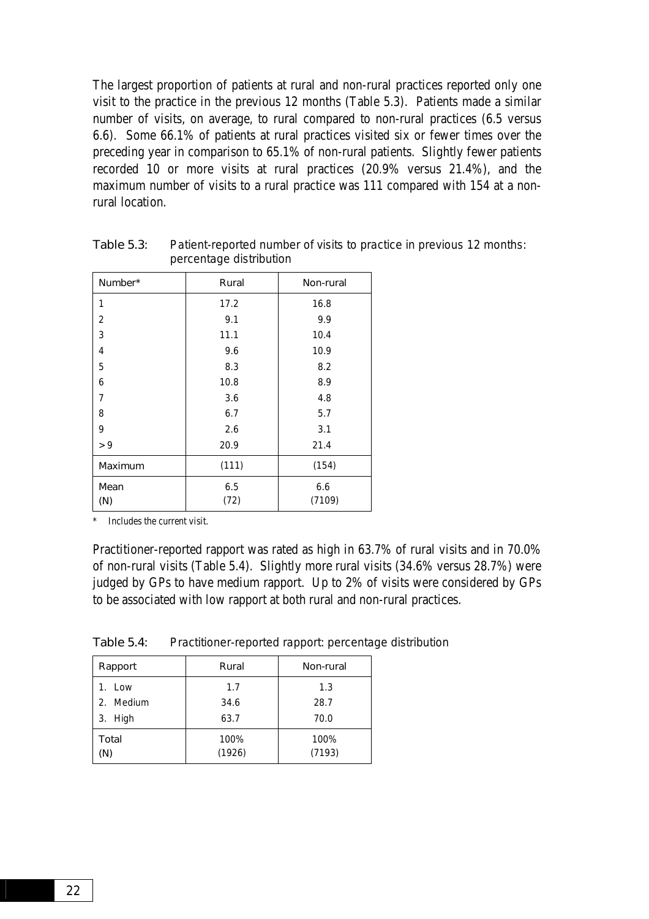The largest proportion of patients at rural and non-rural practices reported only one visit to the practice in the previous 12 months (Table 5.3). Patients made a similar number of visits, on average, to rural compared to non-rural practices (6.5 versus 6.6). Some 66.1% of patients at rural practices visited six or fewer times over the preceding year in comparison to 65.1% of non-rural patients. Slightly fewer patients recorded 10 or more visits at rural practices (20.9% versus 21.4%), and the maximum number of visits to a rural practice was 111 compared with 154 at a nonrural location.

| Number*        | Rural       | Non-rural     |  |  |
|----------------|-------------|---------------|--|--|
| 1              | 17.2        | 16.8          |  |  |
| 2              | 9.1         | 9.9           |  |  |
| 3              | 11.1        | 10.4          |  |  |
| 4              | 9.6         | 10.9          |  |  |
| 5              | 8.3         | 8.2           |  |  |
| 6              | 10.8        | 8.9           |  |  |
| 7              | 3.6         | 4.8           |  |  |
| 8              | 6.7         | 5.7           |  |  |
| 9              | 2.6         | 3.1           |  |  |
| > 9            | 20.9        | 21.4          |  |  |
| <b>Maximum</b> | (111)       | (154)         |  |  |
| Mean<br>(N)    | 6.5<br>(72) | 6.6<br>(7109) |  |  |

Table 5.3: Patient-reported number of visits to practice in previous 12 months: percentage distribution

Includes the current visit.

Practitioner-reported rapport was rated as high in 63.7% of rural visits and in 70.0% of non-rural visits (Table 5.4). Slightly more rural visits (34.6% versus 28.7%) were judged by GPs to have medium rapport. Up to 2% of visits were considered by GPs to be associated with low rapport at both rural and non-rural practices.

| Rapport      | Rural          | Non-rural      |
|--------------|----------------|----------------|
| 1. Low       | 1.7            | 1.3            |
| 2. Medium    | 34.6           | 28.7           |
| 3. High      | 63.7           | 70.0           |
| Total<br>(N) | 100%<br>(1926) | 100%<br>(7193) |

Table 5.4: Practitioner-reported rapport: percentage distribution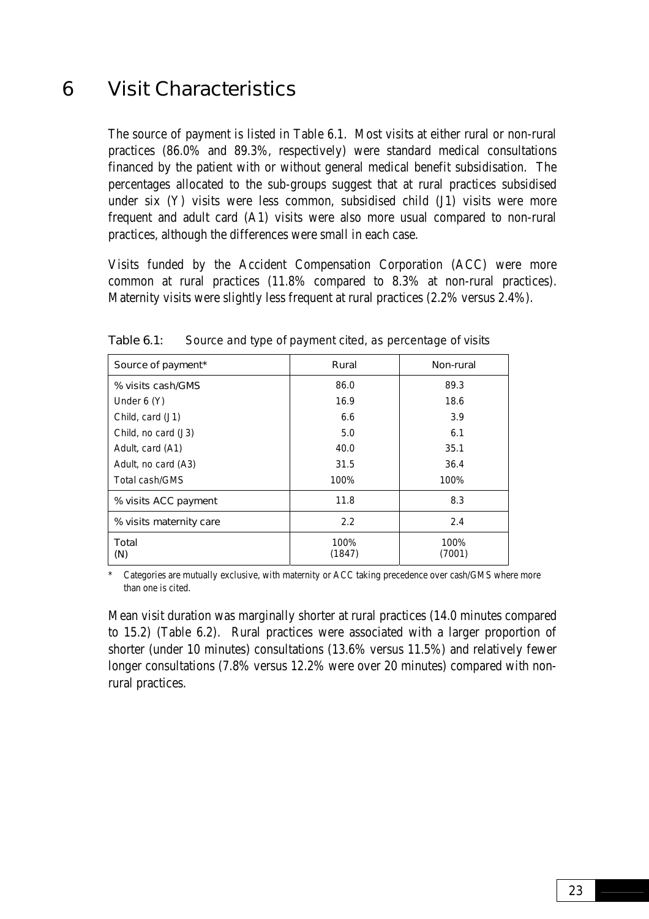### <span id="page-32-0"></span>6 Visit Characteristics

The source of payment is listed in Table 6.1. Most visits at either rural or non-rural practices (86.0% and 89.3%, respectively) were standard medical consultations financed by the patient with or without general medical benefit subsidisation. The percentages allocated to the sub-groups suggest that at rural practices subsidised under six (Y) visits were less common, subsidised child (J1) visits were more frequent and adult card (A1) visits were also more usual compared to non-rural practices, although the differences were small in each case.

Visits funded by the Accident Compensation Corporation (ACC) were more common at rural practices (11.8% compared to 8.3% at non-rural practices). Maternity visits were slightly less frequent at rural practices (2.2% versus 2.4%).

| Source of payment*      | Rural          | Non-rural      |  |  |
|-------------------------|----------------|----------------|--|--|
| % visits cash/GMS       | 86.0           | 89.3           |  |  |
| Under $6(Y)$            | 16.9           | 18.6           |  |  |
| Child, card (J1)        | 6.6            | 3.9            |  |  |
| Child, no card (J3)     | 5.0            | 6.1            |  |  |
| Adult, card (A1)        | 40.0           | 35.1           |  |  |
| Adult, no card (A3)     | 31.5           | 36.4           |  |  |
| Total cash/GMS          | 100%           | 100%           |  |  |
| % visits ACC payment    | 11.8           | 8.3            |  |  |
| % visits maternity care | 2.2            | 2.4            |  |  |
| Total<br>(N)            | 100%<br>(1847) | 100%<br>(7001) |  |  |

Table 6.1: Source and type of payment cited, as percentage of visits

Categories are mutually exclusive, with maternity or ACC taking precedence over cash/GMS where more than one is cited.

Mean visit duration was marginally shorter at rural practices (14.0 minutes compared to 15.2) (Table 6.2). Rural practices were associated with a larger proportion of shorter (under 10 minutes) consultations (13.6% versus 11.5%) and relatively fewer longer consultations (7.8% versus 12.2% were over 20 minutes) compared with nonrural practices.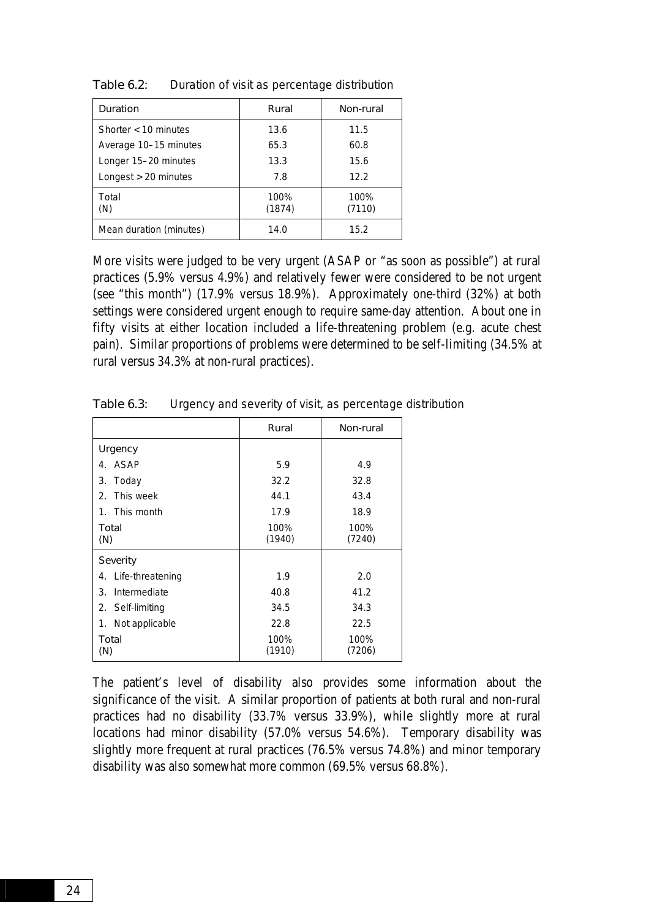| <b>Duration</b>         | Rural          | Non-rural      |  |  |
|-------------------------|----------------|----------------|--|--|
| Shorter $<$ 10 minutes  | 13.6           | 11.5           |  |  |
| Average 10-15 minutes   | 65.3           | 60.8           |  |  |
| Longer 15-20 minutes    | 13.3           | 15.6           |  |  |
| Longest > 20 minutes    | 7.8            | 12.2           |  |  |
| Total<br>(N)            | 100%<br>(1874) | 100%<br>(7110) |  |  |
| Mean duration (minutes) | 14.0           | 15.2           |  |  |

Table 6.2: Duration of visit as percentage distribution

More visits were judged to be very urgent (ASAP or "as soon as possible") at rural practices (5.9% versus 4.9%) and relatively fewer were considered to be not urgent (see "this month") (17.9% versus 18.9%). Approximately one-third (32%) at both settings were considered urgent enough to require same-day attention. About one in fifty visits at either location included a life-threatening problem (e.g. acute chest pain). Similar proportions of problems were determined to be self-limiting (34.5% at rural versus 34.3% at non-rural practices).

|                        | Rural          | Non-rural      |  |  |
|------------------------|----------------|----------------|--|--|
| Urgency                |                |                |  |  |
| <b>ASAP</b><br>4.      | 5.9            | 4.9            |  |  |
| 3.<br>Today            | 32.2           | 32.8           |  |  |
| This week<br>2.        | 44.1           | 43.4           |  |  |
| 1. This month          | 17.9           | 18.9           |  |  |
| Total<br>(N)           | 100%<br>(1940) | 100%<br>(7240) |  |  |
| <b>Severity</b>        |                |                |  |  |
| Life-threatening<br>4. | 1.9            | 2.0            |  |  |
| Intermediate<br>3.     | 40.8           | 41.2           |  |  |
| 2. Self-limiting       | 34.5           | 34.3           |  |  |
| Not applicable<br>1.   | 22.8           | 22.5           |  |  |
| Total<br>(N)           | 100%<br>(1910) | 100%<br>(7206) |  |  |

Table 6.3: Urgency and severity of visit, as percentage distribution

The patient's level of disability also provides some information about the significance of the visit. A similar proportion of patients at both rural and non-rural practices had no disability (33.7% versus 33.9%), while slightly more at rural locations had minor disability (57.0% versus 54.6%). Temporary disability was slightly more frequent at rural practices (76.5% versus 74.8%) and minor temporary disability was also somewhat more common (69.5% versus 68.8%).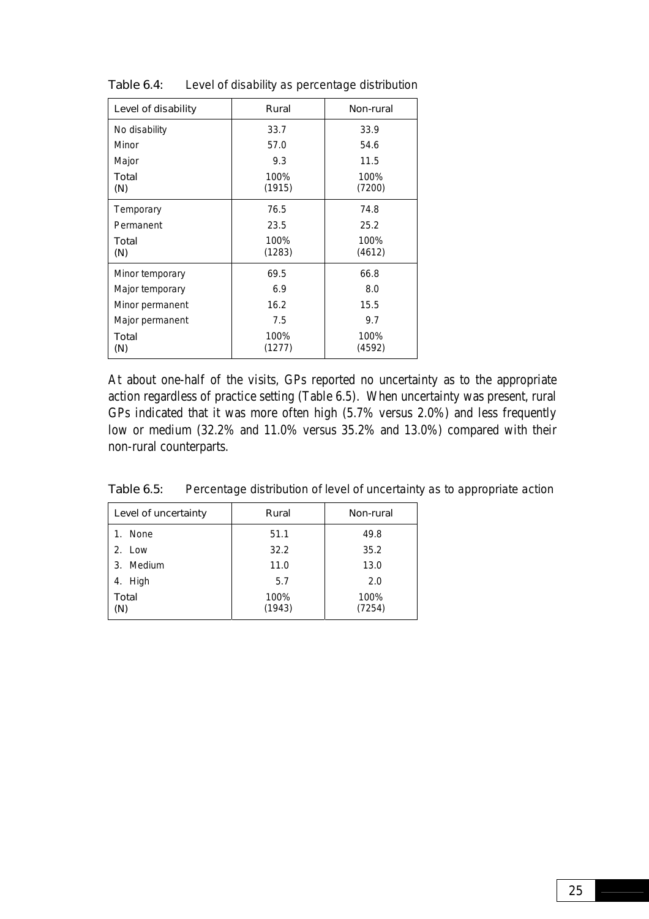| Level of disability | Rural          | Non-rural      |  |  |
|---------------------|----------------|----------------|--|--|
| No disability       | 33.7           | 33.9           |  |  |
| Minor               | 57.0           | 54.6           |  |  |
| Major               | 9.3            | 11.5           |  |  |
| Total<br>(N)        | 100%<br>(1915) | 100%<br>(7200) |  |  |
| Temporary           | 76.5           | 74.8           |  |  |
| Permanent           | 23.5           | 25.2           |  |  |
| Total<br>(N)        | 100%<br>(1283) | 100%<br>(4612) |  |  |
| Minor temporary     | 69.5           | 66.8           |  |  |
| Major temporary     | 6.9            | 8.0            |  |  |
| Minor permanent     | 16.2           | 15.5           |  |  |
| Major permanent     | 7.5            | 9.7            |  |  |
| Total<br>(N)        | 100%<br>(1277) | 100%<br>(4592) |  |  |

Table 6.4: Level of disability as percentage distribution

At about one-half of the visits, GPs reported no uncertainty as to the appropriate action regardless of practice setting (Table 6.5). When uncertainty was present, rural GPs indicated that it was more often high (5.7% versus 2.0%) and less frequently low or medium (32.2% and 11.0% versus 35.2% and 13.0%) compared with their non-rural counterparts.

Table 6.5: Percentage distribution of level of uncertainty as to appropriate action

| Level of uncertainty | Rural          | Non-rural      |  |  |
|----------------------|----------------|----------------|--|--|
| None<br>1.           | 51.1           | 49.8           |  |  |
| 2. Low               | 32.2           | 35.2           |  |  |
| 3. Medium            | 11.0           | 13.0           |  |  |
| 4. High              | 5.7            | 2.0            |  |  |
| Total<br>(N)         | 100%<br>(1943) | 100%<br>(7254) |  |  |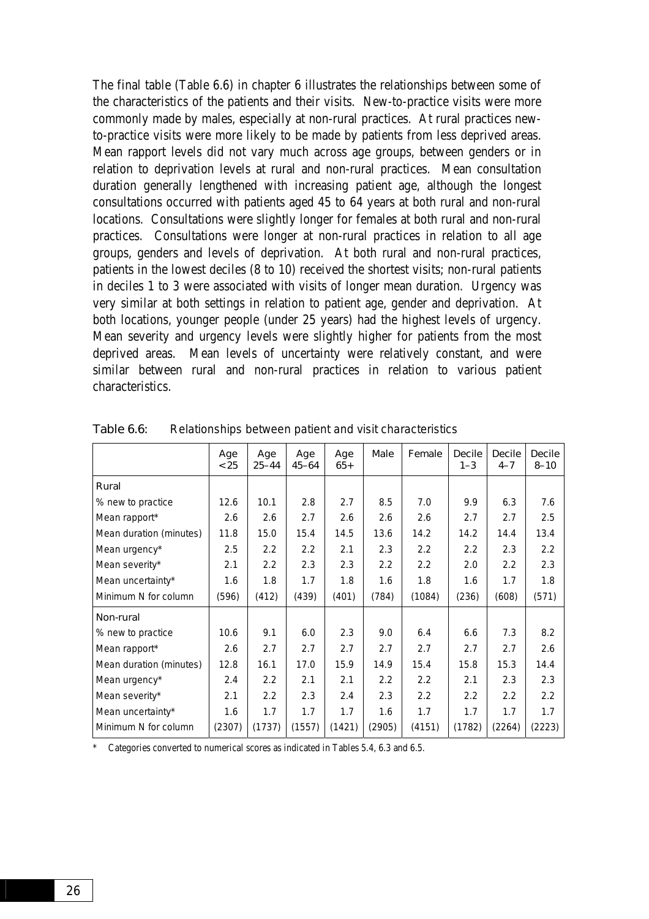The final table (Table 6.6) in chapter 6 illustrates the relationships between some of the characteristics of the patients and their visits. New-to-practice visits were more commonly made by males, especially at non-rural practices. At rural practices newto-practice visits were more likely to be made by patients from less deprived areas. Mean rapport levels did not vary much across age groups, between genders or in relation to deprivation levels at rural and non-rural practices. Mean consultation duration generally lengthened with increasing patient age, although the longest consultations occurred with patients aged 45 to 64 years at both rural and non-rural locations. Consultations were slightly longer for females at both rural and non-rural practices. Consultations were longer at non-rural practices in relation to all age groups, genders and levels of deprivation. At both rural and non-rural practices, patients in the lowest deciles (8 to 10) received the shortest visits; non-rural patients in deciles 1 to 3 were associated with visits of longer mean duration. Urgency was very similar at both settings in relation to patient age, gender and deprivation. At both locations, younger people (under 25 years) had the highest levels of urgency. Mean severity and urgency levels were slightly higher for patients from the most deprived areas. Mean levels of uncertainty were relatively constant, and were similar between rural and non-rural practices in relation to various patient characteristics.

|                         | Age<br>< 25 | Age<br>$25 - 44$ | Age<br>$45 - 64$ | Age<br>$65+$ | Male   | Female | <b>Decile</b><br>$1 - 3$ | <b>Decile</b><br>$4 - 7$ | <b>Decile</b><br>$8 - 10$ |
|-------------------------|-------------|------------------|------------------|--------------|--------|--------|--------------------------|--------------------------|---------------------------|
| Rural                   |             |                  |                  |              |        |        |                          |                          |                           |
| % new to practice       | 12.6        | 10.1             | 2.8              | 2.7          | 8.5    | 7.0    | 9.9                      | 6.3                      | 7.6                       |
| Mean rapport*           | 2.6         | 2.6              | 2.7              | 2.6          | 2.6    | 2.6    | 2.7                      | 2.7                      | 2.5                       |
| Mean duration (minutes) | 11.8        | 15.0             | 15.4             | 14.5         | 13.6   | 14.2   | 14.2                     | 14.4                     | 13.4                      |
| Mean urgency*           | 2.5         | 2.2              | 2.2              | 2.1          | 2.3    | 2.2    | 2.2                      | 2.3                      | 2.2                       |
| Mean severity*          | 2.1         | 2.2              | 2.3              | 2.3          | 2.2    | 2.2    | 2.0                      | $2.2\phantom{0}$         | 2.3                       |
| Mean uncertainty*       | 1.6         | 1.8              | 1.7              | 1.8          | 1.6    | 1.8    | 1.6                      | 1.7                      | 1.8                       |
| Minimum N for column    | (596)       | (412)            | (439)            | (401)        | (784)  | (1084) | (236)                    | (608)                    | (571)                     |
| Non-rural               |             |                  |                  |              |        |        |                          |                          |                           |
| % new to practice       | 10.6        | 9.1              | 6.0              | 2.3          | 9.0    | 6.4    | 6.6                      | 7.3                      | 8.2                       |
| Mean rapport*           | 2.6         | 2.7              | 2.7              | 2.7          | 2.7    | 2.7    | 2.7                      | 2.7                      | 2.6                       |
| Mean duration (minutes) | 12.8        | 16.1             | 17.0             | 15.9         | 14.9   | 15.4   | 15.8                     | 15.3                     | 14.4                      |
| Mean urgency*           | 2.4         | 2.2              | 2.1              | 2.1          | 2.2    | 2.2    | 2.1                      | 2.3                      | 2.3                       |
| Mean severity*          | 2.1         | 2.2              | 2.3              | 2.4          | 2.3    | 2.2    | 2.2                      | 2.2                      | 2.2                       |
| Mean uncertainty*       | 1.6         | 1.7              | 1.7              | 1.7          | 1.6    | 1.7    | 1.7                      | 1.7                      | 1.7                       |
| Minimum N for column    | (2307)      | (1737)           | (1557)           | (1421)       | (2905) | (4151) | (1782)                   | (2264)                   | (2223)                    |

Table 6.6: Relationships between patient and visit characteristics

Categories converted to numerical scores as indicated in Tables 5.4, 6.3 and 6.5.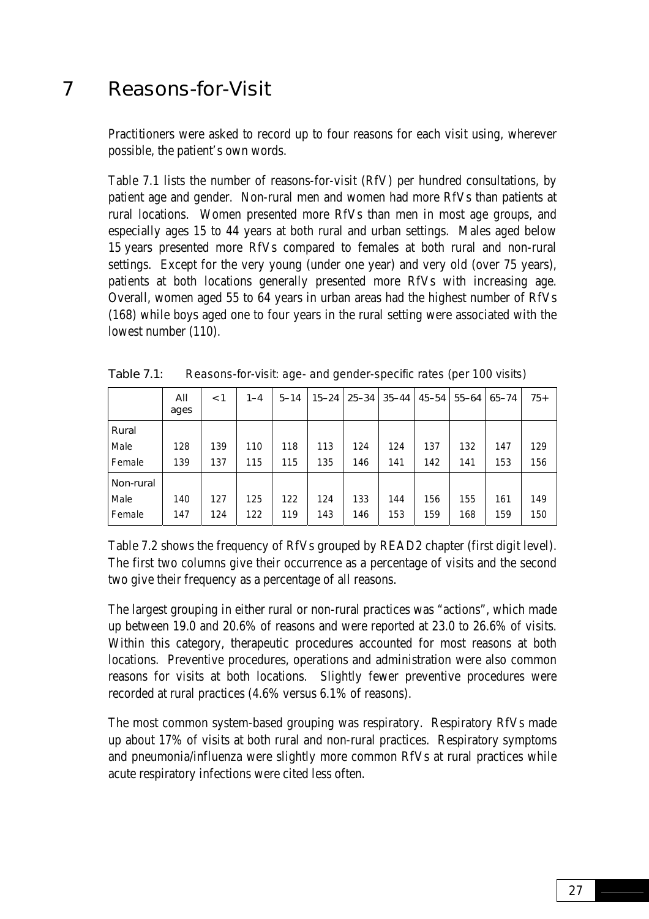# 7 Reasons-for-Visit

Practitioners were asked to record up to four reasons for each visit using, wherever possible, the patient's own words.

Table 7.1 lists the number of reasons-for-visit (RfV) per hundred consultations, by patient age and gender. Non-rural men and women had more RfVs than patients at rural locations. Women presented more RfVs than men in most age groups, and especially ages 15 to 44 years at both rural and urban settings. Males aged below 15 years presented more RfVs compared to females at both rural and non-rural settings. Except for the very young (under one year) and very old (over 75 years), patients at both locations generally presented more RfVs with increasing age. Overall, women aged 55 to 64 years in urban areas had the highest number of RfVs (168) while boys aged one to four years in the rural setting were associated with the lowest number (110).

|           | All<br>ages | 1 > | $1 - 4$ | $5 - 14$ |     | 15-24 25-34 | $35 - 44$ | $45 - 54$ | $55 - 64$ | $65 - 74$ | $75+$ |
|-----------|-------------|-----|---------|----------|-----|-------------|-----------|-----------|-----------|-----------|-------|
| Rural     |             |     |         |          |     |             |           |           |           |           |       |
| Male      | 128         | 139 | 110     | 118      | 113 | 124         | 124       | 137       | 132       | 147       | 129   |
| Female    | 139         | 137 | 115     | 115      | 135 | 146         | 141       | 142       | 141       | 153       | 156   |
| Non-rural |             |     |         |          |     |             |           |           |           |           |       |
| Male      | 140         | 127 | 125     | 122      | 124 | 133         | 144       | 156       | 155       | 161       | 149   |
| Female    | 147         | 124 | 122     | 119      | 143 | 146         | 153       | 159       | 168       | 159       | 150   |

Table 7.1: Reasons-for-visit: age- and gender-specific rates (per 100 visits)

Table 7.2 shows the frequency of RfVs grouped by READ2 chapter (first digit level). The first two columns give their occurrence as a percentage of visits and the second two give their frequency as a percentage of all reasons.

The largest grouping in either rural or non-rural practices was "actions", which made up between 19.0 and 20.6% of reasons and were reported at 23.0 to 26.6% of visits. Within this category, therapeutic procedures accounted for most reasons at both locations. Preventive procedures, operations and administration were also common reasons for visits at both locations. Slightly fewer preventive procedures were recorded at rural practices (4.6% versus 6.1% of reasons).

The most common system-based grouping was respiratory. Respiratory RfVs made up about 17% of visits at both rural and non-rural practices. Respiratory symptoms and pneumonia/influenza were slightly more common RfVs at rural practices while acute respiratory infections were cited less often.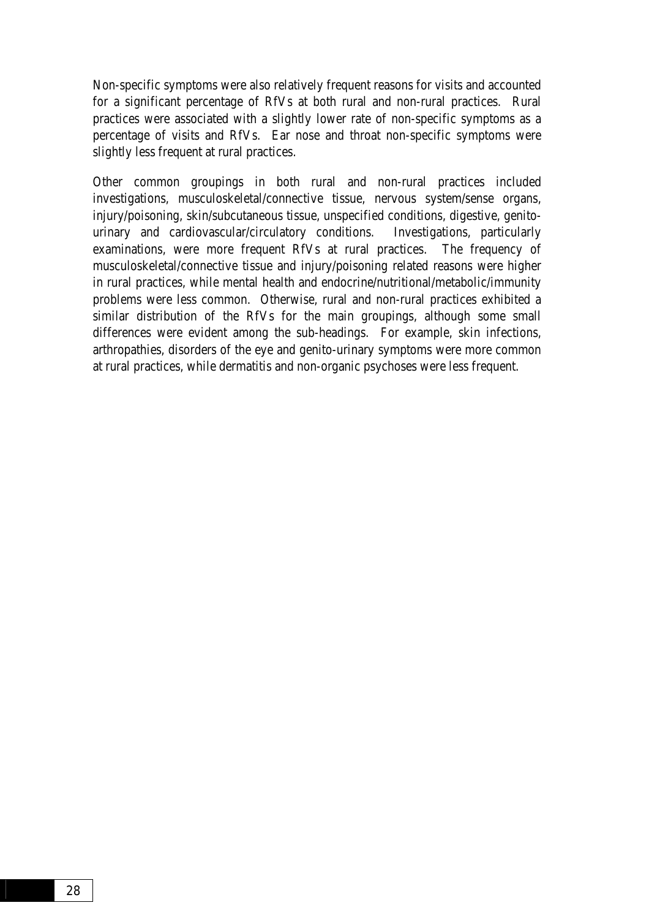Non-specific symptoms were also relatively frequent reasons for visits and accounted for a significant percentage of RfVs at both rural and non-rural practices. Rural practices were associated with a slightly lower rate of non-specific symptoms as a percentage of visits and RfVs. Ear nose and throat non-specific symptoms were slightly less frequent at rural practices.

Other common groupings in both rural and non-rural practices included investigations, musculoskeletal/connective tissue, nervous system/sense organs, injury/poisoning, skin/subcutaneous tissue, unspecified conditions, digestive, genitourinary and cardiovascular/circulatory conditions. Investigations, particularly examinations, were more frequent RfVs at rural practices. The frequency of musculoskeletal/connective tissue and injury/poisoning related reasons were higher in rural practices, while mental health and endocrine/nutritional/metabolic/immunity problems were less common. Otherwise, rural and non-rural practices exhibited a similar distribution of the RfVs for the main groupings, although some small differences were evident among the sub-headings. For example, skin infections, arthropathies, disorders of the eye and genito-urinary symptoms were more common at rural practices, while dermatitis and non-organic psychoses were less frequent.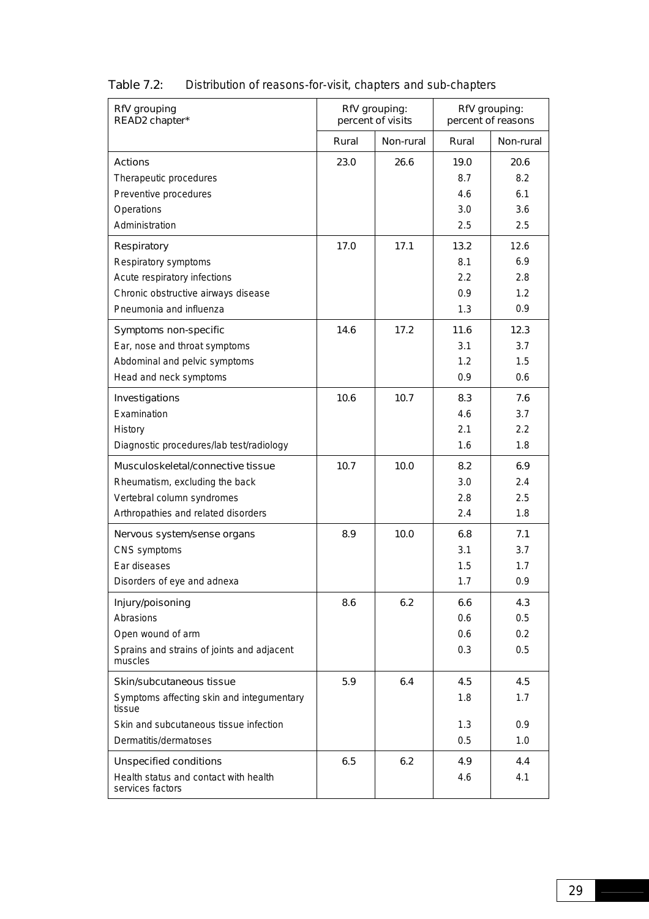| RfV grouping<br>READ2 chapter*                            |       | RfV grouping:<br>percent of visits |       | RfV grouping:<br>percent of reasons |
|-----------------------------------------------------------|-------|------------------------------------|-------|-------------------------------------|
|                                                           | Rural | Non-rural                          | Rural | Non-rural                           |
| <b>Actions</b>                                            | 23.0  | 26.6                               | 19.0  | 20.6                                |
| Therapeutic procedures                                    |       |                                    | 8.7   | 8.2                                 |
| Preventive procedures                                     |       |                                    | 4.6   | 6.1                                 |
| Operations                                                |       |                                    | 3.0   | 3.6                                 |
| Administration                                            |       |                                    | 2.5   | 2.5                                 |
| Respiratory                                               | 17.0  | 17.1                               | 13.2  | 12.6                                |
| Respiratory symptoms                                      |       |                                    | 8.1   | 6.9                                 |
| Acute respiratory infections                              |       |                                    | 2.2   | 2.8                                 |
| Chronic obstructive airways disease                       |       |                                    | 0.9   | 1.2                                 |
| Pneumonia and influenza                                   |       |                                    | 1.3   | 0.9                                 |
| Symptoms non-specific                                     | 14.6  | 17.2                               | 11.6  | 12.3                                |
| Ear, nose and throat symptoms                             |       |                                    | 3.1   | 3.7                                 |
| Abdominal and pelvic symptoms                             |       |                                    | 1.2   | 1.5                                 |
| Head and neck symptoms                                    |       |                                    | 0.9   | 0.6                                 |
| Investigations                                            | 10.6  | 10.7                               | 8.3   | 7.6                                 |
| Examination                                               |       |                                    | 4.6   | 3.7                                 |
| History                                                   |       |                                    | 2.1   | 2.2                                 |
| Diagnostic procedures/lab test/radiology                  |       |                                    | 1.6   | 1.8                                 |
| Musculoskeletal/connective tissue                         | 10.7  | 10.0                               | 8.2   | 6.9                                 |
| Rheumatism, excluding the back                            |       |                                    | 3.0   | 2.4                                 |
| Vertebral column syndromes                                |       |                                    | 2.8   | 2.5                                 |
| Arthropathies and related disorders                       |       |                                    | 2.4   | 1.8                                 |
| Nervous system/sense organs                               | 8.9   | 10.0                               | 6.8   | 7.1                                 |
| CNS symptoms                                              |       |                                    | 3.1   | 3.7                                 |
| Ear diseases                                              |       |                                    | 1.5   | 1.7                                 |
| Disorders of eye and adnexa                               |       |                                    | 1.7   | 0.9                                 |
| Injury/poisoning                                          | 8.6   | 6.2                                | 6.6   | 4.3                                 |
| Abrasions                                                 |       |                                    | 0.6   | 0.5                                 |
| Open wound of arm                                         |       |                                    | 0.6   | 0.2                                 |
| Sprains and strains of joints and adjacent<br>muscles     |       |                                    | 0.3   | 0.5                                 |
| Skin/subcutaneous tissue                                  | 5.9   | 6.4                                | 4.5   | 4.5                                 |
| Symptoms affecting skin and integumentary<br>tissue       |       |                                    | 1.8   | 1.7                                 |
| Skin and subcutaneous tissue infection                    |       |                                    | 1.3   | 0.9                                 |
| Dermatitis/dermatoses                                     |       |                                    | 0.5   | 1.0                                 |
| <b>Unspecified conditions</b>                             | 6.5   | 6.2                                | 4.9   | 4.4                                 |
| Health status and contact with health<br>services factors |       |                                    | 4.6   | 4.1                                 |

## Table 7.2: Distribution of reasons-for-visit, chapters and sub-chapters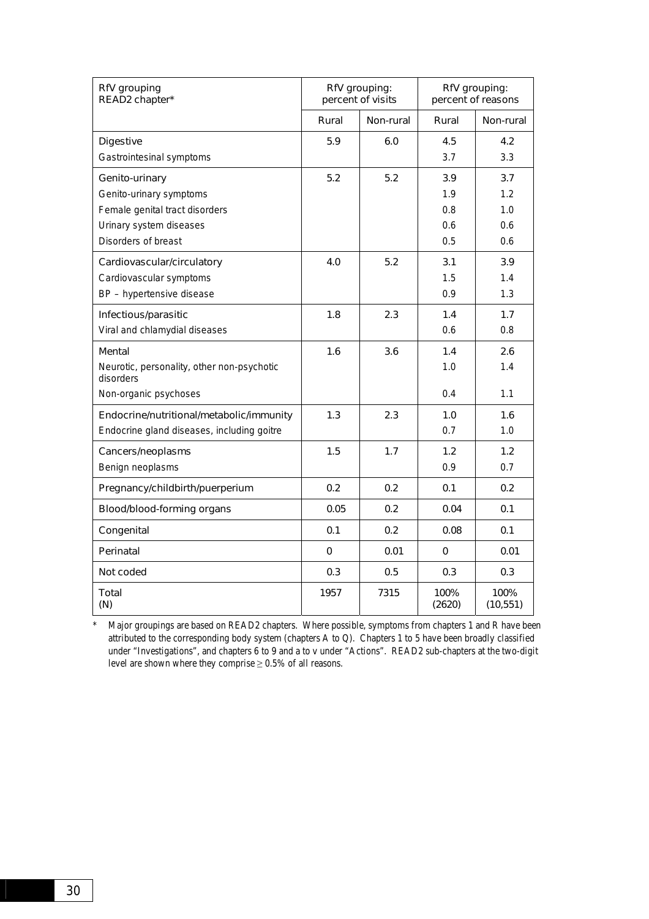| RfV grouping<br>READ2 chapter*                          |       | RfV grouping:<br>percent of visits |                | RfV grouping:<br>percent of reasons |  |  |
|---------------------------------------------------------|-------|------------------------------------|----------------|-------------------------------------|--|--|
|                                                         | Rural | Non-rural                          | Rural          | Non-rural                           |  |  |
| <b>Digestive</b>                                        | 5.9   | 6.0                                | 4.5            | 4.2                                 |  |  |
| Gastrointesinal symptoms                                |       |                                    | 3.7            | 3.3                                 |  |  |
| Genito-urinary                                          | 5.2   | 5.2                                | 3.9            | 3.7                                 |  |  |
| Genito-urinary symptoms                                 |       |                                    | 1.9            | 1.2                                 |  |  |
| Female genital tract disorders                          |       |                                    | 0.8            | 1.0                                 |  |  |
| Urinary system diseases                                 |       |                                    | 0.6            | 0.6                                 |  |  |
| Disorders of breast                                     |       |                                    | 0.5            | 0.6                                 |  |  |
| Cardiovascular/circulatory                              | 4.0   | 5.2                                | 3.1            | 3.9                                 |  |  |
| Cardiovascular symptoms                                 |       |                                    | 1.5            | 1.4                                 |  |  |
| BP - hypertensive disease                               |       |                                    | 0.9            | 1.3                                 |  |  |
| Infectious/parasitic                                    | 1.8   | 2.3                                | 1.4            | 1.7                                 |  |  |
| Viral and chlamydial diseases                           |       |                                    | 0.6            | 0.8                                 |  |  |
| Mental                                                  | 1.6   | 3.6                                | 1.4            | 2.6                                 |  |  |
| Neurotic, personality, other non-psychotic<br>disorders |       |                                    | 1.0            | 1.4                                 |  |  |
| Non-organic psychoses                                   |       |                                    | 0.4            | 1.1                                 |  |  |
| Endocrine/nutritional/metabolic/immunity                | 1.3   | 2.3                                | 1.0            | 1.6                                 |  |  |
| Endocrine gland diseases, including goitre              |       |                                    | 0.7            | 1.0                                 |  |  |
| Cancers/neoplasms                                       | 1.5   | 1.7                                | 1.2            | 1.2                                 |  |  |
| Benign neoplasms                                        |       |                                    | 0.9            | 0.7                                 |  |  |
| Pregnancy/childbirth/puerperium                         | 0.2   | 0.2                                | 0.1            | 0.2                                 |  |  |
| Blood/blood-forming organs                              | 0.05  | 0.2                                | 0.04           | 0.1                                 |  |  |
| Congenital                                              | 0.1   | 0.2                                | 0.08           | 0.1                                 |  |  |
| Perinatal                                               | 0     | 0.01                               | $\mathbf 0$    | 0.01                                |  |  |
| Not coded                                               | 0.3   | 0.5                                | 0.3            | 0.3                                 |  |  |
| Total<br>(N)                                            | 1957  | 7315                               | 100%<br>(2620) | 100%<br>(10, 551)                   |  |  |

\* Major groupings are based on READ2 chapters. Where possible, symptoms from chapters 1 and R have been attributed to the corresponding body system (chapters A to Q). Chapters 1 to 5 have been broadly classified under "Investigations", and chapters 6 to 9 and a to v under "Actions". READ2 sub-chapters at the two-digit level are shown where they comprise  $\geq 0.5\%$  of all reasons.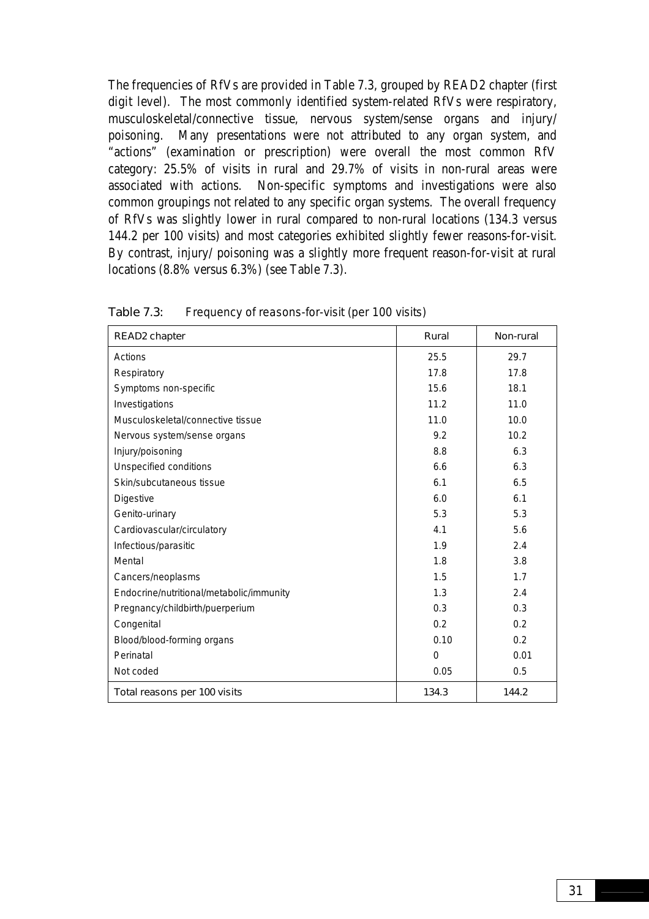The frequencies of RfVs are provided in Table 7.3, grouped by READ2 chapter (first digit level). The most commonly identified system-related RfVs were respiratory, musculoskeletal/connective tissue, nervous system/sense organs and injury/ poisoning. Many presentations were not attributed to any organ system, and "actions" (examination or prescription) were overall the most common RfV category: 25.5% of visits in rural and 29.7% of visits in non-rural areas were associated with actions. Non-specific symptoms and investigations were also common groupings not related to any specific organ systems. The overall frequency of RfVs was slightly lower in rural compared to non-rural locations (134.3 versus 144.2 per 100 visits) and most categories exhibited slightly fewer reasons-for-visit. By contrast, injury/ poisoning was a slightly more frequent reason-for-visit at rural locations (8.8% versus 6.3%) (see Table 7.3).

| READ2 chapter                            | Rural    | Non-rural |
|------------------------------------------|----------|-----------|
| Actions                                  | 25.5     | 29.7      |
| Respiratory                              | 17.8     | 17.8      |
| Symptoms non-specific                    | 15.6     | 18.1      |
| Investigations                           | 11.2     | 11.0      |
| Musculoskeletal/connective tissue        | 11.0     | 10.0      |
| Nervous system/sense organs              | 9.2      | 10.2      |
| Injury/poisoning                         | 8.8      | 6.3       |
| Unspecified conditions                   | 6.6      | 6.3       |
| Skin/subcutaneous tissue                 | 6.1      | 6.5       |
| Digestive                                | 6.0      | 6.1       |
| Genito-urinary                           | 5.3      | 5.3       |
| Cardiovascular/circulatory               | 4.1      | 5.6       |
| Infectious/parasitic                     | 1.9      | 2.4       |
| Mental                                   | 1.8      | 3.8       |
| Cancers/neoplasms                        | 1.5      | 1.7       |
| Endocrine/nutritional/metabolic/immunity | 1.3      | 2.4       |
| Pregnancy/childbirth/puerperium          | 0.3      | 0.3       |
| Congenital                               | 0.2      | 0.2       |
| Blood/blood-forming organs               | 0.10     | 0.2       |
| Perinatal                                | $\Omega$ | 0.01      |
| Not coded                                | 0.05     | 0.5       |
| Total reasons per 100 visits             | 134.3    | 144.2     |

Table 7.3: Frequency of reasons-for-visit (per 100 visits)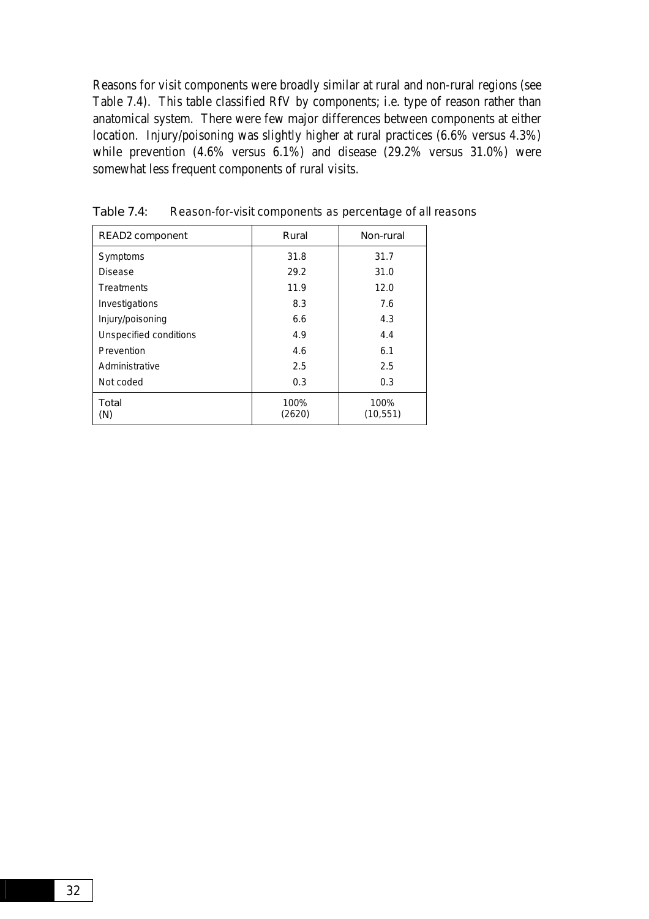Reasons for visit components were broadly similar at rural and non-rural regions (see Table 7.4). This table classified RfV by components; i.e. type of reason rather than anatomical system. There were few major differences between components at either location. Injury/poisoning was slightly higher at rural practices (6.6% versus 4.3%) while prevention (4.6% versus 6.1%) and disease (29.2% versus 31.0%) were somewhat less frequent components of rural visits.

| <b>READ2</b> component | Rural          | Non-rural         |
|------------------------|----------------|-------------------|
| Symptoms               | 31.8           | 31.7              |
| <b>Disease</b>         | 29.2           | 31.0              |
| Treatments             | 11.9           | 12.0              |
| Investigations         | 8.3            | 7.6               |
| Injury/poisoning       | 6.6            | 4.3               |
| Unspecified conditions | 4.9            | 4.4               |
| Prevention             | 4.6            | 6.1               |
| Administrative         | 2.5            | 2.5               |
| Not coded              | 0.3            | 0.3               |
| Total<br>(N)           | 100%<br>(2620) | 100%<br>(10, 551) |

Table 7.4: Reason-for-visit components as percentage of all reasons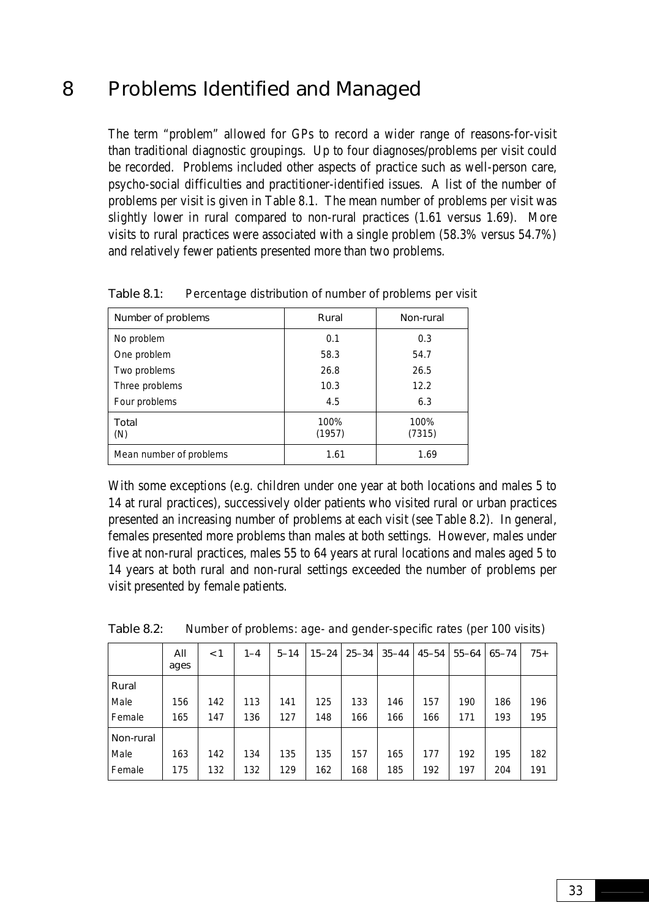# 8 Problems Identified and Managed

The term "problem" allowed for GPs to record a wider range of reasons-for-visit than traditional diagnostic groupings. Up to four diagnoses/problems per visit could be recorded. Problems included other aspects of practice such as well-person care, psycho-social difficulties and practitioner-identified issues. A list of the number of problems per visit is given in Table 8.1. The mean number of problems per visit was slightly lower in rural compared to non-rural practices (1.61 versus 1.69). More visits to rural practices were associated with a single problem (58.3% versus 54.7%) and relatively fewer patients presented more than two problems.

| Number of problems      | Rural          | Non-rural      |
|-------------------------|----------------|----------------|
| No problem              | 0.1            | 0.3            |
| One problem             | 58.3           | 54.7           |
| Two problems            | 26.8           | 26.5           |
| Three problems          | 10.3           | 12.2           |
| Four problems           | 4.5            | 6.3            |
| Total<br>(N)            | 100%<br>(1957) | 100%<br>(7315) |
| Mean number of problems | 1.61           | 1.69           |

Table 8.1: Percentage distribution of number of problems per visit

With some exceptions (e.g. children under one year at both locations and males 5 to 14 at rural practices), successively older patients who visited rural or urban practices presented an increasing number of problems at each visit (see Table 8.2). In general, females presented more problems than males at both settings. However, males under five at non-rural practices, males 55 to 64 years at rural locations and males aged 5 to 14 years at both rural and non-rural settings exceeded the number of problems per visit presented by female patients.

|           | All<br>ages | $\leq 1$ | $1 - 4$ | $5 - 14$ | $15 - 24$ | $25 - 34$ | $35 - 44$ | $45 - 54$ | $55 - 64$ | $65 - 74$ | $75+$ |
|-----------|-------------|----------|---------|----------|-----------|-----------|-----------|-----------|-----------|-----------|-------|
| Rural     |             |          |         |          |           |           |           |           |           |           |       |
| Male      | 156         | 142      | 113     | 141      | 125       | 133       | 146       | 157       | 190       | 186       | 196   |
| Female    | 165         | 147      | 136     | 127      | 148       | 166       | 166       | 166       | 171       | 193       | 195   |
| Non-rural |             |          |         |          |           |           |           |           |           |           |       |
| Male      | 163         | 142      | 134     | 135      | 135       | 157       | 165       | 177       | 192       | 195       | 182   |
| Female    | 175         | 132      | 132     | 129      | 162       | 168       | 185       | 192       | 197       | 204       | 191   |

Table 8.2: Number of problems: age- and gender-specific rates (per 100 visits)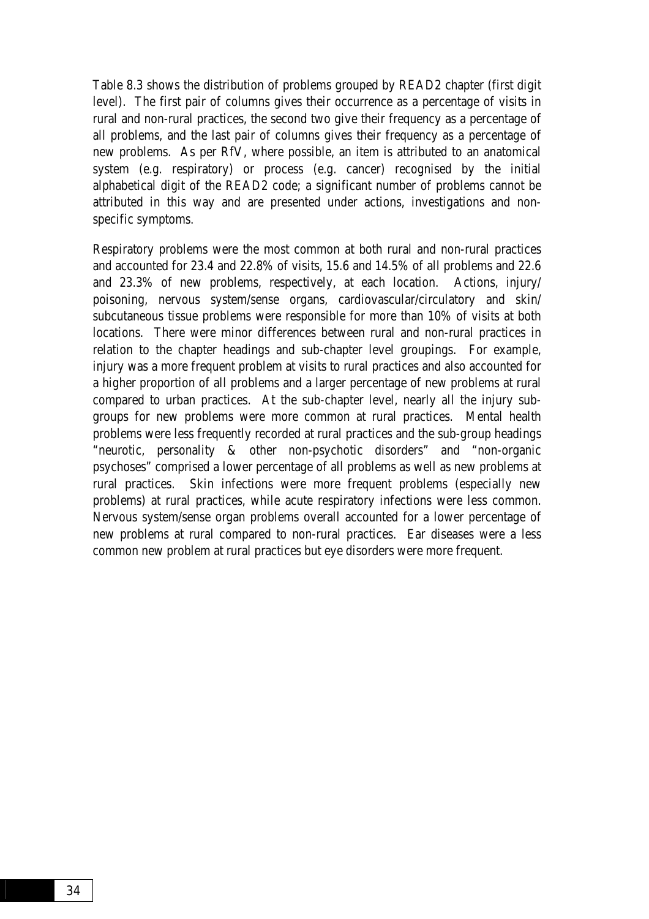Table 8.3 shows the distribution of problems grouped by READ2 chapter (first digit level). The first pair of columns gives their occurrence as a percentage of visits in rural and non-rural practices, the second two give their frequency as a percentage of all problems, and the last pair of columns gives their frequency as a percentage of new problems. As per RfV, where possible, an item is attributed to an anatomical system (e.g. respiratory) or process (e.g. cancer) recognised by the initial alphabetical digit of the READ2 code; a significant number of problems cannot be attributed in this way and are presented under actions, investigations and nonspecific symptoms.

Respiratory problems were the most common at both rural and non-rural practices and accounted for 23.4 and 22.8% of visits, 15.6 and 14.5% of all problems and 22.6 and 23.3% of new problems, respectively, at each location. Actions, injury/ poisoning, nervous system/sense organs, cardiovascular/circulatory and skin/ subcutaneous tissue problems were responsible for more than 10% of visits at both locations. There were minor differences between rural and non-rural practices in relation to the chapter headings and sub-chapter level groupings. For example, injury was a more frequent problem at visits to rural practices and also accounted for a higher proportion of all problems and a larger percentage of new problems at rural compared to urban practices. At the sub-chapter level, nearly all the injury subgroups for new problems were more common at rural practices. Mental health problems were less frequently recorded at rural practices and the sub-group headings "neurotic, personality & other non-psychotic disorders" and "non-organic psychoses" comprised a lower percentage of all problems as well as new problems at rural practices. Skin infections were more frequent problems (especially new problems) at rural practices, while acute respiratory infections were less common. Nervous system/sense organ problems overall accounted for a lower percentage of new problems at rural compared to non-rural practices. Ear diseases were a less common new problem at rural practices but eye disorders were more frequent.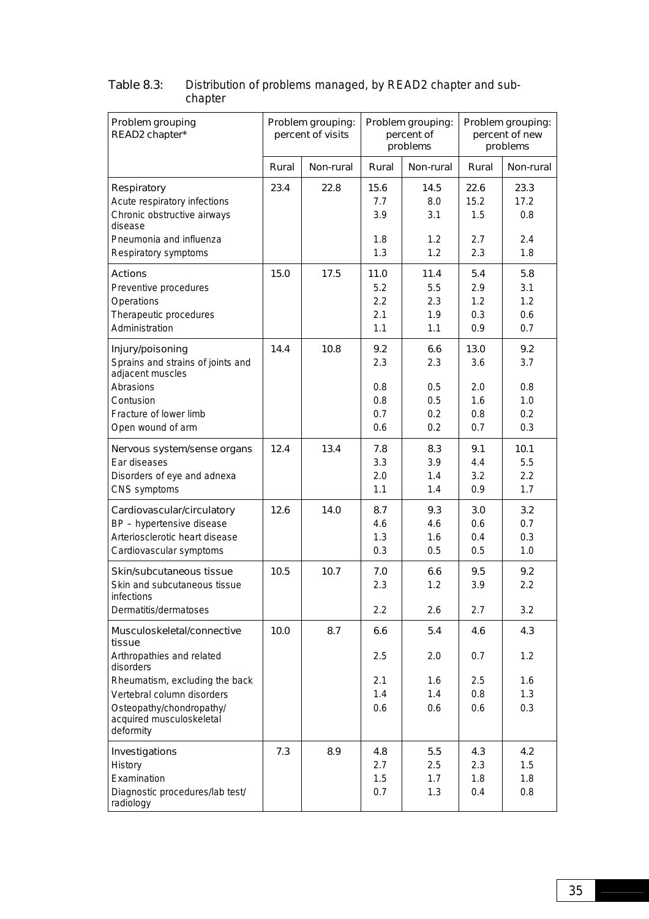| Problem grouping<br>READ2 chapter*                                |       | Problem grouping:<br>percent of visits |            | Problem grouping:<br>percent of<br>problems | Problem grouping:<br>percent of new<br>problems |            |
|-------------------------------------------------------------------|-------|----------------------------------------|------------|---------------------------------------------|-------------------------------------------------|------------|
|                                                                   | Rural | Non-rural                              | Rural      | Non-rural                                   | Rural                                           | Non-rural  |
| Respiratory                                                       | 23.4  | 22.8                                   | 15.6       | 14.5                                        | 22.6                                            | 23.3       |
| Acute respiratory infections                                      |       |                                        | 7.7        | 8.0                                         | 15.2                                            | 17.2       |
| Chronic obstructive airways<br>disease                            |       |                                        | 3.9        | 3.1                                         | 1.5                                             | 0.8        |
| Pneumonia and influenza                                           |       |                                        | 1.8        | 1.2                                         | 2.7                                             | 2.4        |
| Respiratory symptoms                                              |       |                                        | 1.3        | 1.2                                         | 2.3                                             | 1.8        |
| <b>Actions</b>                                                    | 15.0  | 17.5                                   | 11.0       | 11.4                                        | 5.4                                             | 5.8        |
| Preventive procedures                                             |       |                                        | 5.2        | 5.5                                         | 2.9                                             | 3.1        |
| Operations                                                        |       |                                        | 2.2        | 2.3                                         | 1.2                                             | 1.2        |
| Therapeutic procedures<br>Administration                          |       |                                        | 2.1<br>1.1 | 1.9<br>1.1                                  | 0.3<br>0.9                                      | 0.6<br>0.7 |
|                                                                   |       |                                        |            |                                             |                                                 |            |
| Injury/poisoning                                                  | 14.4  | 10.8                                   | 9.2        | 6.6                                         | 13.0                                            | 9.2        |
| Sprains and strains of joints and<br>adjacent muscles             |       |                                        | 2.3        | 2.3                                         | 3.6                                             | 3.7        |
| Abrasions                                                         |       |                                        | 0.8        | 0.5                                         | 2.0                                             | 0.8        |
| Contusion                                                         |       |                                        | 0.8        | 0.5                                         | 1.6                                             | 1.0        |
| Fracture of lower limb                                            |       |                                        | 0.7        | 0.2                                         | 0.8                                             | 0.2        |
| Open wound of arm                                                 |       |                                        | 0.6        | 0.2                                         | 0.7                                             | 0.3        |
| Nervous system/sense organs                                       | 12.4  | 13.4                                   | 7.8        | 8.3                                         | 9.1                                             | 10.1       |
| Ear diseases                                                      |       |                                        | 3.3        | 3.9                                         | 4.4                                             | 5.5        |
| Disorders of eye and adnexa<br>CNS symptoms                       |       |                                        | 2.0<br>1.1 | 1.4<br>1.4                                  | 3.2<br>0.9                                      | 2.2<br>1.7 |
|                                                                   |       |                                        |            |                                             |                                                 |            |
| Cardiovascular/circulatory                                        | 12.6  | 14.0                                   | 8.7        | 9.3                                         | 3.0                                             | 3.2        |
| BP - hypertensive disease<br>Arteriosclerotic heart disease       |       |                                        | 4.6<br>1.3 | 4.6<br>1.6                                  | 0.6<br>0.4                                      | 0.7<br>0.3 |
| Cardiovascular symptoms                                           |       |                                        | 0.3        | 0.5                                         | 0.5                                             | 1.0        |
| Skin/subcutaneous tissue                                          | 10.5  | 10.7                                   | 7.0        | 6.6                                         | 9.5                                             | 9.2        |
| Skin and subcutaneous tissue                                      |       |                                        | 2.3        | 1.2                                         | 3.9                                             | 2.2        |
| infections                                                        |       |                                        |            |                                             |                                                 |            |
| Dermatitis/dermatoses                                             |       |                                        | 2.2        | 2.6                                         | 2.7                                             | 3.2        |
| Musculoskeletal/connective<br>tissue                              | 10.0  | 8.7                                    | 6.6        | 5.4                                         | 4.6                                             | 4.3        |
| Arthropathies and related<br>disorders                            |       |                                        | 2.5        | 2.0                                         | 0.7                                             | 1.2        |
| Rheumatism, excluding the back                                    |       |                                        | 2.1        | 1.6                                         | 2.5                                             | 1.6        |
| Vertebral column disorders                                        |       |                                        | 1.4        | 1.4                                         | 0.8                                             | 1.3        |
| Osteopathy/chondropathy/<br>acquired musculoskeletal<br>deformity |       |                                        | 0.6        | 0.6                                         | 0.6                                             | 0.3        |
| Investigations                                                    | 7.3   | 8.9                                    | 4.8        | 5.5                                         | 4.3                                             | 4.2        |
| History                                                           |       |                                        | 2.7        | 2.5                                         | 2.3                                             | 1.5        |
| Examination                                                       |       |                                        | 1.5        | 1.7                                         | 1.8                                             | 1.8        |
| Diagnostic procedures/lab test/<br>radiology                      |       |                                        | 0.7        | 1.3                                         | 0.4                                             | 0.8        |

#### Table 8.3: Distribution of problems managed, by READ2 chapter and subchapter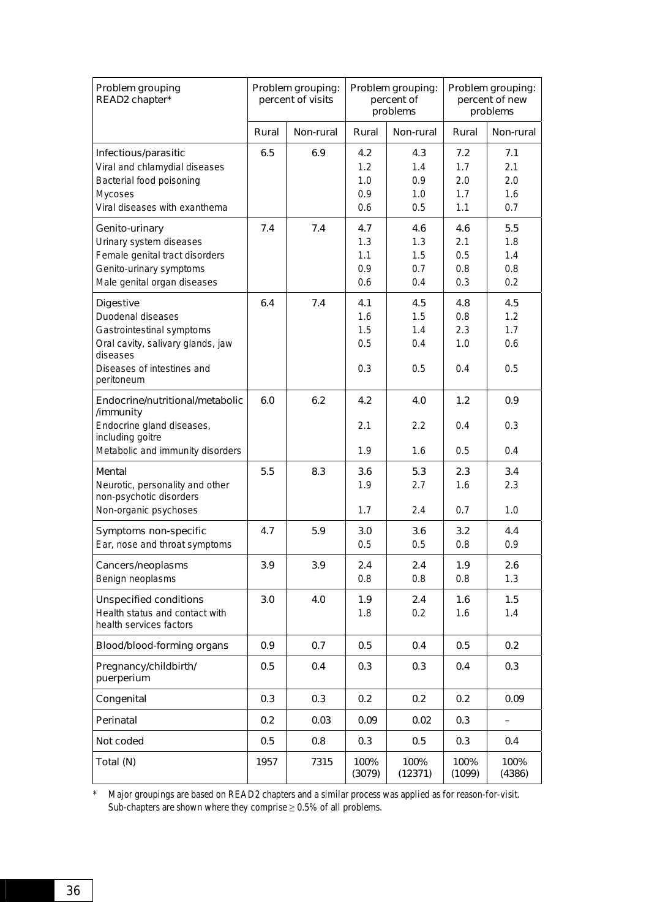| Problem grouping<br>READ2 chapter*                                                                                                                              |       | Problem grouping:<br>percent of visits | Problem grouping:<br>percent of<br>problems |                                 | Problem grouping:<br>percent of new<br>problems |                                 |
|-----------------------------------------------------------------------------------------------------------------------------------------------------------------|-------|----------------------------------------|---------------------------------------------|---------------------------------|-------------------------------------------------|---------------------------------|
|                                                                                                                                                                 | Rural | Non-rural                              | Rural                                       | Non-rural                       | Rural                                           | Non-rural                       |
| Infectious/parasitic<br>Viral and chlamydial diseases<br>Bacterial food poisoning<br>Mycoses<br>Viral diseases with exanthema                                   | 6.5   | 6.9                                    | 4.2<br>1.2<br>1.0<br>0.9<br>0.6             | 4.3<br>1.4<br>0.9<br>1.0<br>0.5 | 7.2<br>1.7<br>2.0<br>1.7<br>1.1                 | 7.1<br>2.1<br>2.0<br>1.6<br>0.7 |
|                                                                                                                                                                 |       |                                        |                                             |                                 |                                                 |                                 |
| Genito-urinary<br>Urinary system diseases<br>Female genital tract disorders<br>Genito-urinary symptoms<br>Male genital organ diseases                           | 7.4   | 7.4                                    | 4.7<br>1.3<br>1.1<br>0.9<br>0.6             | 4.6<br>1.3<br>1.5<br>0.7<br>0.4 | 4.6<br>2.1<br>0.5<br>0.8<br>0.3                 | 5.5<br>1.8<br>1.4<br>0.8<br>0.2 |
| <b>Digestive</b><br>Duodenal diseases<br>Gastrointestinal symptoms<br>Oral cavity, salivary glands, jaw<br>diseases<br>Diseases of intestines and<br>peritoneum | 6.4   | 7.4                                    | 4.1<br>1.6<br>1.5<br>0.5<br>0.3             | 4.5<br>1.5<br>1.4<br>0.4<br>0.5 | 4.8<br>0.8<br>2.3<br>1.0<br>0.4                 | 4.5<br>1.2<br>1.7<br>0.6<br>0.5 |
| Endocrine/nutritional/metabolic<br>/immunity<br>Endocrine gland diseases,<br>including goitre<br>Metabolic and immunity disorders                               | 6.0   | 6.2                                    | 4.2<br>2.1<br>1.9                           | 4.0<br>2.2<br>1.6               | 1.2<br>0.4<br>0.5                               | 0.9<br>0.3<br>0.4               |
| Mental<br>Neurotic, personality and other<br>non-psychotic disorders<br>Non-organic psychoses                                                                   | 5.5   | 8.3                                    | 3.6<br>1.9<br>1.7                           | 5.3<br>2.7<br>2.4               | 2.3<br>1.6<br>0.7                               | 3.4<br>2.3<br>1.0               |
| Symptoms non-specific<br>Ear, nose and throat symptoms                                                                                                          | 4.7   | 5.9                                    | 3.0<br>0.5                                  | 3.6<br>0.5                      | 3.2<br>0.8                                      | 4.4<br>0.9                      |
| Cancers/neoplasms<br>Benign neoplasms                                                                                                                           | 3.9   | 3.9                                    | 2.4<br>0.8                                  | 2.4<br>0.8                      | 1.9<br>0.8                                      | 2.6<br>1.3                      |
| <b>Unspecified conditions</b><br>Health status and contact with<br>health services factors                                                                      | 3.0   | 4.0                                    | 1.9<br>1.8                                  | 2.4<br>0.2                      | 1.6<br>1.6                                      | 1.5<br>1.4                      |
| Blood/blood-forming organs                                                                                                                                      | 0.9   | 0.7                                    | 0.5                                         | 0.4                             | 0.5                                             | 0.2                             |
| Pregnancy/childbirth/<br>puerperium                                                                                                                             | 0.5   | 0.4                                    | 0.3                                         | 0.3                             | 0.4                                             | 0.3                             |
| Congenital                                                                                                                                                      | 0.3   | 0.3                                    | 0.2                                         | 0.2                             | 0.2                                             | 0.09                            |
| Perinatal                                                                                                                                                       | 0.2   | 0.03                                   | 0.09                                        | 0.02                            | 0.3                                             | -                               |
| Not coded                                                                                                                                                       | 0.5   | 0.8                                    | 0.3                                         | 0.5                             | 0.3                                             | 0.4                             |
| Total (N)                                                                                                                                                       | 1957  | 7315                                   | 100%<br>(3079)                              | 100%<br>(12371)                 | 100%<br>(1099)                                  | 100%<br>(4386)                  |

\* Major groupings are based on READ2 chapters and a similar process was applied as for reason-for-visit. Sub-chapters are shown where they comprise  $\geq 0.5\%$  of all problems.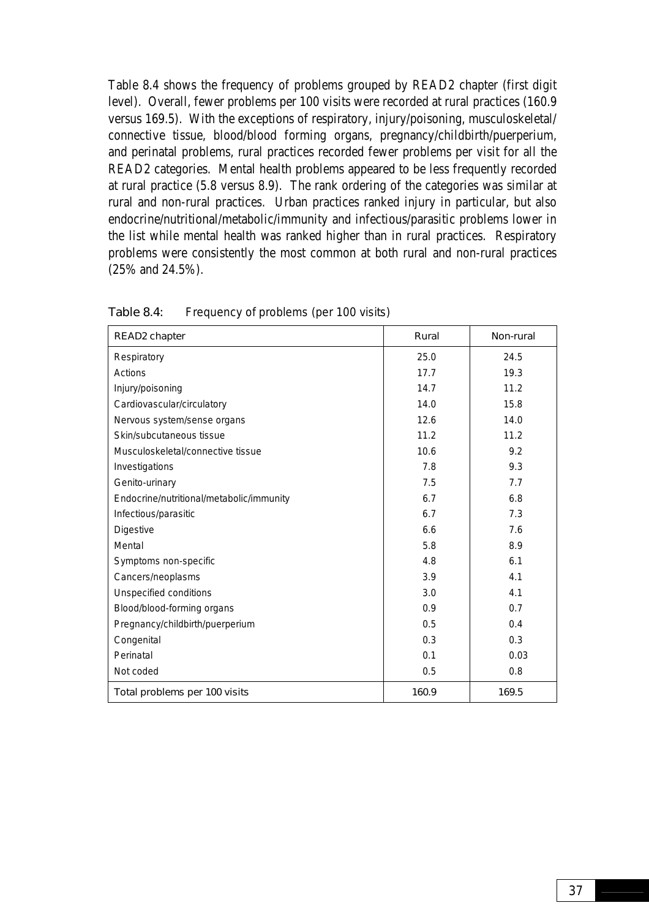Table 8.4 shows the frequency of problems grouped by READ2 chapter (first digit level). Overall, fewer problems per 100 visits were recorded at rural practices (160.9 versus 169.5). With the exceptions of respiratory, injury/poisoning, musculoskeletal/ connective tissue, blood/blood forming organs, pregnancy/childbirth/puerperium, and perinatal problems, rural practices recorded fewer problems per visit for all the READ2 categories. Mental health problems appeared to be less frequently recorded at rural practice (5.8 versus 8.9). The rank ordering of the categories was similar at rural and non-rural practices. Urban practices ranked injury in particular, but also endocrine/nutritional/metabolic/immunity and infectious/parasitic problems lower in the list while mental health was ranked higher than in rural practices. Respiratory problems were consistently the most common at both rural and non-rural practices (25% and 24.5%).

| READ2 chapter                            | Rural | Non-rural |
|------------------------------------------|-------|-----------|
| Respiratory                              | 25.0  | 24.5      |
| Actions                                  | 17.7  | 19.3      |
| Injury/poisoning                         | 14.7  | 11.2      |
| Cardiovascular/circulatory               | 14.0  | 15.8      |
| Nervous system/sense organs              | 12.6  | 14.0      |
| Skin/subcutaneous tissue                 | 11.2  | 11.2      |
| Musculoskeletal/connective tissue        | 10.6  | 9.2       |
| Investigations                           | 7.8   | 9.3       |
| Genito-urinary                           | 7.5   | 7.7       |
| Endocrine/nutritional/metabolic/immunity | 6.7   | 6.8       |
| Infectious/parasitic                     | 6.7   | 7.3       |
| Digestive                                | 6.6   | 7.6       |
| Mental                                   | 5.8   | 8.9       |
| Symptoms non-specific                    | 4.8   | 6.1       |
| Cancers/neoplasms                        | 3.9   | 4.1       |
| Unspecified conditions                   | 3.0   | 4.1       |
| Blood/blood-forming organs               | 0.9   | 0.7       |
| Pregnancy/childbirth/puerperium          | 0.5   | 0.4       |
| Congenital                               | 0.3   | 0.3       |
| Perinatal                                | 0.1   | 0.03      |
| Not coded                                | 0.5   | 0.8       |
| Total problems per 100 visits            | 160.9 | 169.5     |

Table 8.4: Frequency of problems (per 100 visits)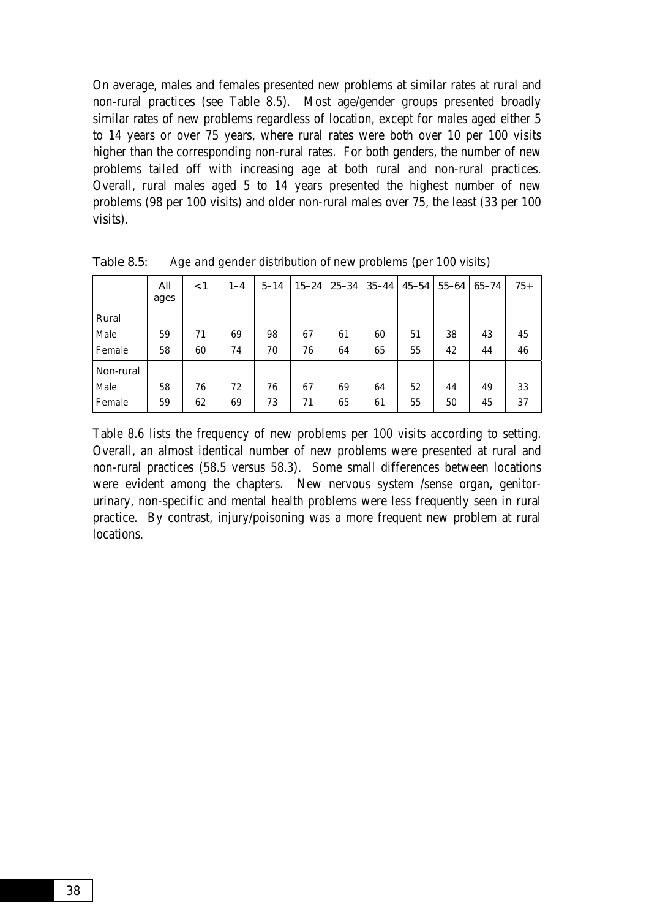On average, males and females presented new problems at similar rates at rural and non-rural practices (see Table 8.5). Most age/gender groups presented broadly similar rates of new problems regardless of location, except for males aged either 5 to 14 years or over 75 years, where rural rates were both over 10 per 100 visits higher than the corresponding non-rural rates. For both genders, the number of new problems tailed off with increasing age at both rural and non-rural practices. Overall, rural males aged 5 to 14 years presented the highest number of new problems (98 per 100 visits) and older non-rural males over 75, the least (33 per 100 visits).

|           | All<br>ages | $\leq 1$ | $1 - 4$ | $5 - 14$ |    | 15-24   25-34 | $35 - 44$ | 45–54 | $55 - 64$ | $65 - 74$ | $75+$ |
|-----------|-------------|----------|---------|----------|----|---------------|-----------|-------|-----------|-----------|-------|
| Rural     |             |          |         |          |    |               |           |       |           |           |       |
| Male      | 59          | 71       | 69      | 98       | 67 | 61            | 60        | 51    | 38        | 43        | 45    |
| Female    | 58          | 60       | 74      | 70       | 76 | 64            | 65        | 55    | 42        | 44        | 46    |
| Non-rural |             |          |         |          |    |               |           |       |           |           |       |
| Male      | 58          | 76       | 72      | 76       | 67 | 69            | 64        | 52    | 44        | 49        | 33    |
| Female    | 59          | 62       | 69      | 73       | 71 | 65            | 61        | 55    | 50        | 45        | 37    |

Table 8.5: Age and gender distribution of new problems (per 100 visits)

Table 8.6 lists the frequency of new problems per 100 visits according to setting. Overall, an almost identical number of new problems were presented at rural and non-rural practices (58.5 versus 58.3). Some small differences between locations were evident among the chapters. New nervous system /sense organ, genitorurinary, non-specific and mental health problems were less frequently seen in rural practice. By contrast, injury/poisoning was a more frequent new problem at rural locations.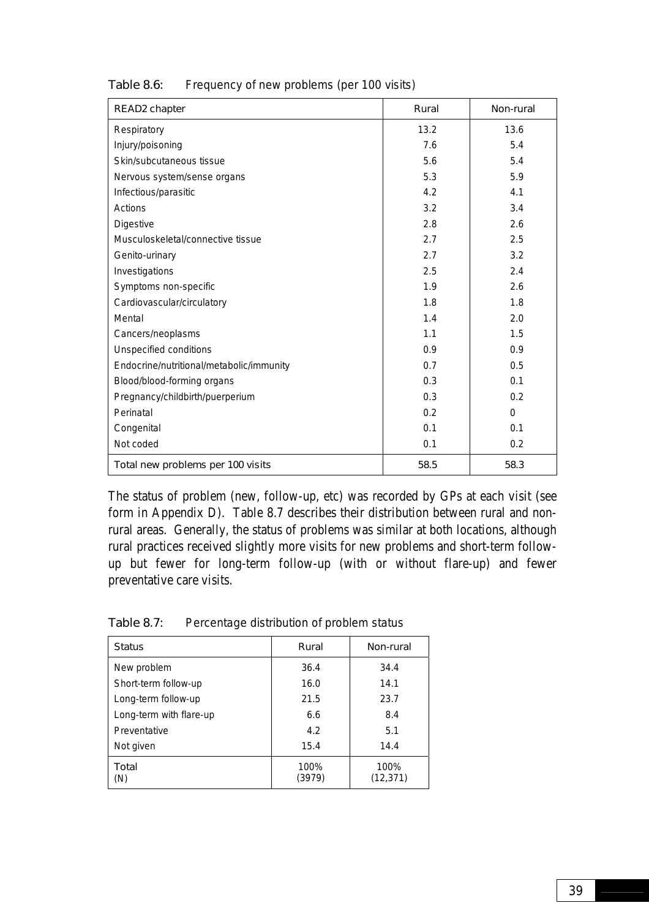| READ2 chapter                            | Rural | Non-rural |
|------------------------------------------|-------|-----------|
| Respiratory                              | 13.2  | 13.6      |
| Injury/poisoning                         | 7.6   | 5.4       |
| Skin/subcutaneous tissue                 | 5.6   | 5.4       |
| Nervous system/sense organs              | 5.3   | 5.9       |
| Infectious/parasitic                     | 4.2   | 4.1       |
| Actions                                  | 3.2   | 3.4       |
| <b>Digestive</b>                         | 2.8   | 2.6       |
| Musculoskeletal/connective tissue        | 2.7   | 2.5       |
| Genito-urinary                           | 2.7   | 3.2       |
| Investigations                           | 2.5   | 2.4       |
| Symptoms non-specific                    | 1.9   | 2.6       |
| Cardiovascular/circulatory               | 1.8   | 1.8       |
| Mental                                   | 1.4   | 2.0       |
| Cancers/neoplasms                        | 1.1   | 1.5       |
| Unspecified conditions                   | 0.9   | 0.9       |
| Endocrine/nutritional/metabolic/immunity | 0.7   | 0.5       |
| Blood/blood-forming organs               | 0.3   | 0.1       |
| Pregnancy/childbirth/puerperium          | 0.3   | 0.2       |
| Perinatal                                | 0.2   | $\Omega$  |
| Congenital                               | 0.1   | 0.1       |
| Not coded                                | 0.1   | 0.2       |
| Total new problems per 100 visits        | 58.5  | 58.3      |

#### Table 8.6: Frequency of new problems (per 100 visits)

The status of problem (new, follow-up, etc) was recorded by GPs at each visit (see form in Appendix D). Table 8.7 describes their distribution between rural and nonrural areas. Generally, the status of problems was similar at both locations, although rural practices received slightly more visits for new problems and short-term followup but fewer for long-term follow-up (with or without flare-up) and fewer preventative care visits.

| Table 8.7: |  |  | Percentage distribution of problem status |
|------------|--|--|-------------------------------------------|
|------------|--|--|-------------------------------------------|

| <b>Status</b>           | Rural          | Non-rural         |
|-------------------------|----------------|-------------------|
| New problem             | 36.4           | 34.4              |
| Short-term follow-up    | 16.0           | 14.1              |
| Long-term follow-up     | 21.5           | 23.7              |
| Long-term with flare-up | 6.6            | 8.4               |
| Preventative            | 4.2            | 5.1               |
| Not given               | 15.4           | 14.4              |
| Total<br>(N)            | 100%<br>(3979) | 100%<br>(12, 371) |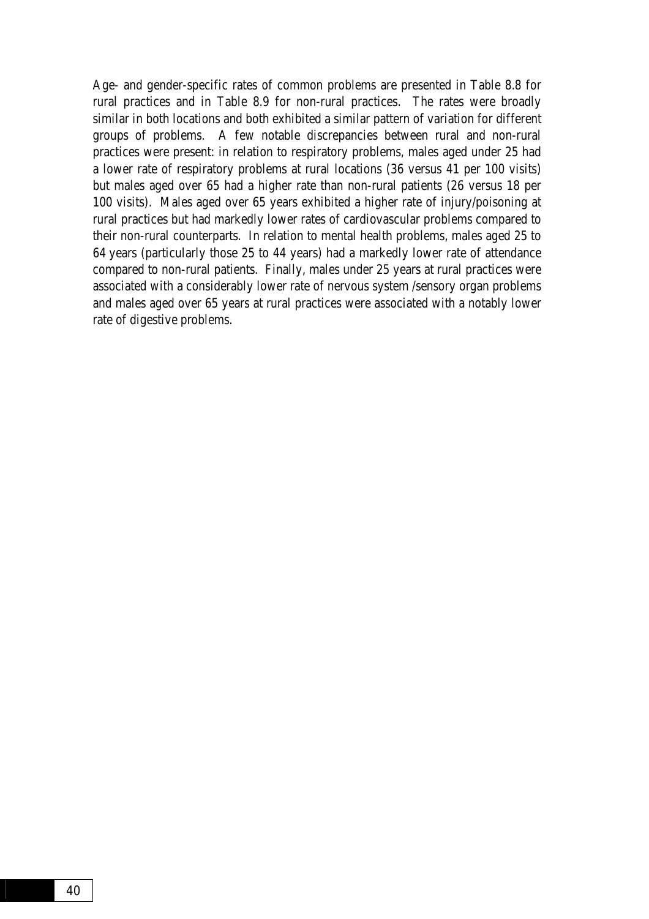Age- and gender-specific rates of common problems are presented in Table 8.8 for rural practices and in Table 8.9 for non-rural practices. The rates were broadly similar in both locations and both exhibited a similar pattern of variation for different groups of problems. A few notable discrepancies between rural and non-rural practices were present: in relation to respiratory problems, males aged under 25 had a lower rate of respiratory problems at rural locations (36 versus 41 per 100 visits) but males aged over 65 had a higher rate than non-rural patients (26 versus 18 per 100 visits). Males aged over 65 years exhibited a higher rate of injury/poisoning at rural practices but had markedly lower rates of cardiovascular problems compared to their non-rural counterparts. In relation to mental health problems, males aged 25 to 64 years (particularly those 25 to 44 years) had a markedly lower rate of attendance compared to non-rural patients. Finally, males under 25 years at rural practices were associated with a considerably lower rate of nervous system /sensory organ problems and males aged over 65 years at rural practices were associated with a notably lower rate of digestive problems.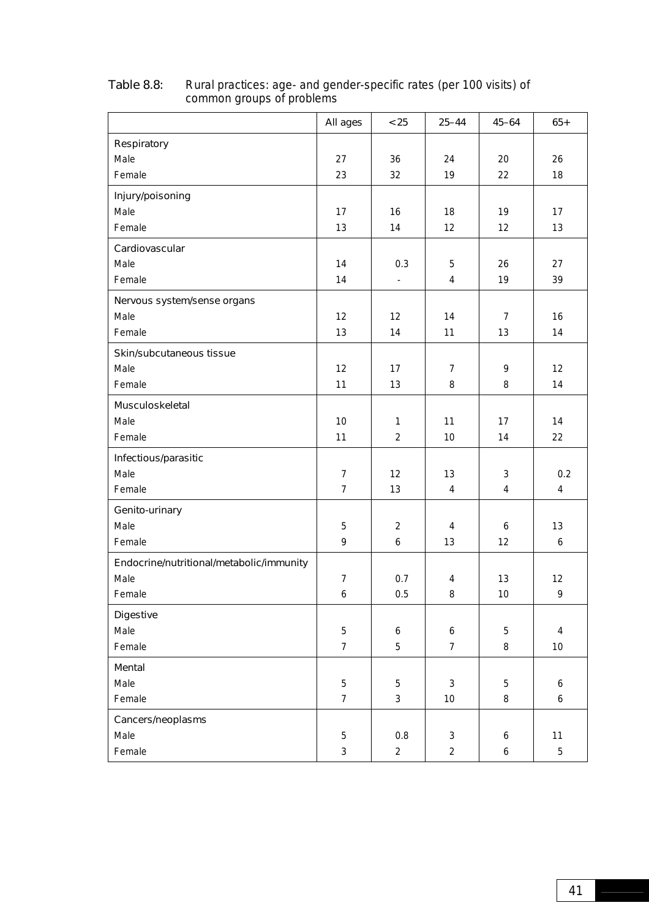|                                          | All ages       | < 25              | $25 - 44$        | $45 - 64$      | $65+$            |
|------------------------------------------|----------------|-------------------|------------------|----------------|------------------|
| Respiratory                              |                |                   |                  |                |                  |
| Male                                     | 27             | 36                | 24               | 20             | 26               |
| Female                                   | 23             | 32                | 19               | 22             | 18               |
| Injury/poisoning                         |                |                   |                  |                |                  |
| Male                                     | 17             | 16                | 18               | 19             | 17               |
| Female                                   | 13             | 14                | 12               | 12             | 13               |
| Cardiovascular                           |                |                   |                  |                |                  |
| Male                                     | 14             | 0.3               | 5                | 26             | 27               |
| Female                                   | 14             | $\blacksquare$    | $\overline{4}$   | 19             | 39               |
| Nervous system/sense organs              |                |                   |                  |                |                  |
| Male                                     | 12             | 12                | 14               | $\overline{7}$ | 16               |
| Female                                   | 13             | 14                | 11               | 13             | 14               |
| Skin/subcutaneous tissue                 |                |                   |                  |                |                  |
| Male                                     | 12             | 17                | $\overline{7}$   | 9              | 12               |
| Female                                   | 11             | 13                | 8                | 8              | 14               |
| Musculoskeletal                          |                |                   |                  |                |                  |
| Male                                     | 10             | $\mathbf{1}$      | 11               | 17             | 14               |
| Female                                   | 11             | $\overline{2}$    | 10               | 14             | 22               |
| Infectious/parasitic                     |                |                   |                  |                |                  |
| Male                                     | $\overline{7}$ | $12 \overline{ }$ | 13               | 3              | 0.2              |
| Female                                   | $\overline{7}$ | 13                | $\overline{4}$   | 4              | 4                |
| Genito-urinary                           |                |                   |                  |                |                  |
| Male                                     | 5              | 2                 | $\overline{4}$   | 6              | 13               |
| Female                                   | 9              | 6                 | 13               | 12             | 6                |
| Endocrine/nutritional/metabolic/immunity |                |                   |                  |                |                  |
| Male                                     | $\overline{7}$ | 0.7               | $\overline{4}$   | 13             | 12               |
| Female                                   | 6              | 0.5               | 8                | 10             | 9                |
| <b>Digestive</b>                         |                |                   |                  |                |                  |
| Male                                     | 5              | $\boldsymbol{6}$  | $\boldsymbol{6}$ | 5              | $\pmb{4}$        |
| Female                                   | $\overline{7}$ | 5                 | $\overline{7}$   | 8              | $10\,$           |
| Mental                                   |                |                   |                  |                |                  |
| Male                                     | 5              | 5                 | $\mathbf{3}$     | 5              | 6                |
| Female                                   | $\overline{7}$ | $\mathfrak{Z}$    | 10               | 8              | $\boldsymbol{6}$ |
| Cancers/neoplasms                        |                |                   |                  |                |                  |
| Male                                     | 5              | 0.8               | $\mathbf{3}$     | 6              | 11               |
| Female                                   | $\mathfrak{Z}$ | $\overline{2}$    | $\overline{2}$   | 6              | 5                |

#### Table 8.8: Rural practices: age- and gender-specific rates (per 100 visits) of common groups of problems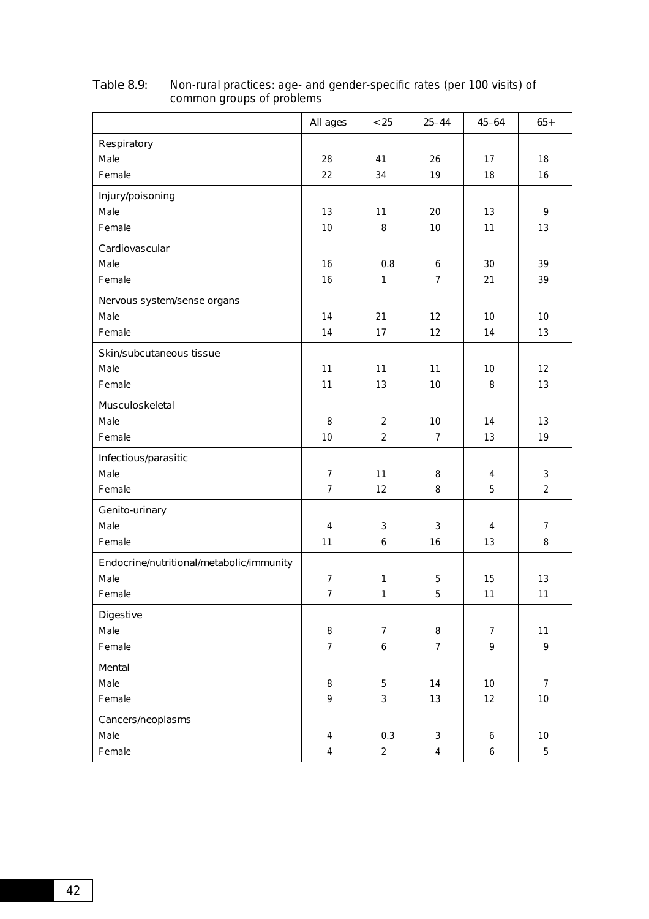|                                          | All ages       | < 25           | $25 - 44$      | $45 - 64$      | $65+$          |
|------------------------------------------|----------------|----------------|----------------|----------------|----------------|
| Respiratory                              |                |                |                |                |                |
| Male                                     | 28             | 41             | 26             | 17             | 18             |
| Female                                   | 22             | 34             | 19             | 18             | 16             |
| Injury/poisoning                         |                |                |                |                |                |
| Male                                     | 13             | 11             | 20             | 13             | 9              |
| Female                                   | 10             | 8              | 10             | 11             | 13             |
| Cardiovascular                           |                |                |                |                |                |
| Male                                     | 16             | 0.8            | 6              | 30             | 39             |
| Female                                   | 16             | 1              | $\overline{7}$ | 21             | 39             |
| Nervous system/sense organs              |                |                |                |                |                |
| Male                                     | 14             | 21             | 12             | 10             | 10             |
| Female                                   | 14             | 17             | 12             | 14             | 13             |
| Skin/subcutaneous tissue                 |                |                |                |                |                |
| Male                                     | 11             | 11             | 11             | 10             | 12             |
| Female                                   | 11             | 13             | 10             | 8              | 13             |
| Musculoskeletal                          |                |                |                |                |                |
| Male                                     | 8              | $\overline{2}$ | 10             | 14             | 13             |
| Female                                   | 10             | $\overline{2}$ | $\overline{7}$ | 13             | 19             |
| Infectious/parasitic                     |                |                |                |                |                |
| Male                                     | $\overline{7}$ | 11             | 8              | 4              | 3              |
| Female                                   | $\overline{7}$ | 12             | 8              | 5              | $\overline{2}$ |
| Genito-urinary                           |                |                |                |                |                |
| Male                                     | $\pmb{4}$      | 3              | 3              | 4              | $\overline{7}$ |
| Female                                   | 11             | 6              | 16             | 13             | 8              |
| Endocrine/nutritional/metabolic/immunity |                |                |                |                |                |
| Male                                     | $\overline{7}$ | $\mathbf{1}$   | 5              | 15             | 13             |
| Female                                   | $\overline{7}$ | 1              | 5              | 11             | 11             |
| <b>Digestive</b>                         |                |                |                |                |                |
| Male                                     | 8              | $\overline{7}$ | 8              | $\overline{7}$ | 11             |
| Female                                   | $\overline{7}$ | 6              | $\overline{7}$ | 9              | 9              |
| Mental                                   |                |                |                |                |                |
| Male                                     | 8              | 5              | 14             | 10             | $\overline{7}$ |
| Female                                   | 9              | 3              | 13             | 12             | $10$           |
| Cancers/neoplasms                        |                |                |                |                |                |
| Male                                     | $\overline{4}$ | 0.3            | $\mathbf{3}$   | 6              | $10$           |
| Female                                   | $\overline{4}$ | $\overline{a}$ | $\overline{4}$ | 6              | $\sqrt{5}$     |

#### Table 8.9: Non-rural practices: age- and gender-specific rates (per 100 visits) of common groups of problems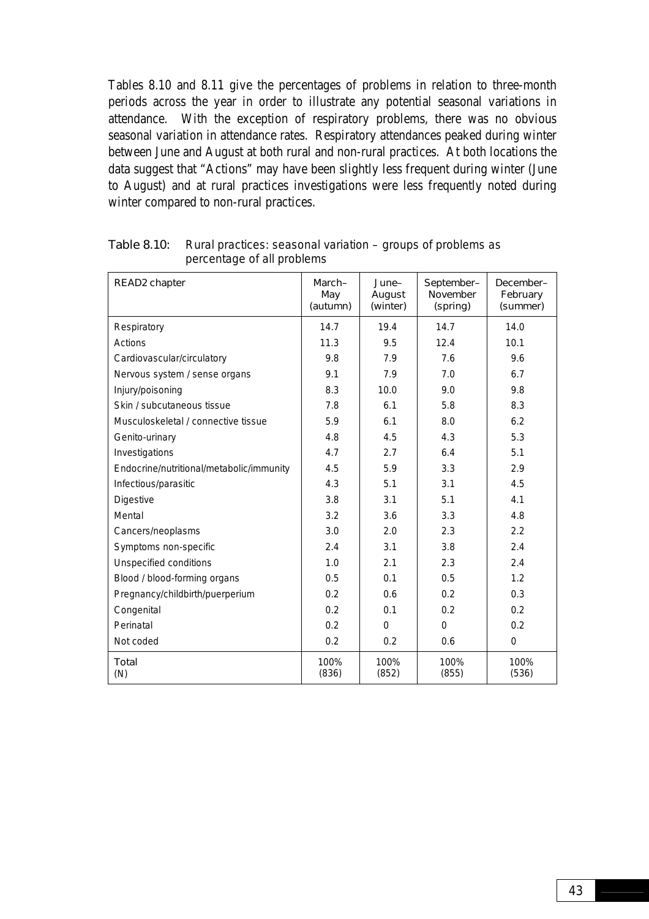Tables 8.10 and 8.11 give the percentages of problems in relation to three-month periods across the year in order to illustrate any potential seasonal variations in attendance. With the exception of respiratory problems, there was no obvious seasonal variation in attendance rates. Respiratory attendances peaked during winter between June and August at both rural and non-rural practices. At both locations the data suggest that "Actions" may have been slightly less frequent during winter (June to August) and at rural practices investigations were less frequently noted during winter compared to non-rural practices.

| READ2 chapter                            | March-<br>May<br>(autumn) | June-<br>August<br>(winter) | September-<br>November<br>(spring) | December-<br>February<br>(summer) |
|------------------------------------------|---------------------------|-----------------------------|------------------------------------|-----------------------------------|
| Respiratory                              | 14.7                      | 19.4                        | 14.7                               | 14.0                              |
| Actions                                  | 11.3                      | 9.5                         | 12.4                               | 10.1                              |
| Cardiovascular/circulatory               | 9.8                       | 7.9                         | 7.6                                | 9.6                               |
| Nervous system / sense organs            | 9.1                       | 7.9                         | 7.0                                | 6.7                               |
| Injury/poisoning                         | 8.3                       | 10.0                        | 9.0                                | 9.8                               |
| Skin / subcutaneous tissue               | 7.8                       | 6.1                         | 5.8                                | 8.3                               |
| Musculoskeletal / connective tissue      | 5.9                       | 6.1                         | 8.0                                | 6.2                               |
| Genito-urinary                           | 4.8                       | 4.5                         | 4.3                                | 5.3                               |
| Investigations                           | 4.7                       | 2.7                         | 6.4                                | 5.1                               |
| Endocrine/nutritional/metabolic/immunity | 4.5                       | 5.9                         | 3.3                                | 2.9                               |
| Infectious/parasitic                     | 4.3                       | 5.1                         | 3.1                                | 4.5                               |
| Digestive                                | 3.8                       | 3.1                         | 5.1                                | 4.1                               |
| Mental                                   | 3.2                       | 3.6                         | 3.3                                | 4.8                               |
| Cancers/neoplasms                        | 3.0                       | 2.0                         | 2.3                                | 2.2                               |
| Symptoms non-specific                    | 2.4                       | 3.1                         | 3.8                                | 2.4                               |
| <b>Unspecified conditions</b>            | 1.0                       | 2.1                         | 2.3                                | 2.4                               |
| Blood / blood-forming organs             | 0.5                       | 0.1                         | 0.5                                | 1.2                               |
| Pregnancy/childbirth/puerperium          | 0.2                       | 0.6                         | 0.2                                | 0.3                               |
| Congenital                               | 0.2                       | 0.1                         | 0.2                                | 0.2                               |
| Perinatal                                | 0.2                       | $\Omega$                    | $\overline{0}$                     | 0.2                               |
| Not coded                                | 0.2                       | 0.2                         | 0.6                                | $\Omega$                          |
| <b>Total</b><br>(N)                      | 100%<br>(836)             | 100%<br>(852)               | 100%<br>(855)                      | 100%<br>(536)                     |

Table 8.10: Rural practices: seasonal variation – groups of problems as percentage of all problems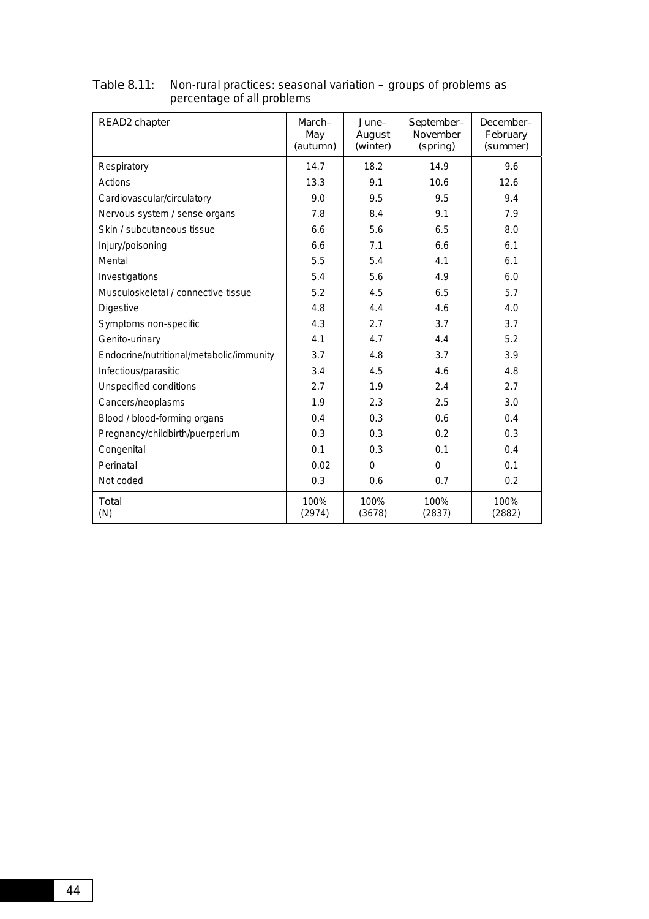| READ2 chapter                            | March-<br>May<br>(autumn) | June-<br>August<br>(winter) | September-<br><b>November</b><br>(spring) | December-<br>February<br>(summer) |
|------------------------------------------|---------------------------|-----------------------------|-------------------------------------------|-----------------------------------|
| Respiratory                              | 14.7                      | 18.2                        | 14.9                                      | 9.6                               |
| Actions                                  | 13.3                      | 9.1                         | 10.6                                      | 12.6                              |
| Cardiovascular/circulatory               | 9.0                       | 9.5                         | 9.5                                       | 9.4                               |
| Nervous system / sense organs            | 7.8                       | 8.4                         | 9.1                                       | 7.9                               |
| Skin / subcutaneous tissue               | 6.6                       | 5.6                         | 6.5                                       | 8.0                               |
| Injury/poisoning                         | 6.6                       | 7.1                         | 6.6                                       | 6.1                               |
| Mental                                   | 5.5                       | 5.4                         | 4.1                                       | 6.1                               |
| Investigations                           | 5.4                       | 5.6                         | 4.9                                       | 6.0                               |
| Musculoskeletal / connective tissue      | 5.2                       | 4.5                         | 6.5                                       | 5.7                               |
| Digestive                                | 4.8                       | 4.4                         | 4.6                                       | 4.0                               |
| Symptoms non-specific                    | 4.3                       | 2.7                         | 3.7                                       | 3.7                               |
| Genito-urinary                           | 4.1                       | 4.7                         | 4.4                                       | 5.2                               |
| Endocrine/nutritional/metabolic/immunity | 3.7                       | 4.8                         | 3.7                                       | 3.9                               |
| Infectious/parasitic                     | 3.4                       | 4.5                         | 4.6                                       | 4.8                               |
| Unspecified conditions                   | 2.7                       | 1.9                         | 2.4                                       | 2.7                               |
| Cancers/neoplasms                        | 1.9                       | 2.3                         | 2.5                                       | 3.0                               |
| Blood / blood-forming organs             | 0.4                       | 0.3                         | 0.6                                       | 0.4                               |
| Pregnancy/childbirth/puerperium          | 0.3                       | 0.3                         | 0.2                                       | 0.3                               |
| Congenital                               | 0.1                       | 0.3                         | 0.1                                       | 0.4                               |
| Perinatal                                | 0.02                      | $\Omega$                    | $\Omega$                                  | 0.1                               |
| Not coded                                | 0.3                       | 0.6                         | 0.7                                       | 0.2                               |
| Total<br>(N)                             | 100%<br>(2974)            | 100%<br>(3678)              | 100%<br>(2837)                            | 100%<br>(2882)                    |

#### Table 8.11: Non-rural practices: seasonal variation – groups of problems as percentage of all problems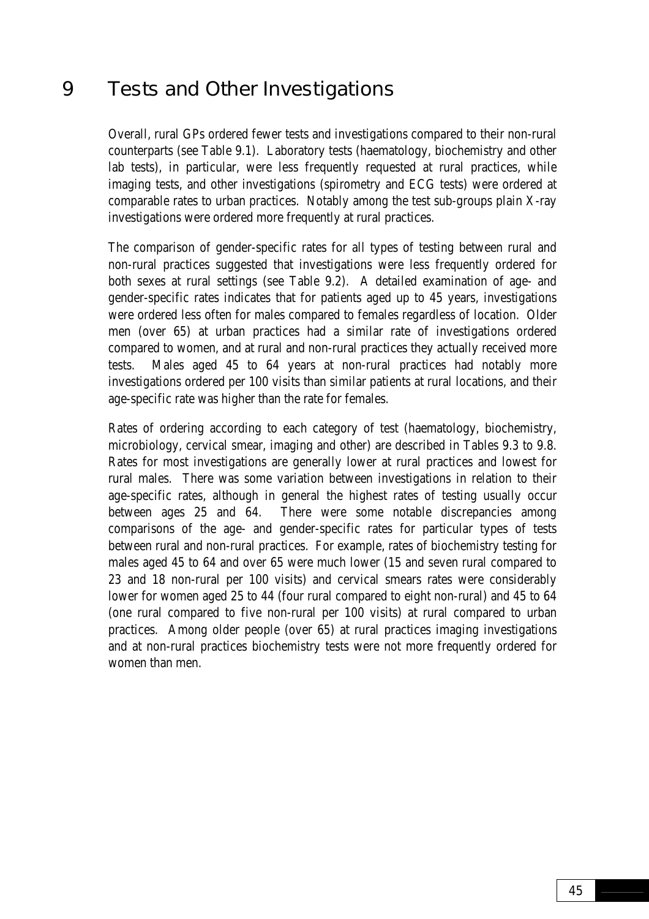# 9 Tests and Other Investigations

Overall, rural GPs ordered fewer tests and investigations compared to their non-rural counterparts (see Table 9.1). Laboratory tests (haematology, biochemistry and other lab tests), in particular, were less frequently requested at rural practices, while imaging tests, and other investigations (spirometry and ECG tests) were ordered at comparable rates to urban practices. Notably among the test sub-groups plain X-ray investigations were ordered more frequently at rural practices.

The comparison of gender-specific rates for all types of testing between rural and non-rural practices suggested that investigations were less frequently ordered for both sexes at rural settings (see Table 9.2). A detailed examination of age- and gender-specific rates indicates that for patients aged up to 45 years, investigations were ordered less often for males compared to females regardless of location. Older men (over 65) at urban practices had a similar rate of investigations ordered compared to women, and at rural and non-rural practices they actually received more tests. Males aged 45 to 64 years at non-rural practices had notably more investigations ordered per 100 visits than similar patients at rural locations, and their age-specific rate was higher than the rate for females.

Rates of ordering according to each category of test (haematology, biochemistry, microbiology, cervical smear, imaging and other) are described in Tables 9.3 to 9.8. Rates for most investigations are generally lower at rural practices and lowest for rural males. There was some variation between investigations in relation to their age-specific rates, although in general the highest rates of testing usually occur between ages 25 and 64. There were some notable discrepancies among comparisons of the age- and gender-specific rates for particular types of tests between rural and non-rural practices. For example, rates of biochemistry testing for males aged 45 to 64 and over 65 were much lower (15 and seven rural compared to 23 and 18 non-rural per 100 visits) and cervical smears rates were considerably lower for women aged 25 to 44 (four rural compared to eight non-rural) and 45 to 64 (one rural compared to five non-rural per 100 visits) at rural compared to urban practices. Among older people (over 65) at rural practices imaging investigations and at non-rural practices biochemistry tests were not more frequently ordered for women than men.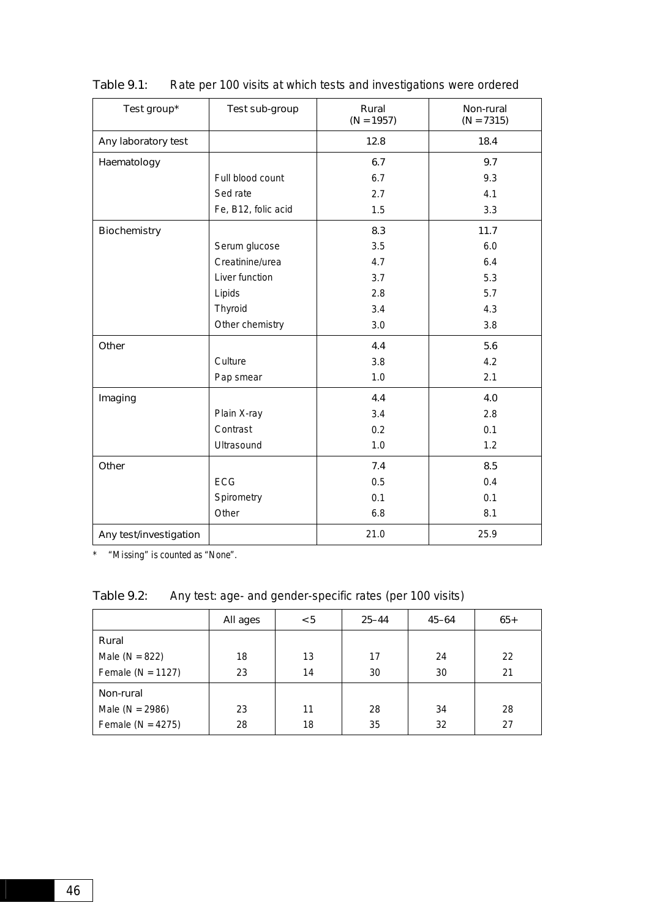| Test group*            | Test sub-group      | Rural<br>$(N = 1957)$ | Non-rural<br>$(N = 7315)$ |
|------------------------|---------------------|-----------------------|---------------------------|
| Any laboratory test    |                     | 12.8                  | 18.4                      |
| Haematology            |                     | 6.7                   | 9.7                       |
|                        | Full blood count    | 6.7                   | 9.3                       |
|                        | Sed rate            | 2.7                   | 4.1                       |
|                        | Fe, B12, folic acid | 1.5                   | 3.3                       |
| <b>Biochemistry</b>    |                     | 8.3                   | 11.7                      |
|                        | Serum glucose       | 3.5                   | 6.0                       |
|                        | Creatinine/urea     | 4.7                   | 6.4                       |
|                        | Liver function      | 3.7                   | 5.3                       |
|                        | Lipids              | 2.8                   | 5.7                       |
|                        | Thyroid             | 3.4                   | 4.3                       |
|                        | Other chemistry     | 3.0                   | 3.8                       |
| Other                  |                     | 4.4                   | 5.6                       |
|                        | Culture             | 3.8                   | 4.2                       |
|                        | Pap smear           | 1.0                   | 2.1                       |
| Imaging                |                     | 4.4                   | 4.0                       |
|                        | Plain X-ray         | 3.4                   | 2.8                       |
|                        | Contrast            | 0.2                   | 0.1                       |
|                        | Ultrasound          | 1.0                   | 1.2                       |
| Other                  |                     | 7.4                   | 8.5                       |
|                        | <b>ECG</b>          | 0.5                   | 0.4                       |
|                        | Spirometry          | 0.1                   | 0.1                       |
|                        | Other               | 6.8                   | 8.1                       |
| Any test/investigation |                     | 21.0                  | 25.9                      |

| Table 9.1: | Rate per 100 visits at which tests and investigations were ordered |
|------------|--------------------------------------------------------------------|
|------------|--------------------------------------------------------------------|

\* "Missing" is counted as "None".

Table 9.2: Any test: age- and gender-specific rates (per 100 visits)

|                       | All ages | < 5 | $25 - 44$ | $45 - 64$ | $65+$ |
|-----------------------|----------|-----|-----------|-----------|-------|
| Rural                 |          |     |           |           |       |
| Male ( $N = 822$ )    | 18       | 13  | 17        | 24        | 22    |
| Female ( $N = 1127$ ) | 23       | 14  | 30        | 30        | 21    |
| Non-rural             |          |     |           |           |       |
| Male ( $N = 2986$ )   | 23       | 11  | 28        | 34        | 28    |
| Female ( $N = 4275$ ) | 28       | 18  | 35        | 32        | 27    |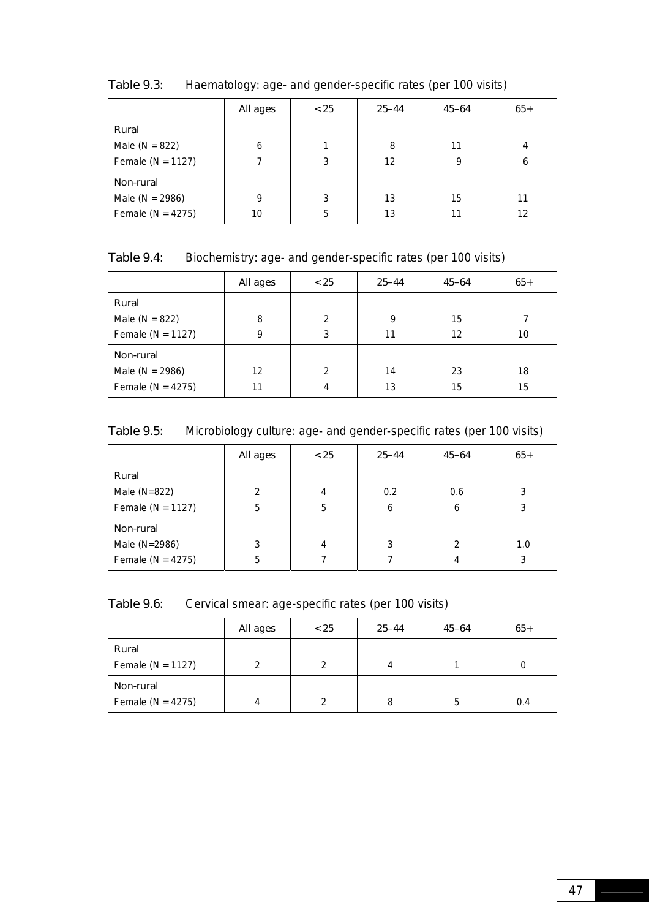|                       | All ages | < 25 | $25 - 44$ | $45 - 64$ | $65+$ |
|-----------------------|----------|------|-----------|-----------|-------|
| Rural                 |          |      |           |           |       |
| Male ( $N = 822$ )    | 6        |      | 8         | 11        | 4     |
| Female ( $N = 1127$ ) |          | 3    | 12        | 9         | 6     |
| Non-rural             |          |      |           |           |       |
| Male ( $N = 2986$ )   | 9        | 3    | 13        | 15        | 11    |
| Female ( $N = 4275$ ) | 10       | 5    | 13        | 11        | 12    |

Table 9.3: Haematology: age- and gender-specific rates (per 100 visits)

Table 9.4: Biochemistry: age- and gender-specific rates (per 100 visits)

|                       | All ages | < 25           | $25 - 44$ | $45 - 64$ | $65+$ |
|-----------------------|----------|----------------|-----------|-----------|-------|
| Rural                 |          |                |           |           |       |
| Male ( $N = 822$ )    | 8        | $\mathfrak{D}$ | 9         | 15        |       |
| Female ( $N = 1127$ ) | 9        | 3              | 11        | 12        | 10    |
| Non-rural             |          |                |           |           |       |
| Male ( $N = 2986$ )   | 12       | $\overline{2}$ | 14        | 23        | 18    |
| Female ( $N = 4275$ ) | 11       | 4              | 13        | 15        | 15    |

Table 9.5: Microbiology culture: age- and gender-specific rates (per 100 visits)

|                       | All ages       | < 25           | $25 - 44$ | $45 - 64$      | $65+$ |
|-----------------------|----------------|----------------|-----------|----------------|-------|
| Rural                 |                |                |           |                |       |
| Male $(N=822)$        | $\mathfrak{p}$ | $\overline{4}$ | 0.2       | 0.6            |       |
| Female ( $N = 1127$ ) | 5              | 5              | 6         | 6              |       |
| Non-rural             |                |                |           |                |       |
| Male (N=2986)         | 3              | 4              | 3         | $\overline{2}$ | 1.0   |
| Female ( $N = 4275$ ) | 5              |                |           | 4              | 3     |

Table 9.6: Cervical smear: age-specific rates (per 100 visits)

|                       | All ages      | < 25 | $25 - 44$ | $45 - 64$ | $65+$ |
|-----------------------|---------------|------|-----------|-----------|-------|
| Rural                 |               |      |           |           |       |
| Female ( $N = 1127$ ) | $\mathcal{P}$ | 2    | 4         |           |       |
| Non-rural             |               |      |           |           |       |
| Female ( $N = 4275$ ) | 4             | າ    | 8         | 5         | 0.4   |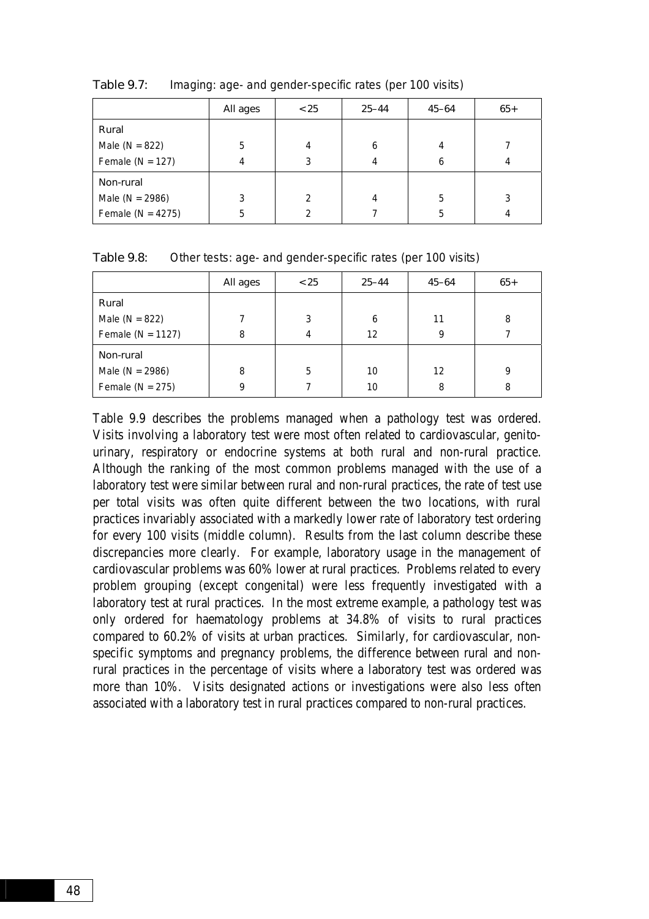|                       | All ages | < 25          | $25 - 44$ | $45 - 64$ | $65+$ |
|-----------------------|----------|---------------|-----------|-----------|-------|
| Rural                 |          |               |           |           |       |
| Male ( $N = 822$ )    | 5        | 4             | 6         | 4         |       |
| Female ( $N = 127$ )  | 4        | 3             |           | 6         |       |
| Non-rural             |          |               |           |           |       |
| Male ( $N = 2986$ )   | 3        | $\mathcal{P}$ |           | 5         | 3     |
| Female ( $N = 4275$ ) | 5        | 2             |           | 5         |       |

Table 9.7: Imaging: age- and gender-specific rates (per 100 visits)

Table 9.8: Other tests: age- and gender-specific rates (per 100 visits)

|                       | All ages | < 25 | $25 - 44$ | $45 - 64$ | $65+$ |
|-----------------------|----------|------|-----------|-----------|-------|
| Rural                 |          |      |           |           |       |
| Male ( $N = 822$ )    |          | 3    | 6         | 11        | 8     |
| Female ( $N = 1127$ ) | 8        | 4    | 12        | 9         |       |
| Non-rural             |          |      |           |           |       |
| Male ( $N = 2986$ )   | 8        | 5    | 10        | 12        | q     |
| Female ( $N = 275$ )  | 9        |      | 10        | 8         | 8     |

Table 9.9 describes the problems managed when a pathology test was ordered. Visits involving a laboratory test were most often related to cardiovascular, genitourinary, respiratory or endocrine systems at both rural and non-rural practice. Although the ranking of the most common problems managed with the use of a laboratory test were similar between rural and non-rural practices, the rate of test use per total visits was often quite different between the two locations, with rural practices invariably associated with a markedly lower rate of laboratory test ordering for every 100 visits (middle column). Results from the last column describe these discrepancies more clearly. For example, laboratory usage in the management of cardiovascular problems was 60% lower at rural practices. Problems related to every problem grouping (except congenital) were less frequently investigated with a laboratory test at rural practices. In the most extreme example, a pathology test was only ordered for haematology problems at 34.8% of visits to rural practices compared to 60.2% of visits at urban practices. Similarly, for cardiovascular, nonspecific symptoms and pregnancy problems, the difference between rural and nonrural practices in the percentage of visits where a laboratory test was ordered was more than 10%. Visits designated actions or investigations were also less often associated with a laboratory test in rural practices compared to non-rural practices.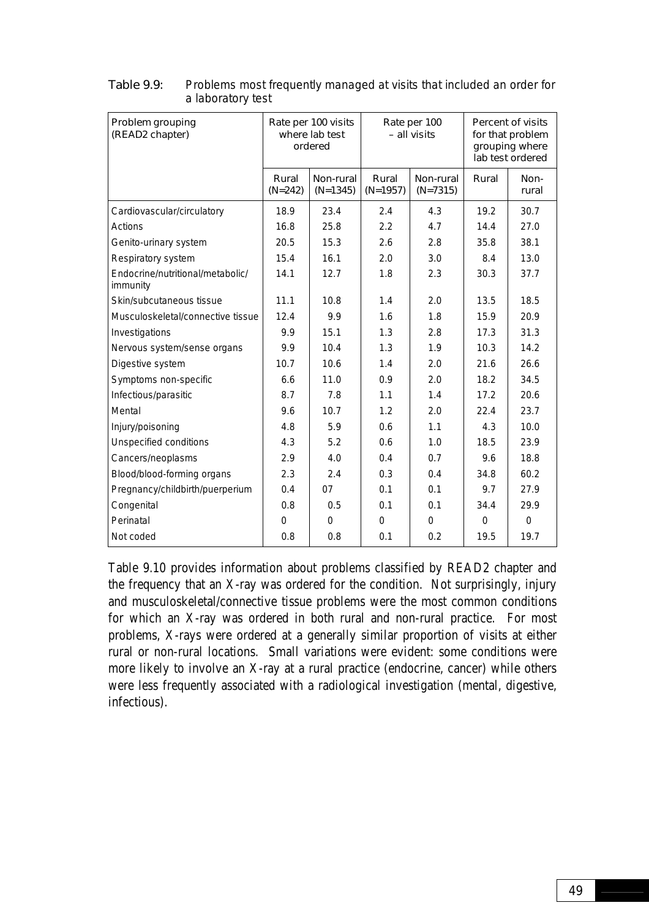| Problem grouping<br>(READ2 chapter)          | Rate per 100 visits<br>where lab test<br>ordered |                         | Rate per 100<br>- all visits |                         | <b>Percent of visits</b><br>for that problem<br>grouping where<br>lab test ordered |               |
|----------------------------------------------|--------------------------------------------------|-------------------------|------------------------------|-------------------------|------------------------------------------------------------------------------------|---------------|
|                                              | Rural<br>$(N=242)$                               | Non-rural<br>$(N=1345)$ | Rural<br>$(N=1957)$          | Non-rural<br>$(N=7315)$ | Rural                                                                              | Non-<br>rural |
| Cardiovascular/circulatory                   | 18.9                                             | 23.4                    | 2.4                          | 4.3                     | 19.2                                                                               | 30.7          |
| Actions                                      | 16.8                                             | 25.8                    | 2.2                          | 4.7                     | 14.4                                                                               | 27.0          |
| Genito-urinary system                        | 20.5                                             | 15.3                    | 2.6                          | 2.8                     | 35.8                                                                               | 38.1          |
| Respiratory system                           | 15.4                                             | 16.1                    | 2.0                          | 3.0                     | 8.4                                                                                | 13.0          |
| Endocrine/nutritional/metabolic/<br>immunity | 14.1                                             | 12.7                    | 1.8                          | 2.3                     | 30.3                                                                               | 37.7          |
| Skin/subcutaneous tissue                     | 11.1                                             | 10.8                    | 1.4                          | 2.0                     | 13.5                                                                               | 18.5          |
| Musculoskeletal/connective tissue            | 12.4                                             | 9.9                     | 1.6                          | 1.8                     | 15.9                                                                               | 20.9          |
| Investigations                               | 9.9                                              | 15.1                    | 1.3                          | 2.8                     | 17.3                                                                               | 31.3          |
| Nervous system/sense organs                  | 9.9                                              | 10.4                    | 1.3                          | 1.9                     | 10.3                                                                               | 14.2          |
| Digestive system                             | 10.7                                             | 10.6                    | 1.4                          | 2.0                     | 21.6                                                                               | 26.6          |
| Symptoms non-specific                        | 6.6                                              | 11.0                    | 0.9                          | 2.0                     | 18.2                                                                               | 34.5          |
| Infectious/parasitic                         | 8.7                                              | 7.8                     | 1.1                          | 1.4                     | 17.2                                                                               | 20.6          |
| Mental                                       | 9.6                                              | 10.7                    | 1.2                          | 2.0                     | 22.4                                                                               | 23.7          |
| Injury/poisoning                             | 4.8                                              | 5.9                     | 0.6                          | 1.1                     | 4.3                                                                                | 10.0          |
| Unspecified conditions                       | 4.3                                              | 5.2                     | 0.6                          | 1.0                     | 18.5                                                                               | 23.9          |
| Cancers/neoplasms                            | 2.9                                              | 4.0                     | 0.4                          | 0.7                     | 9.6                                                                                | 18.8          |
| Blood/blood-forming organs                   | 2.3                                              | 2.4                     | 0.3                          | 0.4                     | 34.8                                                                               | 60.2          |
| Pregnancy/childbirth/puerperium              | 0.4                                              | 07                      | 0.1                          | 0.1                     | 9.7                                                                                | 27.9          |
| Congenital                                   | 0.8                                              | 0.5                     | 0.1                          | 0.1                     | 34.4                                                                               | 29.9          |
| Perinatal                                    | $\Omega$                                         | $\Omega$                | $\Omega$                     | $\Omega$                | $\Omega$                                                                           | $\mathbf 0$   |
| Not coded                                    | 0.8                                              | 0.8                     | 0.1                          | 0.2                     | 19.5                                                                               | 19.7          |

Table 9.9: Problems most frequently managed at visits that included an order for a laboratory test

Table 9.10 provides information about problems classified by READ2 chapter and the frequency that an X-ray was ordered for the condition. Not surprisingly, injury and musculoskeletal/connective tissue problems were the most common conditions for which an X-ray was ordered in both rural and non-rural practice. For most problems, X-rays were ordered at a generally similar proportion of visits at either rural or non-rural locations. Small variations were evident: some conditions were more likely to involve an X-ray at a rural practice (endocrine, cancer) while others were less frequently associated with a radiological investigation (mental, digestive, infectious).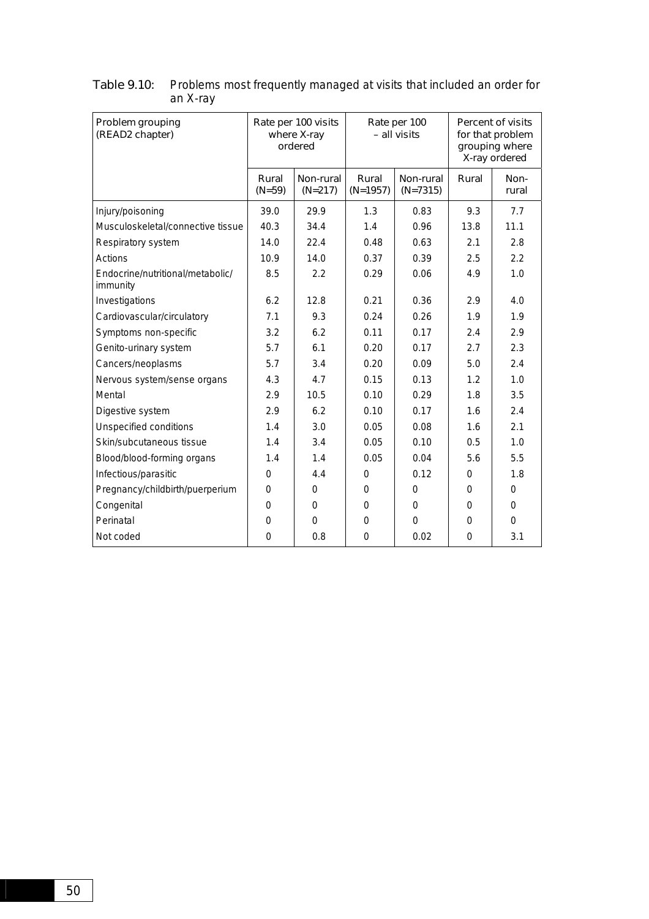| Problem grouping<br>(READ2 chapter)          | Rate per 100 visits<br>where X-ray<br>ordered |                        | Rate per 100<br>- all visits |                         | <b>Percent of visits</b><br>for that problem<br>grouping where<br>X-ray ordered |               |
|----------------------------------------------|-----------------------------------------------|------------------------|------------------------------|-------------------------|---------------------------------------------------------------------------------|---------------|
|                                              | Rural<br>$(N=59)$                             | Non-rural<br>$(N=217)$ | Rural<br>$(N=1957)$          | Non-rural<br>$(N=7315)$ | Rural                                                                           | Non-<br>rural |
| Injury/poisoning                             | 39.0                                          | 29.9                   | 1.3                          | 0.83                    | 9.3                                                                             | 7.7           |
| Musculoskeletal/connective tissue            | 40.3                                          | 34.4                   | 1.4                          | 0.96                    | 13.8                                                                            | 11.1          |
| Respiratory system                           | 14.0                                          | 22.4                   | 0.48                         | 0.63                    | 2.1                                                                             | 2.8           |
| Actions                                      | 10.9                                          | 14.0                   | 0.37                         | 0.39                    | 2.5                                                                             | 2.2           |
| Endocrine/nutritional/metabolic/<br>immunity | 8.5                                           | 2.2                    | 0.29                         | 0.06                    | 4.9                                                                             | 1.0           |
| Investigations                               | 6.2                                           | 12.8                   | 0.21                         | 0.36                    | 2.9                                                                             | 4.0           |
| Cardiovascular/circulatory                   | 7.1                                           | 9.3                    | 0.24                         | 0.26                    | 1.9                                                                             | 1.9           |
| Symptoms non-specific                        | 3.2                                           | 6.2                    | 0.11                         | 0.17                    | 2.4                                                                             | 2.9           |
| Genito-urinary system                        | 5.7                                           | 6.1                    | 0.20                         | 0.17                    | 2.7                                                                             | 2.3           |
| Cancers/neoplasms                            | 5.7                                           | 3.4                    | 0.20                         | 0.09                    | 5.0                                                                             | 2.4           |
| Nervous system/sense organs                  | 4.3                                           | 4.7                    | 0.15                         | 0.13                    | 1.2                                                                             | 1.0           |
| Mental                                       | 2.9                                           | 10.5                   | 0.10                         | 0.29                    | 1.8                                                                             | 3.5           |
| Digestive system                             | 2.9                                           | 6.2                    | 0.10                         | 0.17                    | 1.6                                                                             | 2.4           |
| Unspecified conditions                       | 1.4                                           | 3.0                    | 0.05                         | 0.08                    | 1.6                                                                             | 2.1           |
| Skin/subcutaneous tissue                     | 1.4                                           | 3.4                    | 0.05                         | 0.10                    | 0.5                                                                             | 1.0           |
| Blood/blood-forming organs                   | 1.4                                           | 1.4                    | 0.05                         | 0.04                    | 5.6                                                                             | 5.5           |
| Infectious/parasitic                         | 0                                             | 4.4                    | $\Omega$                     | 0.12                    | $\Omega$                                                                        | 1.8           |
| Pregnancy/childbirth/puerperium              | $\Omega$                                      | $\Omega$               | 0                            | $\Omega$                | 0                                                                               | $\Omega$      |
| Congenital                                   | $\Omega$                                      | $\Omega$               | 0                            | $\Omega$                | $\Omega$                                                                        | $\Omega$      |
| Perinatal                                    | $\Omega$                                      | $\Omega$               | $\Omega$                     | $\Omega$                | 0                                                                               | $\Omega$      |
| Not coded                                    | $\Omega$                                      | 0.8                    | $\Omega$                     | 0.02                    | $\Omega$                                                                        | 3.1           |

Table 9.10: Problems most frequently managed at visits that included an order for an X-ray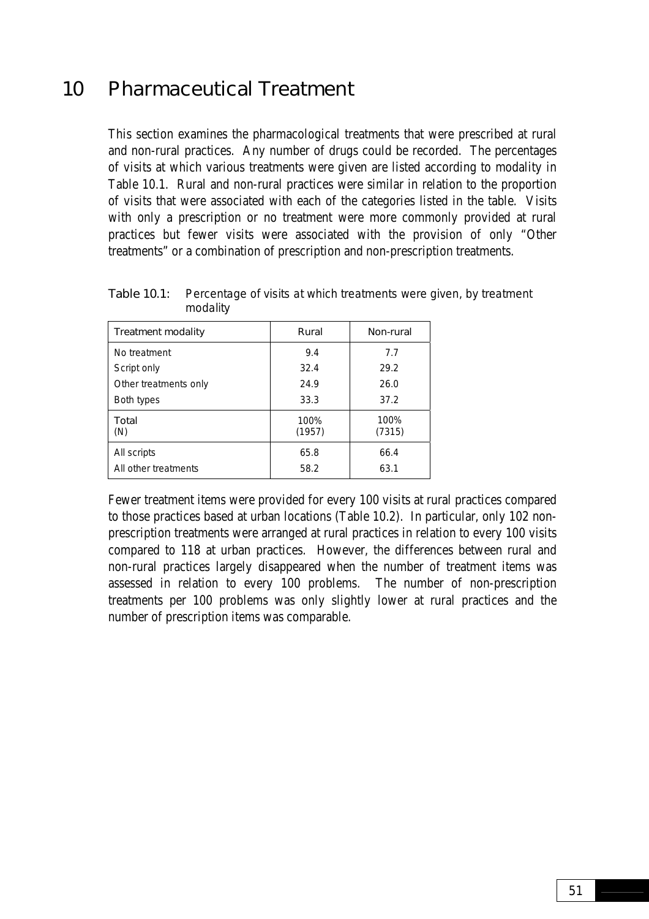# 10 Pharmaceutical Treatment

This section examines the pharmacological treatments that were prescribed at rural and non-rural practices. Any number of drugs could be recorded. The percentages of visits at which various treatments were given are listed according to modality in Table 10.1. Rural and non-rural practices were similar in relation to the proportion of visits that were associated with each of the categories listed in the table. Visits with only a prescription or no treatment were more commonly provided at rural practices but fewer visits were associated with the provision of only "Other treatments" or a combination of prescription and non-prescription treatments.

| <b>Treatment modality</b> | Rural          | Non-rural      |
|---------------------------|----------------|----------------|
| No treatment              | 9.4            | 7.7            |
| Script only               | 32.4           | 29.2           |
| Other treatments only     | 24.9           | 26.0           |
| Both types                | 33.3           | 37.2           |
| Total<br>(N)              | 100%<br>(1957) | 100%<br>(7315) |
| All scripts               | 65.8           | 66.4           |
| All other treatments      | 58.2           | 63.1           |

Table 10.1: Percentage of visits at which treatments were given, by treatment modality

Fewer treatment items were provided for every 100 visits at rural practices compared to those practices based at urban locations (Table 10.2). In particular, only 102 nonprescription treatments were arranged at rural practices in relation to every 100 visits compared to 118 at urban practices. However, the differences between rural and non-rural practices largely disappeared when the number of treatment items was assessed in relation to every 100 problems. The number of non-prescription treatments per 100 problems was only slightly lower at rural practices and the number of prescription items was comparable.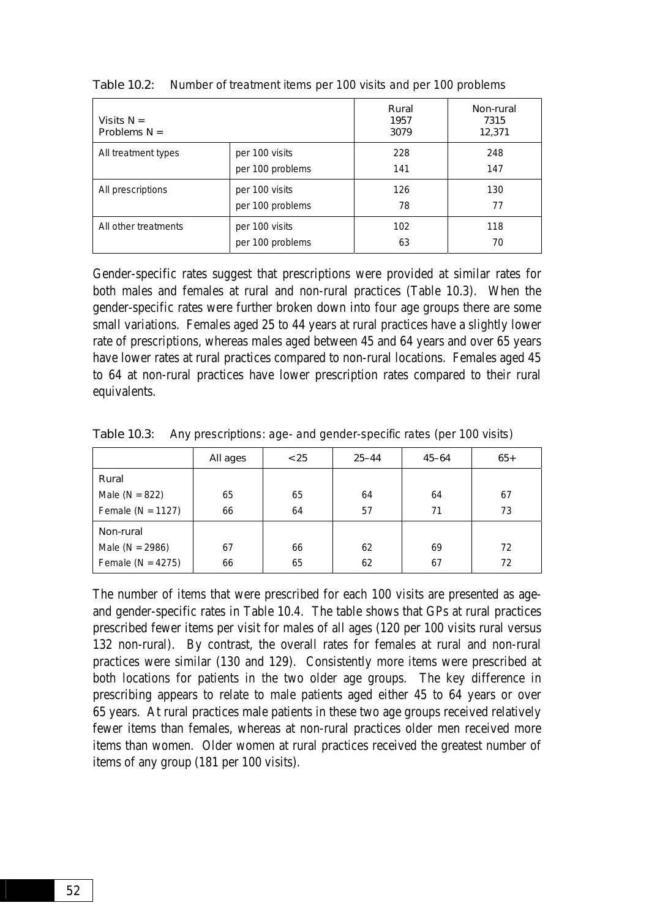| Visits $N =$<br>Problems $N =$ |                  | Rural<br>1957<br>3079 | Non-rural<br>7315<br>12,371 |
|--------------------------------|------------------|-----------------------|-----------------------------|
| All treatment types            | per 100 visits   | 228                   | 248                         |
|                                | per 100 problems | 141                   | 147                         |
| All prescriptions              | per 100 visits   | 126                   | 130                         |
|                                | per 100 problems | 78                    | 77                          |
| All other treatments           | per 100 visits   | 102                   | 118                         |
|                                | per 100 problems | 63                    | 70                          |

Table 10.2: Number of treatment items per 100 visits and per 100 problems

Gender-specific rates suggest that prescriptions were provided at similar rates for both males and females at rural and non-rural practices (Table 10.3). When the gender-specific rates were further broken down into four age groups there are some small variations. Females aged 25 to 44 years at rural practices have a slightly lower rate of prescriptions, whereas males aged between 45 and 64 years and over 65 years have lower rates at rural practices compared to non-rural locations. Females aged 45 to 64 at non-rural practices have lower prescription rates compared to their rural equivalents.

|                       | All ages | < 25 | $25 - 44$ | $45 - 64$ | $65+$ |
|-----------------------|----------|------|-----------|-----------|-------|
| Rural                 |          |      |           |           |       |
| Male ( $N = 822$ )    | 65       | 65   | 64        | 64        | 67    |
| Female ( $N = 1127$ ) | 66       | 64   | 57        | 71        | 73    |
| Non-rural             |          |      |           |           |       |
| Male ( $N = 2986$ )   | 67       | 66   | 62        | 69        | 72    |
| Female ( $N = 4275$ ) | 66       | 65   | 62        | 67        | 72    |

Table 10.3: Any prescriptions: age- and gender-specific rates (per 100 visits)

The number of items that were prescribed for each 100 visits are presented as ageand gender-specific rates in Table 10.4. The table shows that GPs at rural practices prescribed fewer items per visit for males of all ages (120 per 100 visits rural versus 132 non-rural). By contrast, the overall rates for females at rural and non-rural practices were similar (130 and 129). Consistently more items were prescribed at both locations for patients in the two older age groups. The key difference in prescribing appears to relate to male patients aged either 45 to 64 years or over 65 years. At rural practices male patients in these two age groups received relatively fewer items than females, whereas at non-rural practices older men received more items than women. Older women at rural practices received the greatest number of items of any group (181 per 100 visits).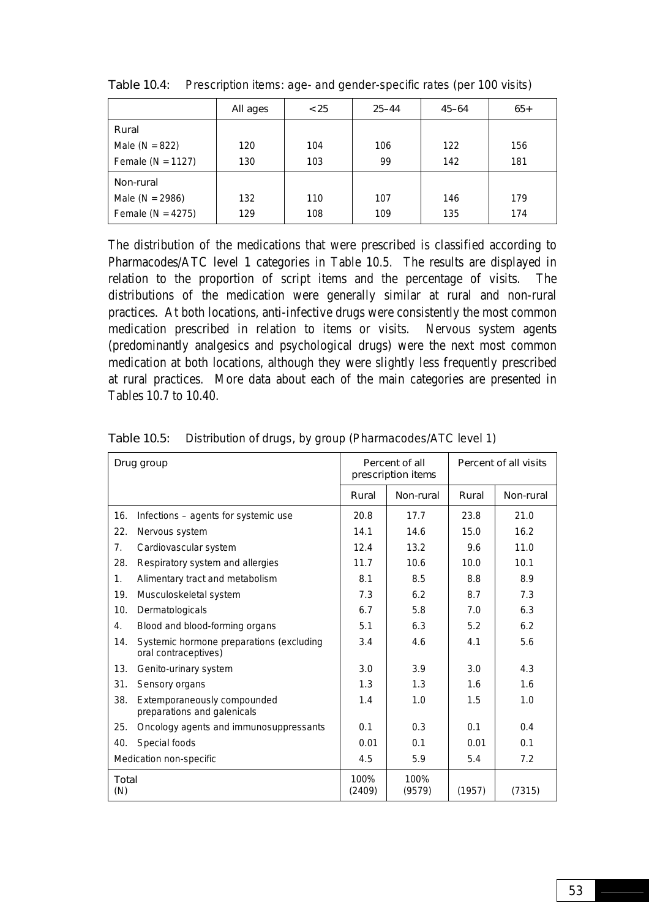|                       | All ages | < 25 | $25 - 44$ | $45 - 64$ | $65+$ |
|-----------------------|----------|------|-----------|-----------|-------|
| Rural                 |          |      |           |           |       |
| Male ( $N = 822$ )    | 120      | 104  | 106       | 122       | 156   |
| Female ( $N = 1127$ ) | 130      | 103  | 99        | 142       | 181   |
| Non-rural             |          |      |           |           |       |
| Male ( $N = 2986$ )   | 132      | 110  | 107       | 146       | 179   |
| Female ( $N = 4275$ ) | 129      | 108  | 109       | 135       | 174   |

Table 10.4: Prescription items: age- and gender-specific rates (per 100 visits)

The distribution of the medications that were prescribed is classified according to Pharmacodes/ATC level 1 categories in Table 10.5. The results are displayed in relation to the proportion of script items and the percentage of visits. The distributions of the medication were generally similar at rural and non-rural practices. At both locations, anti-infective drugs were consistently the most common medication prescribed in relation to items or visits. Nervous system agents (predominantly analgesics and psychological drugs) were the next most common medication at both locations, although they were slightly less frequently prescribed at rural practices. More data about each of the main categories are presented in Tables 10.7 to 10.40.

| Drug group          |                                                                  |                | Percent of all<br>prescription items |        | Percent of all visits |  |
|---------------------|------------------------------------------------------------------|----------------|--------------------------------------|--------|-----------------------|--|
|                     |                                                                  | Rural          | Non-rural                            | Rural  | Non-rural             |  |
| 16.                 | Infections - agents for systemic use                             | 20.8           | 17.7                                 | 23.8   | 21.0                  |  |
| 22.                 | Nervous system                                                   | 14.1           | 14.6                                 | 15.0   | 16.2                  |  |
| 7 <sub>1</sub>      | Cardiovascular system                                            | 12.4           | 13.2                                 | 9.6    | 11.0                  |  |
| 28.                 | Respiratory system and allergies                                 | 11.7           | 10.6                                 | 10.0   | 10.1                  |  |
| $\mathbf{1}$ .      | Alimentary tract and metabolism                                  | 8.1            | 8.5                                  | 8.8    | 8.9                   |  |
| 19.                 | Musculoskeletal system                                           | 7.3            | 6.2                                  | 8.7    | 7.3                   |  |
| 10.                 | Dermatologicals                                                  | 6.7            | 5.8                                  | 7.0    | 6.3                   |  |
| 4.                  | Blood and blood-forming organs                                   | 5.1            | 6.3                                  | 5.2    | 6.2                   |  |
| 14.                 | Systemic hormone preparations (excluding<br>oral contraceptives) | 3.4            | 4.6                                  | 4.1    | 5.6                   |  |
| 13.                 | Genito-urinary system                                            | 3.0            | 3.9                                  | 3.0    | 4.3                   |  |
| 31.                 | Sensory organs                                                   | 1.3            | 1.3                                  | 1.6    | 1.6                   |  |
| 38.                 | Extemporaneously compounded<br>preparations and galenicals       | 1.4            | 1.0                                  | 1.5    | 1.0                   |  |
| 25.                 | Oncology agents and immunosuppressants                           | 0.1            | 0.3                                  | 0.1    | 0.4                   |  |
| 40.                 | Special foods                                                    | 0.01           | 0.1                                  | 0.01   | 0.1                   |  |
|                     | Medication non-specific                                          | 4.5            | 5.9                                  | 5.4    | 7.2                   |  |
| <b>Total</b><br>(N) |                                                                  | 100%<br>(2409) | 100%<br>(9579)                       | (1957) | (7315)                |  |

Table 10.5: Distribution of drugs, by group (Pharmacodes/ATC level 1)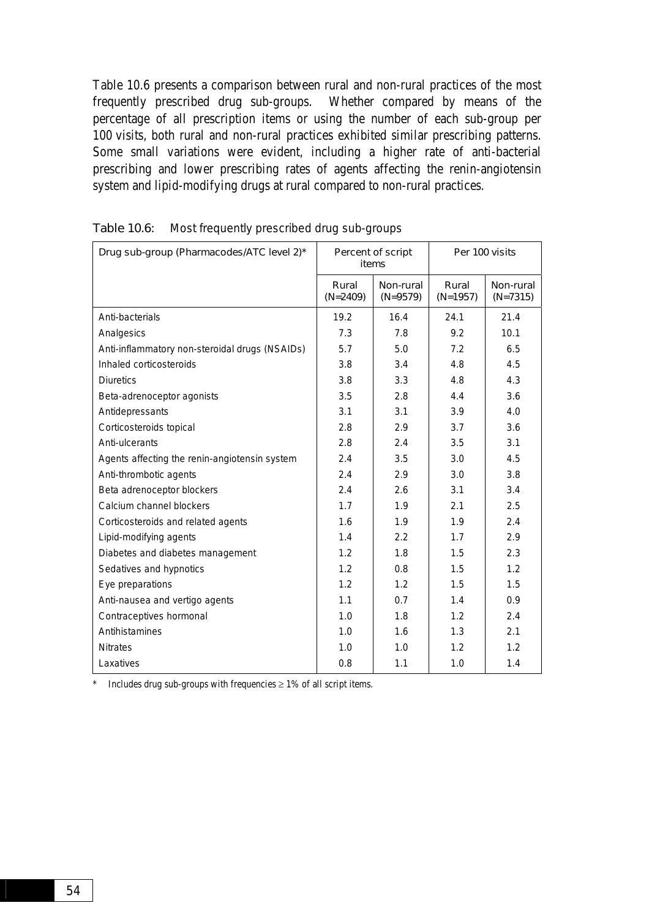Table 10.6 presents a comparison between rural and non-rural practices of the most frequently prescribed drug sub-groups. Whether compared by means of the percentage of all prescription items or using the number of each sub-group per 100 visits, both rural and non-rural practices exhibited similar prescribing patterns. Some small variations were evident, including a higher rate of anti-bacterial prescribing and lower prescribing rates of agents affecting the renin-angiotensin system and lipid-modifying drugs at rural compared to non-rural practices.

| Drug sub-group (Pharmacodes/ATC level 2)*      | Percent of script<br>items |                         | Per 100 visits      |                         |
|------------------------------------------------|----------------------------|-------------------------|---------------------|-------------------------|
|                                                | Rural<br>$(N=2409)$        | Non-rural<br>$(N=9579)$ | Rural<br>$(N=1957)$ | Non-rural<br>$(N=7315)$ |
| Anti-bacterials                                | 19.2                       | 16.4                    | 24.1                | 21.4                    |
| Analgesics                                     | 7.3                        | 7.8                     | 9.2                 | 10.1                    |
| Anti-inflammatory non-steroidal drugs (NSAIDs) | 5.7                        | 5.0                     | 7.2                 | 6.5                     |
| Inhaled corticosteroids                        | 3.8                        | 3.4                     | 4.8                 | 4.5                     |
| <b>Diuretics</b>                               | 3.8                        | 3.3                     | 4.8                 | 4.3                     |
| Beta-adrenoceptor agonists                     | 3.5                        | 2.8                     | 4.4                 | 3.6                     |
| Antidepressants                                | 3.1                        | 3.1                     | 3.9                 | 4.0                     |
| Corticosteroids topical                        | 2.8                        | 2.9                     | 3.7                 | 3.6                     |
| Anti-ulcerants                                 | 2.8                        | 2.4                     | 3.5                 | 3.1                     |
| Agents affecting the renin-angiotensin system  | 2.4                        | 3.5                     | 3.0                 | 4.5                     |
| Anti-thrombotic agents                         | 2.4                        | 2.9                     | 3.0                 | 3.8                     |
| Beta adrenoceptor blockers                     | 2.4                        | 2.6                     | 3.1                 | 3.4                     |
| Calcium channel blockers                       | 1.7                        | 1.9                     | 2.1                 | 2.5                     |
| Corticosteroids and related agents             | 1.6                        | 1.9                     | 1.9                 | 2.4                     |
| Lipid-modifying agents                         | 1.4                        | 2.2                     | 1.7                 | 2.9                     |
| Diabetes and diabetes management               | 1.2                        | 1.8                     | 1.5                 | 2.3                     |
| Sedatives and hypnotics                        | 1.2                        | 0.8                     | 1.5                 | 1.2                     |
| Eye preparations                               | 1.2                        | 1.2                     | 1.5                 | 1.5                     |
| Anti-nausea and vertigo agents                 | 1.1                        | 0.7                     | 1.4                 | 0.9                     |
| Contraceptives hormonal                        | 1.0                        | 1.8                     | 1.2                 | 2.4                     |
| Antihistamines                                 | 1.0                        | 1.6                     | 1.3                 | 2.1                     |
| <b>Nitrates</b>                                | 1.0                        | 1.0                     | 1.2                 | 1.2                     |
| Laxatives                                      | 0.8                        | 1.1                     | 1.0                 | 1.4                     |

|  | Table 10.6: Most frequently prescribed drug sub-groups |  |
|--|--------------------------------------------------------|--|
|--|--------------------------------------------------------|--|

\* Includes drug sub-groups with frequencies ≥ 1% of all script items.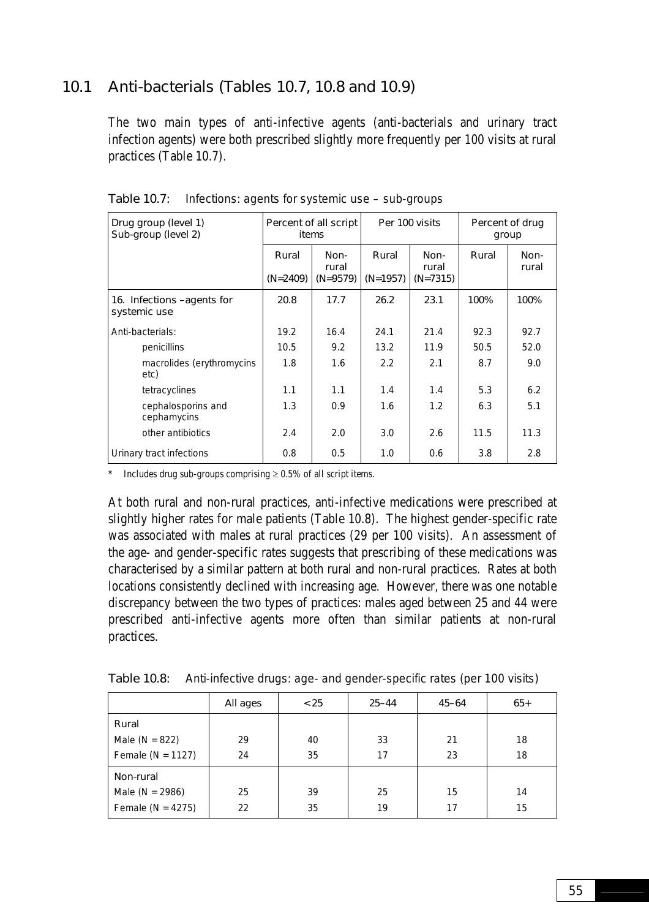## 10.1 Anti-bacterials (Tables 10.7, 10.8 and 10.9)

The two main types of anti-infective agents (anti-bacterials and urinary tract infection agents) were both prescribed slightly more frequently per 100 visits at rural practices (Table 10.7).

| Drug group (level 1)<br>Sub-group (level 2) | Percent of all script<br>items |                             |                   | Per 100 visits              | Percent of drug<br>group |               |
|---------------------------------------------|--------------------------------|-----------------------------|-------------------|-----------------------------|--------------------------|---------------|
|                                             | Rural<br>$(N=2409)$            | Non-<br>rural<br>$(N=9579)$ | Rural<br>(N=1957) | Non-<br>rural<br>$(N=7315)$ | Rural                    | Non-<br>rural |
| 16. Infections - agents for<br>systemic use | 20.8                           | 17.7                        | 26.2              | 23.1                        | 100%                     | 100%          |
| Anti-bacterials:                            | 19.2                           | 16.4                        | 24.1              | 21.4                        | 92.3                     | 92.7          |
| penicillins                                 | 10.5                           | 9.2                         | 13.2              | 11.9                        | 50.5                     | 52.0          |
| macrolides (erythromycins<br>etc)           | 1.8                            | 1.6                         | 2.2               | 2.1                         | 8.7                      | 9.0           |
| tetracyclines                               | 1.1                            | 1.1                         | 1.4               | 1.4                         | 5.3                      | 6.2           |
| cephalosporins and<br>cephamycins           | 1.3                            | 0.9                         | 1.6               | 1.2                         | 6.3                      | 5.1           |
| other antibiotics                           | 2.4                            | 2.0                         | 3.0               | 2.6                         | 11.5                     | 11.3          |
| Urinary tract infections                    | 0.8                            | 0.5                         | 1.0               | 0.6                         | 3.8                      | 2.8           |

Table 10.7: Infections: agents for systemic use – sub-groups

Includes drug sub-groups comprising  $\geq 0.5\%$  of all script items.

At both rural and non-rural practices, anti-infective medications were prescribed at slightly higher rates for male patients (Table 10.8). The highest gender-specific rate was associated with males at rural practices (29 per 100 visits). An assessment of the age- and gender-specific rates suggests that prescribing of these medications was characterised by a similar pattern at both rural and non-rural practices. Rates at both locations consistently declined with increasing age. However, there was one notable discrepancy between the two types of practices: males aged between 25 and 44 were prescribed anti-infective agents more often than similar patients at non-rural practices.

|                       | All ages | < 25 | $25 - 44$ | $45 - 64$ | $65+$ |
|-----------------------|----------|------|-----------|-----------|-------|
| Rural                 |          |      |           |           |       |
| Male ( $N = 822$ )    | 29       | 40   | 33        | 21        | 18    |
| Female ( $N = 1127$ ) | 24       | 35   | 17        | 23        | 18    |
| Non-rural             |          |      |           |           |       |
| Male ( $N = 2986$ )   | 25       | 39   | 25        | 15        | 14    |
| Female ( $N = 4275$ ) | 22       | 35   | 19        | 17        | 15    |

Table 10.8: Anti-infective drugs: age- and gender-specific rates (per 100 visits)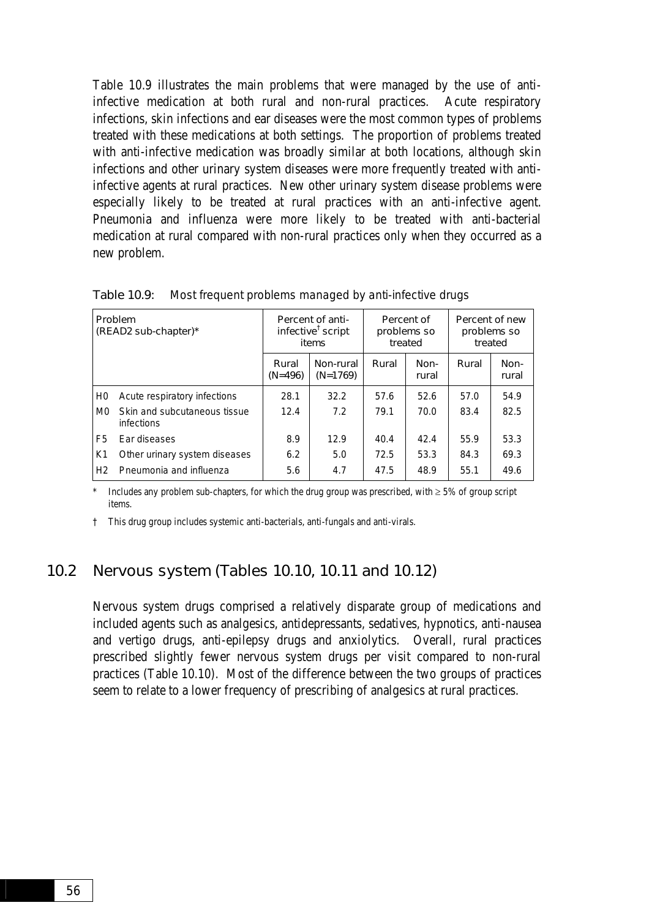Table 10.9 illustrates the main problems that were managed by the use of antiinfective medication at both rural and non-rural practices. Acute respiratory infections, skin infections and ear diseases were the most common types of problems treated with these medications at both settings. The proportion of problems treated with anti-infective medication was broadly similar at both locations, although skin infections and other urinary system diseases were more frequently treated with antiinfective agents at rural practices. New other urinary system disease problems were especially likely to be treated at rural practices with an anti-infective agent. Pneumonia and influenza were more likely to be treated with anti-bacterial medication at rural compared with non-rural practices only when they occurred as a new problem.

| <b>Problem</b><br>(READ2 sub-chapter)* |                                            |                    | Percent of anti-<br>infective <sup>†</sup> script<br>items | Percent of<br>problems so<br>treated |               | Percent of new<br>problems so<br>treated |               |
|----------------------------------------|--------------------------------------------|--------------------|------------------------------------------------------------|--------------------------------------|---------------|------------------------------------------|---------------|
|                                        |                                            | Rural<br>$(N=496)$ | Non-rural<br>$(N=1769)$                                    | Rural                                | Non-<br>rural | Rural                                    | Non-<br>rural |
| H0                                     | Acute respiratory infections               | 28.1               | 32.2                                                       | 57.6                                 | 52.6          | 57.0                                     | 54.9          |
| M <sub>0</sub>                         | Skin and subcutaneous tissue<br>infections | 12.4               | 7.2                                                        | 79.1                                 | 70.0          | 83.4                                     | 82.5          |
| F5                                     | Ear diseases                               | 8.9                | 12.9                                                       | 40.4                                 | 42.4          | 55.9                                     | 53.3          |
| K1                                     | Other urinary system diseases              | 6.2                | 5.0                                                        | 72.5                                 | 53.3          | 84.3                                     | 69.3          |
| H <sub>2</sub>                         | Pneumonia and influenza                    | 5.6                | 4.7                                                        | 47.5                                 | 48.9          | 55.1                                     | 49.6          |

Table 10.9: Most frequent problems managed by anti-infective drugs

Includes any problem sub-chapters, for which the drug group was prescribed, with  $\geq 5\%$  of group script items.

† This drug group includes systemic anti-bacterials, anti-fungals and anti-virals.

### 10.2 Nervous system (Tables 10.10, 10.11 and 10.12)

Nervous system drugs comprised a relatively disparate group of medications and included agents such as analgesics, antidepressants, sedatives, hypnotics, anti-nausea and vertigo drugs, anti-epilepsy drugs and anxiolytics. Overall, rural practices prescribed slightly fewer nervous system drugs per visit compared to non-rural practices (Table 10.10). Most of the difference between the two groups of practices seem to relate to a lower frequency of prescribing of analgesics at rural practices.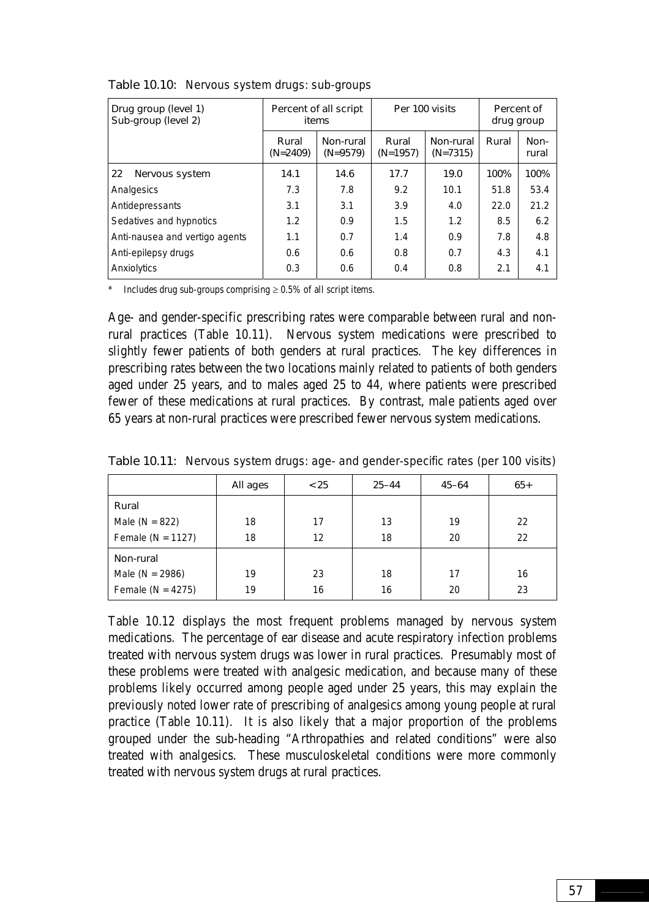| Drug group (level 1)<br>Sub-group (level 2) |                     | Percent of all script<br>items |                     | Per 100 visits          | Percent of<br>drug group |               |  |
|---------------------------------------------|---------------------|--------------------------------|---------------------|-------------------------|--------------------------|---------------|--|
|                                             | Rural<br>$(N=2409)$ | Non-rural<br>$(N=9579)$        | Rural<br>$(N=1957)$ | Non-rural<br>$(N=7315)$ | Rural                    | Non-<br>rural |  |
| 22<br>Nervous system                        | 14.1                | 14.6                           | 17.7                | 19.0                    | 100%                     | 100%          |  |
| Analgesics                                  | 7.3                 | 7.8                            | 9.2                 | 10.1                    | 51.8                     | 53.4          |  |
| Antidepressants                             | 3.1                 | 3.1                            | 3.9                 | 4.0                     | 22.0                     | 21.2          |  |
| Sedatives and hypnotics                     | 1.2                 | 0.9                            | 1.5                 | 1.2                     | 8.5                      | 6.2           |  |
| Anti-nausea and vertigo agents              | 1.1                 | 0.7                            | 1.4                 | 0.9                     | 7.8                      | 4.8           |  |
| Anti-epilepsy drugs                         | 0.6                 | 0.6                            | 0.8                 | 0.7                     | 4.3                      | 4.1           |  |
| Anxiolytics                                 | 0.3                 | 0.6                            | 0.4                 | 0.8                     | 2.1                      | 4.1           |  |

Table 10.10: Nervous system drugs: sub-groups

\* Includes drug sub-groups comprising  $\geq 0.5\%$  of all script items.

Age- and gender-specific prescribing rates were comparable between rural and nonrural practices (Table 10.11). Nervous system medications were prescribed to slightly fewer patients of both genders at rural practices. The key differences in prescribing rates between the two locations mainly related to patients of both genders aged under 25 years, and to males aged 25 to 44, where patients were prescribed fewer of these medications at rural practices. By contrast, male patients aged over 65 years at non-rural practices were prescribed fewer nervous system medications.

|                       | All ages | < 25 | $25 - 44$ | $45 - 64$ | $65+$ |
|-----------------------|----------|------|-----------|-----------|-------|
| Rural                 |          |      |           |           |       |
| Male ( $N = 822$ )    | 18       | 17   | 13        | 19        | 22    |
| Female ( $N = 1127$ ) | 18       | 12   | 18        | 20        | 22    |
| Non-rural             |          |      |           |           |       |
| Male ( $N = 2986$ )   | 19       | 23   | 18        | 17        | 16    |
| Female ( $N = 4275$ ) | 19       | 16   | 16        | 20        | 23    |

Table 10.11: Nervous system drugs: age- and gender-specific rates (per 100 visits)

Table 10.12 displays the most frequent problems managed by nervous system medications. The percentage of ear disease and acute respiratory infection problems treated with nervous system drugs was lower in rural practices. Presumably most of these problems were treated with analgesic medication, and because many of these problems likely occurred among people aged under 25 years, this may explain the previously noted lower rate of prescribing of analgesics among young people at rural practice (Table 10.11). It is also likely that a major proportion of the problems grouped under the sub-heading "Arthropathies and related conditions" were also treated with analgesics. These musculoskeletal conditions were more commonly treated with nervous system drugs at rural practices.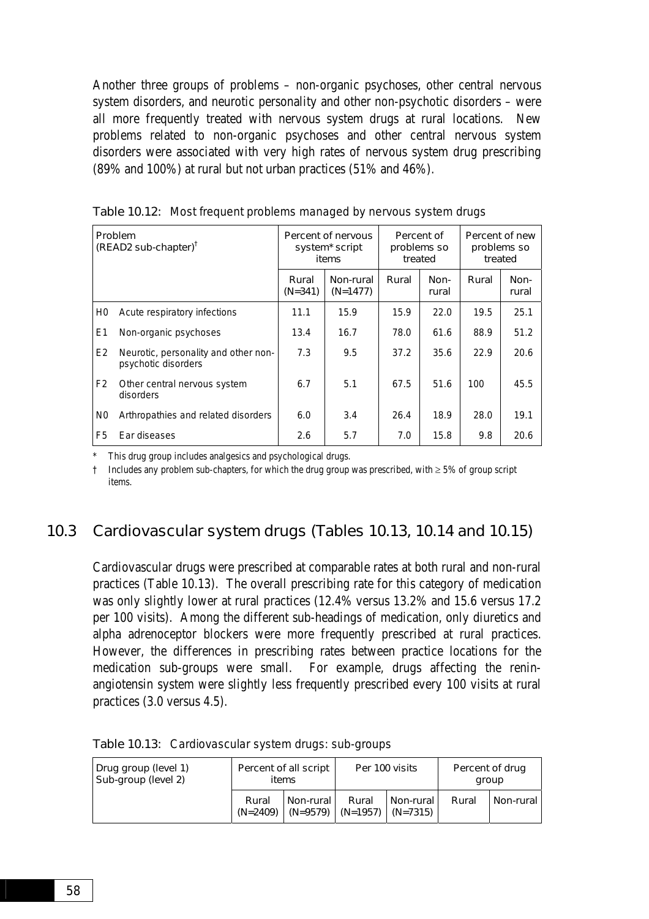Another three groups of problems – non-organic psychoses, other central nervous system disorders, and neurotic personality and other non-psychotic disorders – were all more frequently treated with nervous system drugs at rural locations. New problems related to non-organic psychoses and other central nervous system disorders were associated with very high rates of nervous system drug prescribing (89% and 100%) at rural but not urban practices (51% and 46%).

| Problem<br>$(READ2 sub-chapter)^{\dagger}$ |                                                             | Percent of nervous<br>system <sup>*</sup> script<br>items |                         | Percent of<br>problems so<br>treated |               | Percent of new<br>problems so<br>treated |               |
|--------------------------------------------|-------------------------------------------------------------|-----------------------------------------------------------|-------------------------|--------------------------------------|---------------|------------------------------------------|---------------|
|                                            |                                                             | Rural<br>$(N=341)$                                        | Non-rural<br>$(N=1477)$ | Rural                                | Non-<br>rural | Rural                                    | Non-<br>rural |
| H0                                         | Acute respiratory infections                                | 11.1                                                      | 15.9                    | 15.9                                 | 22.0          | 19.5                                     | 25.1          |
| E1                                         | Non-organic psychoses                                       | 13.4                                                      | 16.7                    | 78.0                                 | 61.6          | 88.9                                     | 51.2          |
| E <sub>2</sub>                             | Neurotic, personality and other non-<br>psychotic disorders | 7.3                                                       | 9.5                     | 37.2                                 | 35.6          | 22.9                                     | 20.6          |
| F <sub>2</sub>                             | Other central nervous system<br>disorders                   | 6.7                                                       | 5.1                     | 67.5                                 | 51.6          | 100                                      | 45.5          |
| N <sub>0</sub>                             | Arthropathies and related disorders                         | 6.0                                                       | 3.4                     | 26.4                                 | 18.9          | 28.0                                     | 19.1          |
| F5                                         | Ear diseases                                                | 2.6                                                       | 5.7                     | 7.0                                  | 15.8          | 9.8                                      | 20.6          |

Table 10.12: Most frequent problems managed by nervous system drugs

This drug group includes analgesics and psychological drugs.

† Includes any problem sub-chapters, for which the drug group was prescribed, with ≥ 5% of group script items.

### 10.3 Cardiovascular system drugs (Tables 10.13, 10.14 and 10.15)

Cardiovascular drugs were prescribed at comparable rates at both rural and non-rural practices (Table 10.13). The overall prescribing rate for this category of medication was only slightly lower at rural practices (12.4% versus 13.2% and 15.6 versus 17.2 per 100 visits). Among the different sub-headings of medication, only diuretics and alpha adrenoceptor blockers were more frequently prescribed at rural practices. However, the differences in prescribing rates between practice locations for the medication sub-groups were small. For example, drugs affecting the reninangiotensin system were slightly less frequently prescribed every 100 visits at rural practices (3.0 versus 4.5).

| Drug group (level 1)<br>Sub-group (level 2) | Percent of all script<br>items |             |                                           | Per 100 visits | Percent of drug<br>group |             |
|---------------------------------------------|--------------------------------|-------------|-------------------------------------------|----------------|--------------------------|-------------|
|                                             | Rural<br>$(N=2409)$            | Non-rural l | Rural<br>$(N=9579)$ $(N=1957)$ $(N=7315)$ | Non-rural      | Rural                    | Non-rural l |

Table 10.13: Cardiovascular system drugs: sub-groups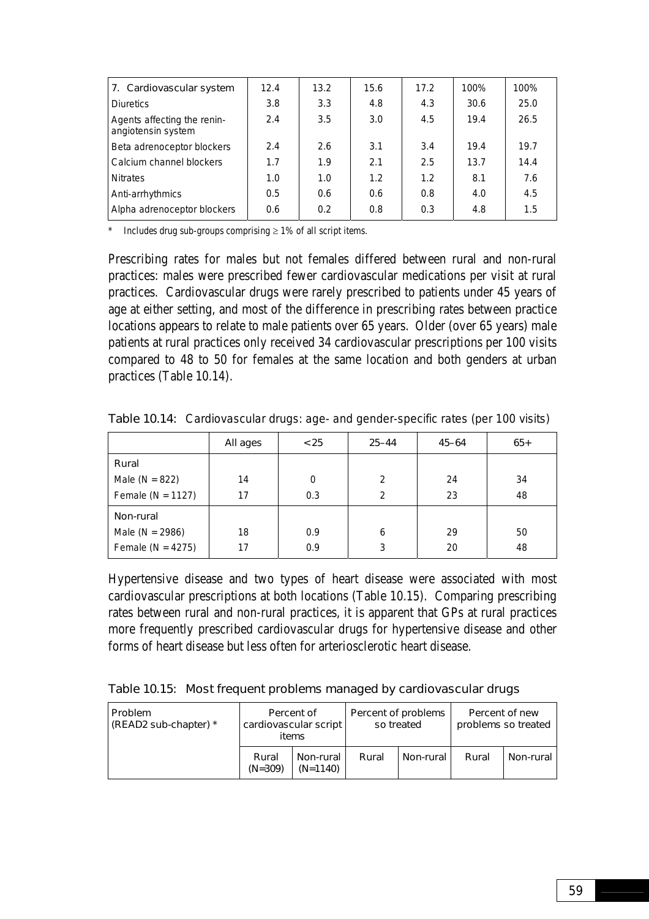| 7. Cardiovascular system                          | 12.4 | 13.2 | 15.6 | 17.2 | 100% | 100% |
|---------------------------------------------------|------|------|------|------|------|------|
| <b>Diuretics</b>                                  | 3.8  | 3.3  | 4.8  | 4.3  | 30.6 | 25.0 |
| Agents affecting the renin-<br>angiotensin system | 2.4  | 3.5  | 3.0  | 4.5  | 19.4 | 26.5 |
| Beta adrenoceptor blockers                        | 2.4  | 2.6  | 3.1  | 3.4  | 19.4 | 19.7 |
| Calcium channel blockers                          | 1.7  | 1.9  | 2.1  | 2.5  | 13.7 | 14.4 |
| <b>Nitrates</b>                                   | 1.0  | 1.0  | 1.2  | 1.2  | 8.1  | 7.6  |
| Anti-arrhythmics                                  | 0.5  | 0.6  | 0.6  | 0.8  | 4.0  | 4.5  |
| Alpha adrenoceptor blockers                       | 0.6  | 0.2  | 0.8  | 0.3  | 4.8  | 1.5  |

Includes drug sub-groups comprising  $\geq 1\%$  of all script items.

Prescribing rates for males but not females differed between rural and non-rural practices: males were prescribed fewer cardiovascular medications per visit at rural practices. Cardiovascular drugs were rarely prescribed to patients under 45 years of age at either setting, and most of the difference in prescribing rates between practice locations appears to relate to male patients over 65 years. Older (over 65 years) male patients at rural practices only received 34 cardiovascular prescriptions per 100 visits compared to 48 to 50 for females at the same location and both genders at urban practices (Table 10.14).

|                       | All ages | < 25 | $25 - 44$     | $45 - 64$ | $65+$ |
|-----------------------|----------|------|---------------|-----------|-------|
| Rural                 |          |      |               |           |       |
| Male ( $N = 822$ )    | 14       | 0    | $\mathcal{P}$ | 24        | 34    |
| Female ( $N = 1127$ ) | 17       | 0.3  | $\mathcal{P}$ | 23        | 48    |
| Non-rural             |          |      |               |           |       |
| Male ( $N = 2986$ )   | 18       | 0.9  | 6             | 29        | 50    |
| Female ( $N = 4275$ ) | 17       | 0.9  | 3             | 20        | 48    |

Table 10.14: Cardiovascular drugs: age- and gender-specific rates (per 100 visits)

Hypertensive disease and two types of heart disease were associated with most cardiovascular prescriptions at both locations (Table 10.15). Comparing prescribing rates between rural and non-rural practices, it is apparent that GPs at rural practices more frequently prescribed cardiovascular drugs for hypertensive disease and other forms of heart disease but less often for arteriosclerotic heart disease.

Table 10.15: Most frequent problems managed by cardiovascular drugs

| <b>Problem</b><br>(READ2 sub-chapter) * | Percent of<br>cardiovascular script<br>items |                         |       | Percent of problems<br>so treated | Percent of new<br>problems so treated |           |
|-----------------------------------------|----------------------------------------------|-------------------------|-------|-----------------------------------|---------------------------------------|-----------|
|                                         | Rural<br>$(N=309)$                           | Non-rural<br>$(N=1140)$ | Rural | Non-rural                         | Rural                                 | Non-rural |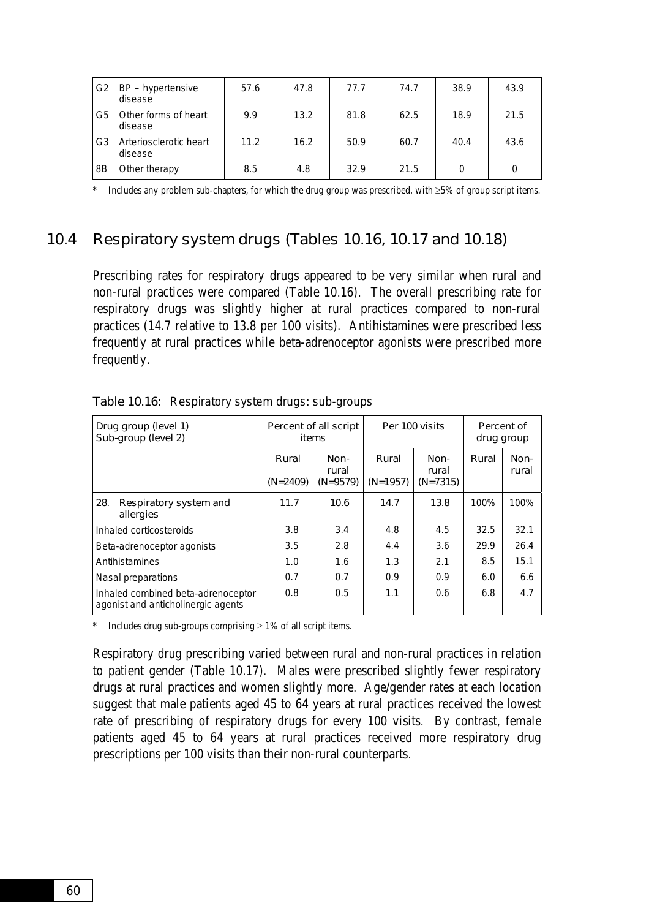| G <sub>2</sub> | BP - hypertensive<br>disease      | 57.6 | 47.8 | 77.7 | 74.7 | 38.9 | 43.9 |
|----------------|-----------------------------------|------|------|------|------|------|------|
| G5             | Other forms of heart<br>disease   | 9.9  | 13.2 | 81.8 | 62.5 | 18.9 | 21.5 |
| G3             | Arteriosclerotic heart<br>disease | 11.2 | 16.2 | 50.9 | 60.7 | 40.4 | 43.6 |
| 8B             | Other therapy                     | 8.5  | 4.8  | 32.9 | 21.5 | 0    | 0    |

Includes any problem sub-chapters, for which the drug group was prescribed, with  $\geq 5\%$  of group script items.

### 10.4 Respiratory system drugs (Tables 10.16, 10.17 and 10.18)

Prescribing rates for respiratory drugs appeared to be very similar when rural and non-rural practices were compared (Table 10.16). The overall prescribing rate for respiratory drugs was slightly higher at rural practices compared to non-rural practices (14.7 relative to 13.8 per 100 visits). Antihistamines were prescribed less frequently at rural practices while beta-adrenoceptor agonists were prescribed more frequently.

| Drug group (level 1)<br>Sub-group (level 2)                              |                     | Percent of all script<br>items |                     | Per 100 visits              | Percent of<br>drug group |               |
|--------------------------------------------------------------------------|---------------------|--------------------------------|---------------------|-----------------------------|--------------------------|---------------|
|                                                                          | Rural<br>$(N=2409)$ | Non-<br>rural<br>$(N=9579)$    | Rural<br>$(N=1957)$ | Non-<br>rural<br>$(N=7315)$ | Rural                    | Non-<br>rural |
| 28.<br>Respiratory system and<br>allergies                               | 11.7                | 10.6                           | 14.7                | 13.8                        | 100%                     | 100%          |
| Inhaled corticosteroids                                                  | 3.8                 | 3.4                            | 4.8                 | 4.5                         | 32.5                     | 32.1          |
| Beta-adrenoceptor agonists                                               | 3.5                 | 2.8                            | 4.4                 | 3.6                         | 29.9                     | 26.4          |
| Antihistamines                                                           | 1.0                 | 1.6                            | 1.3                 | 2.1                         | 8.5                      | 15.1          |
| Nasal preparations                                                       | 0.7                 | 0.7                            | 0.9                 | 0.9                         | 6.0                      | 6.6           |
| Inhaled combined beta-adrenoceptor<br>agonist and anticholinergic agents | 0.8                 | 0.5                            | 1.1                 | 0.6                         | 6.8                      | 4.7           |

Table 10.16: Respiratory system drugs: sub-groups

\* Includes drug sub-groups comprising  $\geq 1\%$  of all script items.

Respiratory drug prescribing varied between rural and non-rural practices in relation to patient gender (Table 10.17). Males were prescribed slightly fewer respiratory drugs at rural practices and women slightly more. Age/gender rates at each location suggest that male patients aged 45 to 64 years at rural practices received the lowest rate of prescribing of respiratory drugs for every 100 visits. By contrast, female patients aged 45 to 64 years at rural practices received more respiratory drug prescriptions per 100 visits than their non-rural counterparts.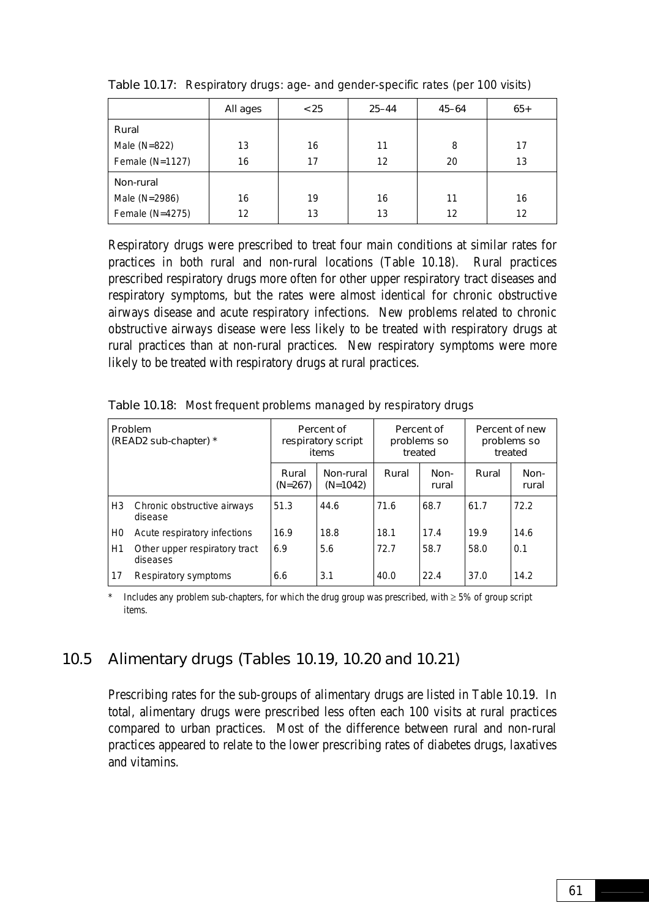|                 | All ages | < 25 | $25 - 44$ | $45 - 64$ | $65+$ |
|-----------------|----------|------|-----------|-----------|-------|
| Rural           |          |      |           |           |       |
| Male $(N=822)$  | 13       | 16   | 11        | 8         | 17    |
| Female (N=1127) | 16       | 17   | 12        | 20        | 13    |
| Non-rural       |          |      |           |           |       |
| Male (N=2986)   | 16       | 19   | 16        | 11        | 16    |
| Female (N=4275) | 12       | 13   | 13        | 12        | 12    |

Table 10.17: Respiratory drugs: age- and gender-specific rates (per 100 visits)

Respiratory drugs were prescribed to treat four main conditions at similar rates for practices in both rural and non-rural locations (Table 10.18). Rural practices prescribed respiratory drugs more often for other upper respiratory tract diseases and respiratory symptoms, but the rates were almost identical for chronic obstructive airways disease and acute respiratory infections. New problems related to chronic obstructive airways disease were less likely to be treated with respiratory drugs at rural practices than at non-rural practices. New respiratory symptoms were more likely to be treated with respiratory drugs at rural practices.

| <b>Problem</b><br>(READ2 sub-chapter) * |                                           | Percent of<br>respiratory script<br>items |                         | Percent of<br>problems so<br>treated |               | Percent of new<br>problems so<br>treated |               |
|-----------------------------------------|-------------------------------------------|-------------------------------------------|-------------------------|--------------------------------------|---------------|------------------------------------------|---------------|
|                                         |                                           | Rural<br>$(N=267)$                        | Non-rural<br>$(N=1042)$ | Rural                                | Non-<br>rural | Rural                                    | Non-<br>rural |
| H <sub>3</sub>                          | Chronic obstructive airways<br>disease    | 51.3                                      | 44.6                    | 71.6                                 | 68.7          | 61.7                                     | 72.2          |
| H0                                      | Acute respiratory infections              | 16.9                                      | 18.8                    | 18.1                                 | 17.4          | 19.9                                     | 14.6          |
| H1                                      | Other upper respiratory tract<br>diseases | 6.9                                       | 5.6                     | 72.7                                 | 58.7          | 58.0                                     | 0.1           |
| 17                                      | Respiratory symptoms                      | 6.6                                       | 3.1                     | 40.0                                 | 22.4          | 37.0                                     | 14.2          |

Table 10.18: Most frequent problems managed by respiratory drugs

Includes any problem sub-chapters, for which the drug group was prescribed, with  $\geq 5\%$  of group script items.

### 10.5 Alimentary drugs (Tables 10.19, 10.20 and 10.21)

Prescribing rates for the sub-groups of alimentary drugs are listed in Table 10.19. In total, alimentary drugs were prescribed less often each 100 visits at rural practices compared to urban practices. Most of the difference between rural and non-rural practices appeared to relate to the lower prescribing rates of diabetes drugs, laxatives and vitamins.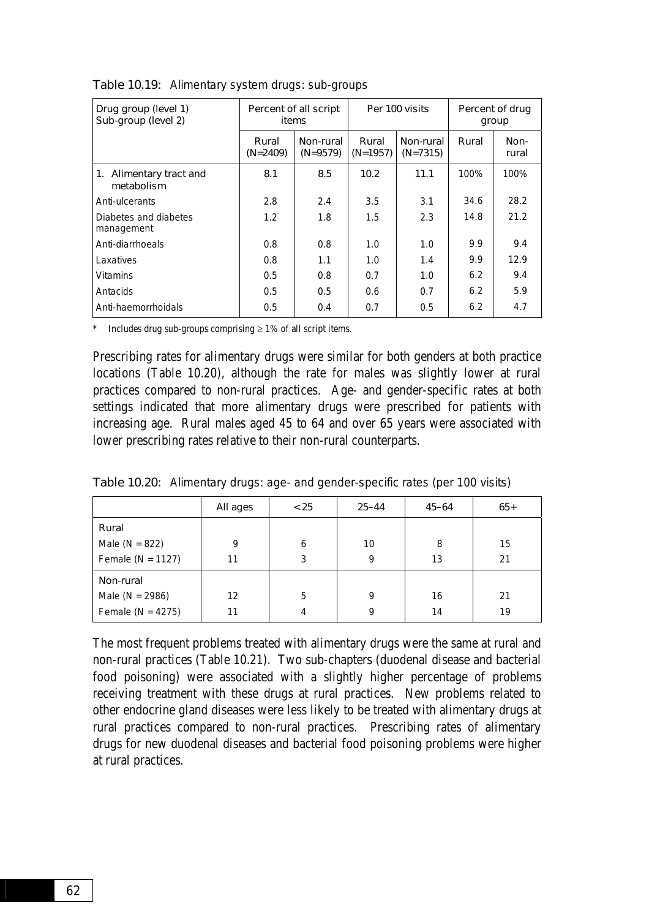| Drug group (level 1)<br>Sub-group (level 2) | Percent of all script<br>items |                         | Per 100 visits      |                         | Percent of drug<br>group |               |
|---------------------------------------------|--------------------------------|-------------------------|---------------------|-------------------------|--------------------------|---------------|
|                                             | Rural<br>$(N=2409)$            | Non-rural<br>$(N=9579)$ | Rural<br>$(N=1957)$ | Non-rural<br>$(N=7315)$ | Rural                    | Non-<br>rural |
| 1. Alimentary tract and<br>metabolism       | 8.1                            | 8.5                     | 10.2                | 11.1                    | 100%                     | 100%          |
| Anti-ulcerants                              | 2.8                            | 2.4                     | 3.5                 | 3.1                     | 34.6                     | 28.2          |
| Diabetes and diabetes<br>management         | 1.2                            | 1.8                     | 1.5                 | 2.3                     | 14.8                     | 21.2          |
| Anti-diarrhoeals                            | 0.8                            | 0.8                     | 1.0                 | 1.0                     | 9.9                      | 9.4           |
| Laxatives                                   | 0.8                            | 1.1                     | 1.0                 | 1.4                     | 9.9                      | 12.9          |
| <b>Vitamins</b>                             | 0.5                            | 0.8                     | 0.7                 | 1.0                     | 6.2                      | 9.4           |
| Antacids                                    | 0.5                            | 0.5                     | 0.6                 | 0.7                     | 6.2                      | 5.9           |
| Anti-haemorrhoidals                         | 0.5                            | 0.4                     | 0.7                 | 0.5                     | 6.2                      | 4.7           |

Table 10.19: Alimentary system drugs: sub-groups

Includes drug sub-groups comprising  $\geq 1\%$  of all script items.

Prescribing rates for alimentary drugs were similar for both genders at both practice locations (Table 10.20), although the rate for males was slightly lower at rural practices compared to non-rural practices. Age- and gender-specific rates at both settings indicated that more alimentary drugs were prescribed for patients with increasing age. Rural males aged 45 to 64 and over 65 years were associated with lower prescribing rates relative to their non-rural counterparts.

Table 10.20: Alimentary drugs: age- and gender-specific rates (per 100 visits)

|                       | All ages | < 25 | $25 - 44$ | $45 - 64$ | $65+$ |
|-----------------------|----------|------|-----------|-----------|-------|
| Rural                 |          |      |           |           |       |
| Male ( $N = 822$ )    | 9        | 6    | 10        | 8         | 15    |
| Female ( $N = 1127$ ) | 11       | 3    | 9         | 13        | 21    |
| Non-rural             |          |      |           |           |       |
| Male ( $N = 2986$ )   | 12       | 5    | 9         | 16        | 21    |
| Female ( $N = 4275$ ) | 11       | 4    | 9         | 14        | 19    |

The most frequent problems treated with alimentary drugs were the same at rural and non-rural practices (Table 10.21). Two sub-chapters (duodenal disease and bacterial food poisoning) were associated with a slightly higher percentage of problems receiving treatment with these drugs at rural practices. New problems related to other endocrine gland diseases were less likely to be treated with alimentary drugs at rural practices compared to non-rural practices. Prescribing rates of alimentary drugs for new duodenal diseases and bacterial food poisoning problems were higher at rural practices.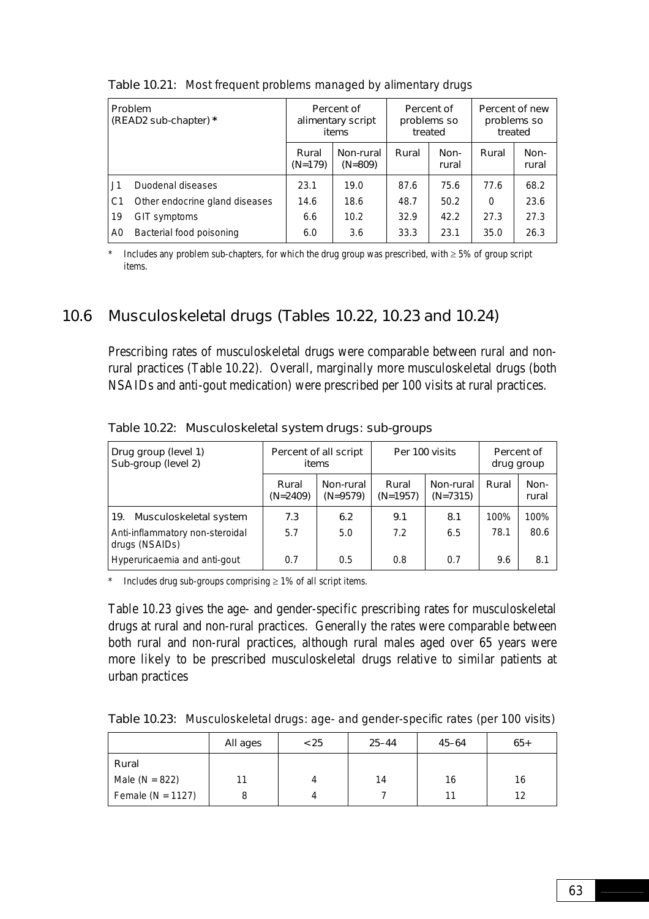| <b>Problem</b><br>(READ2 sub-chapter) * |                                |                    | Percent of<br>alimentary script<br>items |       | Percent of<br>problems so<br>treated | Percent of new<br>problems so<br>treated |               |
|-----------------------------------------|--------------------------------|--------------------|------------------------------------------|-------|--------------------------------------|------------------------------------------|---------------|
|                                         |                                | Rural<br>$(N=179)$ | Non-rural<br>$(N=809)$                   | Rural | Non-<br>rural                        | Rural                                    | Non-<br>rural |
| $\vert$ . J1                            | Duodenal diseases              | 23.1               | 19.0                                     | 87.6  | 75.6                                 | 77.6                                     | 68.2          |
| C1                                      | Other endocrine gland diseases | 14.6               | 18.6                                     | 48.7  | 50.2                                 | $\Omega$                                 | 23.6          |
| 119                                     | GIT symptoms                   | 6.6                | 10.2                                     | 32.9  | 42.2                                 | 27.3                                     | 27.3          |
| A <sub>0</sub>                          | Bacterial food poisoning       | 6.0                | 3.6                                      | 33.3  | 23.1                                 | 35.0                                     | 26.3          |

Table 10.21: Most frequent problems managed by alimentary drugs

Includes any problem sub-chapters, for which the drug group was prescribed, with  $\geq 5\%$  of group script items.

### 10.6 Musculoskeletal drugs (Tables 10.22, 10.23 and 10.24)

Prescribing rates of musculoskeletal drugs were comparable between rural and nonrural practices (Table 10.22). Overall, marginally more musculoskeletal drugs (both NSAIDs and anti-gout medication) were prescribed per 100 visits at rural practices.

| Drug group (level 1)<br>Sub-group (level 2)       | Percent of all script<br><b>items</b>          |     |                     | Per 100 visits          | Percent of<br>drug group |               |
|---------------------------------------------------|------------------------------------------------|-----|---------------------|-------------------------|--------------------------|---------------|
|                                                   | Non-rural<br>Rural<br>$(N=2409)$<br>$(N=9579)$ |     | Rural<br>$(N=1957)$ | Non-rural<br>$(N=7315)$ | Rural                    | Non-<br>rural |
| Musculoskeletal system<br>19.                     | 7.3                                            | 6.2 | 9.1                 | 8.1                     | 100%                     | 100%          |
| Anti-inflammatory non-steroidal<br>drugs (NSAIDs) | 5.7                                            | 5.0 | 7.2                 | 6.5                     | 78.1                     | 80.6          |
| Hyperuricaemia and anti-gout                      | 0.7                                            | 0.5 | 0.8                 | 0.7                     | 9.6                      | 8.1           |

Table 10.22: Musculoskeletal system drugs: sub-groups

\* Includes drug sub-groups comprising ≥ 1% of all script items.

Table 10.23 gives the age- and gender-specific prescribing rates for musculoskeletal drugs at rural and non-rural practices. Generally the rates were comparable between both rural and non-rural practices, although rural males aged over 65 years were more likely to be prescribed musculoskeletal drugs relative to similar patients at urban practices

Table 10.23: Musculoskeletal drugs: age- and gender-specific rates (per 100 visits)

|                       | All ages | < 25 | $25 - 44$ | $45 - 64$ | $65+$ |
|-----------------------|----------|------|-----------|-----------|-------|
| Rural                 |          |      |           |           |       |
| Male ( $N = 822$ )    | 11       | 4    | 14        | 16        | 16    |
| Female ( $N = 1127$ ) |          |      |           |           | 12    |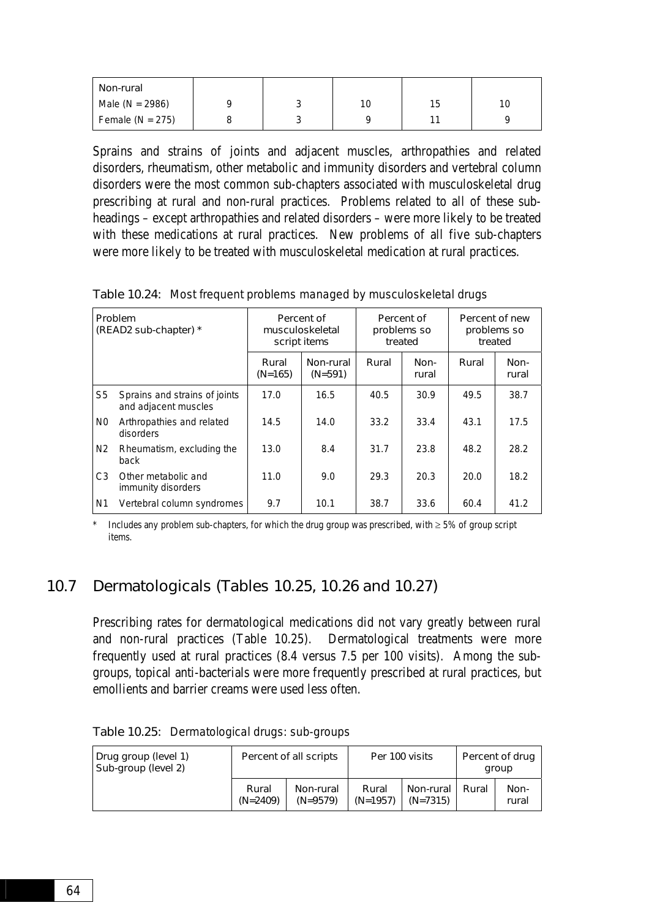| Non-rural            |   |    |    |    |
|----------------------|---|----|----|----|
| Male ( $N = 2986$ )  | ັ | 10 | 15 | 10 |
| Female ( $N = 275$ ) | ັ |    |    |    |

Sprains and strains of joints and adjacent muscles, arthropathies and related disorders, rheumatism, other metabolic and immunity disorders and vertebral column disorders were the most common sub-chapters associated with musculoskeletal drug prescribing at rural and non-rural practices. Problems related to all of these subheadings – except arthropathies and related disorders – were more likely to be treated with these medications at rural practices. New problems of all five sub-chapters were more likely to be treated with musculoskeletal medication at rural practices.

| Problem<br>(READ2 sub-chapter) * |                                                       |                    | Percent of<br>musculoskeletal<br>script items | Percent of<br>problems so<br>treated |               | Percent of new<br>problems so<br>treated |               |
|----------------------------------|-------------------------------------------------------|--------------------|-----------------------------------------------|--------------------------------------|---------------|------------------------------------------|---------------|
|                                  |                                                       | Rural<br>$(N=165)$ | Non-rural<br>$(N=591)$                        | Rural                                | Non-<br>rural | Rural                                    | Non-<br>rural |
| S <sub>5</sub>                   | Sprains and strains of joints<br>and adjacent muscles | 17.0               | 16.5                                          | 40.5                                 | 30.9          | 49.5                                     | 38.7          |
| N <sub>0</sub>                   | Arthropathies and related<br>disorders                | 14.5               | 14.0                                          | 33.2                                 | 33.4          | 43.1                                     | 17.5          |
| N <sub>2</sub>                   | Rheumatism, excluding the<br>back                     | 13.0               | 8.4                                           | 31.7                                 | 23.8          | 48.2                                     | 28.2          |
| C <sub>3</sub>                   | Other metabolic and<br>immunity disorders             | 11.0               | 9.0                                           | 29.3                                 | 20.3          | 20.0                                     | 18.2          |
| N <sub>1</sub>                   | Vertebral column syndromes                            | 9.7                | 10.1                                          | 38.7                                 | 33.6          | 60.4                                     | 41.2          |

Table 10.24: Most frequent problems managed by musculoskeletal drugs

Includes any problem sub-chapters, for which the drug group was prescribed, with  $\geq$  5% of group script items.

### 10.7 Dermatologicals (Tables 10.25, 10.26 and 10.27)

Prescribing rates for dermatological medications did not vary greatly between rural and non-rural practices (Table 10.25). Dermatological treatments were more frequently used at rural practices (8.4 versus 7.5 per 100 visits). Among the subgroups, topical anti-bacterials were more frequently prescribed at rural practices, but emollients and barrier creams were used less often.

| Drug group (level 1)<br>Sub-group (level 2) | Percent of all scripts |                         | Per 100 visits      |                         | Percent of drug<br>aroup |               |
|---------------------------------------------|------------------------|-------------------------|---------------------|-------------------------|--------------------------|---------------|
|                                             | Rural<br>$(N=2409)$    | Non-rural<br>$(N=9579)$ | Rural<br>$(N=1957)$ | Non-rural<br>$(N=7315)$ | Rural                    | Non-<br>rural |

Table 10.25: Dermatological drugs: sub-groups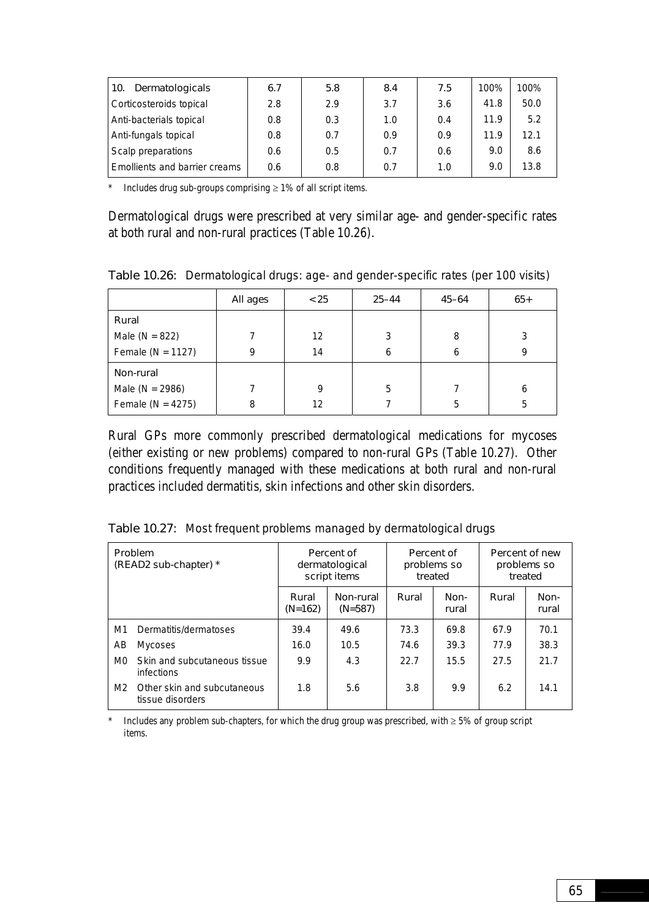| Dermatologicals<br>l 10.             | 6.7 | 5.8 | 8.4 | 7.5 | 100% | 100% |
|--------------------------------------|-----|-----|-----|-----|------|------|
| Corticosteroids topical              | 2.8 | 2.9 | 3.7 | 3.6 | 41.8 | 50.0 |
| Anti-bacterials topical              | 0.8 | 0.3 | 1.0 | 0.4 | 11.9 | 5.2  |
| Anti-fungals topical                 | 0.8 | 0.7 | 0.9 | 0.9 | 11.9 | 12.1 |
| Scalp preparations                   | 0.6 | 0.5 | 0.7 | 0.6 | 9.0  | 8.6  |
| <b>Emollients and barrier creams</b> | 0.6 | 0.8 | 0.7 | 1.0 | 9.0  | 13.8 |

\* Includes drug sub-groups comprising  $\geq 1\%$  of all script items.

Dermatological drugs were prescribed at very similar age- and gender-specific rates at both rural and non-rural practices (Table 10.26).

Table 10.26: Dermatological drugs: age- and gender-specific rates (per 100 visits)

|                       | All ages | < 25 | $25 - 44$ | $45 - 64$ | $65+$ |
|-----------------------|----------|------|-----------|-----------|-------|
| Rural                 |          |      |           |           |       |
| Male ( $N = 822$ )    |          | 12   | 3         | 8         | 3     |
| Female ( $N = 1127$ ) | 9        | 14   | 6         | 6         | Q     |
| Non-rural             |          |      |           |           |       |
| Male ( $N = 2986$ )   |          | 9    | 5         |           | 6     |
| Female ( $N = 4275$ ) | 8        | 12   |           | 5         | 5     |

Rural GPs more commonly prescribed dermatological medications for mycoses (either existing or new problems) compared to non-rural GPs (Table 10.27). Other conditions frequently managed with these medications at both rural and non-rural practices included dermatitis, skin infections and other skin disorders.

| Table 10.27: Most frequent problems managed by dermatological drugs |  |  |  |  |  |  |
|---------------------------------------------------------------------|--|--|--|--|--|--|
|---------------------------------------------------------------------|--|--|--|--|--|--|

| Problem<br>(READ2 sub-chapter) * |                                                   |                    | Percent of<br>dermatological<br>script items | treated | Percent of<br>problems so | Percent of new<br>problems so<br>treated |               |
|----------------------------------|---------------------------------------------------|--------------------|----------------------------------------------|---------|---------------------------|------------------------------------------|---------------|
|                                  |                                                   | Rural<br>$(N=162)$ | Non-rural<br>$(N=587)$                       | Rural   | Non-<br>rural             | Rural                                    | Non-<br>rural |
| M1                               | Dermatitis/dermatoses                             | 39.4               | 49.6                                         | 73.3    | 69.8                      | 67.9                                     | 70.1          |
| AB                               | <b>Mycoses</b>                                    | 16.0               | 10.5                                         | 74.6    | 39.3                      | 77.9                                     | 38.3          |
| M <sub>0</sub>                   | Skin and subcutaneous tissue<br><i>infections</i> | 9.9                | 4.3                                          | 22.7    | 15.5                      | 27.5                                     | 21.7          |
| M2                               | Other skin and subcutaneous<br>tissue disorders   | 1.8                | 5.6                                          | 3.8     | 9.9                       | 6.2                                      | 14.1          |

\* Includes any problem sub-chapters, for which the drug group was prescribed, with ≥ 5% of group script items.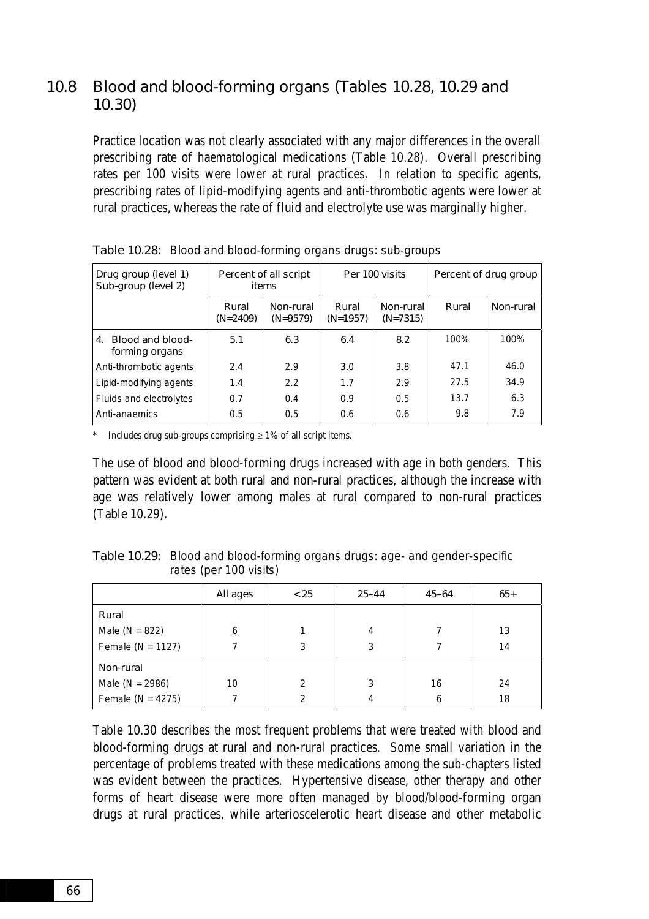### 10.8 Blood and blood-forming organs (Tables 10.28, 10.29 and 10.30)

Practice location was not clearly associated with any major differences in the overall prescribing rate of haematological medications (Table 10.28). Overall prescribing rates per 100 visits were lower at rural practices. In relation to specific agents, prescribing rates of lipid-modifying agents and anti-thrombotic agents were lower at rural practices, whereas the rate of fluid and electrolyte use was marginally higher.

| Drug group (level 1)<br>Sub-group (level 2) | Percent of all script<br>items |                         |                                                | Per 100 visits | Percent of drug group |           |  |
|---------------------------------------------|--------------------------------|-------------------------|------------------------------------------------|----------------|-----------------------|-----------|--|
|                                             | Rural<br>$(N=2409)$            | Non-rural<br>$(N=9579)$ | Rural<br>Non-rural<br>$(N=1957)$<br>$(N=7315)$ |                | Rural                 | Non-rural |  |
| 4. Blood and blood-<br>forming organs       | 5.1                            | 6.3                     | 6.4                                            | 8.2            | 100%                  | 100%      |  |
| Anti-thrombotic agents                      | 2.4                            | 2.9                     | 3.0                                            | 3.8            | 47.1                  | 46.0      |  |
| Lipid-modifying agents                      | 1.4                            | 2.2                     | 1.7                                            | 2.9            | 27.5                  | 34.9      |  |
| Fluids and electrolytes                     | 0.7                            | 0.4                     | 0.9                                            | 0.5            | 13.7                  | 6.3       |  |
| Anti-anaemics                               | 0.5                            | 0.5                     | 0.6                                            | 0.6            | 9.8                   | 7.9       |  |

Table 10.28: Blood and blood-forming organs drugs: sub-groups

Includes drug sub-groups comprising  $\geq 1\%$  of all script items.

The use of blood and blood-forming drugs increased with age in both genders. This pattern was evident at both rural and non-rural practices, although the increase with age was relatively lower among males at rural compared to non-rural practices (Table 10.29).

Table 10.29: Blood and blood-forming organs drugs: age- and gender-specific rates (per 100 visits)

|                       | All ages | < 25          | $25 - 44$ | $45 - 64$ | $65+$ |
|-----------------------|----------|---------------|-----------|-----------|-------|
| Rural                 |          |               |           |           |       |
| Male ( $N = 822$ )    | 6        |               | 4         |           | 13    |
| Female ( $N = 1127$ ) |          | 3             | 3         |           | 14    |
| Non-rural             |          |               |           |           |       |
| Male ( $N = 2986$ )   | 10       | $\mathcal{P}$ | 3         | 16        | 24    |
| Female ( $N = 4275$ ) |          | ◠             | 4         | 6         | 18    |

Table 10.30 describes the most frequent problems that were treated with blood and blood-forming drugs at rural and non-rural practices. Some small variation in the percentage of problems treated with these medications among the sub-chapters listed was evident between the practices. Hypertensive disease, other therapy and other forms of heart disease were more often managed by blood/blood-forming organ drugs at rural practices, while arterioscelerotic heart disease and other metabolic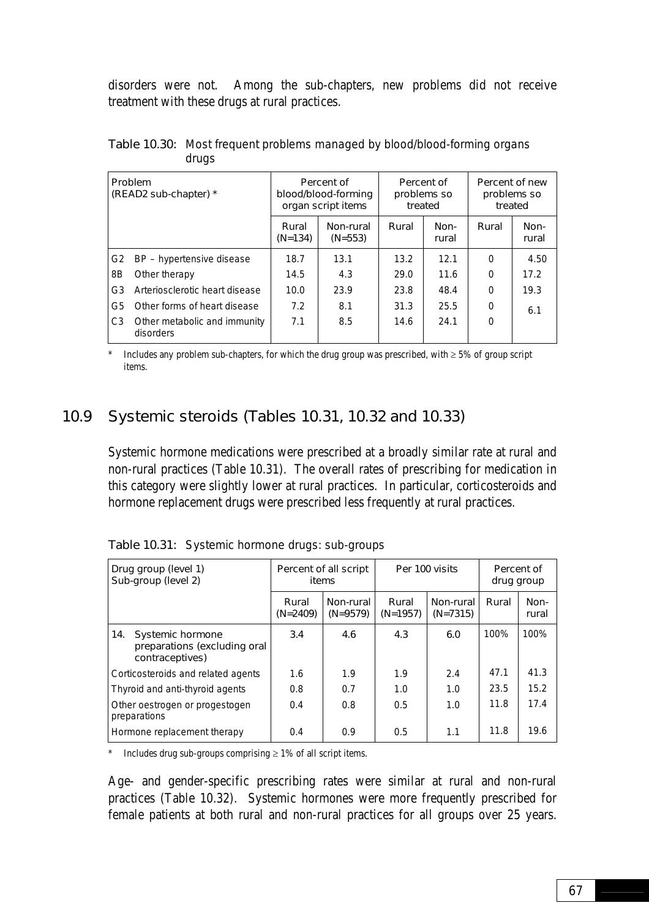disorders were not. Among the sub-chapters, new problems did not receive treatment with these drugs at rural practices.

| <b>Problem</b><br>(READ2 sub-chapter) * |                                           |                    | Percent of<br>blood/blood-forming<br>organ script items | problems so<br>treated | Percent of    | Percent of new<br>problems so<br>treated |               |
|-----------------------------------------|-------------------------------------------|--------------------|---------------------------------------------------------|------------------------|---------------|------------------------------------------|---------------|
|                                         |                                           | Rural<br>$(N=134)$ | Non-rural<br>$(N=553)$                                  | Rural                  | Non-<br>rural | Rural                                    | Non-<br>rural |
| G <sub>2</sub>                          | BP – hypertensive disease                 | 18.7               | 13.1                                                    | 13.2                   | 12.1          | $\Omega$                                 | 4.50          |
| 8B                                      | Other therapy                             | 14.5               | 4.3                                                     | 29.0                   | 11.6          | 0                                        | 17.2          |
| G3                                      | Arteriosclerotic heart disease            | 10.0               | 23.9                                                    | 23.8                   | 48.4          | 0                                        | 19.3          |
| G5                                      | Other forms of heart disease              | 7.2                | 8.1                                                     | 31.3                   | 25.5          | 0                                        | 6.1           |
| C <sub>3</sub>                          | Other metabolic and immunity<br>disorders | 7.1                | 8.5                                                     | 14.6                   | 24.1          | 0                                        |               |

Table 10.30: Most frequent problems managed by blood/blood-forming organs drugs

Includes any problem sub-chapters, for which the drug group was prescribed, with  $\geq 5\%$  of group script items.

### 10.9 Systemic steroids (Tables 10.31, 10.32 and 10.33)

Systemic hormone medications were prescribed at a broadly similar rate at rural and non-rural practices (Table 10.31). The overall rates of prescribing for medication in this category were slightly lower at rural practices. In particular, corticosteroids and hormone replacement drugs were prescribed less frequently at rural practices.

| Drug group (level 1)<br>Sub-group (level 2)                                       |                     | Percent of all script<br>items |                     | Per 100 visits          | Percent of<br>drug group |               |
|-----------------------------------------------------------------------------------|---------------------|--------------------------------|---------------------|-------------------------|--------------------------|---------------|
|                                                                                   | Rural<br>$(N=2409)$ | Non-rural<br>$(N=9579)$        | Rural<br>$(N=1957)$ | Non-rural<br>$(N=7315)$ | Rural                    | Non-<br>rural |
| <b>Systemic hormone</b><br>14.<br>preparations (excluding oral<br>contraceptives) | 3.4                 | 4.6                            | 4.3                 | 6.0                     | 100%                     | 100%          |
| Corticosteroids and related agents                                                | 1.6                 | 1.9                            | 1.9                 | 2.4                     | 47.1                     | 41.3          |
| Thyroid and anti-thyroid agents                                                   | 0.8                 | 0.7                            | 1.0                 | 1.0                     | 23.5                     | 15.2          |
| Other oestrogen or progestogen<br>preparations                                    | 0.4                 | 0.8                            | 0.5                 | 1.0                     | 11.8                     | 17.4          |
| Hormone replacement therapy                                                       | 0.4                 | 0.9                            | 0.5                 | 1.1                     | 11.8                     | 19.6          |

Table 10.31: Systemic hormone drugs: sub-groups

\* Includes drug sub-groups comprising  $\geq$  1% of all script items.

Age- and gender-specific prescribing rates were similar at rural and non-rural practices (Table 10.32). Systemic hormones were more frequently prescribed for female patients at both rural and non-rural practices for all groups over 25 years.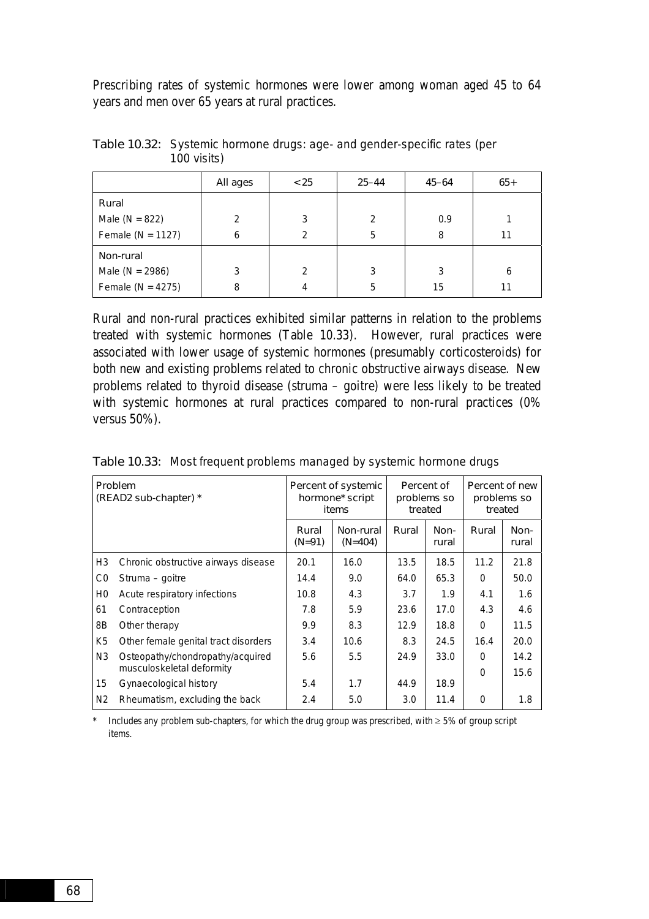Prescribing rates of systemic hormones were lower among woman aged 45 to 64 years and men over 65 years at rural practices.

|                       | All ages       | < 25 | $25 - 44$     | $45 - 64$ | $65+$ |
|-----------------------|----------------|------|---------------|-----------|-------|
| Rural                 |                |      |               |           |       |
| Male ( $N = 822$ )    | $\mathfrak{p}$ | 3    | $\mathcal{P}$ | 0.9       |       |
| Female ( $N = 1127$ ) | 6              | 2    | 5             | 8         | 11    |
| Non-rural             |                |      |               |           |       |
| Male ( $N = 2986$ )   | 3              | 2    | 3             | 3         | 6     |
| Female ( $N = 4275$ ) | 8              | 4    | 5             | 15        |       |

Table 10.32: Systemic hormone drugs: age- and gender-specific rates (per 100 visits)

Rural and non-rural practices exhibited similar patterns in relation to the problems treated with systemic hormones (Table 10.33). However, rural practices were associated with lower usage of systemic hormones (presumably corticosteroids) for both new and existing problems related to chronic obstructive airways disease. New problems related to thyroid disease (struma – goitre) were less likely to be treated with systemic hormones at rural practices compared to non-rural practices (0% versus 50%).

| Problem<br>(READ2 sub-chapter) * |                                      |                   | Percent of systemic<br>hormone* script<br>items | Percent of<br>problems so<br>treated |               | Percent of new<br>problems so<br>treated |               |
|----------------------------------|--------------------------------------|-------------------|-------------------------------------------------|--------------------------------------|---------------|------------------------------------------|---------------|
|                                  |                                      | Rural<br>$(N=91)$ | Non-rural<br>$(N=404)$                          | Rural                                | Non-<br>rural | Rural                                    | Non-<br>rural |
| H <sub>3</sub>                   | Chronic obstructive airways disease  | 20.1              | 16.0                                            | 13.5                                 | 18.5          | 11.2                                     | 21.8          |
| C <sub>0</sub>                   | Struma – goitre                      | 14.4              | 9.0                                             | 64.0                                 | 65.3          | $\Omega$                                 | 50.0          |
| H <sub>0</sub>                   | Acute respiratory infections         | 10.8              | 4.3                                             | 3.7                                  | 1.9           | 4.1                                      | 1.6           |
| 61                               | Contraception                        | 7.8               | 5.9                                             | 23.6                                 | 17.0          | 4.3                                      | 4.6           |
| 8B                               | Other therapy                        | 9.9               | 8.3                                             | 12.9                                 | 18.8          | $\Omega$                                 | 11.5          |
| K <sub>5</sub>                   | Other female genital tract disorders | 3.4               | 10.6                                            | 8.3                                  | 24.5          | 16.4                                     | 20.0          |
| N <sub>3</sub>                   | Osteopathy/chondropathy/acquired     | 5.6               | 5.5                                             | 24.9                                 | 33.0          | $\Omega$                                 | 14.2          |
|                                  | musculoskeletal deformity            |                   |                                                 |                                      |               | $\Omega$                                 | 15.6          |
| 15                               | Gynaecological history               | 5.4               | 1.7                                             | 44.9                                 | 18.9          |                                          |               |
| N <sub>2</sub>                   | Rheumatism, excluding the back       | 2.4               | 5.0                                             | 3.0                                  | 11.4          | $\Omega$                                 | 1.8           |

Table 10.33: Most frequent problems managed by systemic hormone drugs

\* Includes any problem sub-chapters, for which the drug group was prescribed, with ≥ 5% of group script items.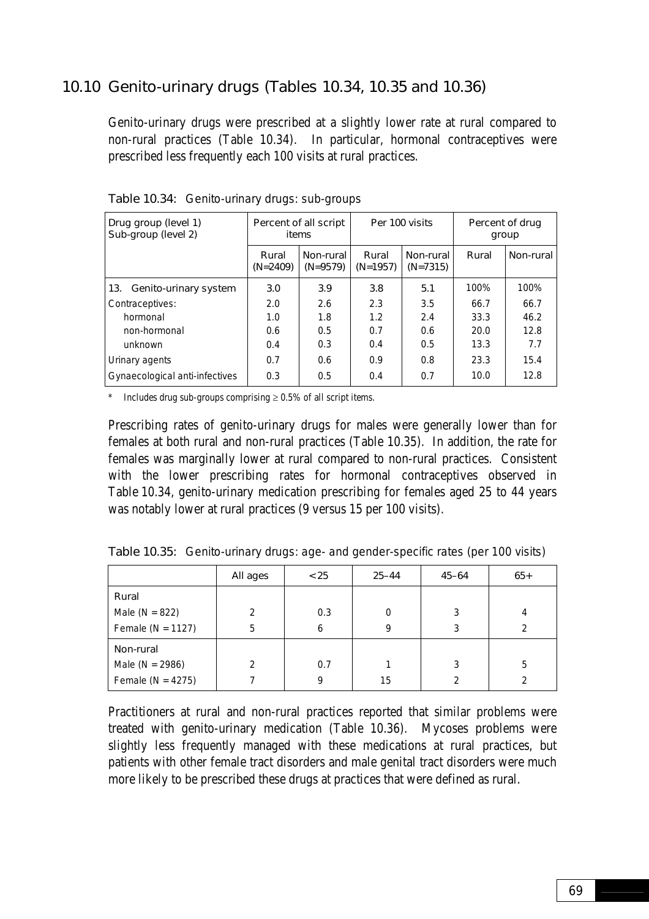### 10.10 Genito-urinary drugs (Tables 10.34, 10.35 and 10.36)

Genito-urinary drugs were prescribed at a slightly lower rate at rural compared to non-rural practices (Table 10.34). In particular, hormonal contraceptives were prescribed less frequently each 100 visits at rural practices.

| Drug group (level 1)<br>Sub-group (level 2) |                     | Percent of all script<br>items |                     | Per 100 visits          |       | Percent of drug<br>group |
|---------------------------------------------|---------------------|--------------------------------|---------------------|-------------------------|-------|--------------------------|
|                                             | Rural<br>$(N=2409)$ | Non-rural<br>$(N=9579)$        | Rural<br>$(N=1957)$ | Non-rural<br>$(N=7315)$ | Rural | Non-rural                |
| Genito-urinary system<br>13.                | 3.0                 | 3.9                            | 3.8                 | 5.1                     | 100%  | 100%                     |
| Contraceptives:                             | 2.0                 | 2.6                            | 2.3                 | 3.5                     | 66.7  | 66.7                     |
| hormonal                                    | 1.0                 | 1.8                            | 1.2                 | 2.4                     | 33.3  | 46.2                     |
| non-hormonal                                | 0.6                 | 0.5                            | 0.7                 | 0.6                     | 20.0  | 12.8                     |
| unknown                                     | 0.4                 | 0.3                            | 0.4                 | 0.5                     | 13.3  | 7.7                      |
| Urinary agents                              | 0.7                 | 0.6                            | 0.9                 | 0.8                     | 23.3  | 15.4                     |
| Gynaecological anti-infectives              | 0.3                 | 0.5                            | 0.4                 | 0.7                     | 10.0  | 12.8                     |

Table 10.34: Genito-urinary drugs: sub-groups

\* Includes drug sub-groups comprising  $\geq 0.5\%$  of all script items.

Prescribing rates of genito-urinary drugs for males were generally lower than for females at both rural and non-rural practices (Table 10.35). In addition, the rate for females was marginally lower at rural compared to non-rural practices. Consistent with the lower prescribing rates for hormonal contraceptives observed in Table 10.34, genito-urinary medication prescribing for females aged 25 to 44 years was notably lower at rural practices (9 versus 15 per 100 visits).

|                       | All ages       | < 25 | $25 - 44$ | $45 - 64$     | $65+$ |
|-----------------------|----------------|------|-----------|---------------|-------|
| Rural                 |                |      |           |               |       |
| Male ( $N = 822$ )    | 2              | 0.3  | 0         | 3             | 4     |
| Female ( $N = 1127$ ) | 5              | 6    | 9         | 3             | 2     |
| Non-rural             |                |      |           |               |       |
| Male ( $N = 2986$ )   | $\mathfrak{p}$ | 0.7  |           | 3             | 5     |
| Female ( $N = 4275$ ) |                | 9    | 15        | $\mathcal{P}$ | 2     |

Table 10.35: Genito-urinary drugs: age- and gender-specific rates (per 100 visits)

Practitioners at rural and non-rural practices reported that similar problems were treated with genito-urinary medication (Table 10.36). Mycoses problems were slightly less frequently managed with these medications at rural practices, but patients with other female tract disorders and male genital tract disorders were much more likely to be prescribed these drugs at practices that were defined as rural.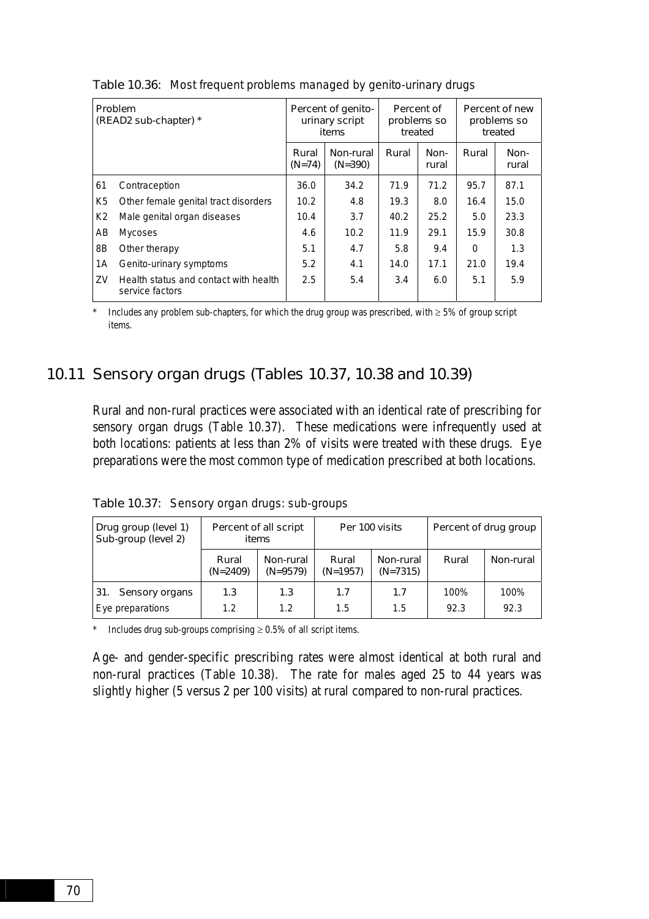| Problem<br>(READ2 sub-chapter) * |                                                          |                   | Percent of genito-<br>urinary script<br>items | Percent of<br>problems so<br>treated |               |          | Percent of new<br>problems so<br>treated |
|----------------------------------|----------------------------------------------------------|-------------------|-----------------------------------------------|--------------------------------------|---------------|----------|------------------------------------------|
|                                  |                                                          | Rural<br>$(N=74)$ | Non-rural<br>$(N=390)$                        | Rural                                | Non-<br>rural | Rural    | Non-<br>rural                            |
| 61                               | Contraception                                            | 36.0              | 34.2                                          | 71.9                                 | 71.2          | 95.7     | 87.1                                     |
| K <sub>5</sub>                   | Other female genital tract disorders                     | 10.2              | 4.8                                           | 19.3                                 | 8.0           | 16.4     | 15.0                                     |
| K2                               | Male genital organ diseases                              | 10.4              | 3.7                                           | 40.2                                 | 25.2          | 5.0      | 23.3                                     |
| AB                               | <b>Mycoses</b>                                           | 4.6               | 10.2                                          | 11.9                                 | 29.1          | 15.9     | 30.8                                     |
| 8Β                               | Other therapy                                            | 5.1               | 4.7                                           | 5.8                                  | 9.4           | $\Omega$ | 1.3                                      |
| 1A                               | Genito-urinary symptoms                                  | 5.2               | 4.1                                           | 14.0                                 | 17.1          | 21.0     | 19.4                                     |
| ZV                               | Health status and contact with health<br>service factors | 2.5               | 5.4                                           | 3.4                                  | 6.0           | 5.1      | 5.9                                      |

Table 10.36: Most frequent problems managed by genito-urinary drugs

Includes any problem sub-chapters, for which the drug group was prescribed, with  $\geq$  5% of group script items.

### 10.11 Sensory organ drugs (Tables 10.37, 10.38 and 10.39)

Rural and non-rural practices were associated with an identical rate of prescribing for sensory organ drugs (Table 10.37). These medications were infrequently used at both locations: patients at less than 2% of visits were treated with these drugs. Eye preparations were the most common type of medication prescribed at both locations.

| Drug group (level 1)<br>Sub-group (level 2)      | items               | Percent of all script   |                     | Per 100 visits          |              | Percent of drug group<br>Non-rural |  |
|--------------------------------------------------|---------------------|-------------------------|---------------------|-------------------------|--------------|------------------------------------|--|
|                                                  | Rural<br>$(N=2409)$ | Non-rural<br>$(N=9579)$ | Rural<br>$(N=1957)$ | Non-rural<br>$(N=7315)$ | Rural        |                                    |  |
| 31.<br><b>Sensory organs</b><br>Eye preparations | 1.3<br>1.2          | 1.3<br>1.2              | 1.7<br>1.5          | 1.7<br>1.5              | 100%<br>92.3 | 100%<br>92.3                       |  |

Table 10.37: Sensory organ drugs: sub-groups

\* Includes drug sub-groups comprising ≥ 0.5% of all script items.

Age- and gender-specific prescribing rates were almost identical at both rural and non-rural practices (Table 10.38). The rate for males aged 25 to 44 years was slightly higher (5 versus 2 per 100 visits) at rural compared to non-rural practices.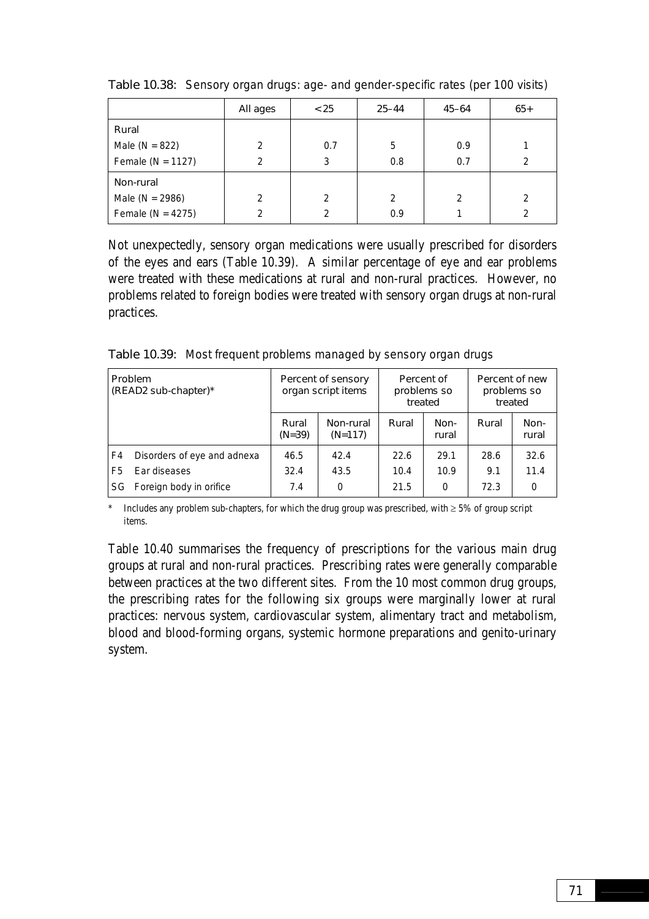|                       | All ages       | < 25          | $25 - 44$     | $45 - 64$     | $65+$          |
|-----------------------|----------------|---------------|---------------|---------------|----------------|
| Rural                 |                |               |               |               |                |
| Male ( $N = 822$ )    | $\mathfrak{p}$ | 0.7           | 5             | 0.9           |                |
| Female ( $N = 1127$ ) | $\mathcal{P}$  | 3             | 0.8           | 0.7           | 2              |
| Non-rural             |                |               |               |               |                |
| Male ( $N = 2986$ )   | $\mathfrak{p}$ | $\mathcal{P}$ | $\mathcal{P}$ | $\mathcal{P}$ | $\mathfrak{D}$ |
| Female ( $N = 4275$ ) | 2              | 2             | 0.9           |               | 2              |

Table 10.38: Sensory organ drugs: age- and gender-specific rates (per 100 visits)

Not unexpectedly, sensory organ medications were usually prescribed for disorders of the eyes and ears (Table 10.39). A similar percentage of eye and ear problems were treated with these medications at rural and non-rural practices. However, no problems related to foreign bodies were treated with sensory organ drugs at non-rural practices.

Table 10.39: Most frequent problems managed by sensory organ drugs

| <b>Problem</b><br>(READ2 sub-chapter)* |                             |                   | Percent of sensory<br>organ script items | treated | Percent of<br>problems so | Percent of new<br>problems so | treated       |
|----------------------------------------|-----------------------------|-------------------|------------------------------------------|---------|---------------------------|-------------------------------|---------------|
|                                        |                             | Rural<br>$(N=39)$ | Non-rural<br>$(N=117)$                   | Rural   | Non-<br>rural             | Rural                         | Non-<br>rural |
| F4                                     | Disorders of eye and adnexa | 46.5              | 42.4                                     | 22.6    | 29.1                      | 28.6                          | 32.6          |
| F5                                     | Ear diseases                | 32.4              | 43.5                                     | 10.4    | 10.9                      | 9.1                           | 11.4          |
| SG.                                    | Foreign body in orifice     |                   | 0                                        | 21.5    | 0                         | 72.3                          | $\Omega$      |

\* Includes any problem sub-chapters, for which the drug group was prescribed, with  $\geq 5\%$  of group script items.

Table 10.40 summarises the frequency of prescriptions for the various main drug groups at rural and non-rural practices. Prescribing rates were generally comparable between practices at the two different sites. From the 10 most common drug groups, the prescribing rates for the following six groups were marginally lower at rural practices: nervous system, cardiovascular system, alimentary tract and metabolism, blood and blood-forming organs, systemic hormone preparations and genito-urinary system.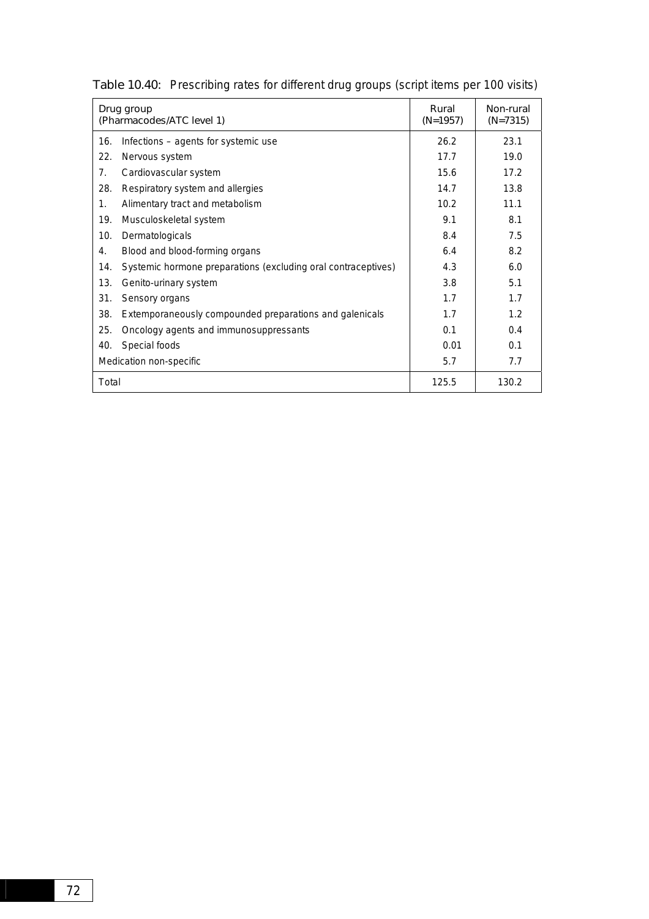|       | Drug group<br>(Pharmacodes/ATC level 1)                       | Rural<br>$(N=1957)$ | Non-rural<br>$(N=7315)$ |
|-------|---------------------------------------------------------------|---------------------|-------------------------|
| 16.   | Infections - agents for systemic use                          | 26.2                | 23.1                    |
| 22.   | Nervous system                                                | 17.7                | 19.0                    |
| 7.    | Cardiovascular system                                         | 15.6                | 17.2                    |
| 28.   | Respiratory system and allergies                              | 14.7                | 13.8                    |
| 1.    | Alimentary tract and metabolism                               | 10.2                | 11.1                    |
| 19.   | Musculoskeletal system                                        | 9.1                 | 8.1                     |
| 10.   | Dermatologicals                                               | 8.4                 | 7.5                     |
| 4.    | Blood and blood-forming organs                                | 6.4                 | 8.2                     |
| 14.   | Systemic hormone preparations (excluding oral contraceptives) | 4.3                 | 6.0                     |
| 13.   | Genito-urinary system                                         | 3.8                 | 5.1                     |
| 31.   | Sensory organs                                                | 1.7                 | 1.7                     |
| 38.   | Extemporaneously compounded preparations and galenicals       | 1.7                 | 1.2                     |
| 25.   | Oncology agents and immunosuppressants                        | 0.1                 | 0.4                     |
| 40.   | Special foods                                                 | 0.01                | 0.1                     |
|       | Medication non-specific                                       | 5.7                 | 7.7                     |
| Total |                                                               | 125.5               | 130.2                   |

Table 10.40: Prescribing rates for different drug groups (script items per 100 visits)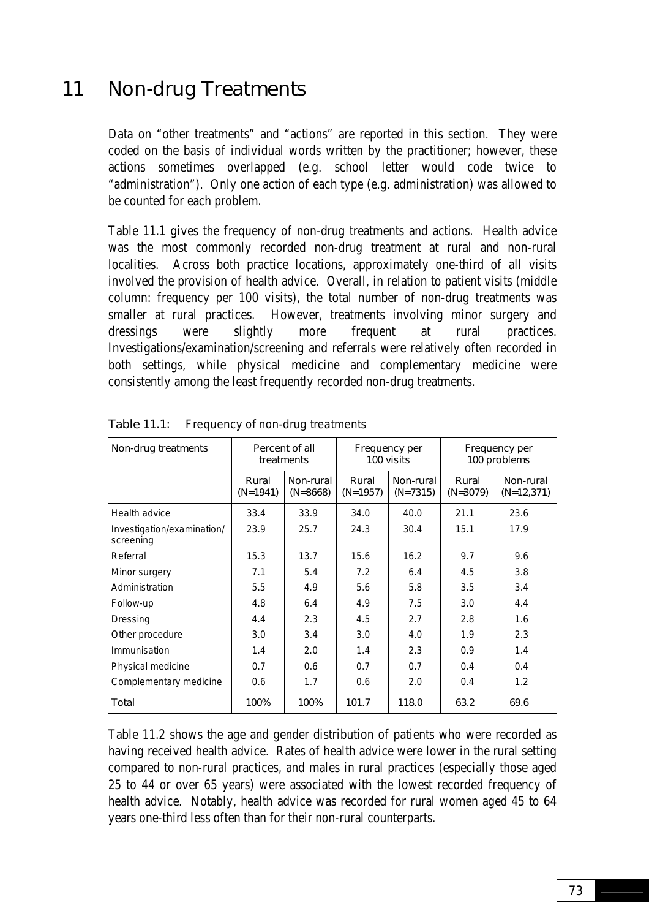# 11 Non-drug Treatments

Data on "other treatments" and "actions" are reported in this section. They were coded on the basis of individual words written by the practitioner; however, these actions sometimes overlapped (e.g. school letter would code twice to "administration"). Only one action of each type (e.g. administration) was allowed to be counted for each problem.

Table 11.1 gives the frequency of non-drug treatments and actions. Health advice was the most commonly recorded non-drug treatment at rural and non-rural localities. Across both practice locations, approximately one-third of all visits involved the provision of health advice. Overall, in relation to patient visits (middle column: frequency per 100 visits), the total number of non-drug treatments was smaller at rural practices. However, treatments involving minor surgery and dressings were slightly more frequent at rural practices. Investigations/examination/screening and referrals were relatively often recorded in both settings, while physical medicine and complementary medicine were consistently among the least frequently recorded non-drug treatments.

| Non-drug treatments                     |                     | Percent of all<br>treatments | Frequency per<br>100 visits |                         | Frequency per<br>100 problems |                           |
|-----------------------------------------|---------------------|------------------------------|-----------------------------|-------------------------|-------------------------------|---------------------------|
|                                         | Rural<br>$(N=1941)$ | Non-rural<br>$(N=8668)$      | Rural<br>$(N=1957)$         | Non-rural<br>$(N=7315)$ | Rural<br>$(N=3079)$           | Non-rural<br>$(N=12,371)$ |
| Health advice                           | 33.4                | 33.9                         | 34.0                        | 40.0                    | 21.1                          | 23.6                      |
| Investigation/examination/<br>screening | 23.9                | 25.7                         | 24.3                        | 30.4                    | 15.1                          | 17.9                      |
| Referral                                | 15.3                | 13.7                         | 15.6                        | 16.2                    | 9.7                           | 9.6                       |
| Minor surgery                           | 7.1                 | 5.4                          | 7.2                         | 6.4                     | 4.5                           | 3.8                       |
| Administration                          | 5.5                 | 4.9                          | 5.6                         | 5.8                     | 3.5                           | 3.4                       |
| Follow-up                               | 4.8                 | 6.4                          | 4.9                         | 7.5                     | 3.0                           | 4.4                       |
| Dressing                                | 4.4                 | 2.3                          | 4.5                         | 2.7                     | 2.8                           | 1.6                       |
| Other procedure                         | 3.0                 | 3.4                          | 3.0                         | 4.0                     | 1.9                           | 2.3                       |
| Immunisation                            | 1.4                 | 2.0                          | 1.4                         | 2.3                     | 0.9                           | 1.4                       |
| Physical medicine                       | 0.7                 | 0.6                          | 0.7                         | 0.7                     | 0.4                           | 0.4                       |
| Complementary medicine                  | 0.6                 | 1.7                          | 0.6                         | 2.0                     | 0.4                           | 1.2                       |
| Total                                   | 100%                | 100%                         | 101.7                       | 118.0                   | 63.2                          | 69.6                      |

Table 11.1: Frequency of non-drug treatments

Table 11.2 shows the age and gender distribution of patients who were recorded as having received health advice. Rates of health advice were lower in the rural setting compared to non-rural practices, and males in rural practices (especially those aged 25 to 44 or over 65 years) were associated with the lowest recorded frequency of health advice. Notably, health advice was recorded for rural women aged 45 to 64 years one-third less often than for their non-rural counterparts.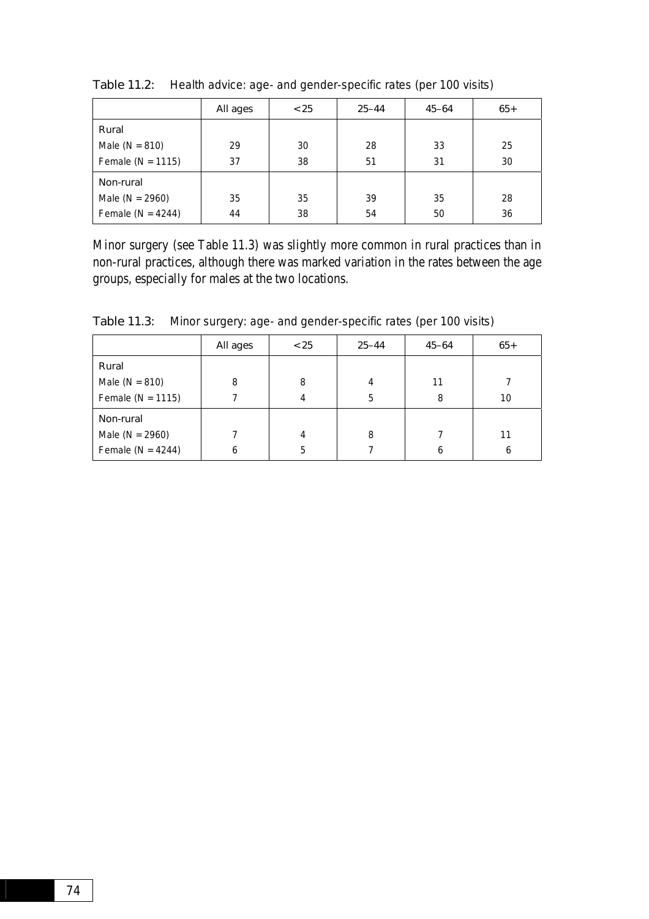|                       | All ages | < 25 | $25 - 44$ | $45 - 64$ | $65+$ |
|-----------------------|----------|------|-----------|-----------|-------|
| Rural                 |          |      |           |           |       |
| Male ( $N = 810$ )    | 29       | 30   | 28        | 33        | 25    |
| Female ( $N = 1115$ ) | 37       | 38   | 51        | 31        | 30    |
| Non-rural             |          |      |           |           |       |
| Male ( $N = 2960$ )   | 35       | 35   | 39        | 35        | 28    |
| Female ( $N = 4244$ ) | 44       | 38   | 54        | 50        | 36    |

Table 11.2: Health advice: age- and gender-specific rates (per 100 visits)

Minor surgery (see Table 11.3) was slightly more common in rural practices than in non-rural practices, although there was marked variation in the rates between the age groups, especially for males at the two locations.

|                       | All ages | < 25 | $25 - 44$ | $45 - 64$ | $65+$ |
|-----------------------|----------|------|-----------|-----------|-------|
| Rural                 |          |      |           |           |       |
| Male ( $N = 810$ )    | 8        | 8    | 4         | 11        |       |
| Female ( $N = 1115$ ) |          |      | 5         | 8         | 10    |
| Non-rural             |          |      |           |           |       |
| Male ( $N = 2960$ )   |          | 4    | 8         |           | 11    |
| Female ( $N = 4244$ ) | 6        | 5    |           | 6         | 6     |

Table 11.3: Minor surgery: age- and gender-specific rates (per 100 visits)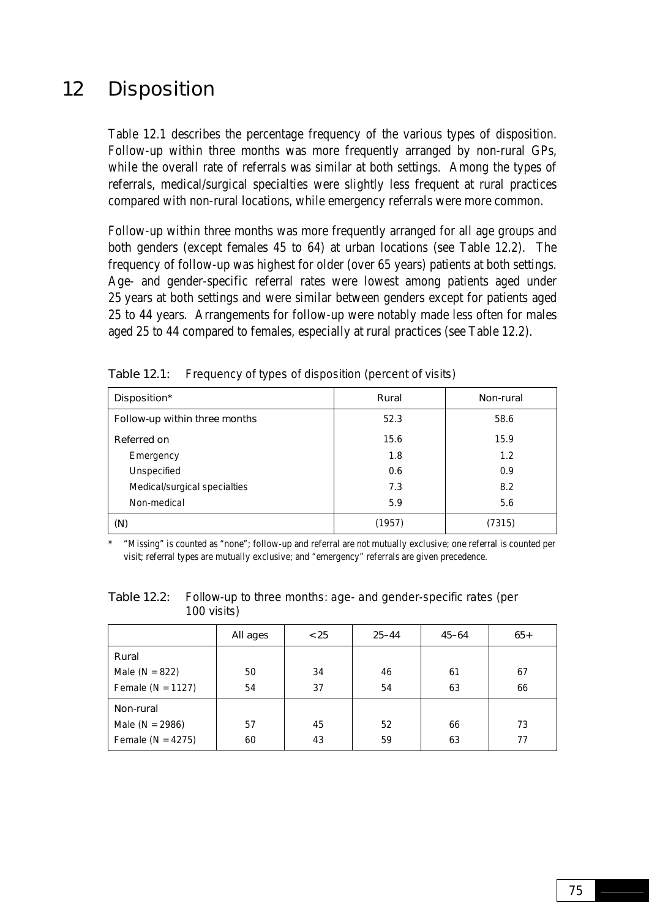## 12 Disposition

Table 12.1 describes the percentage frequency of the various types of disposition. Follow-up within three months was more frequently arranged by non-rural GPs, while the overall rate of referrals was similar at both settings. Among the types of referrals, medical/surgical specialties were slightly less frequent at rural practices compared with non-rural locations, while emergency referrals were more common.

Follow-up within three months was more frequently arranged for all age groups and both genders (except females 45 to 64) at urban locations (see Table 12.2). The frequency of follow-up was highest for older (over 65 years) patients at both settings. Age- and gender-specific referral rates were lowest among patients aged under 25 years at both settings and were similar between genders except for patients aged 25 to 44 years. Arrangements for follow-up were notably made less often for males aged 25 to 44 compared to females, especially at rural practices (see Table 12.2).

| Disposition*                  | Rural  | Non-rural |
|-------------------------------|--------|-----------|
| Follow-up within three months | 52.3   | 58.6      |
| Referred on                   | 15.6   | 15.9      |
| Emergency                     | 1.8    | 1.2       |
| Unspecified                   | 0.6    | 0.9       |
| Medical/surgical specialties  | 7.3    | 8.2       |
| Non-medical                   | 5.9    | 5.6       |
| (N)                           | (1957) | (7315)    |

Table 12.1: Frequency of types of disposition (percent of visits)

\* "Missing" is counted as "none"; follow-up and referral are not mutually exclusive; one referral is counted per visit; referral types are mutually exclusive; and "emergency" referrals are given precedence.

Table 12.2: Follow-up to three months: age- and gender-specific rates (per 100 visits)

|                       | All ages | < 25 | $25 - 44$ | $45 - 64$ | $65+$ |
|-----------------------|----------|------|-----------|-----------|-------|
| Rural                 |          |      |           |           |       |
| Male ( $N = 822$ )    | 50       | 34   | 46        | 61        | 67    |
| Female ( $N = 1127$ ) | 54       | 37   | 54        | 63        | 66    |
| Non-rural             |          |      |           |           |       |
| Male ( $N = 2986$ )   | 57       | 45   | 52        | 66        | 73    |
| Female ( $N = 4275$ ) | 60       | 43   | 59        | 63        | 77    |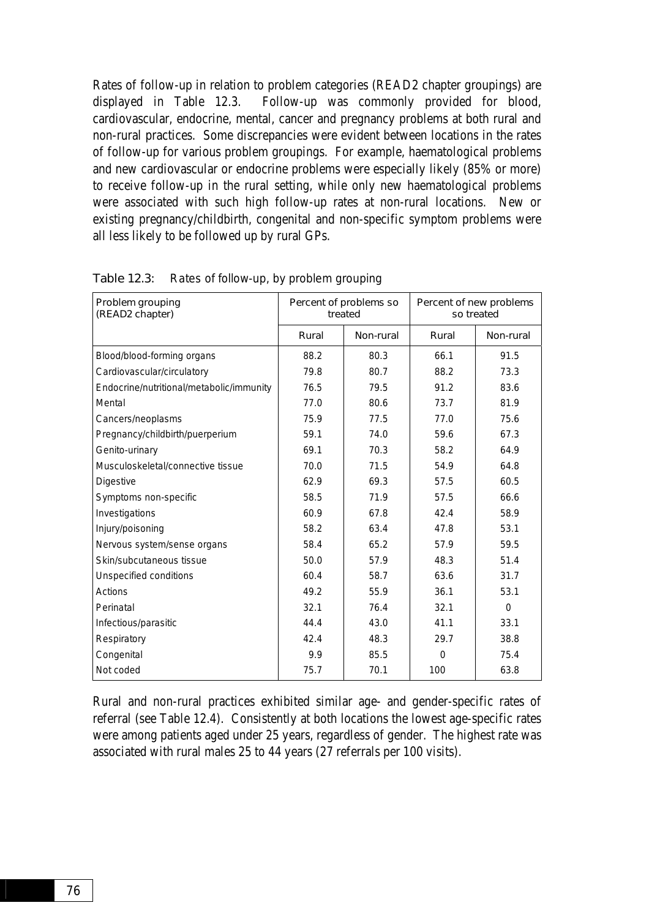Rates of follow-up in relation to problem categories (READ2 chapter groupings) are displayed in Table 12.3. Follow-up was commonly provided for blood, cardiovascular, endocrine, mental, cancer and pregnancy problems at both rural and non-rural practices. Some discrepancies were evident between locations in the rates of follow-up for various problem groupings. For example, haematological problems and new cardiovascular or endocrine problems were especially likely (85% or more) to receive follow-up in the rural setting, while only new haematological problems were associated with such high follow-up rates at non-rural locations. New or existing pregnancy/childbirth, congenital and non-specific symptom problems were all less likely to be followed up by rural GPs.

| Problem grouping<br>(READ2 chapter)      | Percent of problems so<br>treated |           | Percent of new problems<br>so treated |           |
|------------------------------------------|-----------------------------------|-----------|---------------------------------------|-----------|
|                                          | Rural                             | Non-rural | Rural                                 | Non-rural |
| Blood/blood-forming organs               | 88.2                              | 80.3      | 66.1                                  | 91.5      |
| Cardiovascular/circulatory               | 79.8                              | 80.7      | 88.2                                  | 73.3      |
| Endocrine/nutritional/metabolic/immunity | 76.5                              | 79.5      | 91.2                                  | 83.6      |
| Mental                                   | 77.0                              | 80.6      | 73.7                                  | 81.9      |
| Cancers/neoplasms                        | 75.9                              | 77.5      | 77.0                                  | 75.6      |
| Pregnancy/childbirth/puerperium          | 59.1                              | 74.0      | 59.6                                  | 67.3      |
| Genito-urinary                           | 69.1                              | 70.3      | 58.2                                  | 64.9      |
| Musculoskeletal/connective tissue        | 70.0                              | 71.5      | 54.9                                  | 64.8      |
| <b>Digestive</b>                         | 62.9                              | 69.3      | 57.5                                  | 60.5      |
| Symptoms non-specific                    | 58.5                              | 71.9      | 57.5                                  | 66.6      |
| Investigations                           | 60.9                              | 67.8      | 42.4                                  | 58.9      |
| Injury/poisoning                         | 58.2                              | 63.4      | 47.8                                  | 53.1      |
| Nervous system/sense organs              | 58.4                              | 65.2      | 57.9                                  | 59.5      |
| Skin/subcutaneous tissue                 | 50.0                              | 57.9      | 48.3                                  | 51.4      |
| Unspecified conditions                   | 60.4                              | 58.7      | 63.6                                  | 31.7      |
| Actions                                  | 49.2                              | 55.9      | 36.1                                  | 53.1      |
| Perinatal                                | 32.1                              | 76.4      | 32.1                                  | $\Omega$  |
| Infectious/parasitic                     | 44.4                              | 43.0      | 41.1                                  | 33.1      |
| Respiratory                              | 42.4                              | 48.3      | 29.7                                  | 38.8      |
| Congenital                               | 9.9                               | 85.5      | $\Omega$                              | 75.4      |
| Not coded                                | 75.7                              | 70.1      | 100                                   | 63.8      |

Table 12.3: Rates of follow-up, by problem grouping

Rural and non-rural practices exhibited similar age- and gender-specific rates of referral (see Table 12.4). Consistently at both locations the lowest age-specific rates were among patients aged under 25 years, regardless of gender. The highest rate was associated with rural males 25 to 44 years (27 referrals per 100 visits).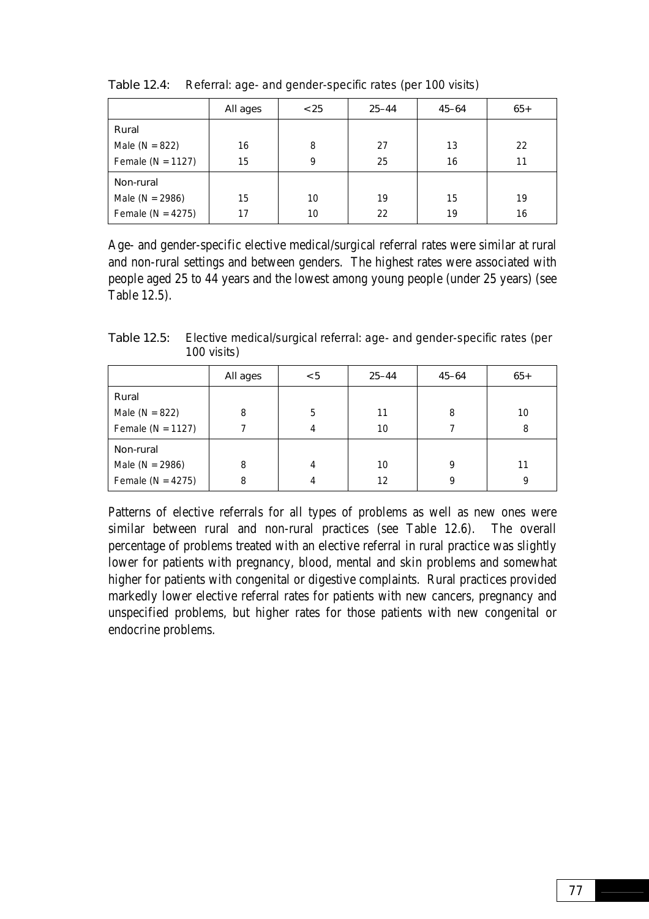|                       | All ages | < 25 | $25 - 44$ | $45 - 64$ | $65+$ |
|-----------------------|----------|------|-----------|-----------|-------|
| Rural                 |          |      |           |           |       |
| Male ( $N = 822$ )    | 16       | 8    | 27        | 13        | 22    |
| Female ( $N = 1127$ ) | 15       | 9    | 25        | 16        | 11    |
| Non-rural             |          |      |           |           |       |
| Male ( $N = 2986$ )   | 15       | 10   | 19        | 15        | 19    |
| Female ( $N = 4275$ ) | 17       | 10   | 22        | 19        | 16    |

Table 12.4: Referral: age- and gender-specific rates (per 100 visits)

Age- and gender-specific elective medical/surgical referral rates were similar at rural and non-rural settings and between genders. The highest rates were associated with people aged 25 to 44 years and the lowest among young people (under 25 years) (see Table 12.5).

| Table 12.5: Elective medical/surgical referral: age- and gender-specific rates (per |
|-------------------------------------------------------------------------------------|
| 100 visits)                                                                         |

|                       | All ages | < 5 | $25 - 44$ | $45 - 64$ | $65+$ |
|-----------------------|----------|-----|-----------|-----------|-------|
| Rural                 |          |     |           |           |       |
| Male ( $N = 822$ )    | 8        | 5   | 11        | 8         | 10    |
| Female ( $N = 1127$ ) |          | 4   | 10        |           | 8     |
| Non-rural             |          |     |           |           |       |
| Male ( $N = 2986$ )   | 8        | 4   | 10        | 9         | 11    |
| Female ( $N = 4275$ ) | 8        | 4   | 12        | 9         | 9     |

Patterns of elective referrals for all types of problems as well as new ones were similar between rural and non-rural practices (see Table 12.6). The overall percentage of problems treated with an elective referral in rural practice was slightly lower for patients with pregnancy, blood, mental and skin problems and somewhat higher for patients with congenital or digestive complaints. Rural practices provided markedly lower elective referral rates for patients with new cancers, pregnancy and unspecified problems, but higher rates for those patients with new congenital or endocrine problems.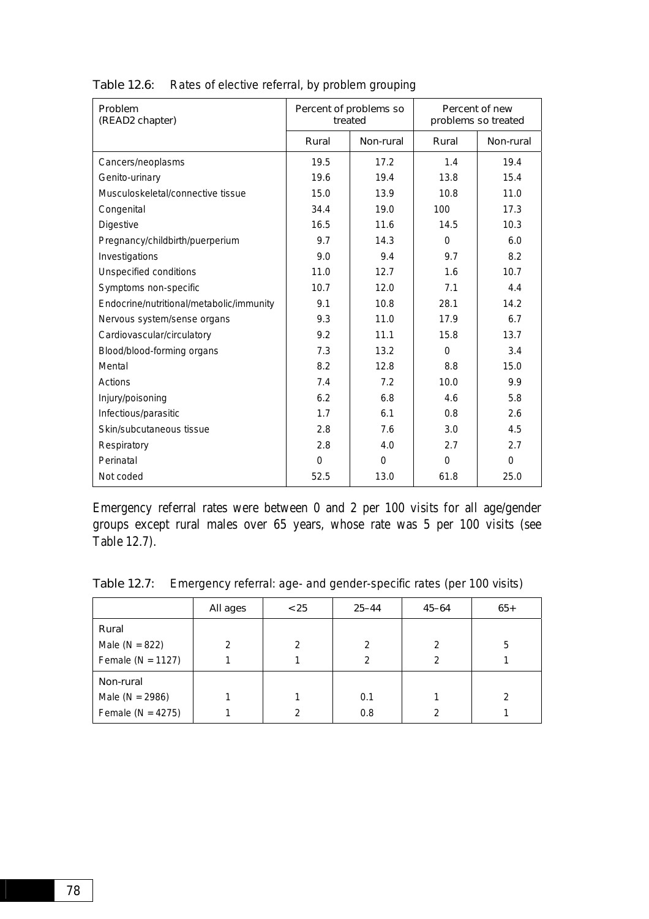| Problem<br>(READ2 chapter)               | Percent of problems so<br>treated |             | Percent of new<br>problems so treated |           |
|------------------------------------------|-----------------------------------|-------------|---------------------------------------|-----------|
|                                          | Rural                             | Non-rural   | Rural                                 | Non-rural |
| Cancers/neoplasms                        | 19.5                              | 17.2        | 1.4                                   | 19.4      |
| Genito-urinary                           | 19.6                              | 19.4        | 13.8                                  | 15.4      |
| Musculoskeletal/connective tissue        | 15.0                              | 13.9        | 10.8                                  | 11.0      |
| Congenital                               | 34.4                              | 19.0        | 100                                   | 17.3      |
| <b>Digestive</b>                         | 16.5                              | 11.6        | 14.5                                  | 10.3      |
| Pregnancy/childbirth/puerperium          | 9.7                               | 14.3        | $\Omega$                              | 6.0       |
| Investigations                           | 9.0                               | 9.4         | 9.7                                   | 8.2       |
| Unspecified conditions                   | 11.0                              | 12.7        | 1.6                                   | 10.7      |
| Symptoms non-specific                    | 10.7                              | 12.0        | 7.1                                   | 4.4       |
| Endocrine/nutritional/metabolic/immunity | 9.1                               | 10.8        | 28.1                                  | 14.2      |
| Nervous system/sense organs              | 9.3                               | 11.0        | 17.9                                  | 6.7       |
| Cardiovascular/circulatory               | 9.2                               | 11.1        | 15.8                                  | 13.7      |
| Blood/blood-forming organs               | 7.3                               | 13.2        | $\Omega$                              | 3.4       |
| Mental                                   | 8.2                               | 12.8        | 8.8                                   | 15.0      |
| Actions                                  | 7.4                               | 7.2         | 10.0                                  | 9.9       |
| Injury/poisoning                         | 6.2                               | 6.8         | 4.6                                   | 5.8       |
| Infectious/parasitic                     | 1.7                               | 6.1         | 0.8                                   | 2.6       |
| Skin/subcutaneous tissue                 | 2.8                               | 7.6         | 3.0                                   | 4.5       |
| Respiratory                              | 2.8                               | 4.0         | 2.7                                   | 2.7       |
| Perinatal                                | $\Omega$                          | $\mathbf 0$ | $\mathbf 0$                           | 0         |
| Not coded                                | 52.5                              | 13.0        | 61.8                                  | 25.0      |

Table 12.6: Rates of elective referral, by problem grouping

Emergency referral rates were between 0 and 2 per 100 visits for all age/gender groups except rural males over 65 years, whose rate was 5 per 100 visits (see Table 12.7).

|                       | All ages | < 25 | $25 - 44$     | $45 - 64$ | $65+$ |
|-----------------------|----------|------|---------------|-----------|-------|
| Rural                 |          |      |               |           |       |
| Male ( $N = 822$ )    | 2        | 2    | $\mathcal{P}$ | 2         | 5     |
| Female ( $N = 1127$ ) |          |      | $\mathcal{P}$ |           |       |
| Non-rural             |          |      |               |           |       |
| Male ( $N = 2986$ )   |          |      | 0.1           |           |       |
| Female ( $N = 4275$ ) |          | 2    | 0.8           |           |       |

Table 12.7: Emergency referral: age- and gender-specific rates (per 100 visits)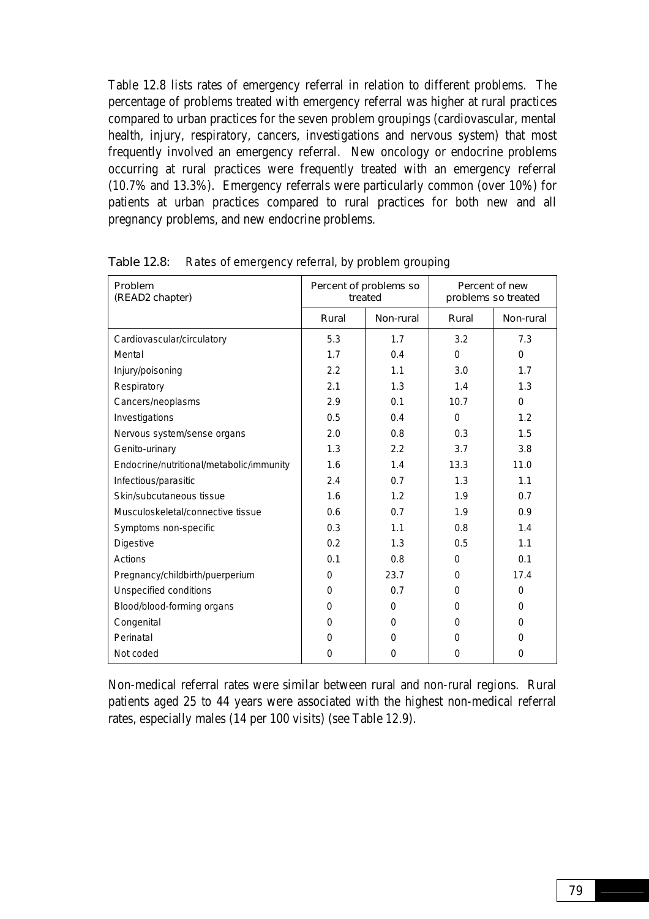Table 12.8 lists rates of emergency referral in relation to different problems. The percentage of problems treated with emergency referral was higher at rural practices compared to urban practices for the seven problem groupings (cardiovascular, mental health, injury, respiratory, cancers, investigations and nervous system) that most frequently involved an emergency referral. New oncology or endocrine problems occurring at rural practices were frequently treated with an emergency referral (10.7% and 13.3%). Emergency referrals were particularly common (over 10%) for patients at urban practices compared to rural practices for both new and all pregnancy problems, and new endocrine problems.

| Problem<br>(READ2 chapter)               | Percent of problems so<br>treated |           | Percent of new<br>problems so treated |           |
|------------------------------------------|-----------------------------------|-----------|---------------------------------------|-----------|
|                                          | Rural                             | Non-rural | Rural                                 | Non-rural |
| Cardiovascular/circulatory               | 5.3                               | 1.7       | 3.2                                   | 7.3       |
| Mental                                   | 1.7                               | 0.4       | $\Omega$                              | $\Omega$  |
| Injury/poisoning                         | 2.2                               | 1.1       | 3.0                                   | 1.7       |
| Respiratory                              | 2.1                               | 1.3       | 1.4                                   | 1.3       |
| Cancers/neoplasms                        | 2.9                               | 0.1       | 10.7                                  | $\Omega$  |
| Investigations                           | 0.5                               | 0.4       | $\Omega$                              | 1.2       |
| Nervous system/sense organs              | 2.0                               | 0.8       | 0.3                                   | 1.5       |
| Genito-urinary                           | 1.3                               | 2.2       | 3.7                                   | 3.8       |
| Endocrine/nutritional/metabolic/immunity | 1.6                               | 1.4       | 13.3                                  | 11.0      |
| Infectious/parasitic                     | 2.4                               | 0.7       | 1.3                                   | 1.1       |
| Skin/subcutaneous tissue                 | 1.6                               | 1.2       | 1.9                                   | 0.7       |
| Musculoskeletal/connective tissue        | 0.6                               | 0.7       | 1.9                                   | 0.9       |
| Symptoms non-specific                    | 0.3                               | 1.1       | 0.8                                   | 1.4       |
| <b>Digestive</b>                         | 0.2                               | 1.3       | 0.5                                   | 1.1       |
| Actions                                  | 0.1                               | 0.8       | $\Omega$                              | 0.1       |
| Pregnancy/childbirth/puerperium          | $\Omega$                          | 23.7      | 0                                     | 17.4      |
| Unspecified conditions                   | 0                                 | 0.7       | $\Omega$                              | $\Omega$  |
| Blood/blood-forming organs               | $\Omega$                          | $\Omega$  | 0                                     | $\Omega$  |
| Congenital                               | 0                                 | $\Omega$  | 0                                     | $\Omega$  |
| Perinatal                                | $\Omega$                          | $\Omega$  | $\Omega$                              | $\Omega$  |
| Not coded                                | 0                                 | $\Omega$  | 0                                     | $\Omega$  |

Table 12.8: Rates of emergency referral, by problem grouping

Non-medical referral rates were similar between rural and non-rural regions. Rural patients aged 25 to 44 years were associated with the highest non-medical referral rates, especially males (14 per 100 visits) (see Table 12.9).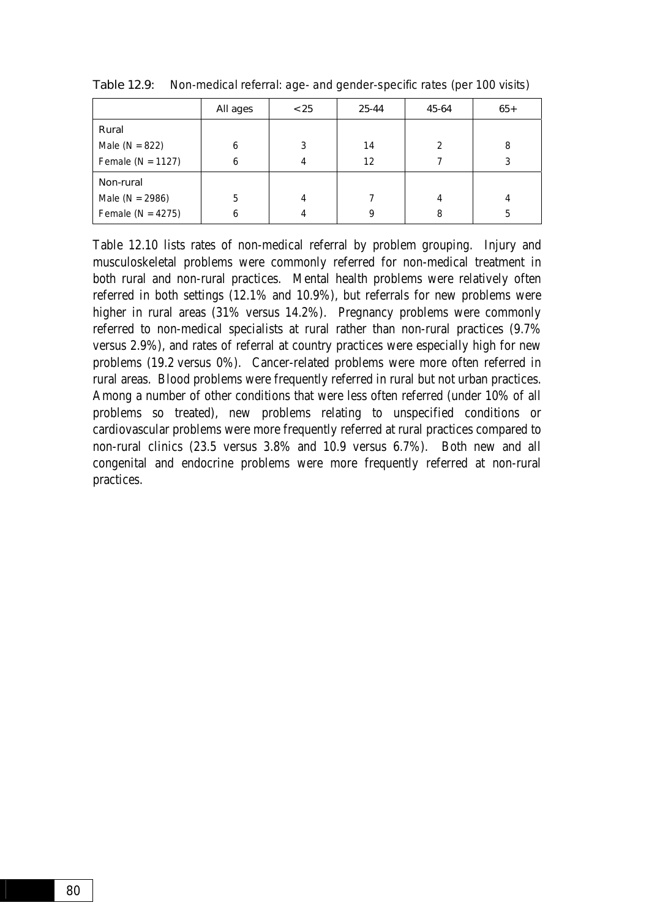|                       | All ages | < 25 | 25-44 | 45-64         | $65+$ |
|-----------------------|----------|------|-------|---------------|-------|
| Rural                 |          |      |       |               |       |
| Male ( $N = 822$ )    | 6        | 3    | 14    | $\mathcal{P}$ | 8     |
| Female ( $N = 1127$ ) | 6        |      | 12    |               |       |
| Non-rural             |          |      |       |               |       |
| Male ( $N = 2986$ )   | 5        | 4    |       | 4             |       |
| Female ( $N = 4275$ ) | 6        |      | q     | 8             | 5     |

Table 12.9: Non-medical referral: age- and gender-specific rates (per 100 visits)

Table 12.10 lists rates of non-medical referral by problem grouping. Injury and musculoskeletal problems were commonly referred for non-medical treatment in both rural and non-rural practices. Mental health problems were relatively often referred in both settings (12.1% and 10.9%), but referrals for new problems were higher in rural areas (31% versus 14.2%). Pregnancy problems were commonly referred to non-medical specialists at rural rather than non-rural practices (9.7% versus 2.9%), and rates of referral at country practices were especially high for new problems (19.2 versus 0%). Cancer-related problems were more often referred in rural areas. Blood problems were frequently referred in rural but not urban practices. Among a number of other conditions that were less often referred (under 10% of all problems so treated), new problems relating to unspecified conditions or cardiovascular problems were more frequently referred at rural practices compared to non-rural clinics (23.5 versus 3.8% and 10.9 versus 6.7%). Both new and all congenital and endocrine problems were more frequently referred at non-rural practices.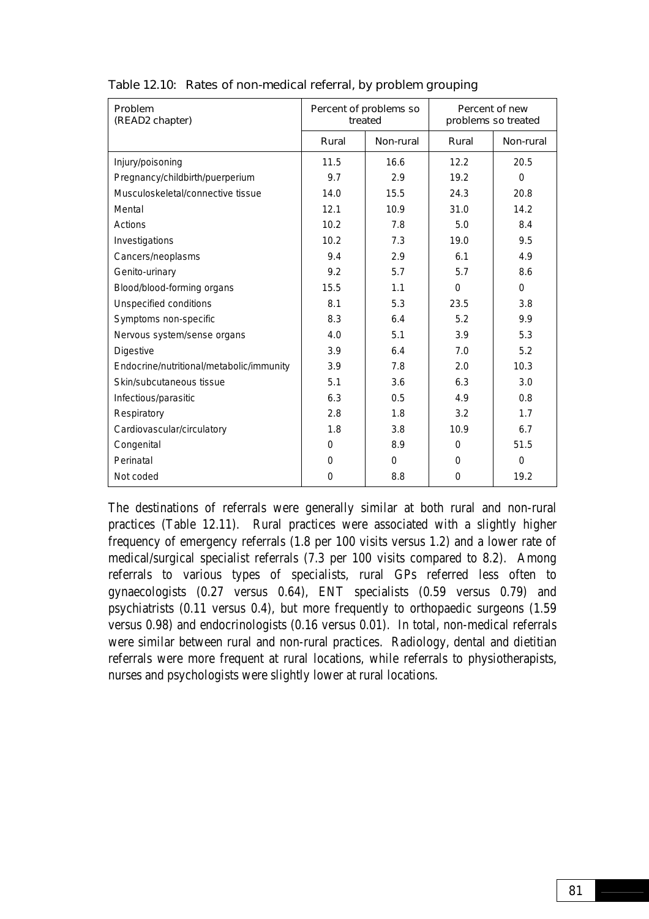| Problem<br>(READ2 chapter)               | Percent of problems so<br>treated |           | Percent of new<br>problems so treated |           |
|------------------------------------------|-----------------------------------|-----------|---------------------------------------|-----------|
|                                          | Rural                             | Non-rural | Rural                                 | Non-rural |
| Injury/poisoning                         | 11.5                              | 16.6      | 12.2                                  | 20.5      |
| Pregnancy/childbirth/puerperium          | 9.7                               | 2.9       | 19.2                                  | $\Omega$  |
| Musculoskeletal/connective tissue        | 14.0                              | 15.5      | 24.3                                  | 20.8      |
| Mental                                   | 12.1                              | 10.9      | 31.0                                  | 14.2      |
| Actions                                  | 10.2                              | 7.8       | 5.0                                   | 8.4       |
| Investigations                           | 10.2                              | 7.3       | 19.0                                  | 9.5       |
| Cancers/neoplasms                        | 9.4                               | 2.9       | 6.1                                   | 4.9       |
| Genito-urinary                           | 9.2                               | 5.7       | 5.7                                   | 8.6       |
| Blood/blood-forming organs               | 15.5                              | 1.1       | $\Omega$                              | $\Omega$  |
| Unspecified conditions                   | 8.1                               | 5.3       | 23.5                                  | 3.8       |
| Symptoms non-specific                    | 8.3                               | 6.4       | 5.2                                   | 9.9       |
| Nervous system/sense organs              | 4.0                               | 5.1       | 3.9                                   | 5.3       |
| <b>Digestive</b>                         | 3.9                               | 6.4       | 7.0                                   | 5.2       |
| Endocrine/nutritional/metabolic/immunity | 3.9                               | 7.8       | 2.0                                   | 10.3      |
| Skin/subcutaneous tissue                 | 5.1                               | 3.6       | 6.3                                   | 3.0       |
| Infectious/parasitic                     | 6.3                               | 0.5       | 4.9                                   | 0.8       |
| Respiratory                              | 2.8                               | 1.8       | 3.2                                   | 1.7       |
| Cardiovascular/circulatory               | 1.8                               | 3.8       | 10.9                                  | 6.7       |
| Congenital                               | 0                                 | 8.9       | 0                                     | 51.5      |
| Perinatal                                | 0                                 | $\Omega$  | 0                                     | $\Omega$  |
| Not coded                                | $\Omega$                          | 8.8       | 0                                     | 19.2      |

Table 12.10: Rates of non-medical referral, by problem grouping

The destinations of referrals were generally similar at both rural and non-rural practices (Table 12.11). Rural practices were associated with a slightly higher frequency of emergency referrals (1.8 per 100 visits versus 1.2) and a lower rate of medical/surgical specialist referrals (7.3 per 100 visits compared to 8.2). Among referrals to various types of specialists, rural GPs referred less often to gynaecologists (0.27 versus 0.64), ENT specialists (0.59 versus 0.79) and psychiatrists (0.11 versus 0.4), but more frequently to orthopaedic surgeons (1.59 versus 0.98) and endocrinologists (0.16 versus 0.01). In total, non-medical referrals were similar between rural and non-rural practices. Radiology, dental and dietitian referrals were more frequent at rural locations, while referrals to physiotherapists, nurses and psychologists were slightly lower at rural locations.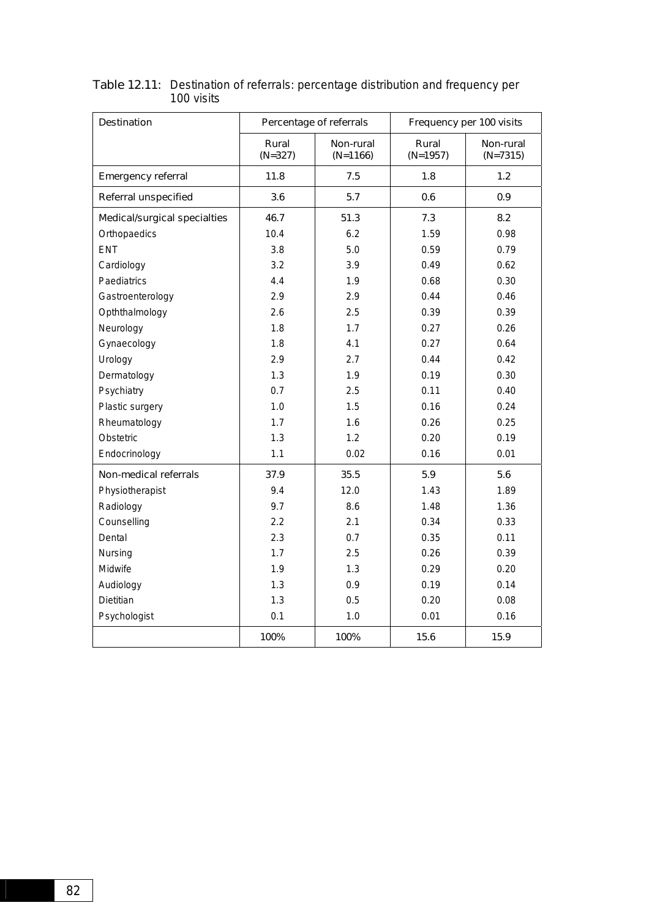| <b>Destination</b>           | Percentage of referrals |                         | Frequency per 100 visits |                         |  |
|------------------------------|-------------------------|-------------------------|--------------------------|-------------------------|--|
|                              | Rural<br>$(N=327)$      | Non-rural<br>$(N=1166)$ | Rural<br>$(N=1957)$      | Non-rural<br>$(N=7315)$ |  |
| <b>Emergency referral</b>    | 11.8                    | 7.5                     | 1.8                      | 1.2                     |  |
| <b>Referral unspecified</b>  | 3.6                     | 5.7                     | 0.6                      | 0.9                     |  |
| Medical/surgical specialties | 46.7                    | 51.3                    | 7.3                      | 8.2                     |  |
| Orthopaedics                 | 10.4                    | 6.2                     | 1.59                     | 0.98                    |  |
| <b>ENT</b>                   | 3.8                     | 5.0                     | 0.59                     | 0.79                    |  |
| Cardiology                   | 3.2                     | 3.9                     | 0.49                     | 0.62                    |  |
| Paediatrics                  | 4.4                     | 1.9                     | 0.68                     | 0.30                    |  |
| Gastroenterology             | 2.9                     | 2.9                     | 0.44                     | 0.46                    |  |
| Opththalmology               | 2.6                     | 2.5                     | 0.39                     | 0.39                    |  |
| Neurology                    | 1.8                     | 1.7                     | 0.27                     | 0.26                    |  |
| Gynaecology                  | 1.8                     | 4.1                     | 0.27                     | 0.64                    |  |
| Urology                      | 2.9                     | 2.7                     | 0.44                     | 0.42                    |  |
| Dermatology                  | 1.3                     | 1.9                     | 0.19                     | 0.30                    |  |
| Psychiatry                   | 0.7                     | 2.5                     | 0.11                     | 0.40                    |  |
| Plastic surgery              | 1.0                     | 1.5                     | 0.16                     | 0.24                    |  |
| Rheumatology                 | 1.7                     | 1.6                     | 0.26                     | 0.25                    |  |
| Obstetric                    | 1.3                     | 1.2                     | 0.20                     | 0.19                    |  |
| Endocrinology                | 1.1                     | 0.02                    | 0.16                     | 0.01                    |  |
| Non-medical referrals        | 37.9                    | 35.5                    | 5.9                      | 5.6                     |  |
| Physiotherapist              | 9.4                     | 12.0                    | 1.43                     | 1.89                    |  |
| Radiology                    | 9.7                     | 8.6                     | 1.48                     | 1.36                    |  |
| Counselling                  | 2.2                     | 2.1                     | 0.34                     | 0.33                    |  |
| Dental                       | 2.3                     | 0.7                     | 0.35                     | 0.11                    |  |
| Nursing                      | 1.7                     | 2.5                     | 0.26                     | 0.39                    |  |
| Midwife                      | 1.9                     | 1.3                     | 0.29                     | 0.20                    |  |
| Audiology                    | 1.3                     | 0.9                     | 0.19                     | 0.14                    |  |
| Dietitian                    | 1.3                     | 0.5                     | 0.20                     | 0.08                    |  |
| Psychologist                 | 0.1                     | 1.0                     | 0.01                     | 0.16                    |  |
|                              | 100%                    | 100%                    | 15.6                     | 15.9                    |  |

Table 12.11: Destination of referrals: percentage distribution and frequency per 100 visits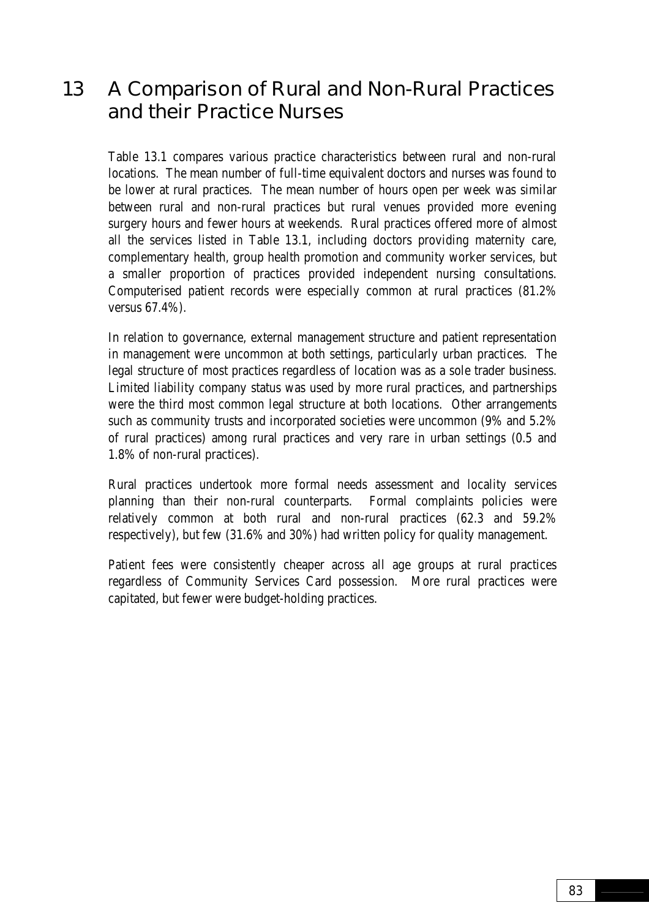# 13 A Comparison of Rural and Non-Rural Practices and their Practice Nurses

Table 13.1 compares various practice characteristics between rural and non-rural locations. The mean number of full-time equivalent doctors and nurses was found to be lower at rural practices. The mean number of hours open per week was similar between rural and non-rural practices but rural venues provided more evening surgery hours and fewer hours at weekends. Rural practices offered more of almost all the services listed in Table 13.1, including doctors providing maternity care, complementary health, group health promotion and community worker services, but a smaller proportion of practices provided independent nursing consultations. Computerised patient records were especially common at rural practices (81.2% versus 67.4%).

In relation to governance, external management structure and patient representation in management were uncommon at both settings, particularly urban practices. The legal structure of most practices regardless of location was as a sole trader business. Limited liability company status was used by more rural practices, and partnerships were the third most common legal structure at both locations. Other arrangements such as community trusts and incorporated societies were uncommon (9% and 5.2% of rural practices) among rural practices and very rare in urban settings (0.5 and 1.8% of non-rural practices).

Rural practices undertook more formal needs assessment and locality services planning than their non-rural counterparts. Formal complaints policies were relatively common at both rural and non-rural practices (62.3 and 59.2% respectively), but few (31.6% and 30%) had written policy for quality management.

Patient fees were consistently cheaper across all age groups at rural practices regardless of Community Services Card possession. More rural practices were capitated, but fewer were budget-holding practices.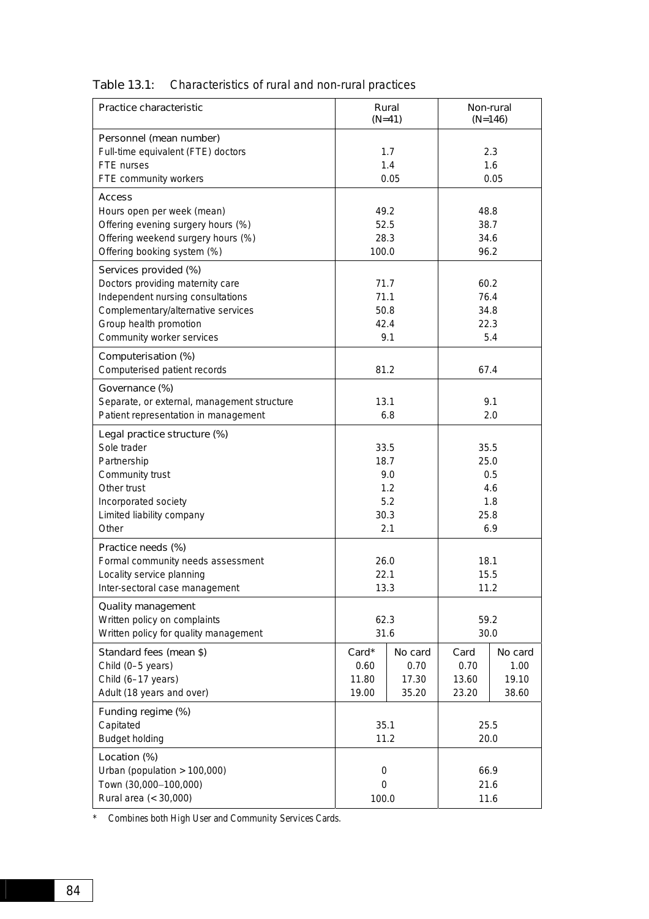|  | Table 13.1: Characteristics of rural and non-rural practices |  |  |
|--|--------------------------------------------------------------|--|--|
|--|--------------------------------------------------------------|--|--|

| Practice characteristic                                                     | Rural<br>$(N=41)$ |            | Non-rural<br>$(N=146)$ |            |  |
|-----------------------------------------------------------------------------|-------------------|------------|------------------------|------------|--|
| Personnel (mean number)<br>Full-time equivalent (FTE) doctors<br>FTE nurses |                   | 1.7<br>1.4 |                        | 2.3<br>1.6 |  |
| FTE community workers                                                       | 0.05              |            | 0.05                   |            |  |
| <b>Access</b>                                                               |                   |            |                        |            |  |
| Hours open per week (mean)                                                  | 49.2              |            | 48.8                   |            |  |
| Offering evening surgery hours (%)                                          | 52.5              |            | 38.7                   |            |  |
| Offering weekend surgery hours (%)                                          | 28.3              |            | 34.6                   |            |  |
| Offering booking system (%)                                                 | 100.0             |            | 96.2                   |            |  |
| Services provided (%)                                                       |                   |            |                        |            |  |
| Doctors providing maternity care                                            | 71.7              |            | 60.2                   |            |  |
| Independent nursing consultations                                           | 71.1              |            | 76.4                   |            |  |
| Complementary/alternative services                                          | 50.8              |            |                        | 34.8       |  |
| Group health promotion                                                      | 42.4              |            | 22.3                   |            |  |
| Community worker services                                                   |                   | 9.1        |                        | 5.4        |  |
| Computerisation (%)                                                         |                   |            |                        |            |  |
| Computerised patient records                                                | 81.2              |            | 67.4                   |            |  |
|                                                                             |                   |            |                        |            |  |
| Governance (%)                                                              |                   |            |                        |            |  |
| Separate, or external, management structure                                 | 13.1              |            | 9.1                    |            |  |
| Patient representation in management                                        |                   | 6.8        |                        | 2.0        |  |
| Legal practice structure (%)                                                |                   |            |                        |            |  |
| Sole trader                                                                 | 33.5              |            | 35.5                   |            |  |
| Partnership                                                                 | 18.7              |            | 25.0                   |            |  |
| Community trust                                                             | 9.0               |            | 0.5                    |            |  |
| Other trust                                                                 | 1.2               |            | 4.6                    |            |  |
| Incorporated society                                                        | 5.2               |            | 1.8                    |            |  |
| Limited liability company                                                   | 30.3              |            | 25.8                   |            |  |
| Other                                                                       | 2.1               |            | 6.9                    |            |  |
| Practice needs (%)                                                          |                   |            |                        |            |  |
| Formal community needs assessment                                           | 26.0              |            | 18.1                   |            |  |
| Locality service planning                                                   |                   | 22.1       |                        | 15.5       |  |
| Inter-sectoral case management                                              | 13.3              |            | 11.2                   |            |  |
| Quality management                                                          |                   |            |                        |            |  |
| Written policy on complaints                                                |                   |            | 59.2                   |            |  |
| Written policy for quality management                                       | 62.3<br>31.6      |            | 30.0                   |            |  |
|                                                                             |                   |            |                        |            |  |
| Standard fees (mean \$)                                                     | Card*             | No card    | Card                   | No card    |  |
| Child (0-5 years)                                                           | 0.60              | 0.70       | 0.70                   | 1.00       |  |
| Child (6-17 years)                                                          | 11.80             | 17.30      | 13.60                  | 19.10      |  |
| Adult (18 years and over)                                                   | 19.00             | 35.20      | 23.20                  | 38.60      |  |
| Funding regime (%)                                                          |                   |            |                        |            |  |
| Capitated                                                                   | 35.1              |            | 25.5                   |            |  |
| <b>Budget holding</b>                                                       | 11.2              |            | 20.0                   |            |  |
| Location (%)                                                                |                   |            |                        |            |  |
| Urban (population $> 100,000$ )                                             | $\boldsymbol{0}$  |            | 66.9                   |            |  |
| Town (30,000-100,000)                                                       | $\mathbf 0$       |            | 21.6                   |            |  |
| Rural area (< 30,000)                                                       | 100.0             |            | 11.6                   |            |  |

\* Combines both High User and Community Services Cards.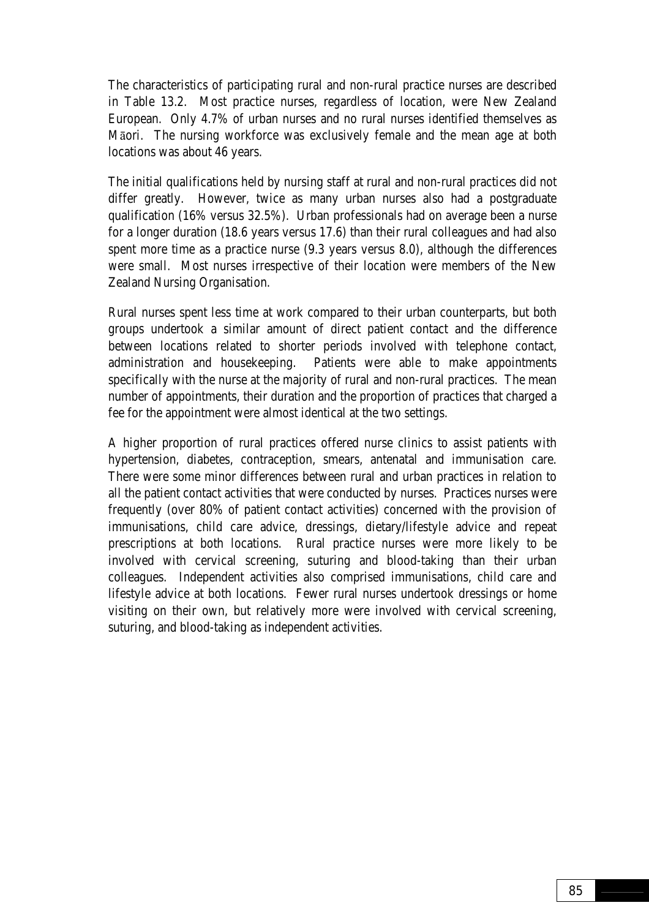The characteristics of participating rural and non-rural practice nurses are described in Table 13.2. Most practice nurses, regardless of location, were New Zealand European. Only 4.7% of urban nurses and no rural nurses identified themselves as Māori. The nursing workforce was exclusively female and the mean age at both locations was about 46 years.

The initial qualifications held by nursing staff at rural and non-rural practices did not differ greatly. However, twice as many urban nurses also had a postgraduate qualification (16% versus 32.5%). Urban professionals had on average been a nurse for a longer duration (18.6 years versus 17.6) than their rural colleagues and had also spent more time as a practice nurse (9.3 years versus 8.0), although the differences were small. Most nurses irrespective of their location were members of the New Zealand Nursing Organisation.

Rural nurses spent less time at work compared to their urban counterparts, but both groups undertook a similar amount of direct patient contact and the difference between locations related to shorter periods involved with telephone contact, administration and housekeeping. Patients were able to make appointments specifically with the nurse at the majority of rural and non-rural practices. The mean number of appointments, their duration and the proportion of practices that charged a fee for the appointment were almost identical at the two settings.

A higher proportion of rural practices offered nurse clinics to assist patients with hypertension, diabetes, contraception, smears, antenatal and immunisation care. There were some minor differences between rural and urban practices in relation to all the patient contact activities that were conducted by nurses. Practices nurses were frequently (over 80% of patient contact activities) concerned with the provision of immunisations, child care advice, dressings, dietary/lifestyle advice and repeat prescriptions at both locations. Rural practice nurses were more likely to be involved with cervical screening, suturing and blood-taking than their urban colleagues. Independent activities also comprised immunisations, child care and lifestyle advice at both locations. Fewer rural nurses undertook dressings or home visiting on their own, but relatively more were involved with cervical screening, suturing, and blood-taking as independent activities.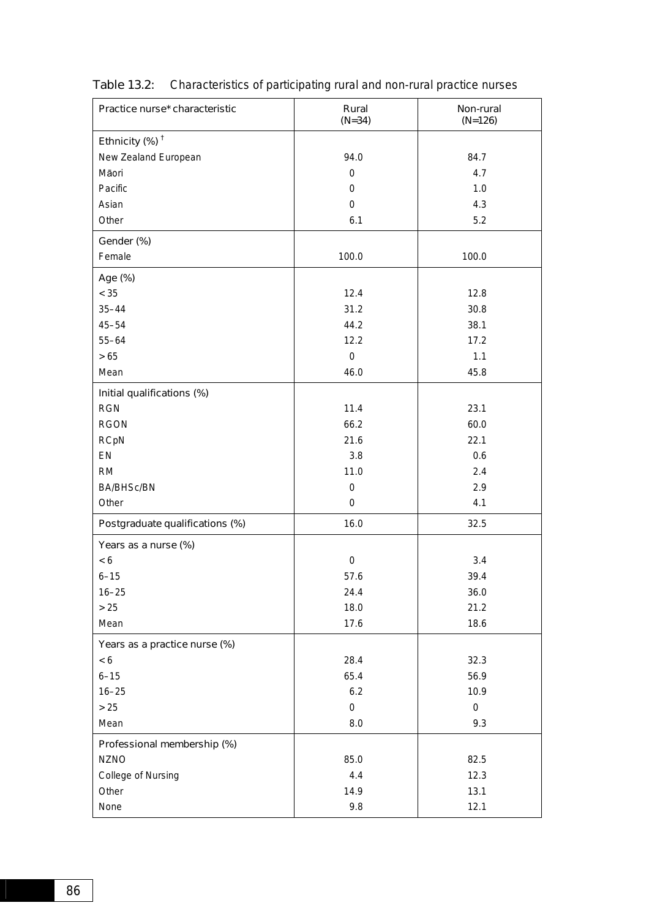| Practice nurse* characteristic  | Rural<br>$(N=34)$ | Non-rural<br>$(N=126)$ |
|---------------------------------|-------------------|------------------------|
| Ethnicity $(\%)^{\dagger}$      |                   |                        |
| New Zealand European            | 94.0              | 84.7                   |
| Māori                           | 0                 | 4.7                    |
| Pacific                         | $\mathbf 0$       | 1.0                    |
| Asian                           | $\mathbf 0$       | 4.3                    |
| Other                           | 6.1               | 5.2                    |
| Gender (%)                      |                   |                        |
| Female                          | 100.0             | 100.0                  |
| Age (%)                         |                   |                        |
| < 35                            | 12.4              | 12.8                   |
| $35 - 44$                       | 31.2              | 30.8                   |
| $45 - 54$                       | 44.2              | 38.1                   |
| $55 - 64$                       | 12.2              | 17.2                   |
| $>65$                           | $\boldsymbol{0}$  | 1.1                    |
| Mean                            | 46.0              | 45.8                   |
| Initial qualifications (%)      |                   |                        |
| <b>RGN</b>                      | 11.4              | 23.1                   |
| <b>RGON</b>                     | 66.2              | 60.0                   |
| <b>RCpN</b>                     | 21.6              | 22.1                   |
| EN                              | 3.8               | 0.6                    |
| <b>RM</b>                       | 11.0              | 2.4                    |
| <b>BA/BHSc/BN</b>               | 0                 | 2.9                    |
| Other                           | 0                 | 4.1                    |
| Postgraduate qualifications (%) | 16.0              | 32.5                   |
| Years as a nurse (%)            |                   |                        |
| $< 6$                           | $\boldsymbol{0}$  | 3.4                    |
| $6 - 15$                        | 57.6              | 39.4                   |
| $16 - 25$                       | 24.4              | 36.0                   |
| $>25$                           | 18.0              | 21.2                   |
| Mean                            | 17.6              | 18.6                   |
| Years as a practice nurse (%)   |                   |                        |
| < 6                             | 28.4              | 32.3                   |
| $6 - 15$                        | 65.4              | 56.9                   |
| $16 - 25$                       | 6.2               | 10.9                   |
| $>25$                           | $\boldsymbol{0}$  | $\pmb{0}$              |
| Mean                            | 8.0               | 9.3                    |
| Professional membership (%)     |                   |                        |
| <b>NZNO</b>                     | 85.0              | 82.5                   |
| College of Nursing              | 4.4               | 12.3                   |
| Other                           | 14.9              | 13.1                   |
| None                            | 9.8               | 12.1                   |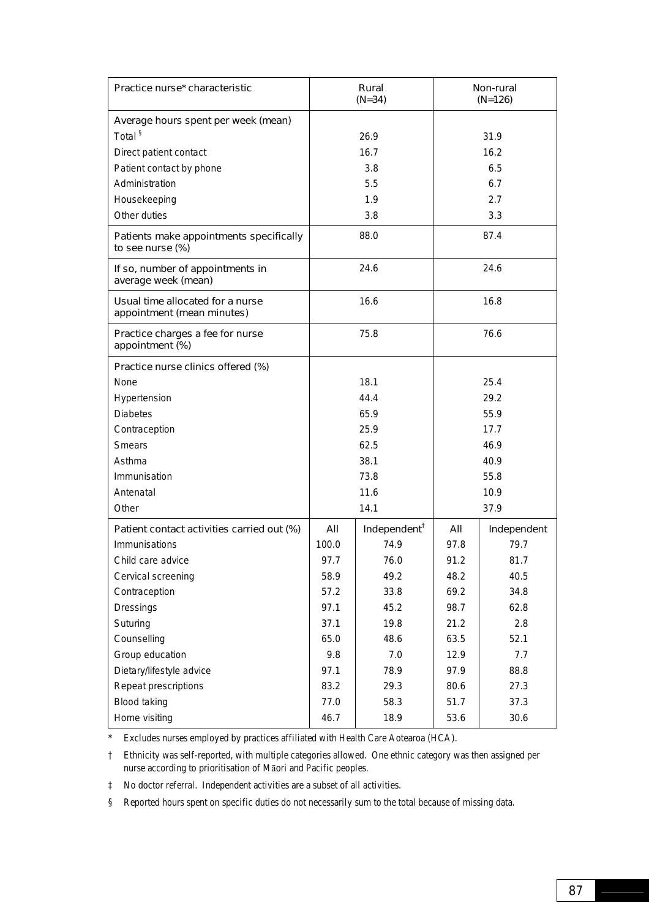| Practice nurse* characteristic                                 | Rural<br>$(N=34)$ |                          | Non-rural<br>$(N=126)$ |             |
|----------------------------------------------------------------|-------------------|--------------------------|------------------------|-------------|
| Average hours spent per week (mean)                            |                   |                          |                        |             |
| Total <sup>§</sup>                                             |                   | 26.9                     |                        | 31.9        |
| Direct patient contact                                         |                   | 16.7                     | 16.2                   |             |
| Patient contact by phone                                       |                   | 3.8                      |                        | 6.5         |
| Administration                                                 |                   | 5.5                      |                        | 6.7         |
| Housekeeping                                                   |                   | 1.9                      | 2.7                    |             |
| Other duties                                                   |                   | 3.8                      |                        | 3.3         |
| Patients make appointments specifically<br>to see nurse (%)    | 88.0              |                          | 87.4                   |             |
| If so, number of appointments in<br>average week (mean)        | 24.6              |                          | 24.6                   |             |
| Usual time allocated for a nurse<br>appointment (mean minutes) |                   | 16.6                     |                        | 16.8        |
| Practice charges a fee for nurse<br>appointment (%)            | 75.8              |                          | 76.6                   |             |
| Practice nurse clinics offered (%)                             |                   |                          |                        |             |
| None                                                           | 18.1              |                          | 25.4                   |             |
| Hypertension                                                   | 44.4              |                          | 29.2                   |             |
| <b>Diabetes</b>                                                | 65.9              |                          | 55.9                   |             |
| Contraception                                                  | 25.9              |                          | 17.7                   |             |
| <b>Smears</b>                                                  | 62.5              |                          | 46.9                   |             |
| Asthma                                                         | 38.1              |                          | 40.9                   |             |
| Immunisation                                                   | 73.8              |                          | 55.8                   |             |
| Antenatal                                                      | 11.6              |                          | 10.9                   |             |
| Other                                                          |                   | 14.1<br>37.9             |                        |             |
| Patient contact activities carried out (%)                     | All               | Independent <sup>†</sup> | All                    | Independent |
| Immunisations                                                  | 100.0             | 74.9                     | 97.8                   | 79.7        |
| Child care advice                                              | 97.7              | 76.0                     | 91.2                   | 81.7        |
| Cervical screening                                             | 58.9              | 49.2                     | 48.2                   | 40.5        |
| Contraception                                                  | 57.2              | 33.8                     | 69.2                   | 34.8        |
| Dressings                                                      | 97.1              | 45.2                     | 98.7                   | 62.8        |
| Suturing                                                       | 37.1              | 19.8                     | 21.2                   | 2.8         |
| Counselling                                                    | 65.0              | 48.6                     | 63.5                   | 52.1        |
| Group education                                                | 9.8               | 7.0                      | 12.9                   | 7.7         |
| Dietary/lifestyle advice                                       | 97.1              | 78.9                     | 97.9                   | 88.8        |
| Repeat prescriptions                                           | 83.2              | 29.3                     | 80.6                   | 27.3        |
| Blood taking                                                   | 77.0              | 58.3                     | 51.7                   | 37.3        |
| Home visiting                                                  | 46.7              | 18.9                     | 53.6                   | 30.6        |

\* Excludes nurses employed by practices affiliated with Health Care Aotearoa (HCA).

† Ethnicity was self-reported, with multiple categories allowed. One ethnic category was then assigned per nurse according to prioritisation of Māori and Pacific peoples.

‡ No doctor referral. Independent activities are a subset of all activities.

§ Reported hours spent on specific duties do not necessarily sum to the total because of missing data.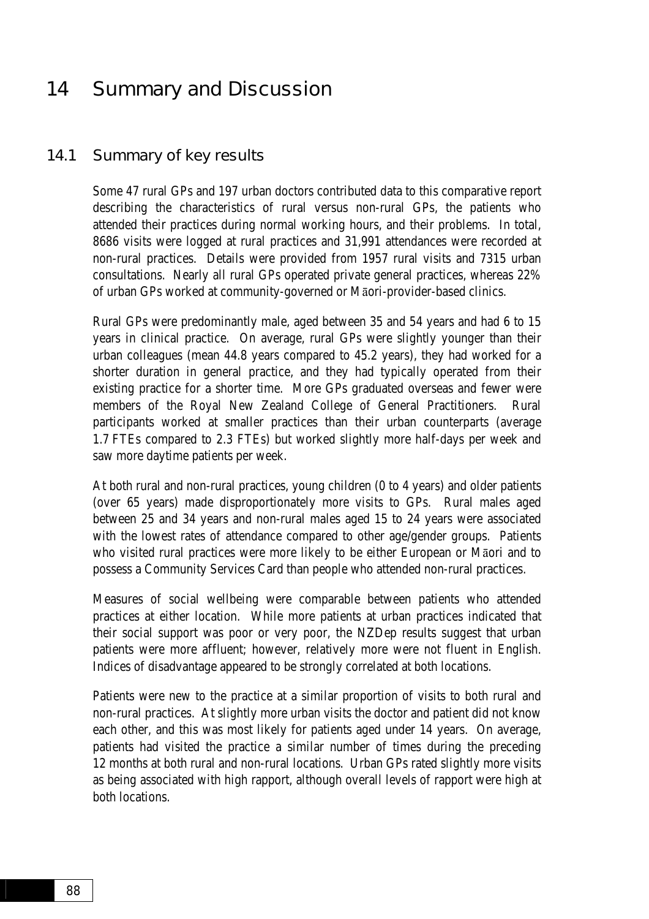## 14 Summary and Discussion

#### 14.1 Summary of key results

Some 47 rural GPs and 197 urban doctors contributed data to this comparative report describing the characteristics of rural versus non-rural GPs, the patients who attended their practices during normal working hours, and their problems. In total, 8686 visits were logged at rural practices and 31,991 attendances were recorded at non-rural practices. Details were provided from 1957 rural visits and 7315 urban consultations. Nearly all rural GPs operated private general practices, whereas 22% of urban GPs worked at community-governed or Māori-provider-based clinics.

Rural GPs were predominantly male, aged between 35 and 54 years and had 6 to 15 years in clinical practice. On average, rural GPs were slightly younger than their urban colleagues (mean 44.8 years compared to 45.2 years), they had worked for a shorter duration in general practice, and they had typically operated from their existing practice for a shorter time. More GPs graduated overseas and fewer were members of the Royal New Zealand College of General Practitioners. Rural participants worked at smaller practices than their urban counterparts (average 1.7 FTEs compared to 2.3 FTEs) but worked slightly more half-days per week and saw more daytime patients per week.

At both rural and non-rural practices, young children (0 to 4 years) and older patients (over 65 years) made disproportionately more visits to GPs. Rural males aged between 25 and 34 years and non-rural males aged 15 to 24 years were associated with the lowest rates of attendance compared to other age/gender groups. Patients who visited rural practices were more likely to be either European or Māori and to possess a Community Services Card than people who attended non-rural practices.

Measures of social wellbeing were comparable between patients who attended practices at either location. While more patients at urban practices indicated that their social support was poor or very poor, the NZDep results suggest that urban patients were more affluent; however, relatively more were not fluent in English. Indices of disadvantage appeared to be strongly correlated at both locations.

Patients were new to the practice at a similar proportion of visits to both rural and non-rural practices. At slightly more urban visits the doctor and patient did not know each other, and this was most likely for patients aged under 14 years. On average, patients had visited the practice a similar number of times during the preceding 12 months at both rural and non-rural locations. Urban GPs rated slightly more visits as being associated with high rapport, although overall levels of rapport were high at both locations.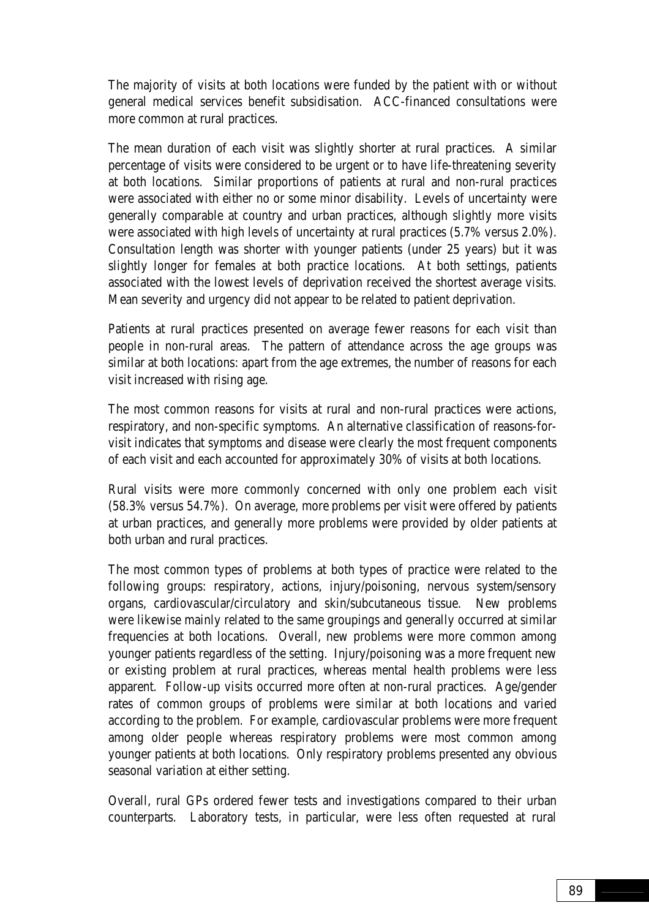The majority of visits at both locations were funded by the patient with or without general medical services benefit subsidisation. ACC-financed consultations were more common at rural practices.

The mean duration of each visit was slightly shorter at rural practices. A similar percentage of visits were considered to be urgent or to have life-threatening severity at both locations. Similar proportions of patients at rural and non-rural practices were associated with either no or some minor disability. Levels of uncertainty were generally comparable at country and urban practices, although slightly more visits were associated with high levels of uncertainty at rural practices (5.7% versus 2.0%). Consultation length was shorter with younger patients (under 25 years) but it was slightly longer for females at both practice locations. At both settings, patients associated with the lowest levels of deprivation received the shortest average visits. Mean severity and urgency did not appear to be related to patient deprivation.

Patients at rural practices presented on average fewer reasons for each visit than people in non-rural areas. The pattern of attendance across the age groups was similar at both locations: apart from the age extremes, the number of reasons for each visit increased with rising age.

The most common reasons for visits at rural and non-rural practices were actions, respiratory, and non-specific symptoms. An alternative classification of reasons-forvisit indicates that symptoms and disease were clearly the most frequent components of each visit and each accounted for approximately 30% of visits at both locations.

Rural visits were more commonly concerned with only one problem each visit (58.3% versus 54.7%). On average, more problems per visit were offered by patients at urban practices, and generally more problems were provided by older patients at both urban and rural practices.

The most common types of problems at both types of practice were related to the following groups: respiratory, actions, injury/poisoning, nervous system/sensory organs, cardiovascular/circulatory and skin/subcutaneous tissue. New problems were likewise mainly related to the same groupings and generally occurred at similar frequencies at both locations. Overall, new problems were more common among younger patients regardless of the setting. Injury/poisoning was a more frequent new or existing problem at rural practices, whereas mental health problems were less apparent. Follow-up visits occurred more often at non-rural practices. Age/gender rates of common groups of problems were similar at both locations and varied according to the problem. For example, cardiovascular problems were more frequent among older people whereas respiratory problems were most common among younger patients at both locations. Only respiratory problems presented any obvious seasonal variation at either setting.

Overall, rural GPs ordered fewer tests and investigations compared to their urban counterparts. Laboratory tests, in particular, were less often requested at rural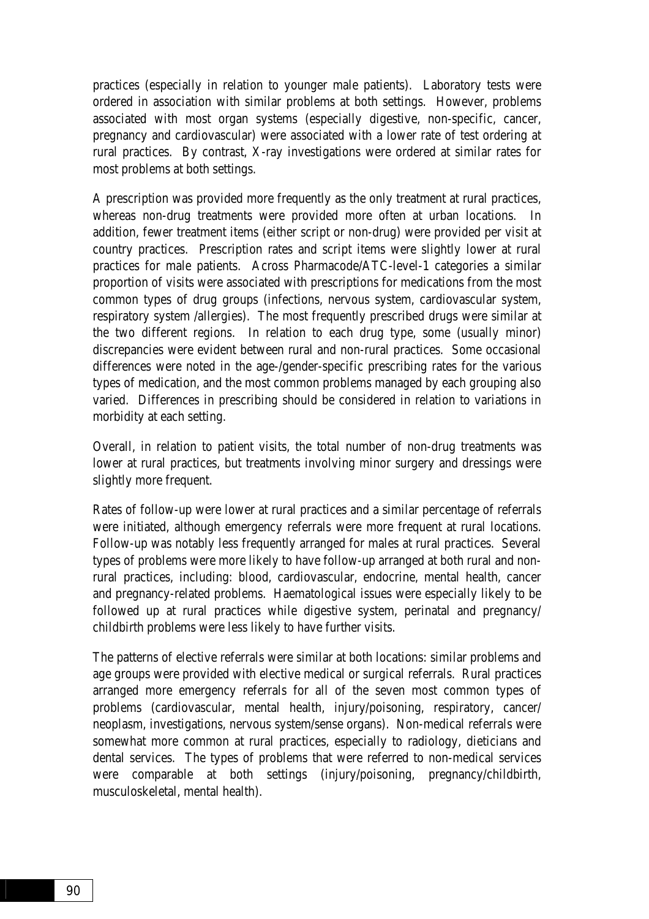practices (especially in relation to younger male patients). Laboratory tests were ordered in association with similar problems at both settings. However, problems associated with most organ systems (especially digestive, non-specific, cancer, pregnancy and cardiovascular) were associated with a lower rate of test ordering at rural practices. By contrast, X-ray investigations were ordered at similar rates for most problems at both settings.

A prescription was provided more frequently as the only treatment at rural practices, whereas non-drug treatments were provided more often at urban locations. In addition, fewer treatment items (either script or non-drug) were provided per visit at country practices. Prescription rates and script items were slightly lower at rural practices for male patients. Across Pharmacode/ATC-level-1 categories a similar proportion of visits were associated with prescriptions for medications from the most common types of drug groups (infections, nervous system, cardiovascular system, respiratory system /allergies). The most frequently prescribed drugs were similar at the two different regions. In relation to each drug type, some (usually minor) discrepancies were evident between rural and non-rural practices. Some occasional differences were noted in the age-/gender-specific prescribing rates for the various types of medication, and the most common problems managed by each grouping also varied. Differences in prescribing should be considered in relation to variations in morbidity at each setting.

Overall, in relation to patient visits, the total number of non-drug treatments was lower at rural practices, but treatments involving minor surgery and dressings were slightly more frequent.

Rates of follow-up were lower at rural practices and a similar percentage of referrals were initiated, although emergency referrals were more frequent at rural locations. Follow-up was notably less frequently arranged for males at rural practices. Several types of problems were more likely to have follow-up arranged at both rural and nonrural practices, including: blood, cardiovascular, endocrine, mental health, cancer and pregnancy-related problems. Haematological issues were especially likely to be followed up at rural practices while digestive system, perinatal and pregnancy/ childbirth problems were less likely to have further visits.

The patterns of elective referrals were similar at both locations: similar problems and age groups were provided with elective medical or surgical referrals. Rural practices arranged more emergency referrals for all of the seven most common types of problems (cardiovascular, mental health, injury/poisoning, respiratory, cancer/ neoplasm, investigations, nervous system/sense organs). Non-medical referrals were somewhat more common at rural practices, especially to radiology, dieticians and dental services. The types of problems that were referred to non-medical services were comparable at both settings (injury/poisoning, pregnancy/childbirth, musculoskeletal, mental health).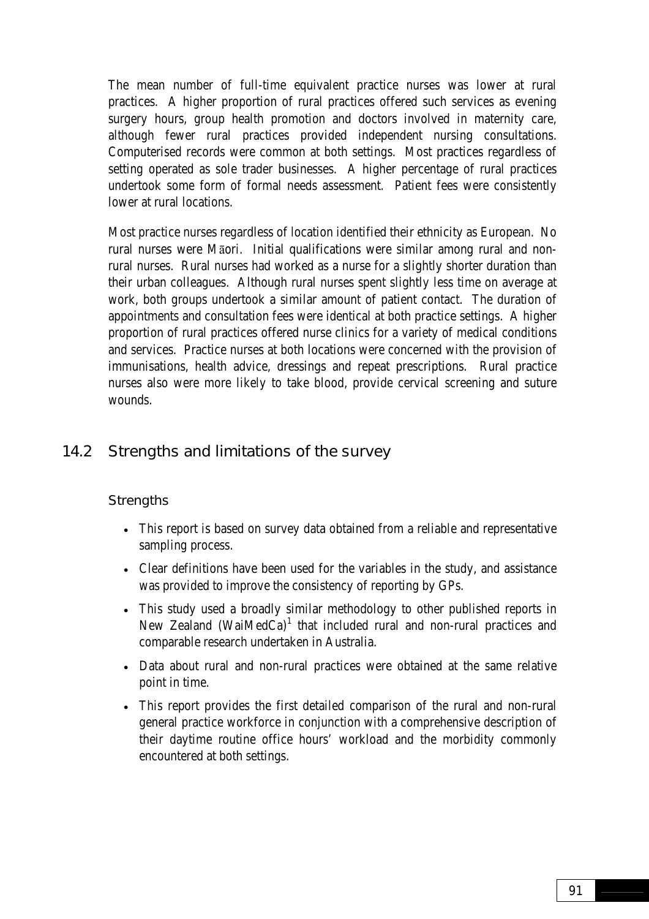The mean number of full-time equivalent practice nurses was lower at rural practices. A higher proportion of rural practices offered such services as evening surgery hours, group health promotion and doctors involved in maternity care, although fewer rural practices provided independent nursing consultations. Computerised records were common at both settings. Most practices regardless of setting operated as sole trader businesses. A higher percentage of rural practices undertook some form of formal needs assessment. Patient fees were consistently lower at rural locations.

Most practice nurses regardless of location identified their ethnicity as European. No rural nurses were Māori. Initial qualifications were similar among rural and nonrural nurses. Rural nurses had worked as a nurse for a slightly shorter duration than their urban colleagues. Although rural nurses spent slightly less time on average at work, both groups undertook a similar amount of patient contact. The duration of appointments and consultation fees were identical at both practice settings. A higher proportion of rural practices offered nurse clinics for a variety of medical conditions and services. Practice nurses at both locations were concerned with the provision of immunisations, health advice, dressings and repeat prescriptions. Rural practice nurses also were more likely to take blood, provide cervical screening and suture wounds.

### 14.2 Strengths and limitations of the survey

#### **Strengths**

- This report is based on survey data obtained from a reliable and representative sampling process.
- Clear definitions have been used for the variables in the study, and assistance was provided to improve the consistency of reporting by GPs.
- This study used a broadly similar methodology to other published reports in New Zealand (WaiMedCa) $^1$  that included rural and non-rural practices and comparable research undertaken in Australia.
- Data about rural and non-rural practices were obtained at the same relative point in time.
- This report provides the first detailed comparison of the rural and non-rural general practice workforce in conjunction with a comprehensive description of their daytime routine office hours' workload and the morbidity commonly encountered at both settings.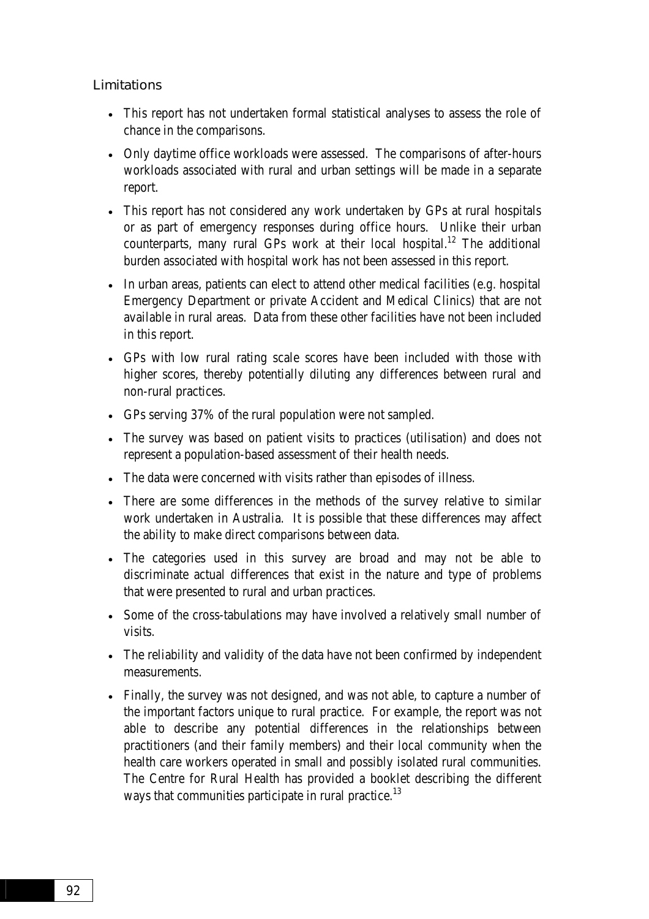Limitations

- This report has not undertaken formal statistical analyses to assess the role of chance in the comparisons.
- Only daytime office workloads were assessed. The comparisons of after-hours workloads associated with rural and urban settings will be made in a separate report.
- This report has not considered any work undertaken by GPs at rural hospitals or as part of emergency responses during office hours. Unlike their urban counterparts, many rural GPs work at their local hospital.<sup>12</sup> The additional burden associated with hospital work has not been assessed in this report.
- In urban areas, patients can elect to attend other medical facilities (e.g. hospital Emergency Department or private Accident and Medical Clinics) that are not available in rural areas. Data from these other facilities have not been included in this report.
- GPs with low rural rating scale scores have been included with those with higher scores, thereby potentially diluting any differences between rural and non-rural practices.
- GPs serving 37% of the rural population were not sampled.
- The survey was based on patient visits to practices (utilisation) and does not represent a population-based assessment of their health needs.
- The data were concerned with visits rather than episodes of illness.
- There are some differences in the methods of the survey relative to similar work undertaken in Australia. It is possible that these differences may affect the ability to make direct comparisons between data.
- The categories used in this survey are broad and may not be able to discriminate actual differences that exist in the nature and type of problems that were presented to rural and urban practices.
- Some of the cross-tabulations may have involved a relatively small number of visits.
- The reliability and validity of the data have not been confirmed by independent measurements.
- Finally, the survey was not designed, and was not able, to capture a number of the important factors unique to rural practice. For example, the report was not able to describe any potential differences in the relationships between practitioners (and their family members) and their local community when the health care workers operated in small and possibly isolated rural communities. The Centre for Rural Health has provided a booklet describing the different ways that communities participate in rural practice.<sup>13</sup>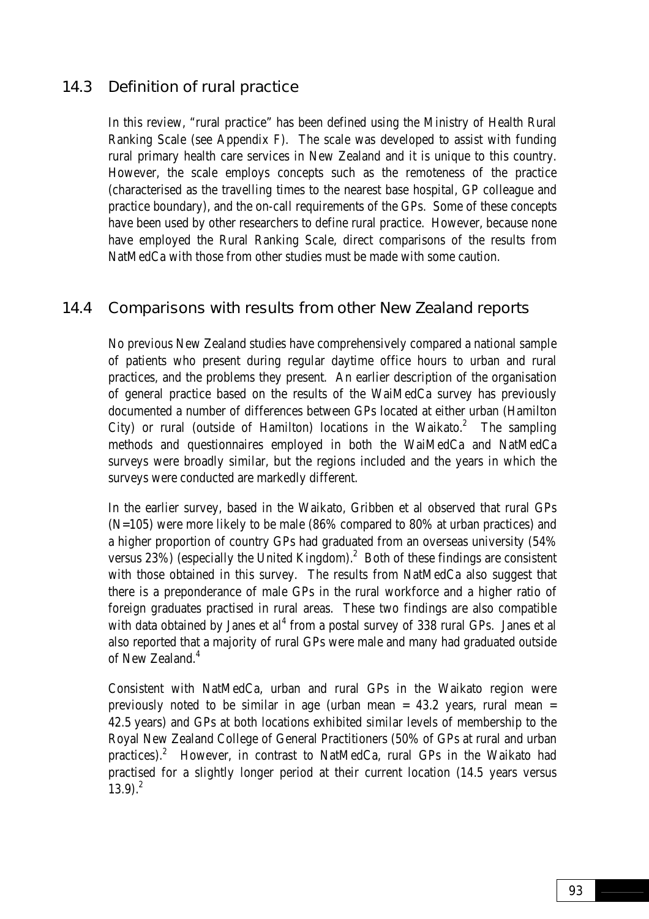### 14.3 Definition of rural practice

In this review, "rural practice" has been defined using the Ministry of Health Rural Ranking Scale (see Appendix F). The scale was developed to assist with funding rural primary health care services in New Zealand and it is unique to this country. However, the scale employs concepts such as the remoteness of the practice (characterised as the travelling times to the nearest base hospital, GP colleague and practice boundary), and the on-call requirements of the GPs. Some of these concepts have been used by other researchers to define rural practice. However, because none have employed the Rural Ranking Scale, direct comparisons of the results from NatMedCa with those from other studies must be made with some caution.

#### 14.4 Comparisons with results from other New Zealand reports

No previous New Zealand studies have comprehensively compared a national sample of patients who present during regular daytime office hours to urban and rural practices, and the problems they present. An earlier description of the organisation of general practice based on the results of the WaiMedCa survey has previously documented a number of differences between GPs located at either urban (Hamilton City) or rural (outside of Hamilton) locations in the Waikato. $2$  The sampling methods and questionnaires employed in both the WaiMedCa and NatMedCa surveys were broadly similar, but the regions included and the years in which the surveys were conducted are markedly different.

In the earlier survey, based in the Waikato, Gribben et al observed that rural GPs (N=105) were more likely to be male (86% compared to 80% at urban practices) and a higher proportion of country GPs had graduated from an overseas university (54% versus 23%) (especially the United Kingdom). $^2$  Both of these findings are consistent with those obtained in this survey. The results from NatMedCa also suggest that there is a preponderance of male GPs in the rural workforce and a higher ratio of foreign graduates practised in rural areas. These two findings are also compatible with data obtained by Janes et al<sup>4</sup> from a postal survey of 338 rural GPs. Janes et al also reported that a majority of rural GPs were male and many had graduated outside of New Zealand.<sup>4</sup>

Consistent with NatMedCa, urban and rural GPs in the Waikato region were previously noted to be similar in age (urban mean  $= 43.2$  years, rural mean  $=$ 42.5 years) and GPs at both locations exhibited similar levels of membership to the Royal New Zealand College of General Practitioners (50% of GPs at rural and urban practices).<sup>2</sup> However, in contrast to NatMedCa, rural GPs in the Waikato had practised for a slightly longer period at their current location (14.5 years versus  $13.9<sup>2</sup>$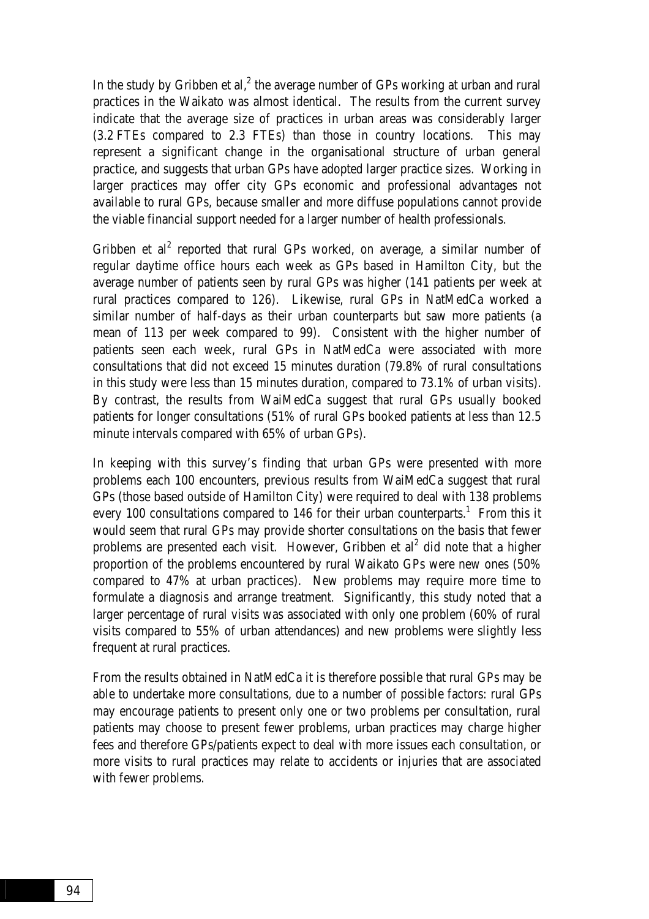In the study by Gribben et al, $^2$  the average number of GPs working at urban and rural practices in the Waikato was almost identical. The results from the current survey indicate that the average size of practices in urban areas was considerably larger (3.2 FTEs compared to 2.3 FTEs) than those in country locations. This may represent a significant change in the organisational structure of urban general practice, and suggests that urban GPs have adopted larger practice sizes. Working in larger practices may offer city GPs economic and professional advantages not available to rural GPs, because smaller and more diffuse populations cannot provide the viable financial support needed for a larger number of health professionals.

Gribben et  $al^2$  reported that rural GPs worked, on average, a similar number of regular daytime office hours each week as GPs based in Hamilton City, but the average number of patients seen by rural GPs was higher (141 patients per week at rural practices compared to 126). Likewise, rural GPs in NatMedCa worked a similar number of half-days as their urban counterparts but saw more patients (a mean of 113 per week compared to 99). Consistent with the higher number of patients seen each week, rural GPs in NatMedCa were associated with more consultations that did not exceed 15 minutes duration (79.8% of rural consultations in this study were less than 15 minutes duration, compared to 73.1% of urban visits). By contrast, the results from WaiMedCa suggest that rural GPs usually booked patients for longer consultations (51% of rural GPs booked patients at less than 12.5 minute intervals compared with 65% of urban GPs).

In keeping with this survey's finding that urban GPs were presented with more problems each 100 encounters, previous results from WaiMedCa suggest that rural GPs (those based outside of Hamilton City) were required to deal with 138 problems every 100 consultations compared to 146 for their urban counterparts.<sup>1</sup> From this it would seem that rural GPs may provide shorter consultations on the basis that fewer problems are presented each visit. However, Gribben et  $al<sup>2</sup>$  did note that a higher proportion of the problems encountered by rural Waikato GPs were new ones (50% compared to 47% at urban practices). New problems may require more time to formulate a diagnosis and arrange treatment. Significantly, this study noted that a larger percentage of rural visits was associated with only one problem (60% of rural visits compared to 55% of urban attendances) and new problems were slightly less frequent at rural practices.

From the results obtained in NatMedCa it is therefore possible that rural GPs may be able to undertake more consultations, due to a number of possible factors: rural GPs may encourage patients to present only one or two problems per consultation, rural patients may choose to present fewer problems, urban practices may charge higher fees and therefore GPs/patients expect to deal with more issues each consultation, or more visits to rural practices may relate to accidents or injuries that are associated with fewer problems.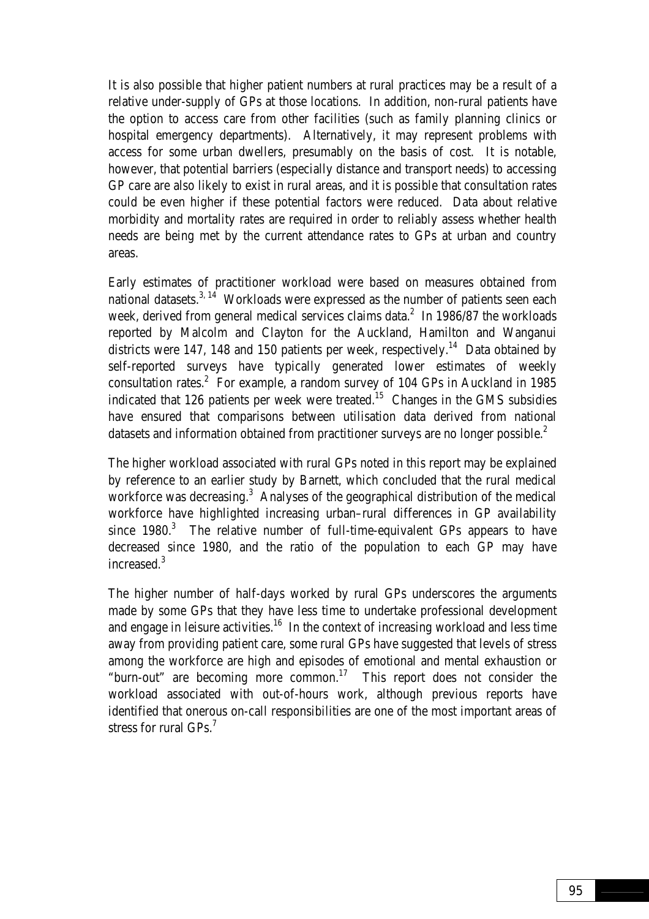It is also possible that higher patient numbers at rural practices may be a result of a relative under-supply of GPs at those locations. In addition, non-rural patients have the option to access care from other facilities (such as family planning clinics or hospital emergency departments). Alternatively, it may represent problems with access for some urban dwellers, presumably on the basis of cost. It is notable, however, that potential barriers (especially distance and transport needs) to accessing GP care are also likely to exist in rural areas, and it is possible that consultation rates could be even higher if these potential factors were reduced. Data about relative morbidity and mortality rates are required in order to reliably assess whether health needs are being met by the current attendance rates to GPs at urban and country areas.

Early estimates of practitioner workload were based on measures obtained from national datasets. $3.14$  Workloads were expressed as the number of patients seen each week, derived from general medical services claims data. $^2$  In 1986/87 the workloads reported by Malcolm and Clayton for the Auckland, Hamilton and Wanganui districts were 147, 148 and 150 patients per week, respectively.<sup>14</sup> Data obtained by self-reported surveys have typically generated lower estimates of weekly consultation rates.<sup>2</sup> For example, a random survey of 104 GPs in Auckland in 1985 indicated that 126 patients per week were treated.<sup>15</sup> Changes in the GMS subsidies have ensured that comparisons between utilisation data derived from national datasets and information obtained from practitioner surveys are no longer possible.<sup>2</sup>

The higher workload associated with rural GPs noted in this report may be explained by reference to an earlier study by Barnett, which concluded that the rural medical workforce was decreasing.<sup>3</sup> Analyses of the geographical distribution of the medical workforce have highlighted increasing urban–rural differences in GP availability since  $1980.<sup>3</sup>$  The relative number of full-time-equivalent GPs appears to have decreased since 1980, and the ratio of the population to each GP may have increased.3

The higher number of half-days worked by rural GPs underscores the arguments made by some GPs that they have less time to undertake professional development and engage in leisure activities.<sup>16</sup> In the context of increasing workload and less time away from providing patient care, some rural GPs have suggested that levels of stress among the workforce are high and episodes of emotional and mental exhaustion or "burn-out" are becoming more common.17 This report does not consider the workload associated with out-of-hours work, although previous reports have identified that onerous on-call responsibilities are one of the most important areas of stress for rural GPs.<sup>7</sup>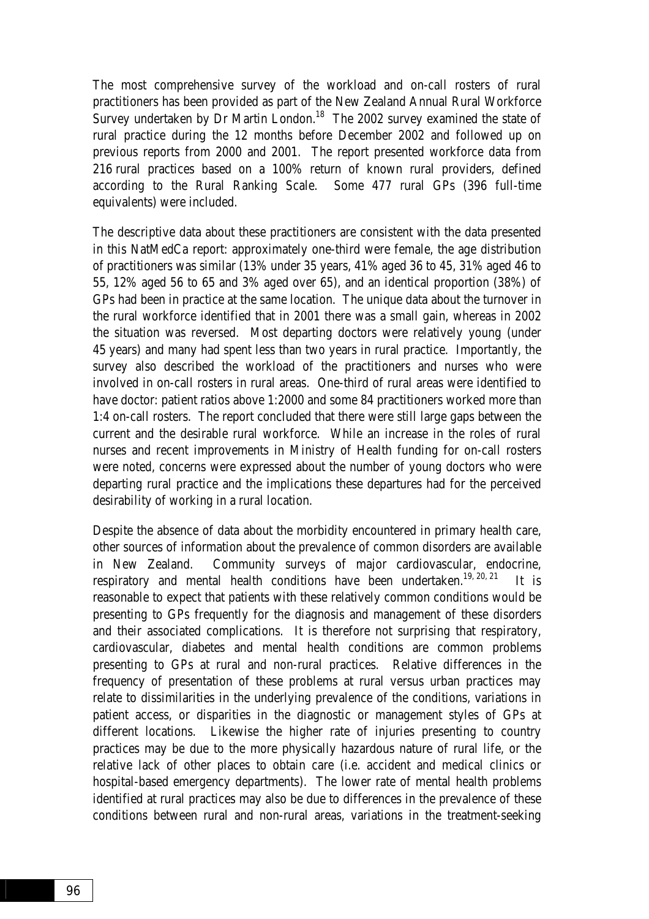The most comprehensive survey of the workload and on-call rosters of rural practitioners has been provided as part of the New Zealand Annual Rural Workforce Survey undertaken by Dr Martin London.<sup>18</sup> The 2002 survey examined the state of rural practice during the 12 months before December 2002 and followed up on previous reports from 2000 and 2001. The report presented workforce data from 216 rural practices based on a 100% return of known rural providers, defined according to the Rural Ranking Scale. Some 477 rural GPs (396 full-time equivalents) were included.

The descriptive data about these practitioners are consistent with the data presented in this NatMedCa report: approximately one-third were female, the age distribution of practitioners was similar (13% under 35 years, 41% aged 36 to 45, 31% aged 46 to 55, 12% aged 56 to 65 and 3% aged over 65), and an identical proportion (38%) of GPs had been in practice at the same location. The unique data about the turnover in the rural workforce identified that in 2001 there was a small gain, whereas in 2002 the situation was reversed. Most departing doctors were relatively young (under 45 years) and many had spent less than two years in rural practice. Importantly, the survey also described the workload of the practitioners and nurses who were involved in on-call rosters in rural areas. One-third of rural areas were identified to have doctor: patient ratios above 1:2000 and some 84 practitioners worked more than 1:4 on-call rosters. The report concluded that there were still large gaps between the current and the desirable rural workforce. While an increase in the roles of rural nurses and recent improvements in Ministry of Health funding for on-call rosters were noted, concerns were expressed about the number of young doctors who were departing rural practice and the implications these departures had for the perceived desirability of working in a rural location.

Despite the absence of data about the morbidity encountered in primary health care, other sources of information about the prevalence of common disorders are available in New Zealand. Community surveys of major cardiovascular, endocrine, respiratory and mental health conditions have been undertaken.<sup>19, 20, 21</sup> It is reasonable to expect that patients with these relatively common conditions would be presenting to GPs frequently for the diagnosis and management of these disorders and their associated complications. It is therefore not surprising that respiratory, cardiovascular, diabetes and mental health conditions are common problems presenting to GPs at rural and non-rural practices. Relative differences in the frequency of presentation of these problems at rural versus urban practices may relate to dissimilarities in the underlying prevalence of the conditions, variations in patient access, or disparities in the diagnostic or management styles of GPs at different locations. Likewise the higher rate of injuries presenting to country practices may be due to the more physically hazardous nature of rural life, or the relative lack of other places to obtain care (i.e. accident and medical clinics or hospital-based emergency departments). The lower rate of mental health problems identified at rural practices may also be due to differences in the prevalence of these conditions between rural and non-rural areas, variations in the treatment-seeking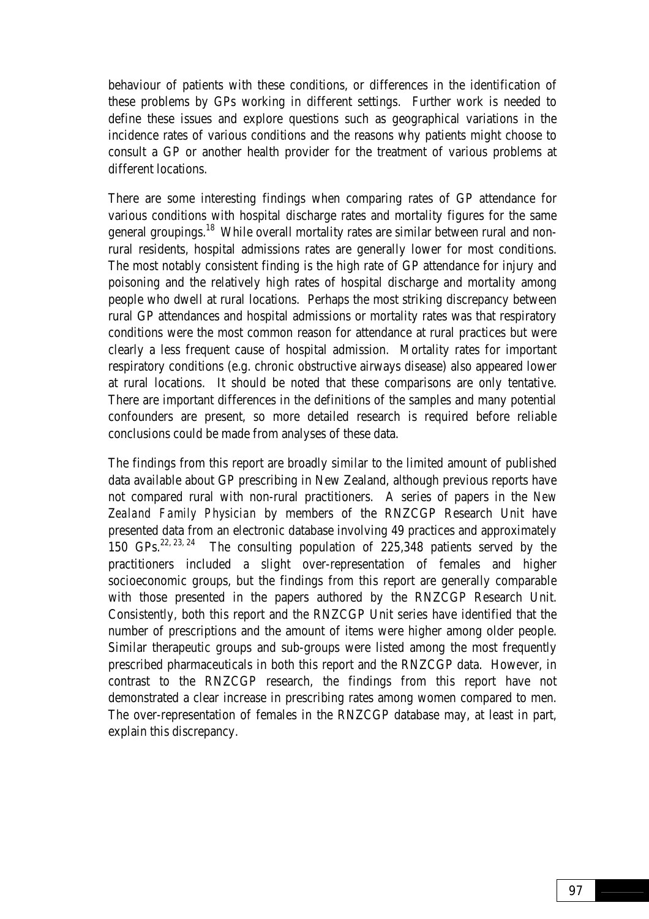behaviour of patients with these conditions, or differences in the identification of these problems by GPs working in different settings. Further work is needed to define these issues and explore questions such as geographical variations in the incidence rates of various conditions and the reasons why patients might choose to consult a GP or another health provider for the treatment of various problems at different locations.

There are some interesting findings when comparing rates of GP attendance for various conditions with hospital discharge rates and mortality figures for the same general groupings.<sup>18</sup> While overall mortality rates are similar between rural and nonrural residents, hospital admissions rates are generally lower for most conditions. The most notably consistent finding is the high rate of GP attendance for injury and poisoning and the relatively high rates of hospital discharge and mortality among people who dwell at rural locations. Perhaps the most striking discrepancy between rural GP attendances and hospital admissions or mortality rates was that respiratory conditions were the most common reason for attendance at rural practices but were clearly a less frequent cause of hospital admission. Mortality rates for important respiratory conditions (e.g. chronic obstructive airways disease) also appeared lower at rural locations. It should be noted that these comparisons are only tentative. There are important differences in the definitions of the samples and many potential confounders are present, so more detailed research is required before reliable conclusions could be made from analyses of these data.

The findings from this report are broadly similar to the limited amount of published data available about GP prescribing in New Zealand, although previous reports have not compared rural with non-rural practitioners. A series of papers in the *New Zealand Family Physician* by members of the RNZCGP Research Unit have presented data from an electronic database involving 49 practices and approximately<br>150 GPs.<sup>22, 23, 24</sup> The consulting population of 225.348 patients served by the The consulting population of 225,348 patients served by the practitioners included a slight over-representation of females and higher socioeconomic groups, but the findings from this report are generally comparable with those presented in the papers authored by the RNZCGP Research Unit. Consistently, both this report and the RNZCGP Unit series have identified that the number of prescriptions and the amount of items were higher among older people. Similar therapeutic groups and sub-groups were listed among the most frequently prescribed pharmaceuticals in both this report and the RNZCGP data. However, in contrast to the RNZCGP research, the findings from this report have not demonstrated a clear increase in prescribing rates among women compared to men. The over-representation of females in the RNZCGP database may, at least in part, explain this discrepancy.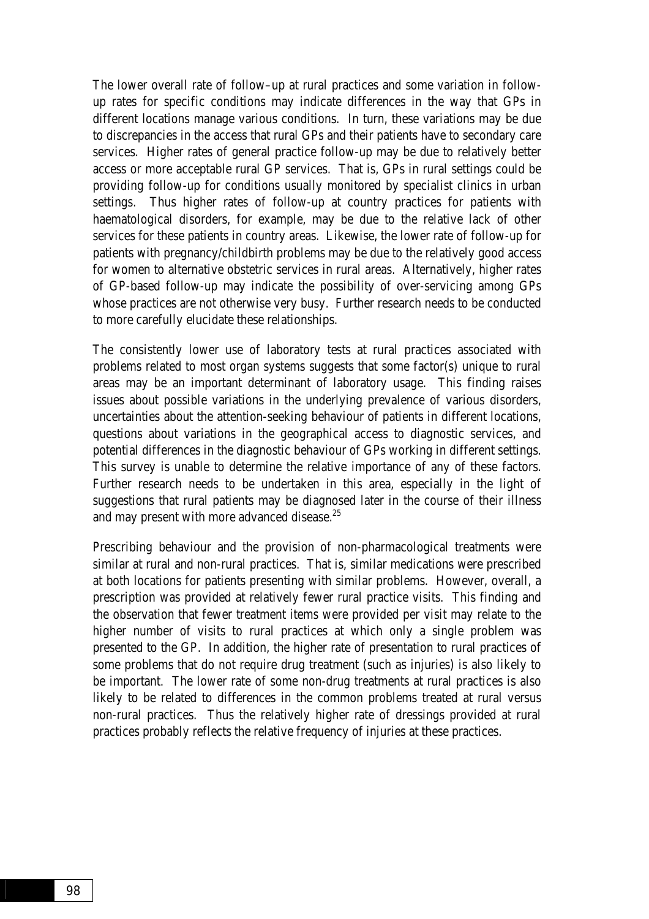The lower overall rate of follow–up at rural practices and some variation in followup rates for specific conditions may indicate differences in the way that GPs in different locations manage various conditions. In turn, these variations may be due to discrepancies in the access that rural GPs and their patients have to secondary care services. Higher rates of general practice follow-up may be due to relatively better access or more acceptable rural GP services. That is, GPs in rural settings could be providing follow-up for conditions usually monitored by specialist clinics in urban settings. Thus higher rates of follow-up at country practices for patients with haematological disorders, for example, may be due to the relative lack of other services for these patients in country areas. Likewise, the lower rate of follow-up for patients with pregnancy/childbirth problems may be due to the relatively good access for women to alternative obstetric services in rural areas. Alternatively, higher rates of GP-based follow-up may indicate the possibility of over-servicing among GPs whose practices are not otherwise very busy. Further research needs to be conducted to more carefully elucidate these relationships.

The consistently lower use of laboratory tests at rural practices associated with problems related to most organ systems suggests that some factor(s) unique to rural areas may be an important determinant of laboratory usage. This finding raises issues about possible variations in the underlying prevalence of various disorders, uncertainties about the attention-seeking behaviour of patients in different locations, questions about variations in the geographical access to diagnostic services, and potential differences in the diagnostic behaviour of GPs working in different settings. This survey is unable to determine the relative importance of any of these factors. Further research needs to be undertaken in this area, especially in the light of suggestions that rural patients may be diagnosed later in the course of their illness and may present with more advanced disease. $25$ 

Prescribing behaviour and the provision of non-pharmacological treatments were similar at rural and non-rural practices. That is, similar medications were prescribed at both locations for patients presenting with similar problems. However, overall, a prescription was provided at relatively fewer rural practice visits. This finding and the observation that fewer treatment items were provided per visit may relate to the higher number of visits to rural practices at which only a single problem was presented to the GP. In addition, the higher rate of presentation to rural practices of some problems that do not require drug treatment (such as injuries) is also likely to be important. The lower rate of some non-drug treatments at rural practices is also likely to be related to differences in the common problems treated at rural versus non-rural practices. Thus the relatively higher rate of dressings provided at rural practices probably reflects the relative frequency of injuries at these practices.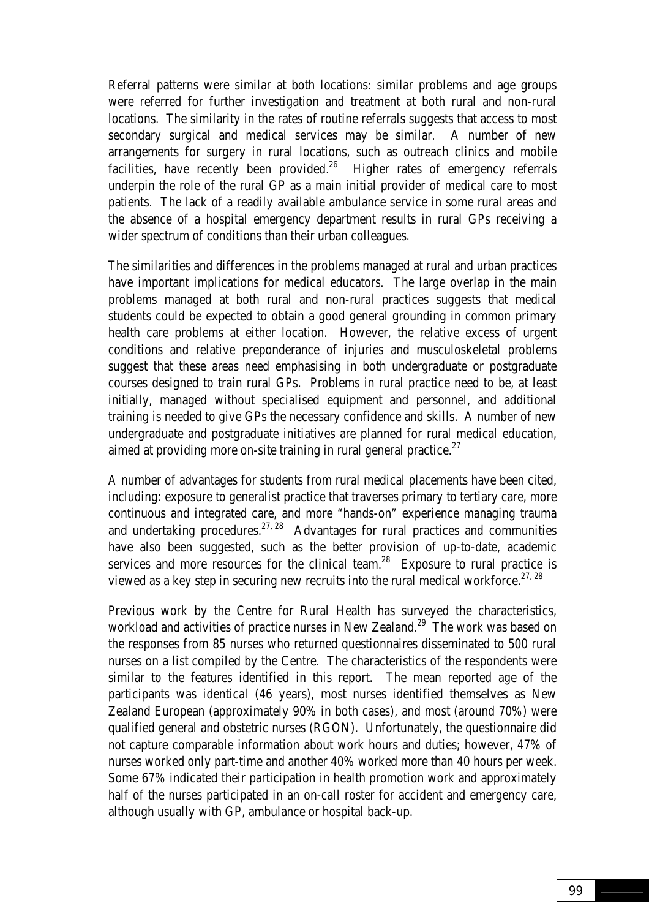Referral patterns were similar at both locations: similar problems and age groups were referred for further investigation and treatment at both rural and non-rural locations. The similarity in the rates of routine referrals suggests that access to most secondary surgical and medical services may be similar. A number of new arrangements for surgery in rural locations, such as outreach clinics and mobile facilities, have recently been provided.<sup>26</sup> Higher rates of emergency referrals underpin the role of the rural GP as a main initial provider of medical care to most patients. The lack of a readily available ambulance service in some rural areas and the absence of a hospital emergency department results in rural GPs receiving a wider spectrum of conditions than their urban colleagues.

The similarities and differences in the problems managed at rural and urban practices have important implications for medical educators. The large overlap in the main problems managed at both rural and non-rural practices suggests that medical students could be expected to obtain a good general grounding in common primary health care problems at either location. However, the relative excess of urgent conditions and relative preponderance of injuries and musculoskeletal problems suggest that these areas need emphasising in both undergraduate or postgraduate courses designed to train rural GPs. Problems in rural practice need to be, at least initially, managed without specialised equipment and personnel, and additional training is needed to give GPs the necessary confidence and skills. A number of new undergraduate and postgraduate initiatives are planned for rural medical education, aimed at providing more on-site training in rural general practice. $27$ 

A number of advantages for students from rural medical placements have been cited, including: exposure to generalist practice that traverses primary to tertiary care, more continuous and integrated care, and more "hands-on" experience managing trauma and undertaking procedures.<sup>27, 28</sup> Advantages for rural practices and communities have also been suggested, such as the better provision of up-to-date, academic services and more resources for the clinical team.<sup>28</sup> Exposure to rural practice is viewed as a key step in securing new recruits into the rural medical workforce.<sup>27, 28</sup>

Previous work by the Centre for Rural Health has surveyed the characteristics, workload and activities of practice nurses in New Zealand.<sup>29</sup> The work was based on the responses from 85 nurses who returned questionnaires disseminated to 500 rural nurses on a list compiled by the Centre. The characteristics of the respondents were similar to the features identified in this report. The mean reported age of the participants was identical (46 years), most nurses identified themselves as New Zealand European (approximately 90% in both cases), and most (around 70%) were qualified general and obstetric nurses (RGON). Unfortunately, the questionnaire did not capture comparable information about work hours and duties; however, 47% of nurses worked only part-time and another 40% worked more than 40 hours per week. Some 67% indicated their participation in health promotion work and approximately half of the nurses participated in an on-call roster for accident and emergency care, although usually with GP, ambulance or hospital back-up.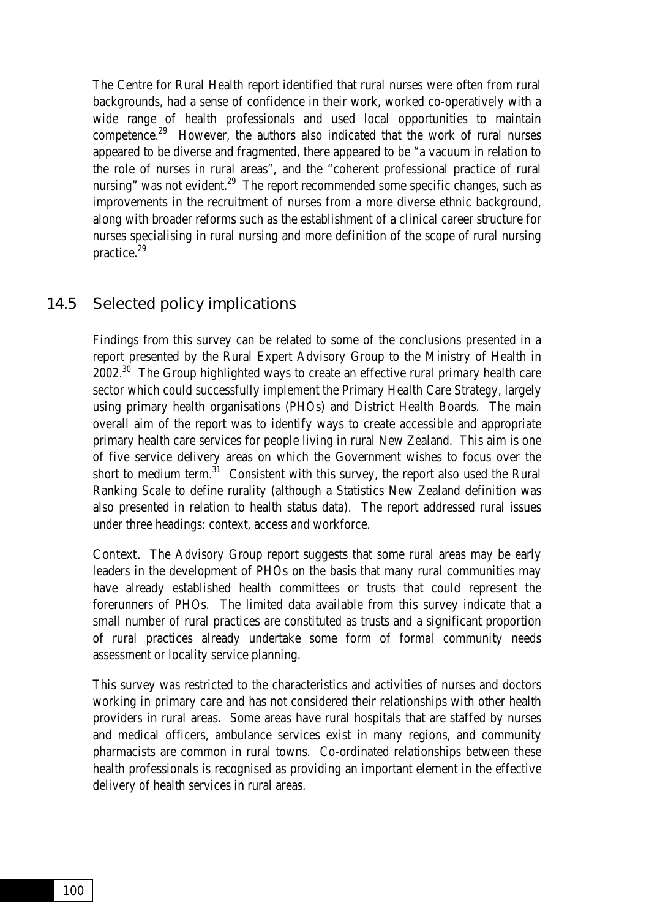The Centre for Rural Health report identified that rural nurses were often from rural backgrounds, had a sense of confidence in their work, worked co-operatively with a wide range of health professionals and used local opportunities to maintain competence.29 However, the authors also indicated that the work of rural nurses appeared to be diverse and fragmented, there appeared to be "a vacuum in relation to the role of nurses in rural areas", and the "coherent professional practice of rural nursing" was not evident.<sup>29</sup> The report recommended some specific changes, such as improvements in the recruitment of nurses from a more diverse ethnic background, along with broader reforms such as the establishment of a clinical career structure for nurses specialising in rural nursing and more definition of the scope of rural nursing practice.29

### 14.5 Selected policy implications

Findings from this survey can be related to some of the conclusions presented in a report presented by the Rural Expert Advisory Group to the Ministry of Health in  $2002.^{30}$  The Group highlighted ways to create an effective rural primary health care sector which could successfully implement the Primary Health Care Strategy, largely using primary health organisations (PHOs) and District Health Boards. The main overall aim of the report was to identify ways to create accessible and appropriate primary health care services for people living in rural New Zealand. This aim is one of five service delivery areas on which the Government wishes to focus over the short to medium term. $31$  Consistent with this survey, the report also used the Rural Ranking Scale to define rurality (although a Statistics New Zealand definition was also presented in relation to health status data). The report addressed rural issues under three headings: context, access and workforce.

Context. The Advisory Group report suggests that some rural areas may be early leaders in the development of PHOs on the basis that many rural communities may have already established health committees or trusts that could represent the forerunners of PHOs. The limited data available from this survey indicate that a small number of rural practices are constituted as trusts and a significant proportion of rural practices already undertake some form of formal community needs assessment or locality service planning.

This survey was restricted to the characteristics and activities of nurses and doctors working in primary care and has not considered their relationships with other health providers in rural areas. Some areas have rural hospitals that are staffed by nurses and medical officers, ambulance services exist in many regions, and community pharmacists are common in rural towns. Co-ordinated relationships between these health professionals is recognised as providing an important element in the effective delivery of health services in rural areas.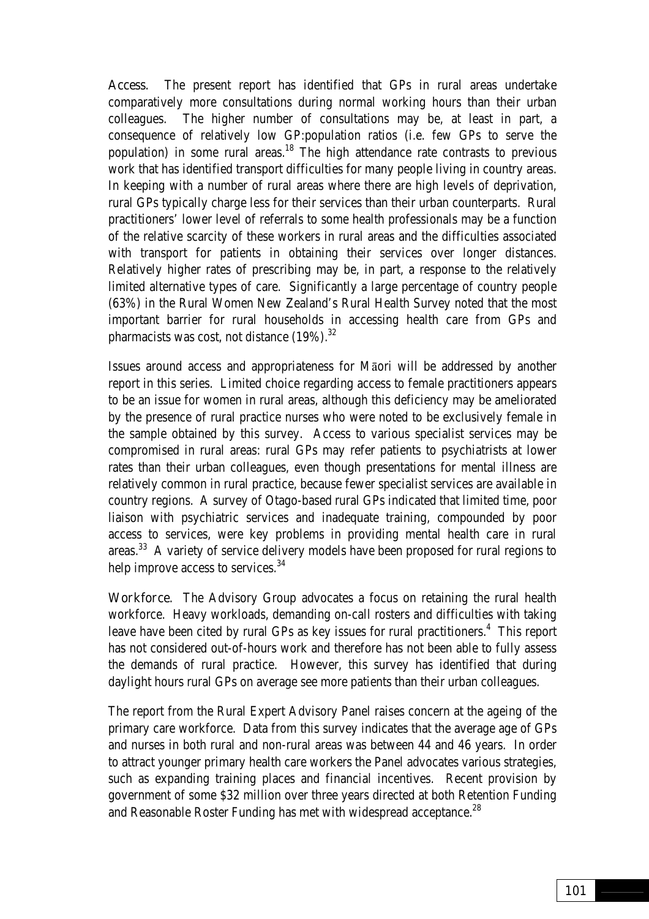Access. The present report has identified that GPs in rural areas undertake comparatively more consultations during normal working hours than their urban colleagues. The higher number of consultations may be, at least in part, a consequence of relatively low GP:population ratios (i.e. few GPs to serve the population) in some rural areas.<sup>18</sup> The high attendance rate contrasts to previous work that has identified transport difficulties for many people living in country areas. In keeping with a number of rural areas where there are high levels of deprivation, rural GPs typically charge less for their services than their urban counterparts. Rural practitioners' lower level of referrals to some health professionals may be a function of the relative scarcity of these workers in rural areas and the difficulties associated with transport for patients in obtaining their services over longer distances. Relatively higher rates of prescribing may be, in part, a response to the relatively limited alternative types of care. Significantly a large percentage of country people (63%) in the Rural Women New Zealand's Rural Health Survey noted that the most important barrier for rural households in accessing health care from GPs and pharmacists was cost, not distance  $(19\%)$ .<sup>32</sup>

Issues around access and appropriateness for Māori will be addressed by another report in this series. Limited choice regarding access to female practitioners appears to be an issue for women in rural areas, although this deficiency may be ameliorated by the presence of rural practice nurses who were noted to be exclusively female in the sample obtained by this survey. Access to various specialist services may be compromised in rural areas: rural GPs may refer patients to psychiatrists at lower rates than their urban colleagues, even though presentations for mental illness are relatively common in rural practice, because fewer specialist services are available in country regions. A survey of Otago-based rural GPs indicated that limited time, poor liaison with psychiatric services and inadequate training, compounded by poor access to services, were key problems in providing mental health care in rural areas.33 A variety of service delivery models have been proposed for rural regions to help improve access to services.<sup>34</sup>

Workforce. The Advisory Group advocates a focus on retaining the rural health workforce. Heavy workloads, demanding on-call rosters and difficulties with taking leave have been cited by rural GPs as key issues for rural practitioners. $4$  This report has not considered out-of-hours work and therefore has not been able to fully assess the demands of rural practice. However, this survey has identified that during daylight hours rural GPs on average see more patients than their urban colleagues.

The report from the Rural Expert Advisory Panel raises concern at the ageing of the primary care workforce. Data from this survey indicates that the average age of GPs and nurses in both rural and non-rural areas was between 44 and 46 years. In order to attract younger primary health care workers the Panel advocates various strategies, such as expanding training places and financial incentives. Recent provision by government of some \$32 million over three years directed at both Retention Funding and Reasonable Roster Funding has met with widespread acceptance.<sup>28</sup>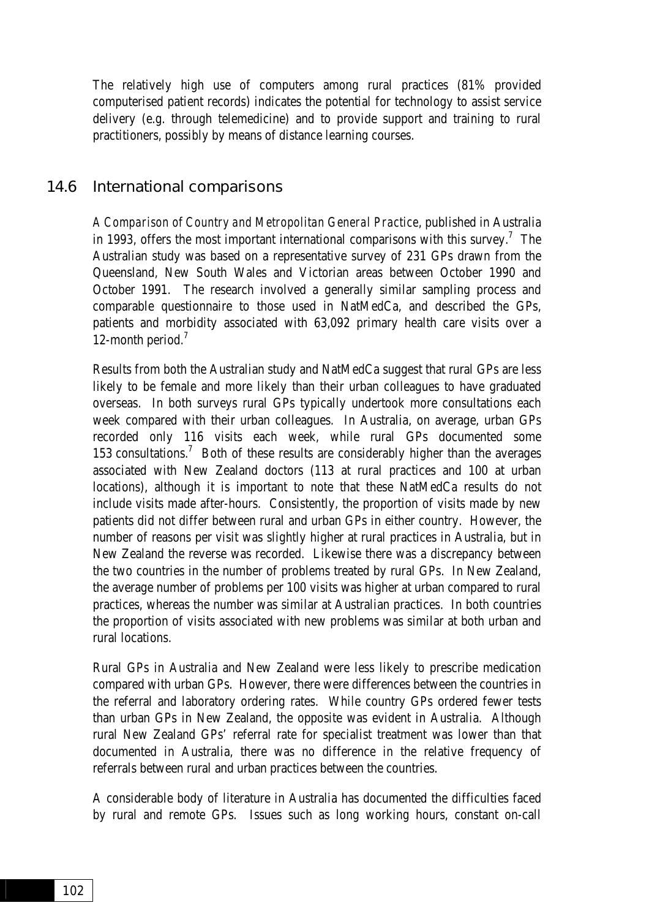The relatively high use of computers among rural practices (81% provided computerised patient records) indicates the potential for technology to assist service delivery (e.g. through telemedicine) and to provide support and training to rural practitioners, possibly by means of distance learning courses.

#### 14.6 International comparisons

*A Comparison of Country and Metropolitan General Practice*, published in Australia in 1993, offers the most important international comparisons with this survey.<sup>7</sup> The Australian study was based on a representative survey of 231 GPs drawn from the Queensland, New South Wales and Victorian areas between October 1990 and October 1991. The research involved a generally similar sampling process and comparable questionnaire to those used in NatMedCa, and described the GPs, patients and morbidity associated with 63,092 primary health care visits over a 12-month period.<sup>7</sup>

Results from both the Australian study and NatMedCa suggest that rural GPs are less likely to be female and more likely than their urban colleagues to have graduated overseas. In both surveys rural GPs typically undertook more consultations each week compared with their urban colleagues. In Australia, on average, urban GPs recorded only 116 visits each week, while rural GPs documented some 153 consultations.<sup>7</sup> Both of these results are considerably higher than the averages associated with New Zealand doctors (113 at rural practices and 100 at urban locations), although it is important to note that these NatMedCa results do not include visits made after-hours. Consistently, the proportion of visits made by new patients did not differ between rural and urban GPs in either country. However, the number of reasons per visit was slightly higher at rural practices in Australia, but in New Zealand the reverse was recorded. Likewise there was a discrepancy between the two countries in the number of problems treated by rural GPs. In New Zealand, the average number of problems per 100 visits was higher at urban compared to rural practices, whereas the number was similar at Australian practices. In both countries the proportion of visits associated with new problems was similar at both urban and rural locations.

Rural GPs in Australia and New Zealand were less likely to prescribe medication compared with urban GPs. However, there were differences between the countries in the referral and laboratory ordering rates. While country GPs ordered fewer tests than urban GPs in New Zealand, the opposite was evident in Australia. Although rural New Zealand GPs' referral rate for specialist treatment was lower than that documented in Australia, there was no difference in the relative frequency of referrals between rural and urban practices between the countries.

A considerable body of literature in Australia has documented the difficulties faced by rural and remote GPs. Issues such as long working hours, constant on-call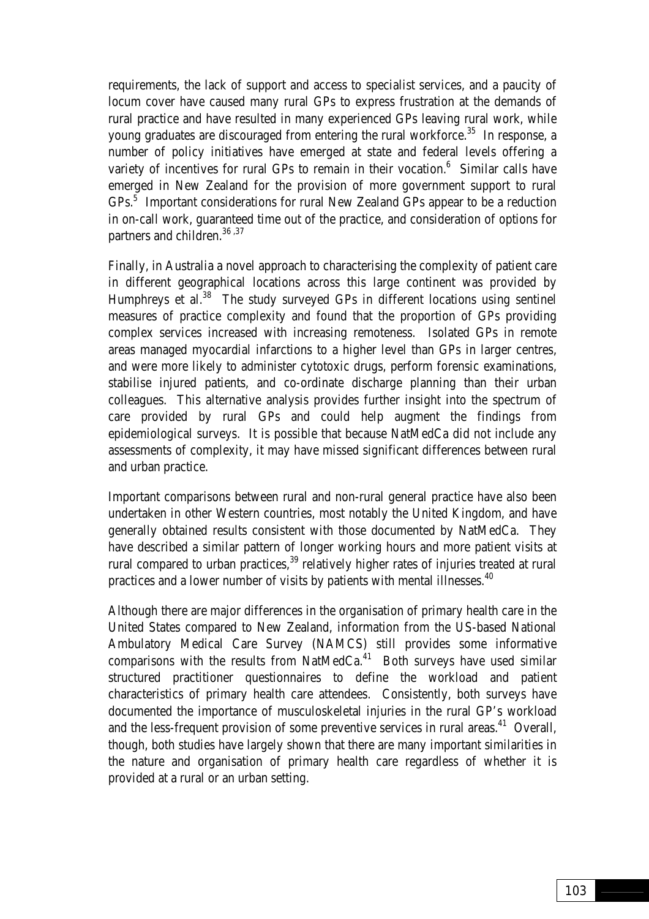requirements, the lack of support and access to specialist services, and a paucity of locum cover have caused many rural GPs to express frustration at the demands of rural practice and have resulted in many experienced GPs leaving rural work, while young graduates are discouraged from entering the rural workforce.<sup>35</sup> In response, a number of policy initiatives have emerged at state and federal levels offering a variety of incentives for rural GPs to remain in their vocation. $<sup>6</sup>$  Similar calls have</sup> emerged in New Zealand for the provision of more government support to rural GPs.<sup>5</sup> Important considerations for rural New Zealand GPs appear to be a reduction in on-call work, guaranteed time out of the practice, and consideration of options for partners and children.<sup>36,37</sup>

Finally, in Australia a novel approach to characterising the complexity of patient care in different geographical locations across this large continent was provided by Humphreys et al.<sup>38</sup> The study surveyed GPs in different locations using sentinel measures of practice complexity and found that the proportion of GPs providing complex services increased with increasing remoteness. Isolated GPs in remote areas managed myocardial infarctions to a higher level than GPs in larger centres, and were more likely to administer cytotoxic drugs, perform forensic examinations, stabilise injured patients, and co-ordinate discharge planning than their urban colleagues. This alternative analysis provides further insight into the spectrum of care provided by rural GPs and could help augment the findings from epidemiological surveys. It is possible that because NatMedCa did not include any assessments of complexity, it may have missed significant differences between rural and urban practice.

Important comparisons between rural and non-rural general practice have also been undertaken in other Western countries, most notably the United Kingdom, and have generally obtained results consistent with those documented by NatMedCa. They have described a similar pattern of longer working hours and more patient visits at rural compared to urban practices,  $39$  relatively higher rates of injuries treated at rural practices and a lower number of visits by patients with mental illnesses.<sup>40</sup>

Although there are major differences in the organisation of primary health care in the United States compared to New Zealand, information from the US-based National Ambulatory Medical Care Survey (NAMCS) still provides some informative comparisons with the results from NatMedCa. $41$  Both surveys have used similar structured practitioner questionnaires to define the workload and patient characteristics of primary health care attendees. Consistently, both surveys have documented the importance of musculoskeletal injuries in the rural GP's workload and the less-frequent provision of some preventive services in rural areas.<sup>41</sup> Overall, though, both studies have largely shown that there are many important similarities in the nature and organisation of primary health care regardless of whether it is provided at a rural or an urban setting.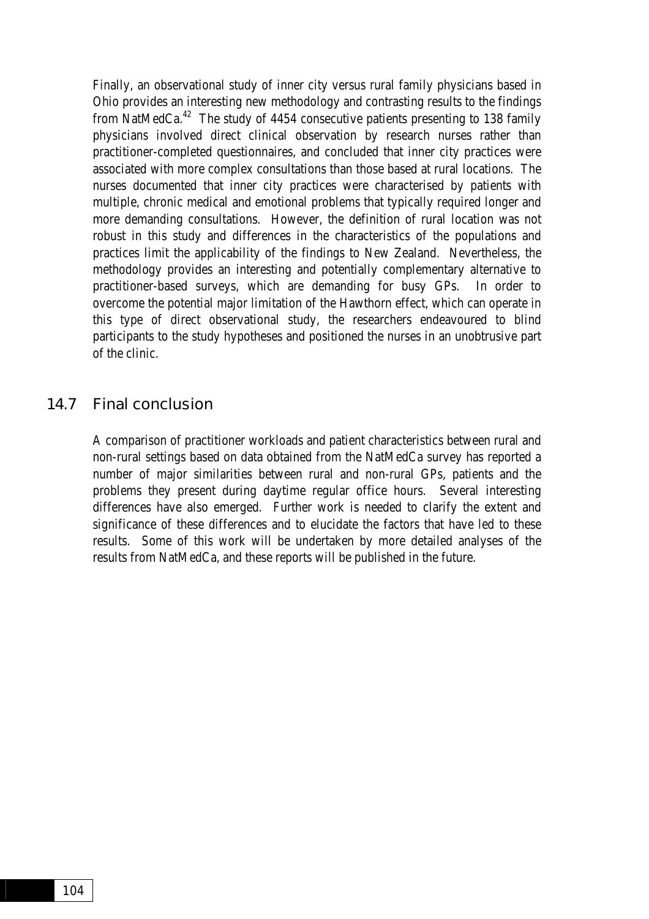Finally, an observational study of inner city versus rural family physicians based in Ohio provides an interesting new methodology and contrasting results to the findings from NatMedCa.<sup>42</sup> The study of 4454 consecutive patients presenting to 138 family physicians involved direct clinical observation by research nurses rather than practitioner-completed questionnaires, and concluded that inner city practices were associated with more complex consultations than those based at rural locations. The nurses documented that inner city practices were characterised by patients with multiple, chronic medical and emotional problems that typically required longer and more demanding consultations. However, the definition of rural location was not robust in this study and differences in the characteristics of the populations and practices limit the applicability of the findings to New Zealand. Nevertheless, the methodology provides an interesting and potentially complementary alternative to practitioner-based surveys, which are demanding for busy GPs. In order to overcome the potential major limitation of the Hawthorn effect, which can operate in this type of direct observational study, the researchers endeavoured to blind participants to the study hypotheses and positioned the nurses in an unobtrusive part of the clinic.

#### 14.7 Final conclusion

A comparison of practitioner workloads and patient characteristics between rural and non-rural settings based on data obtained from the NatMedCa survey has reported a number of major similarities between rural and non-rural GPs, patients and the problems they present during daytime regular office hours. Several interesting differences have also emerged. Further work is needed to clarify the extent and significance of these differences and to elucidate the factors that have led to these results. Some of this work will be undertaken by more detailed analyses of the results from NatMedCa, and these reports will be published in the future.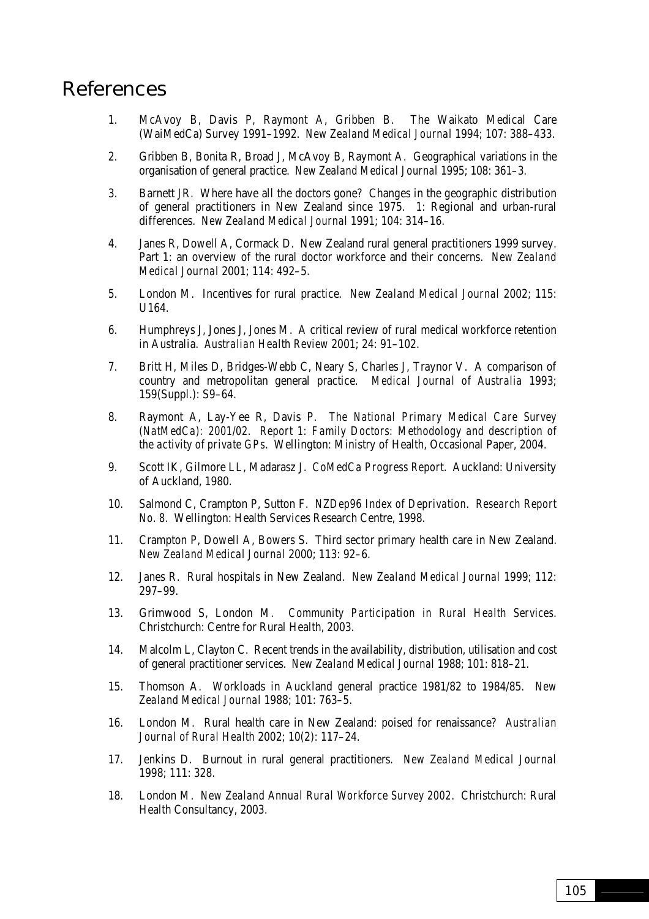## References

- 1. McAvoy B, Davis P, Raymont A, Gribben B. The Waikato Medical Care (WaiMedCa) Survey 1991–1992. *New Zealand Medical Journal* 1994; 107: 388–433.
- 2. Gribben B, Bonita R, Broad J, McAvoy B, Raymont A. Geographical variations in the organisation of general practice. *New Zealand Medical Journal* 1995; 108: 361–3.
- 3. Barnett JR. Where have all the doctors gone? Changes in the geographic distribution of general practitioners in New Zealand since 1975. 1: Regional and urban-rural differences. *New Zealand Medical Journal* 1991; 104: 314–16.
- 4. Janes R, Dowell A, Cormack D. New Zealand rural general practitioners 1999 survey. Part 1: an overview of the rural doctor workforce and their concerns. *New Zealand Medical Journal* 2001; 114: 492–5.
- 5. London M. Incentives for rural practice. *New Zealand Medical Journal* 2002; 115: U164.
- 6. Humphreys J, Jones J, Jones M. A critical review of rural medical workforce retention in Australia. *Australian Health Review* 2001; 24: 91–102.
- 7. Britt H, Miles D, Bridges-Webb C, Neary S, Charles J, Traynor V. A comparison of country and metropolitan general practice. *Medical Journal of Australia* 1993; 159(Suppl.): S9–64.
- 8. Raymont A, Lay-Yee R, Davis P. *The National Primary Medical Care Survey (NatMedCa): 2001/02. Report 1: Family Doctors: Methodology and description of the activity of private GPs*. Wellington: Ministry of Health, Occasional Paper, 2004.
- 9. Scott IK, Gilmore LL, Madarasz J. *CoMedCa Progress Report*. Auckland: University of Auckland, 1980.
- 10. Salmond C, Crampton P, Sutton F. *NZDep96 Index of Deprivation*. *Research Report No. 8.* Wellington: Health Services Research Centre, 1998.
- 11. Crampton P, Dowell A, Bowers S. Third sector primary health care in New Zealand. *New Zealand Medical Journal* 2000; 113: 92–6.
- 12. Janes R. Rural hospitals in New Zealand. *New Zealand Medical Journal* 1999; 112: 297–99.
- 13. Grimwood S, London M. *Community Participation in Rural Health Services*. Christchurch: Centre for Rural Health, 2003.
- 14. Malcolm L, Clayton C. Recent trends in the availability, distribution, utilisation and cost of general practitioner services. *New Zealand Medical Journal* 1988; 101: 818–21.
- 15. Thomson A. Workloads in Auckland general practice 1981/82 to 1984/85. *New Zealand Medical Journal* 1988; 101: 763–5.
- 16. London M. Rural health care in New Zealand: poised for renaissance? *Australian Journal of Rural Health* 2002; 10(2): 117–24.
- 17. Jenkins D. Burnout in rural general practitioners. *New Zealand Medical Journal* 1998; 111: 328.
- 18. London M. *New Zealand Annual Rural Workforce Survey 2002*. Christchurch: Rural Health Consultancy, 2003.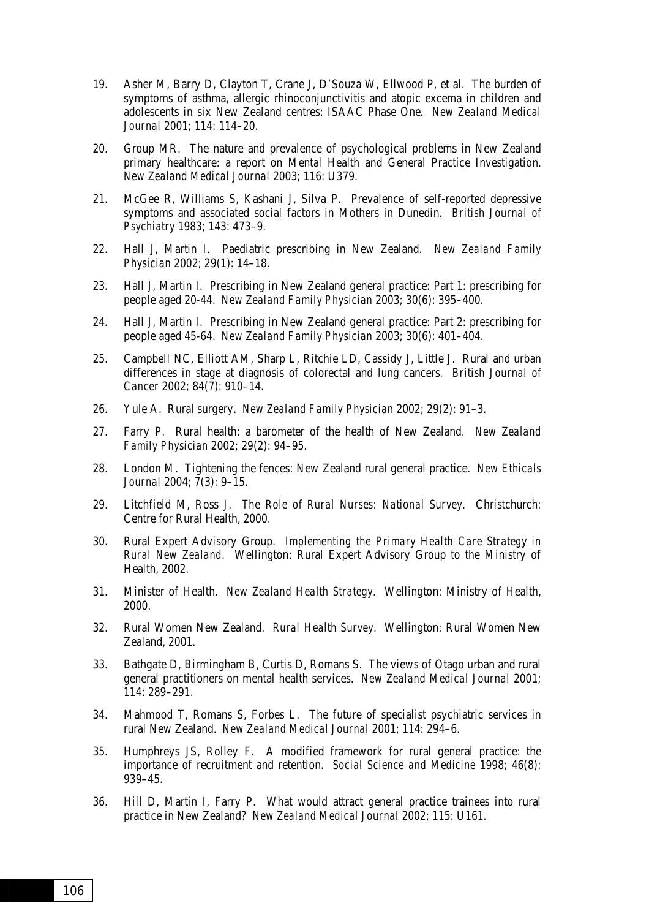- 19. Asher M, Barry D, Clayton T, Crane J, D'Souza W, Ellwood P, et al. The burden of symptoms of asthma, allergic rhinoconjunctivitis and atopic excema in children and adolescents in six New Zealand centres: ISAAC Phase One*. New Zealand Medical Journal* 2001; 114: 114–20.
- 20. Group MR. The nature and prevalence of psychological problems in New Zealand primary healthcare: a report on Mental Health and General Practice Investigation. *New Zealand Medical Journal* 2003; 116: U379.
- 21. McGee R, Williams S, Kashani J, Silva P. Prevalence of self-reported depressive symptoms and associated social factors in Mothers in Dunedin. *British Journal of Psychiatry* 1983; 143: 473–9.
- 22. Hall J, Martin I. Paediatric prescribing in New Zealand. *New Zealand Family Physician* 2002; 29(1): 14–18.
- 23. Hall J, Martin I. Prescribing in New Zealand general practice: Part 1: prescribing for people aged 20-44. *New Zealand Family Physician* 2003; 30(6): 395–400.
- 24. Hall J, Martin I. Prescribing in New Zealand general practice: Part 2: prescribing for people aged 45-64. *New Zealand Family Physician* 2003; 30(6): 401–404.
- 25. Campbell NC, Elliott AM, Sharp L, Ritchie LD, Cassidy J, Little J. Rural and urban differences in stage at diagnosis of colorectal and lung cancers. *British Journal of Cancer* 2002; 84(7): 910–14.
- 26. Yule A. Rural surgery. *New Zealand Family Physician* 2002; 29(2): 91–3.
- 27. Farry P. Rural health: a barometer of the health of New Zealand. *New Zealand Family Physician* 2002; 29(2): 94–95.
- 28. London M. Tightening the fences: New Zealand rural general practice. *New Ethicals Journal* 2004; 7(3): 9–15.
- 29. Litchfield M, Ross J. *The Role of Rural Nurses: National Survey*. Christchurch: Centre for Rural Health, 2000.
- 30. Rural Expert Advisory Group. *Implementing the Primary Health Care Strategy in Rural New Zealand*. Wellington: Rural Expert Advisory Group to the Ministry of Health, 2002.
- 31. Minister of Health. *New Zealand Health Strategy*. Wellington: Ministry of Health, 2000.
- 32. Rural Women New Zealand. *Rural Health Survey*. Wellington: Rural Women New Zealand, 2001.
- 33. Bathgate D, Birmingham B, Curtis D, Romans S. The views of Otago urban and rural general practitioners on mental health services. *New Zealand Medical Journal* 2001; 114: 289–291.
- 34. Mahmood T, Romans S, Forbes L. The future of specialist psychiatric services in rural New Zealand. *New Zealand Medical Journal* 2001; 114: 294–6.
- 35. Humphreys JS, Rolley F. A modified framework for rural general practice: the importance of recruitment and retention. *Social Science and Medicine* 1998; 46(8): 939–45.
- 36. Hill D, Martin I, Farry P. What would attract general practice trainees into rural practice in New Zealand? *New Zealand Medical Journal* 2002; 115: U161.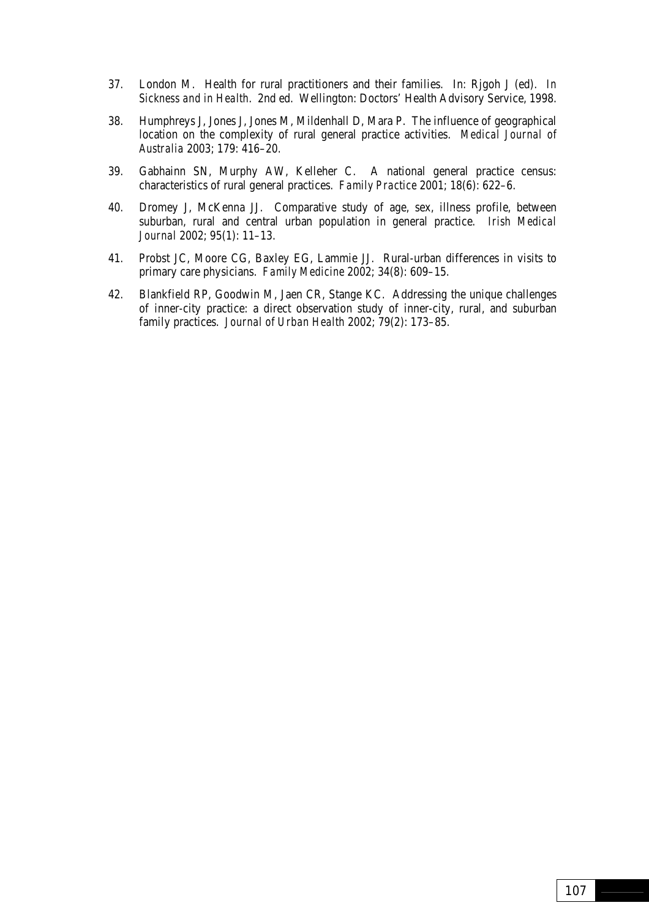- 37. London M. Health for rural practitioners and their families. In: Rjgoh J (ed). *In Sickness and in Health*. 2nd ed. Wellington: Doctors' Health Advisory Service, 1998.
- 38. Humphreys J, Jones J, Jones M, Mildenhall D, Mara P. The influence of geographical location on the complexity of rural general practice activities. *Medical Journal of Australia* 2003; 179: 416–20.
- 39. Gabhainn SN, Murphy AW, Kelleher C. A national general practice census: characteristics of rural general practices. *Family Practice* 2001; 18(6): 622–6.
- 40. Dromey J, McKenna JJ. Comparative study of age, sex, illness profile, between suburban, rural and central urban population in general practice. *Irish Medical Journal* 2002; 95(1): 11–13.
- 41. Probst JC, Moore CG, Baxley EG, Lammie JJ. Rural-urban differences in visits to primary care physicians. *Family Medicine* 2002; 34(8): 609–15.
- 42. Blankfield RP, Goodwin M, Jaen CR, Stange KC. Addressing the unique challenges of inner-city practice: a direct observation study of inner-city, rural, and suburban family practices. *Journal of Urban Health* 2002; 79(2): 173–85.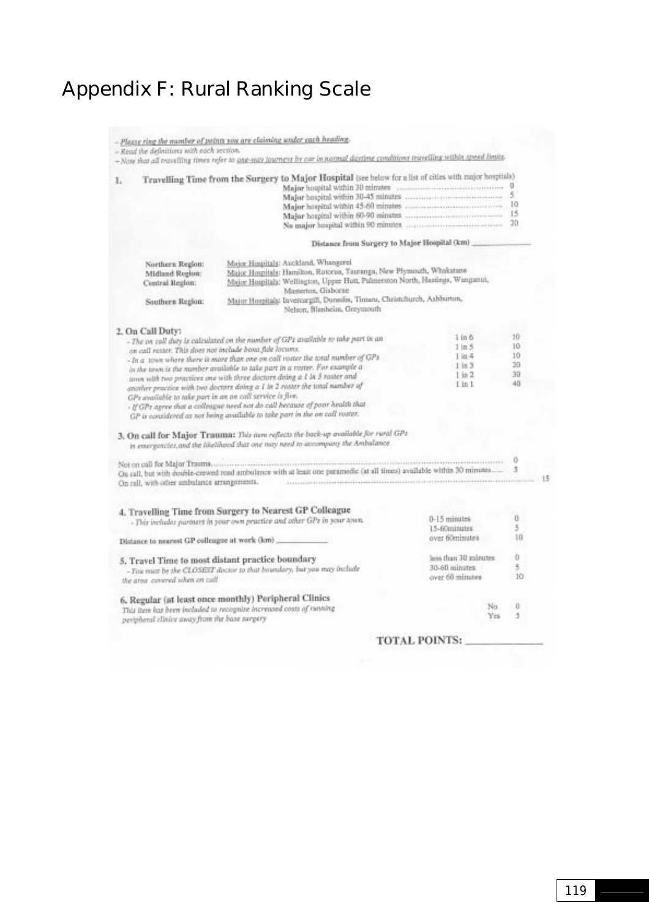# Appendix F: Rural Ranking Scale

|                                                                                                                                                                                                                                                                                                                                                                                                                                                                                                                                                                                                                                                                                                                                                                                                                     | - Read the definitions with each section.                                                                                                                                                                                                                                                                                                                                                                       | - Please ring the number of points you are claiming under each heading.<br>- Note that all travelling times refer to ana-way journeys by our in normal daytime conditions travelling within speed limits.                                                                                                                                              |                                                           |                                        |    |
|---------------------------------------------------------------------------------------------------------------------------------------------------------------------------------------------------------------------------------------------------------------------------------------------------------------------------------------------------------------------------------------------------------------------------------------------------------------------------------------------------------------------------------------------------------------------------------------------------------------------------------------------------------------------------------------------------------------------------------------------------------------------------------------------------------------------|-----------------------------------------------------------------------------------------------------------------------------------------------------------------------------------------------------------------------------------------------------------------------------------------------------------------------------------------------------------------------------------------------------------------|--------------------------------------------------------------------------------------------------------------------------------------------------------------------------------------------------------------------------------------------------------------------------------------------------------------------------------------------------------|-----------------------------------------------------------|----------------------------------------|----|
| L                                                                                                                                                                                                                                                                                                                                                                                                                                                                                                                                                                                                                                                                                                                                                                                                                   |                                                                                                                                                                                                                                                                                                                                                                                                                 | Truvelling Time from the Surgery to Major Hospital (see below for a list of cities with major hospitals)                                                                                                                                                                                                                                               |                                                           |                                        |    |
|                                                                                                                                                                                                                                                                                                                                                                                                                                                                                                                                                                                                                                                                                                                                                                                                                     | Distance from Surgery to Major Hospital (km)                                                                                                                                                                                                                                                                                                                                                                    |                                                                                                                                                                                                                                                                                                                                                        |                                                           |                                        |    |
|                                                                                                                                                                                                                                                                                                                                                                                                                                                                                                                                                                                                                                                                                                                                                                                                                     | Major Hospitals: Auckland, Whangerei<br>Northern Region:<br>Major Hospitals: Hamilton, Rotorua, Tauranga, New Plymouth, Whakatane<br>Midland Region:<br>Major Hospitals: Wellington, Upper Hott, Palmerston North, Hastings, Wanganui,<br>Central Region:<br>Mastertus, Gisborne<br>Major Hospitals: Invercargill, Dunedes, Timaru, Christchurch, Ashburton,<br>Southern Region:<br>Nelson, Blenheim, Greymouth |                                                                                                                                                                                                                                                                                                                                                        |                                                           |                                        |    |
| 2. On Call Duty:<br>$1 \text{ in } 6$<br>- The on call duty is calculated on the number of GPs available to take part in an<br>$1 \ln 5$<br>on call raster. This does not include bona fide locumx.<br>$1$ in $4$<br>- In a some where there is more than one on call roster the total number of GPs<br>$1 \ln 3$<br>in the town is the number available to take part in a roster. For example a<br>$1$ in $2$<br>town with two practices one with three doctors doing a I in 3 roster and<br>$l$ in $1$<br>another practice with two doctors doing a 1 in 2 roster the total number of<br>GPs available to take part in an an call service is five.<br>- If GPz agree that a colleague need not do call because of poor health that<br>GP is considered as not being available to take part in the an call roster, |                                                                                                                                                                                                                                                                                                                                                                                                                 |                                                                                                                                                                                                                                                                                                                                                        |                                                           | 10<br>10<br>$10-$<br>$20-$<br>30<br>40 |    |
|                                                                                                                                                                                                                                                                                                                                                                                                                                                                                                                                                                                                                                                                                                                                                                                                                     |                                                                                                                                                                                                                                                                                                                                                                                                                 | 3. On call for Major Trauma: This item reflects the back-up available for rural GPs<br>in emergencies, and the likelihood that one may need to accompany the Ambalance                                                                                                                                                                                 |                                                           |                                        |    |
|                                                                                                                                                                                                                                                                                                                                                                                                                                                                                                                                                                                                                                                                                                                                                                                                                     |                                                                                                                                                                                                                                                                                                                                                                                                                 | On call, but with double-crewed road ambulance with at least one paramedic (at all times) available within 30 minutes<br>On call, with other ambulance arrangements. The concentration of the contract of the contract of the contract of the contract of the contract of the contract of the contract of the contract of the contract of the contract |                                                           |                                        | 15 |
| 4. Travelling Time from Surgery to Nearest GP Colleague<br>$0-15$ minutes<br>- This includes partners in your own practice and other GPs in your town.<br>15-60minutes<br>over 60minutes.<br>Distance to nearest GP colleague at work (km)                                                                                                                                                                                                                                                                                                                                                                                                                                                                                                                                                                          |                                                                                                                                                                                                                                                                                                                                                                                                                 |                                                                                                                                                                                                                                                                                                                                                        | Ü.<br>5.1<br>10                                           |                                        |    |
|                                                                                                                                                                                                                                                                                                                                                                                                                                                                                                                                                                                                                                                                                                                                                                                                                     | the great covered when on coll.                                                                                                                                                                                                                                                                                                                                                                                 | 5. Travel Time to most distant practice boundary<br>- You must be the CLOSEST doctor to that boundary, but you may include                                                                                                                                                                                                                             | less than 30 minutes<br>30-60 minutes<br>over 60 minutes. | Ü<br>5<br>10                           |    |
|                                                                                                                                                                                                                                                                                                                                                                                                                                                                                                                                                                                                                                                                                                                                                                                                                     | peripheral clinics away from the base surgery                                                                                                                                                                                                                                                                                                                                                                   | 6. Regular (at least once monthly) Peripheral Clinics<br>This item has been included to recognize increased costs of ranning                                                                                                                                                                                                                           | Nn<br>Yes.                                                | G.<br>5                                |    |
|                                                                                                                                                                                                                                                                                                                                                                                                                                                                                                                                                                                                                                                                                                                                                                                                                     |                                                                                                                                                                                                                                                                                                                                                                                                                 |                                                                                                                                                                                                                                                                                                                                                        | TIOTAL BOINTS.                                            |                                        |    |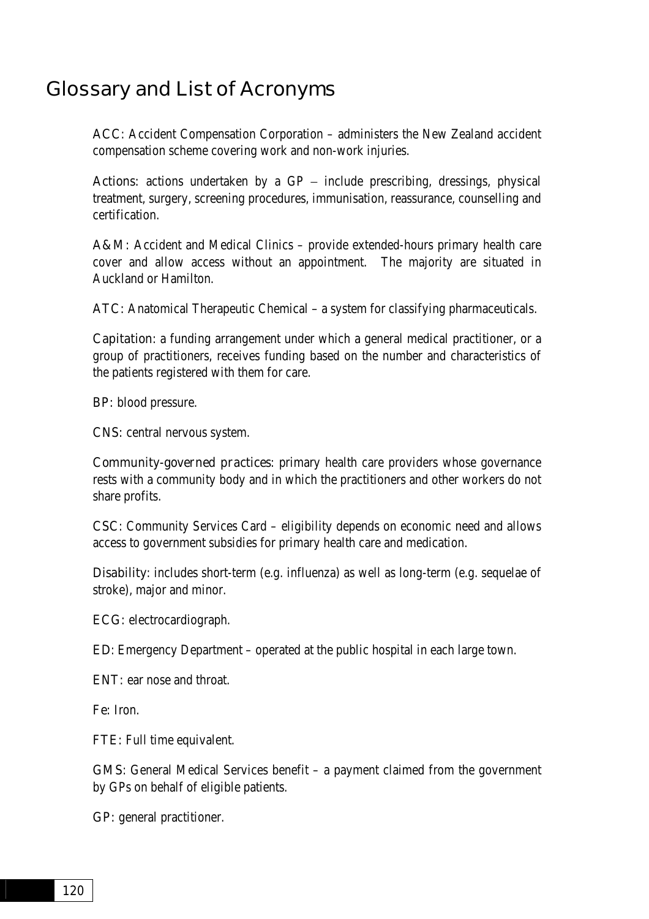# Glossary and List of Acronyms

ACC: Accident Compensation Corporation – administers the New Zealand accident compensation scheme covering work and non-work injuries.

Actions: actions undertaken by a  $GP -$  include prescribing, dressings, physical treatment, surgery, screening procedures, immunisation, reassurance, counselling and certification.

A&M: Accident and Medical Clinics – provide extended-hours primary health care cover and allow access without an appointment. The majority are situated in Auckland or Hamilton.

ATC: Anatomical Therapeutic Chemical – a system for classifying pharmaceuticals.

Capitation: a funding arrangement under which a general medical practitioner, or a group of practitioners, receives funding based on the number and characteristics of the patients registered with them for care.

BP: blood pressure.

CNS: central nervous system.

Community-governed practices: primary health care providers whose governance rests with a community body and in which the practitioners and other workers do not share profits.

CSC: Community Services Card – eligibility depends on economic need and allows access to government subsidies for primary health care and medication.

Disability: includes short-term (e.g. influenza) as well as long-term (e.g. sequelae of stroke), major and minor.

ECG: electrocardiograph.

ED: Emergency Department – operated at the public hospital in each large town.

ENT: ear nose and throat.

Fe: Iron.

FTE: Full time equivalent.

GMS: General Medical Services benefit – a payment claimed from the government by GPs on behalf of eligible patients.

GP: general practitioner.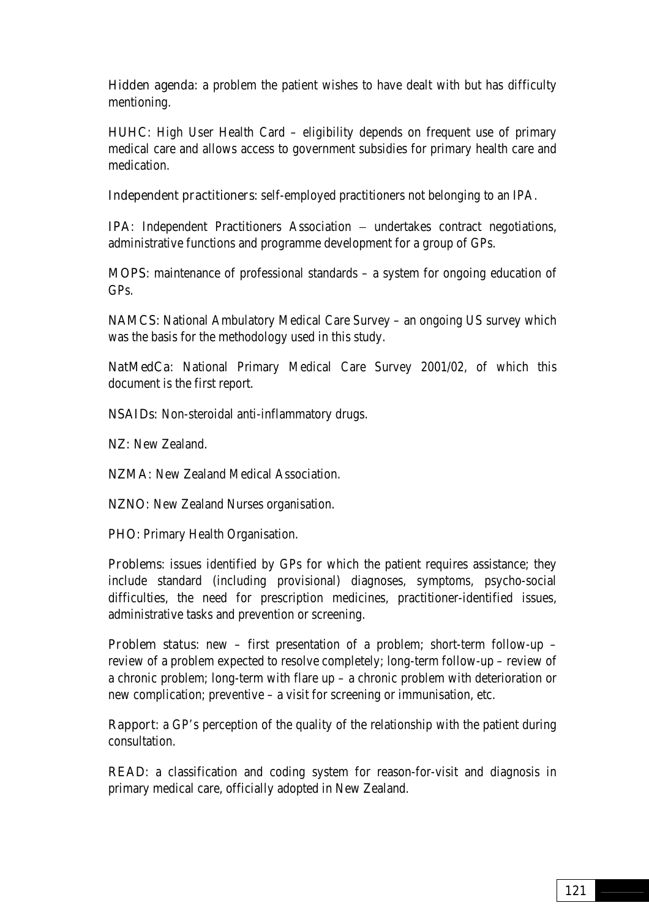**Hidden agenda:** a problem the patient wishes to have dealt with but has difficulty mentioning.

HUHC: High User Health Card – eligibility depends on frequent use of primary medical care and allows access to government subsidies for primary health care and medication.

Independent practitioners: self-employed practitioners not belonging to an IPA.

IPA: Independent Practitioners Association − undertakes contract negotiations, administrative functions and programme development for a group of GPs.

MOPS: maintenance of professional standards – a system for ongoing education of GPs.

NAMCS: National Ambulatory Medical Care Survey – an ongoing US survey which was the basis for the methodology used in this study.

NatMedCa: National Primary Medical Care Survey 2001/02, of which this document is the first report.

NSAIDs: Non-steroidal anti-inflammatory drugs.

NZ: New Zealand.

NZMA: New Zealand Medical Association.

NZNO: New Zealand Nurses organisation.

PHO: Primary Health Organisation.

**Problems:** issues identified by GPs for which the patient requires assistance; they include standard (including provisional) diagnoses, symptoms, psycho-social difficulties, the need for prescription medicines, practitioner-identified issues, administrative tasks and prevention or screening.

Problem status: new - first presentation of a problem; short-term follow-up review of a problem expected to resolve completely; long-term follow-up – review of a chronic problem; long-term with flare up – a chronic problem with deterioration or new complication; preventive – a visit for screening or immunisation, etc.

**Rapport:** a GP's perception of the quality of the relationship with the patient during consultation.

READ: a classification and coding system for reason-for-visit and diagnosis in primary medical care, officially adopted in New Zealand.